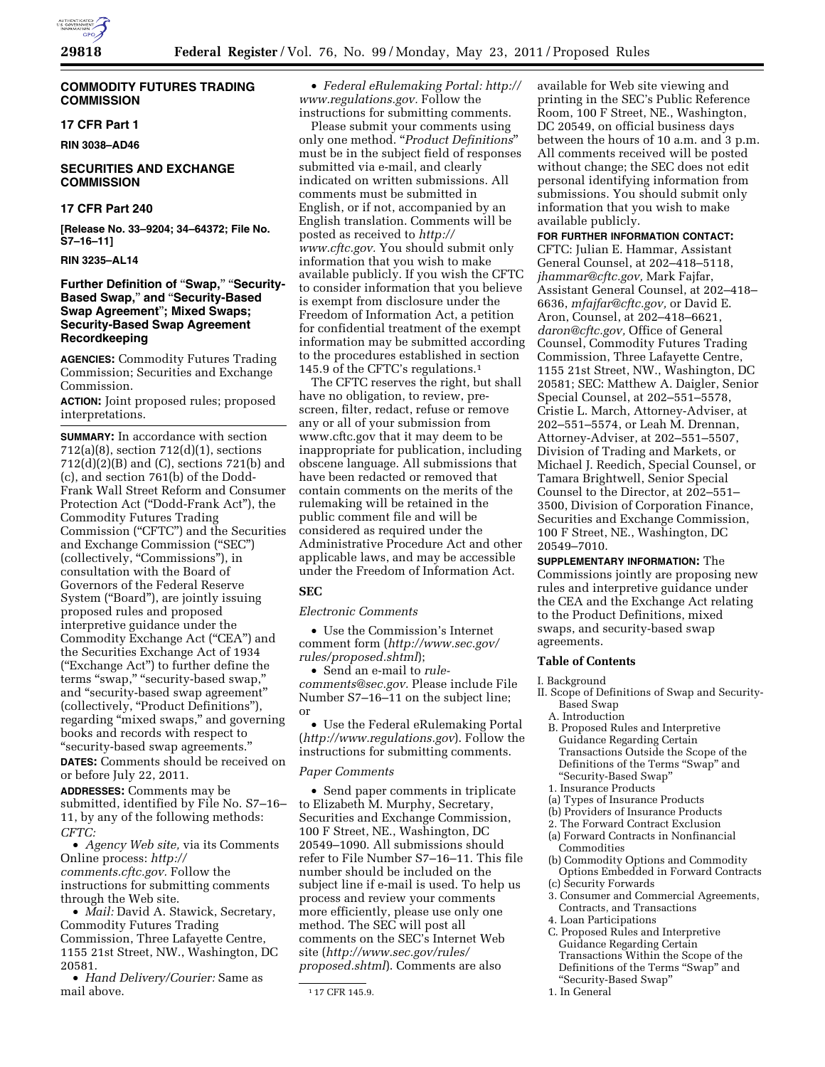

# **COMMODITY FUTURES TRADING COMMISSION**

# **17 CFR Part 1**

**RIN 3038–AD46** 

# **SECURITIES AND EXCHANGE COMMISSION**

# **17 CFR Part 240**

**[Release No. 33–9204; 34–64372; File No. S7–16–11]** 

# **RIN 3235–AL14**

# **Further Definition of "Swap," "Security-Based Swap,**'' **and** ''**Security-Based Swap Agreement**''**; Mixed Swaps; Security-Based Swap Agreement Recordkeeping**

**AGENCIES:** Commodity Futures Trading Commission; Securities and Exchange Commission.

**ACTION:** Joint proposed rules; proposed interpretations.

**SUMMARY:** In accordance with section 712(a)(8), section 712(d)(1), sections 712(d)(2)(B) and (C), sections 721(b) and (c), and section 761(b) of the Dodd-Frank Wall Street Reform and Consumer Protection Act (''Dodd-Frank Act''), the Commodity Futures Trading Commission (''CFTC'') and the Securities and Exchange Commission (''SEC'') (collectively, ''Commissions''), in consultation with the Board of Governors of the Federal Reserve System (''Board''), are jointly issuing proposed rules and proposed interpretive guidance under the Commodity Exchange Act (''CEA'') and the Securities Exchange Act of 1934 (''Exchange Act'') to further define the terms "swap," "security-based swap," and ''security-based swap agreement'' (collectively, ''Product Definitions''), regarding ''mixed swaps,'' and governing books and records with respect to ''security-based swap agreements.'' **DATES:** Comments should be received on

or before July 22, 2011.

**ADDRESSES:** Comments may be submitted, identified by File No. S7–16– 11, by any of the following methods: *CFTC:* 

• *Agency Web site,* via its Comments Online process: *[http://](http://comments.cftc.gov) [comments.cftc.gov.](http://comments.cftc.gov)* Follow the instructions for submitting comments through the Web site.

• *Mail:* David A. Stawick, Secretary, Commodity Futures Trading Commission, Three Lafayette Centre, 1155 21st Street, NW., Washington, DC 20581.

• *Hand Delivery/Courier:* Same as mail above.

• *Federal eRulemaking Portal: [http://](http://www.regulations.gov)  [www.regulations.gov.](http://www.regulations.gov)* Follow the instructions for submitting comments.

Please submit your comments using only one method. ''*Product Definitions*'' must be in the subject field of responses submitted via e-mail, and clearly indicated on written submissions. All comments must be submitted in English, or if not, accompanied by an English translation. Comments will be posted as received to *[http://](http://www.cftc.gov) [www.cftc.gov.](http://www.cftc.gov)* You should submit only information that you wish to make available publicly. If you wish the CFTC to consider information that you believe is exempt from disclosure under the Freedom of Information Act, a petition for confidential treatment of the exempt information may be submitted according to the procedures established in section 145.9 of the CFTC's regulations.1

The CFTC reserves the right, but shall have no obligation, to review, prescreen, filter, redact, refuse or remove any or all of your submission from [www.cftc.gov](http://www.cftc.gov) that it may deem to be inappropriate for publication, including obscene language. All submissions that have been redacted or removed that contain comments on the merits of the rulemaking will be retained in the public comment file and will be considered as required under the Administrative Procedure Act and other applicable laws, and may be accessible under the Freedom of Information Act.

# **SEC**

### *Electronic Comments*

• Use the Commission's Internet comment form (*[http://www.sec.gov/](http://www.sec.gov/rules/proposed.shtml) [rules/proposed.shtml](http://www.sec.gov/rules/proposed.shtml)*);

• Send an e-mail to *[rule](mailto:rule-comments@sec.gov)[comments@sec.gov.](mailto:rule-comments@sec.gov)* Please include File Number S7–16–11 on the subject line; or

• Use the Federal eRulemaking Portal (*<http://www.regulations.gov>*). Follow the instructions for submitting comments.

#### *Paper Comments*

• Send paper comments in triplicate to Elizabeth M. Murphy, Secretary, Securities and Exchange Commission, 100 F Street, NE., Washington, DC 20549–1090. All submissions should refer to File Number S7–16–11. This file number should be included on the subject line if e-mail is used. To help us process and review your comments more efficiently, please use only one method. The SEC will post all comments on the SEC's Internet Web site (*[http://www.sec.gov/rules/](http://www.sec.gov/rules/proposed.shtml) [proposed.shtml](http://www.sec.gov/rules/proposed.shtml)*). Comments are also

available for Web site viewing and printing in the SEC's Public Reference Room, 100 F Street, NE., Washington, DC 20549, on official business days between the hours of 10 a.m. and 3 p.m. All comments received will be posted without change; the SEC does not edit personal identifying information from submissions. You should submit only information that you wish to make available publicly.

# **FOR FURTHER INFORMATION CONTACT:**

CFTC: Julian E. Hammar, Assistant General Counsel, at 202–418–5118, *[jhammar@cftc.gov,](mailto:jhammar@cftc.gov)* Mark Fajfar, Assistant General Counsel, at 202–418– 6636, *[mfajfar@cftc.gov,](mailto:mfajfar@cftc.gov)* or David E. Aron, Counsel, at 202–418–6621, *[daron@cftc.gov,](mailto:daron@cftc.gov)* Office of General Counsel, Commodity Futures Trading Commission, Three Lafayette Centre, 1155 21st Street, NW., Washington, DC 20581; SEC: Matthew A. Daigler, Senior Special Counsel, at 202–551–5578, Cristie L. March, Attorney-Adviser, at 202–551–5574, or Leah M. Drennan, Attorney-Adviser, at 202–551–5507, Division of Trading and Markets, or Michael J. Reedich, Special Counsel, or Tamara Brightwell, Senior Special Counsel to the Director, at 202–551– 3500, Division of Corporation Finance, Securities and Exchange Commission, 100 F Street, NE., Washington, DC 20549–7010.

**SUPPLEMENTARY INFORMATION:** The Commissions jointly are proposing new rules and interpretive guidance under the CEA and the Exchange Act relating to the Product Definitions, mixed swaps, and security-based swap agreements.

# **Table of Contents**

- I. Background
- II. Scope of Definitions of Swap and Security-Based Swap
	- A. Introduction
	- B. Proposed Rules and Interpretive Guidance Regarding Certain Transactions Outside the Scope of the Definitions of the Terms "Swap" and ''Security-Based Swap''
	- 1. Insurance Products
	- (a) Types of Insurance Products
	- (b) Providers of Insurance Products
	- 2. The Forward Contract Exclusion (a) Forward Contracts in Nonfinancial
	- Commodities (b) Commodity Options and Commodity Options Embedded in Forward Contracts
	- (c) Security Forwards 3. Consumer and Commercial Agreements,
	- Contracts, and Transactions
	- 4. Loan Participations
	- C. Proposed Rules and Interpretive Guidance Regarding Certain Transactions Within the Scope of the Definitions of the Terms "Swap" and ''Security-Based Swap'' 1. In General

<sup>1</sup> 17 CFR 145.9.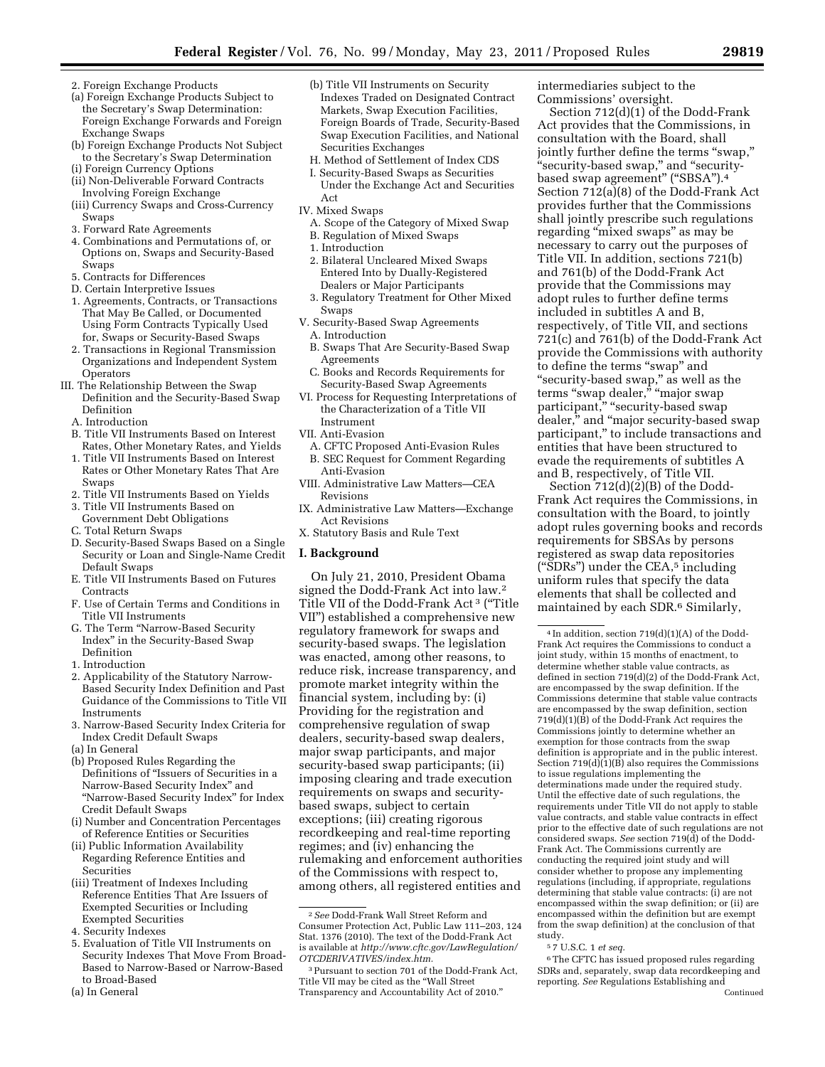- 2. Foreign Exchange Products
- (a) Foreign Exchange Products Subject to the Secretary's Swap Determination: Foreign Exchange Forwards and Foreign Exchange Swaps
- (b) Foreign Exchange Products Not Subject to the Secretary's Swap Determination
- (i) Foreign Currency Options
- (ii) Non-Deliverable Forward Contracts Involving Foreign Exchange
- (iii) Currency Swaps and Cross-Currency Swaps
- 3. Forward Rate Agreements
- 4. Combinations and Permutations of, or Options on, Swaps and Security-Based Swaps
- 5. Contracts for Differences
- D. Certain Interpretive Issues
- 1. Agreements, Contracts, or Transactions That May Be Called, or Documented Using Form Contracts Typically Used for, Swaps or Security-Based Swaps
- 2. Transactions in Regional Transmission Organizations and Independent System **Operators**
- III. The Relationship Between the Swap Definition and the Security-Based Swap Definition
	- A. Introduction
	- B. Title VII Instruments Based on Interest Rates, Other Monetary Rates, and Yields
	- 1. Title VII Instruments Based on Interest Rates or Other Monetary Rates That Are Swaps
	- 2. Title VII Instruments Based on Yields
	- 3. Title VII Instruments Based on
	- Government Debt Obligations
	- C. Total Return Swaps
	- D. Security-Based Swaps Based on a Single Security or Loan and Single-Name Credit Default Swaps
	- E. Title VII Instruments Based on Futures **Contracts**
	- F. Use of Certain Terms and Conditions in Title VII Instruments
	- G. The Term ''Narrow-Based Security Index'' in the Security-Based Swap Definition
	- 1. Introduction
	- 2. Applicability of the Statutory Narrow-Based Security Index Definition and Past Guidance of the Commissions to Title VII Instruments
	- 3. Narrow-Based Security Index Criteria for Index Credit Default Swaps
	- (a) In General
	- (b) Proposed Rules Regarding the Definitions of ''Issuers of Securities in a Narrow-Based Security Index'' and ''Narrow-Based Security Index'' for Index Credit Default Swaps
	- (i) Number and Concentration Percentages of Reference Entities or Securities
	- (ii) Public Information Availability Regarding Reference Entities and Securities
	- (iii) Treatment of Indexes Including Reference Entities That Are Issuers of Exempted Securities or Including Exempted Securities
	- 4. Security Indexes
	- 5. Evaluation of Title VII Instruments on Security Indexes That Move From Broad-Based to Narrow-Based or Narrow-Based to Broad-Based
	- (a) In General
- (b) Title VII Instruments on Security Indexes Traded on Designated Contract Markets, Swap Execution Facilities, Foreign Boards of Trade, Security-Based Swap Execution Facilities, and National Securities Exchanges
- H. Method of Settlement of Index CDS
- I. Security-Based Swaps as Securities Under the Exchange Act and Securities Act
- IV. Mixed Swaps
	- A. Scope of the Category of Mixed Swap
	- B. Regulation of Mixed Swaps
- 1. Introduction
- 2. Bilateral Uncleared Mixed Swaps Entered Into by Dually-Registered Dealers or Major Participants
- 3. Regulatory Treatment for Other Mixed Swaps
- V. Security-Based Swap Agreements A. Introduction
	- B. Swaps That Are Security-Based Swap Agreements
- C. Books and Records Requirements for Security-Based Swap Agreements
- VI. Process for Requesting Interpretations of the Characterization of a Title VII Instrument
- VII. Anti-Evasion
- 
- A. CFTC Proposed Anti-Evasion Rules B. SEC Request for Comment Regarding Anti-Evasion
- VIII. Administrative Law Matters—CEA Revisions
- IX. Administrative Law Matters—Exchange Act Revisions
- X. Statutory Basis and Rule Text

## **I. Background**

On July 21, 2010, President Obama signed the Dodd-Frank Act into law.2 Title VII of the Dodd-Frank Act 3 (''Title VII'') established a comprehensive new regulatory framework for swaps and security-based swaps. The legislation was enacted, among other reasons, to reduce risk, increase transparency, and promote market integrity within the financial system, including by: (i) Providing for the registration and comprehensive regulation of swap dealers, security-based swap dealers, major swap participants, and major security-based swap participants; (ii) imposing clearing and trade execution requirements on swaps and securitybased swaps, subject to certain exceptions; (iii) creating rigorous recordkeeping and real-time reporting regimes; and (iv) enhancing the rulemaking and enforcement authorities of the Commissions with respect to, among others, all registered entities and

intermediaries subject to the Commissions' oversight.

Section 712(d)(1) of the Dodd-Frank Act provides that the Commissions, in consultation with the Board, shall jointly further define the terms "swap," "security-based swap," and "securitybased swap agreement" ("SBSA").<sup>4</sup> Section 712(a)(8) of the Dodd-Frank Act provides further that the Commissions shall jointly prescribe such regulations regarding ''mixed swaps'' as may be necessary to carry out the purposes of Title VII. In addition, sections 721(b) and 761(b) of the Dodd-Frank Act provide that the Commissions may adopt rules to further define terms included in subtitles A and B, respectively, of Title VII, and sections 721(c) and 761(b) of the Dodd-Frank Act provide the Commissions with authority to define the terms "swap" and ''security-based swap,'' as well as the terms "swap dealer," "major swap participant," "security-based swap dealer," and "major security-based swap participant,'' to include transactions and entities that have been structured to evade the requirements of subtitles A and B, respectively, of Title VII.

Section  $712(d)(2)(B)$  of the Dodd-Frank Act requires the Commissions, in consultation with the Board, to jointly adopt rules governing books and records requirements for SBSAs by persons registered as swap data repositories (''SDRs'') under the CEA,5 including uniform rules that specify the data elements that shall be collected and maintained by each SDR.6 Similarly,

6The CFTC has issued proposed rules regarding SDRs and, separately, swap data recordkeeping and reporting. *See* Regulations Establishing and Continued

<sup>2</sup>*See* Dodd-Frank Wall Street Reform and Consumer Protection Act, Public Law 111–203, 124 Stat. 1376 (2010). The text of the Dodd-Frank Act is available at *[http://www.cftc.gov/LawRegulation/](http://www.cftc.gov/LawRegulation/OTCDERIVATIVES/index.htm) [OTCDERIVATIVES/index.htm.](http://www.cftc.gov/LawRegulation/OTCDERIVATIVES/index.htm)* 

<sup>3</sup>Pursuant to section 701 of the Dodd-Frank Act, Title VII may be cited as the ''Wall Street Transparency and Accountability Act of 2010.''

<sup>4</sup> In addition, section 719(d)(1)(A) of the Dodd-Frank Act requires the Commissions to conduct a joint study, within 15 months of enactment, to determine whether stable value contracts, as defined in section 719(d)(2) of the Dodd-Frank Act, are encompassed by the swap definition. If the Commissions determine that stable value contracts are encompassed by the swap definition, section 719(d)(1)(B) of the Dodd-Frank Act requires the Commissions jointly to determine whether an exemption for those contracts from the swap definition is appropriate and in the public interest. Section  $719(d)(1)(B)$  also requires the Commissions to issue regulations implementing the determinations made under the required study. Until the effective date of such regulations, the requirements under Title VII do not apply to stable value contracts, and stable value contracts in effect prior to the effective date of such regulations are not considered swaps. *See* section 719(d) of the Dodd-Frank Act. The Commissions currently are conducting the required joint study and will consider whether to propose any implementing regulations (including, if appropriate, regulations determining that stable value contracts: (i) are not encompassed within the swap definition; or (ii) are encompassed within the definition but are exempt from the swap definition) at the conclusion of that study.

<sup>5</sup> 7 U.S.C. 1 *et seq.*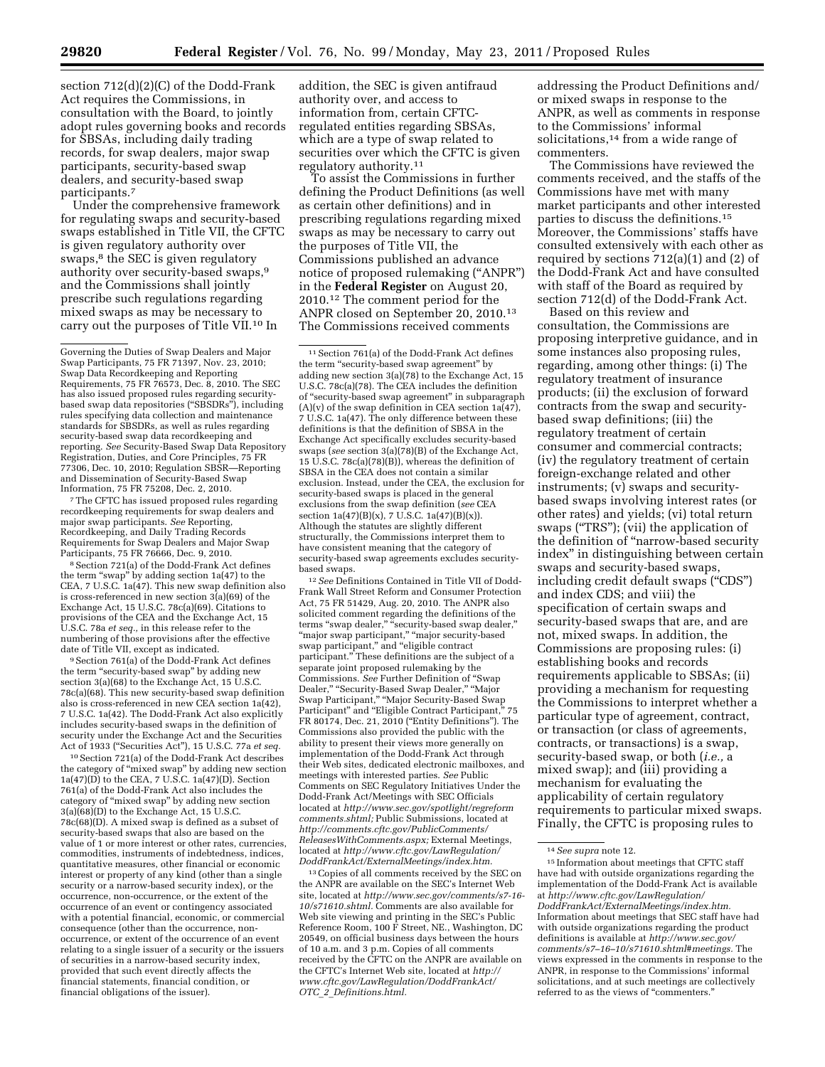section 712(d)(2)(C) of the Dodd-Frank Act requires the Commissions, in consultation with the Board, to jointly adopt rules governing books and records for SBSAs, including daily trading records, for swap dealers, major swap participants, security-based swap dealers, and security-based swap participants.7

Under the comprehensive framework for regulating swaps and security-based swaps established in Title VII, the CFTC is given regulatory authority over swaps,<sup>8</sup> the SEC is given regulatory authority over security-based swaps,9 and the Commissions shall jointly prescribe such regulations regarding mixed swaps as may be necessary to carry out the purposes of Title VII.10 In

7The CFTC has issued proposed rules regarding recordkeeping requirements for swap dealers and major swap participants. *See* Reporting, Recordkeeping, and Daily Trading Records Requirements for Swap Dealers and Major Swap Participants, 75 FR 76666, Dec. 9, 2010.

8Section 721(a) of the Dodd-Frank Act defines the term "swap" by adding section 1a(47) to the CEA, 7 U.S.C. 1a(47). This new swap definition also is cross-referenced in new section 3(a)(69) of the Exchange Act, 15 U.S.C. 78c(a)(69). Citations to provisions of the CEA and the Exchange Act, 15 U.S.C. 78a *et seq.,* in this release refer to the numbering of those provisions after the effective date of Title VII, except as indicated.

9Section 761(a) of the Dodd-Frank Act defines the term "security-based swap" by adding new section 3(a)(68) to the Exchange Act, 15  $\check{U}$ .S.C. 78c(a)(68). This new security-based swap definition also is cross-referenced in new CEA section 1a(42), 7 U.S.C. 1a(42). The Dodd-Frank Act also explicitly includes security-based swaps in the definition of security under the Exchange Act and the Securities Act of 1933 (''Securities Act''), 15 U.S.C. 77a *et seq.* 

10Section 721(a) of the Dodd-Frank Act describes the category of ''mixed swap'' by adding new section  $1a(47)(D)$  to the CEA, 7 U.S.C.  $1a(47)(D)$ . Section 761(a) of the Dodd-Frank Act also includes the category of "mixed swap" by adding new section 3(a)(68)(D) to the Exchange Act, 15 U.S.C. 78c(68)(D). A mixed swap is defined as a subset of security-based swaps that also are based on the value of 1 or more interest or other rates, currencies, commodities, instruments of indebtedness, indices, quantitative measures, other financial or economic interest or property of any kind (other than a single security or a narrow-based security index), or the occurrence, non-occurrence, or the extent of the occurrence of an event or contingency associated with a potential financial, economic, or commercial consequence (other than the occurrence, nonoccurrence, or extent of the occurrence of an event relating to a single issuer of a security or the issuers of securities in a narrow-based security index, provided that such event directly affects the financial statements, financial condition, or financial obligations of the issuer).

addition, the SEC is given antifraud authority over, and access to information from, certain CFTCregulated entities regarding SBSAs, which are a type of swap related to securities over which the CFTC is given regulatory authority.11

To assist the Commissions in further defining the Product Definitions (as well as certain other definitions) and in prescribing regulations regarding mixed swaps as may be necessary to carry out the purposes of Title VII, the Commissions published an advance notice of proposed rulemaking (''ANPR'') in the **Federal Register** on August 20, 2010.12 The comment period for the ANPR closed on September 20, 2010.13 The Commissions received comments

11Section 761(a) of the Dodd-Frank Act defines the term "security-based swap agreement" by adding new section 3(a)(78) to the Exchange Act, 15 U.S.C. 78c(a)(78). The CEA includes the definition of ''security-based swap agreement'' in subparagraph  $(A)(v)$  of the swap definition in CEA section 1a(47), 7 U.S.C. 1a(47). The only difference between these definitions is that the definition of SBSA in the Exchange Act specifically excludes security-based swaps (*see* section 3(a)(78)(B) of the Exchange Act, 15 U.S.C. 78c(a)(78)(B)), whereas the definition of SBSA in the CEA does not contain a similar exclusion. Instead, under the CEA, the exclusion for security-based swaps is placed in the general exclusions from the swap definition (*see* CEA section  $1a(47)(B)(x)$ , 7 U.S.C.  $1a(47)(B)(x)$ . Although the statutes are slightly different structurally, the Commissions interpret them to have consistent meaning that the category of security-based swap agreements excludes securitybased swaps.

12*See* Definitions Contained in Title VII of Dodd-Frank Wall Street Reform and Consumer Protection Act, 75 FR 51429, Aug. 20, 2010. The ANPR also solicited comment regarding the definitions of the terms ''swap dealer,'' ''security-based swap dealer,'' "major swap participant," "major security-based swap participant,'' and ''eligible contract participant.'' These definitions are the subject of a separate joint proposed rulemaking by the Commissions. *See* Further Definition of ''Swap Dealer," "Security-Based Swap Dealer," "Major Swap Participant,'' ''Major Security-Based Swap Participant" and "Eligible Contract Participant," FR 80174, Dec. 21, 2010 (''Entity Definitions''). The Commissions also provided the public with the ability to present their views more generally on implementation of the Dodd-Frank Act through their Web sites, dedicated electronic mailboxes, and meetings with interested parties. *See* Public Comments on SEC Regulatory Initiatives Under the Dodd-Frank Act/Meetings with SEC Officials located at *[http://www.sec.gov/spotlight/regreform](http://www.sec.gov/spotlight/regreformcomments.shtml) [comments.shtml;](http://www.sec.gov/spotlight/regreformcomments.shtml)* Public Submissions, located at *[http://comments.cftc.gov/PublicComments/](http://comments.cftc.gov/PublicComments/ReleasesWithComments.aspx) [ReleasesWithComments.aspx;](http://comments.cftc.gov/PublicComments/ReleasesWithComments.aspx)* External Meetings, located at *[http://www.cftc.gov/LawRegulation/](http://www.cftc.gov/LawRegulation/DoddFrankAct/ExternalMeetings/index.htm) [DoddFrankAct/ExternalMeetings/index.htm.](http://www.cftc.gov/LawRegulation/DoddFrankAct/ExternalMeetings/index.htm)* 

13Copies of all comments received by the SEC on the ANPR are available on the SEC's Internet Web site, located at *[http://www.sec.gov/comments/s7-16-](http://www.sec.gov/comments/s7-16-10/s71610.shtml)  [10/s71610.shtml.](http://www.sec.gov/comments/s7-16-10/s71610.shtml)* Comments are also available for Web site viewing and printing in the SEC's Public Reference Room, 100 F Street, NE., Washington, DC 20549, on official business days between the hours of 10 a.m. and 3 p.m. Copies of all comments received by the CFTC on the ANPR are available on the CFTC's Internet Web site, located at *[http://](http://www.cftc.gov/LawRegulation/DoddFrankAct/OTC_2_Definitions.html)  [www.cftc.gov/LawRegulation/DoddFrankAct/](http://www.cftc.gov/LawRegulation/DoddFrankAct/OTC_2_Definitions.html) OTC*\_*2*\_*[Definitions.html.](http://www.cftc.gov/LawRegulation/DoddFrankAct/OTC_2_Definitions.html)* 

addressing the Product Definitions and/ or mixed swaps in response to the ANPR, as well as comments in response to the Commissions' informal solicitations,<sup>14</sup> from a wide range of commenters.

The Commissions have reviewed the comments received, and the staffs of the Commissions have met with many market participants and other interested parties to discuss the definitions.15 Moreover, the Commissions' staffs have consulted extensively with each other as required by sections 712(a)(1) and (2) of the Dodd-Frank Act and have consulted with staff of the Board as required by section 712(d) of the Dodd-Frank Act.

Based on this review and consultation, the Commissions are proposing interpretive guidance, and in some instances also proposing rules, regarding, among other things: (i) The regulatory treatment of insurance products; (ii) the exclusion of forward contracts from the swap and securitybased swap definitions; (iii) the regulatory treatment of certain consumer and commercial contracts; (iv) the regulatory treatment of certain foreign-exchange related and other instruments; (v) swaps and securitybased swaps involving interest rates (or other rates) and yields; (vi) total return swaps ("TRS"); (vii) the application of the definition of ''narrow-based security index'' in distinguishing between certain swaps and security-based swaps, including credit default swaps ("CDS") and index CDS; and viii) the specification of certain swaps and security-based swaps that are, and are not, mixed swaps. In addition, the Commissions are proposing rules: (i) establishing books and records requirements applicable to SBSAs; (ii) providing a mechanism for requesting the Commissions to interpret whether a particular type of agreement, contract, or transaction (or class of agreements, contracts, or transactions) is a swap, security-based swap, or both (*i.e.,* a mixed swap); and (iii) providing a mechanism for evaluating the applicability of certain regulatory requirements to particular mixed swaps. Finally, the CFTC is proposing rules to

Governing the Duties of Swap Dealers and Major Swap Participants, 75 FR 71397, Nov. 23, 2010; Swap Data Recordkeeping and Reporting Requirements, 75 FR 76573, Dec. 8, 2010. The SEC has also issued proposed rules regarding securitybased swap data repositories (''SBSDRs''), including rules specifying data collection and maintenance standards for SBSDRs, as well as rules regarding security-based swap data recordkeeping and reporting. *See* Security-Based Swap Data Repository Registration, Duties, and Core Principles, 75 FR 77306, Dec. 10, 2010; Regulation SBSR—Reporting and Dissemination of Security-Based Swap Information, 75 FR 75208, Dec. 2, 2010.

<sup>14</sup>*See supra* note 12.

<sup>15</sup> Information about meetings that CFTC staff have had with outside organizations regarding the implementation of the Dodd-Frank Act is available at *[http://www.cftc.gov/LawRegulation/](http://www.cftc.gov/LawRegulation/DoddFrankAct/ExternalMeetings/index.htm) [DoddFrankAct/ExternalMeetings/index.htm.](http://www.cftc.gov/LawRegulation/DoddFrankAct/ExternalMeetings/index.htm)*  Information about meetings that SEC staff have had with outside organizations regarding the product definitions is available at *[http://www.sec.gov/](http://www.sec.gov/comments/s7-16-10/s71610.shtml#meetings) [comments/s7–16–10/s71610.shtml#meetings.](http://www.sec.gov/comments/s7-16-10/s71610.shtml#meetings)* The views expressed in the comments in response to the ANPR, in response to the Commissions' informal solicitations, and at such meetings are collectively referred to as the views of "commenters."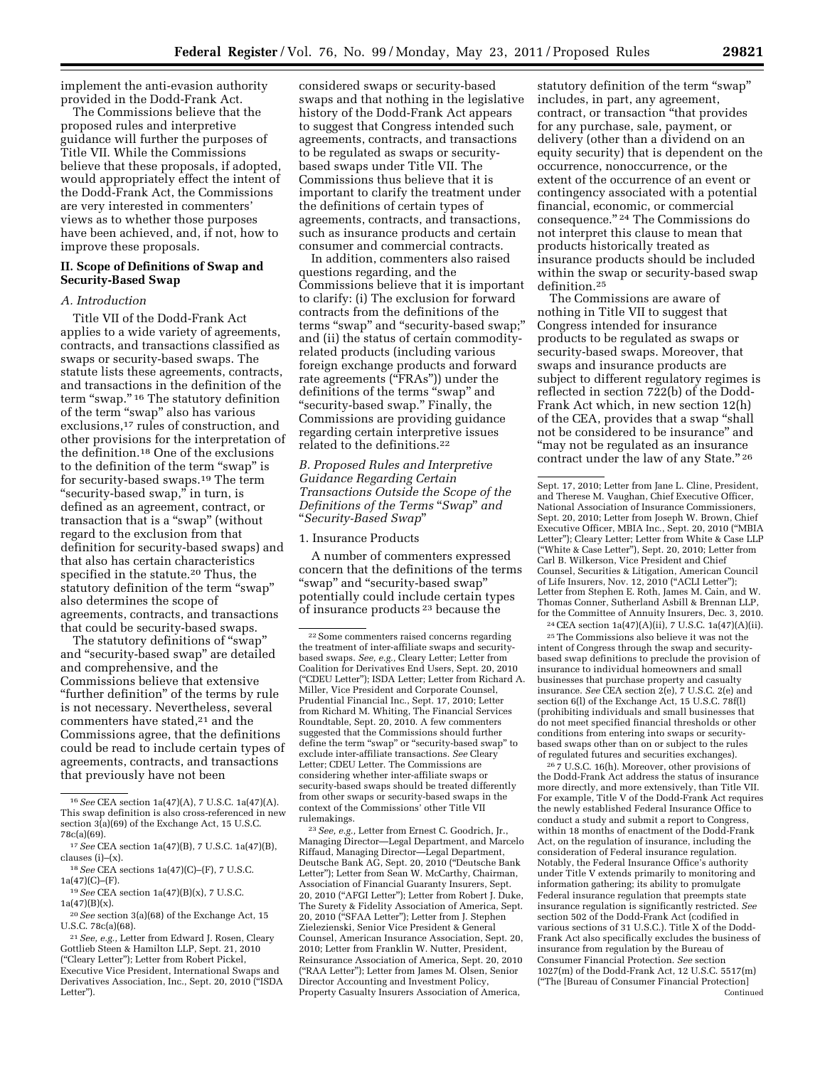implement the anti-evasion authority provided in the Dodd-Frank Act.

The Commissions believe that the proposed rules and interpretive guidance will further the purposes of Title VII. While the Commissions believe that these proposals, if adopted, would appropriately effect the intent of the Dodd-Frank Act, the Commissions are very interested in commenters' views as to whether those purposes have been achieved, and, if not, how to improve these proposals.

# **II. Scope of Definitions of Swap and Security-Based Swap**

#### *A. Introduction*

Title VII of the Dodd-Frank Act applies to a wide variety of agreements, contracts, and transactions classified as swaps or security-based swaps. The statute lists these agreements, contracts, and transactions in the definition of the term "swap." 16 The statutory definition of the term ''swap'' also has various exclusions,17 rules of construction, and other provisions for the interpretation of the definition.18 One of the exclusions to the definition of the term "swap" is for security-based swaps.19 The term "security-based swap," in turn, is defined as an agreement, contract, or transaction that is a "swap" (without regard to the exclusion from that definition for security-based swaps) and that also has certain characteristics specified in the statute.20 Thus, the statutory definition of the term "swap" also determines the scope of agreements, contracts, and transactions that could be security-based swaps.

The statutory definitions of "swap" and ''security-based swap'' are detailed and comprehensive, and the Commissions believe that extensive ''further definition'' of the terms by rule is not necessary. Nevertheless, several commenters have stated,<sup>21</sup> and the Commissions agree, that the definitions could be read to include certain types of agreements, contracts, and transactions that previously have not been

considered swaps or security-based swaps and that nothing in the legislative history of the Dodd-Frank Act appears to suggest that Congress intended such agreements, contracts, and transactions to be regulated as swaps or securitybased swaps under Title VII. The Commissions thus believe that it is important to clarify the treatment under the definitions of certain types of agreements, contracts, and transactions, such as insurance products and certain consumer and commercial contracts.

In addition, commenters also raised questions regarding, and the Commissions believe that it is important to clarify: (i) The exclusion for forward contracts from the definitions of the terms "swap" and "security-based swap;" and (ii) the status of certain commodityrelated products (including various foreign exchange products and forward rate agreements ("FRAs")) under the definitions of the terms "swap" and "security-based swap." Finally, the Commissions are providing guidance regarding certain interpretive issues related to the definitions.22

*B. Proposed Rules and Interpretive Guidance Regarding Certain Transactions Outside the Scope of the Definitions of the Terms* "*Swap*" and ''*Security-Based Swap*''

## 1. Insurance Products

A number of commenters expressed concern that the definitions of the terms ''swap'' and ''security-based swap'' potentially could include certain types of insurance products 23 because the

23*See, e.g.,* Letter from Ernest C. Goodrich, Jr., Managing Director—Legal Department, and Marcelo Riffaud, Managing Director—Legal Department, Deutsche Bank AG, Sept. 20, 2010 (''Deutsche Bank Letter''); Letter from Sean W. McCarthy, Chairman, Association of Financial Guaranty Insurers, Sept. 20, 2010 (''AFGI Letter''); Letter from Robert J. Duke, The Surety & Fidelity Association of America, Sept. 20, 2010 (''SFAA Letter''); Letter from J. Stephen Zielezienski, Senior Vice President & General Counsel, American Insurance Association, Sept. 20, 2010; Letter from Franklin W. Nutter, President, Reinsurance Association of America, Sept. 20, 2010 (''RAA Letter''); Letter from James M. Olsen, Senior Director Accounting and Investment Policy, Property Casualty Insurers Association of America,

statutory definition of the term "swap" includes, in part, any agreement, contract, or transaction ''that provides for any purchase, sale, payment, or delivery (other than a dividend on an equity security) that is dependent on the occurrence, nonoccurrence, or the extent of the occurrence of an event or contingency associated with a potential financial, economic, or commercial consequence.'' 24 The Commissions do not interpret this clause to mean that products historically treated as insurance products should be included within the swap or security-based swap definition<sup>25</sup>

The Commissions are aware of nothing in Title VII to suggest that Congress intended for insurance products to be regulated as swaps or security-based swaps. Moreover, that swaps and insurance products are subject to different regulatory regimes is reflected in section 722(b) of the Dodd-Frank Act which, in new section 12(h) of the CEA, provides that a swap ''shall not be considered to be insurance'' and ''may not be regulated as an insurance contract under the law of any State." 26

25The Commissions also believe it was not the intent of Congress through the swap and securitybased swap definitions to preclude the provision of insurance to individual homeowners and small businesses that purchase property and casualty insurance. *See* CEA section 2(e), 7 U.S.C. 2(e) and section 6(l) of the Exchange Act, 15 U.S.C. 78f(l) (prohibiting individuals and small businesses that do not meet specified financial thresholds or other conditions from entering into swaps or securitybased swaps other than on or subject to the rules of regulated futures and securities exchanges).

26 7 U.S.C. 16(h). Moreover, other provisions of the Dodd-Frank Act address the status of insurance more directly, and more extensively, than Title VII. For example, Title V of the Dodd-Frank Act requires the newly established Federal Insurance Office to conduct a study and submit a report to Congress, within 18 months of enactment of the Dodd-Frank Act, on the regulation of insurance, including the consideration of Federal insurance regulation. Notably, the Federal Insurance Office's authority under Title V extends primarily to monitoring and information gathering; its ability to promulgate Federal insurance regulation that preempts state insurance regulation is significantly restricted. *See*  section 502 of the Dodd-Frank Act (codified in various sections of 31 U.S.C.). Title X of the Dodd-Frank Act also specifically excludes the business of insurance from regulation by the Bureau of Consumer Financial Protection. *See* section 1027(m) of the Dodd-Frank Act, 12 U.S.C. 5517(m) (''The [Bureau of Consumer Financial Protection] Continued

<sup>16</sup>*See* CEA section 1a(47)(A), 7 U.S.C. 1a(47)(A). This swap definition is also cross-referenced in new section 3(a)(69) of the Exchange Act, 15 U.S.C. 78c(a)(69).

<sup>17</sup>*See* CEA section 1a(47)(B), 7 U.S.C. 1a(47)(B), clauses (i)–(x).

<sup>18</sup>*See* CEA sections 1a(47)(C)–(F), 7 U.S.C. 1a(47)(C)–(F).

<sup>19</sup>*See* CEA section 1a(47)(B)(x), 7 U.S.C. 1a(47)(B)(x).

<sup>20</sup>*See* section 3(a)(68) of the Exchange Act, 15 U.S.C. 78c(a)(68).

<sup>21</sup>*See, e.g.,* Letter from Edward J. Rosen, Cleary Gottlieb Steen & Hamilton LLP, Sept. 21, 2010 (''Cleary Letter''); Letter from Robert Pickel, Executive Vice President, International Swaps and Derivatives Association, Inc., Sept. 20, 2010 (''ISDA Letter").

<sup>22</sup>Some commenters raised concerns regarding the treatment of inter-affiliate swaps and securitybased swaps. *See, e.g.,* Cleary Letter; Letter from Coalition for Derivatives End Users, Sept. 20, 2010 (''CDEU Letter''); ISDA Letter; Letter from Richard A. Miller, Vice President and Corporate Counsel, Prudential Financial Inc., Sept. 17, 2010; Letter from Richard M. Whiting, The Financial Services Roundtable, Sept. 20, 2010. A few commenters suggested that the Commissions should further define the term "swap" or "security-based swap" to exclude inter-affiliate transactions. *See* Cleary Letter; CDEU Letter. The Commissions are considering whether inter-affiliate swaps or security-based swaps should be treated differently from other swaps or security-based swaps in the context of the Commissions' other Title VII rulemakings.

Sept. 17, 2010; Letter from Jane L. Cline, President, and Therese M. Vaughan, Chief Executive Officer, National Association of Insurance Commissioners, Sept. 20, 2010; Letter from Joseph W. Brown, Chief Executive Officer, MBIA Inc., Sept. 20, 2010 (''MBIA Letter''); Cleary Letter; Letter from White & Case LLP (''White & Case Letter''), Sept. 20, 2010; Letter from Carl B. Wilkerson, Vice President and Chief Counsel, Securities & Litigation, American Council of Life Insurers, Nov. 12, 2010 (''ACLI Letter''); Letter from Stephen E. Roth, James M. Cain, and W. Thomas Conner, Sutherland Asbill & Brennan LLP, for the Committee of Annuity Insurers, Dec. 3, 2010.  $24$  CEA section  $1a(47)(A)(ii)$ , 7 U.S.C.  $1a(47)(A)(ii)$ .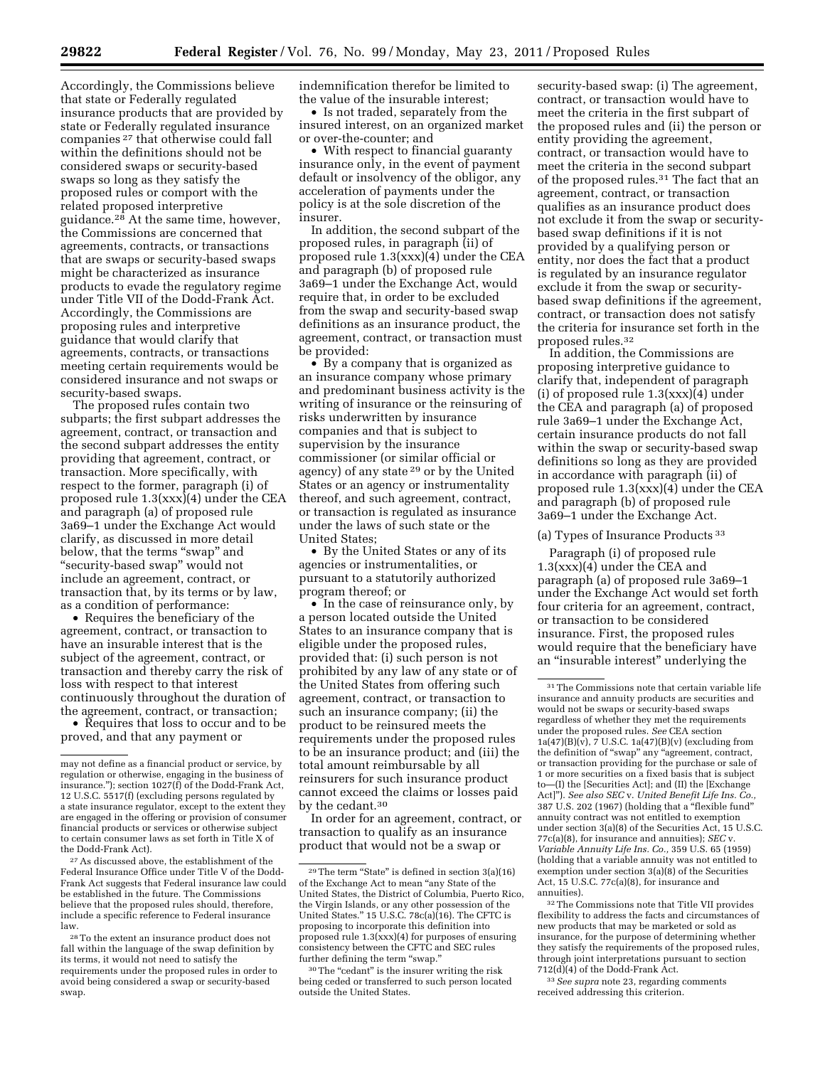Accordingly, the Commissions believe that state or Federally regulated insurance products that are provided by state or Federally regulated insurance companies 27 that otherwise could fall within the definitions should not be considered swaps or security-based swaps so long as they satisfy the proposed rules or comport with the related proposed interpretive guidance.28 At the same time, however, the Commissions are concerned that agreements, contracts, or transactions that are swaps or security-based swaps might be characterized as insurance products to evade the regulatory regime under Title VII of the Dodd-Frank Act. Accordingly, the Commissions are proposing rules and interpretive guidance that would clarify that agreements, contracts, or transactions meeting certain requirements would be considered insurance and not swaps or security-based swaps.

The proposed rules contain two subparts; the first subpart addresses the agreement, contract, or transaction and the second subpart addresses the entity providing that agreement, contract, or transaction. More specifically, with respect to the former, paragraph (i) of proposed rule 1.3(xxx)(4) under the CEA and paragraph (a) of proposed rule 3a69–1 under the Exchange Act would clarify, as discussed in more detail below, that the terms "swap" and ''security-based swap'' would not include an agreement, contract, or transaction that, by its terms or by law, as a condition of performance:

• Requires the beneficiary of the agreement, contract, or transaction to have an insurable interest that is the subject of the agreement, contract, or transaction and thereby carry the risk of loss with respect to that interest continuously throughout the duration of the agreement, contract, or transaction;

• Requires that loss to occur and to be proved, and that any payment or

27As discussed above, the establishment of the Federal Insurance Office under Title V of the Dodd-Frank Act suggests that Federal insurance law could be established in the future. The Commissions believe that the proposed rules should, therefore, include a specific reference to Federal insurance law.

indemnification therefor be limited to the value of the insurable interest;

• Is not traded, separately from the insured interest, on an organized market or over-the-counter; and

• With respect to financial guaranty insurance only, in the event of payment default or insolvency of the obligor, any acceleration of payments under the policy is at the sole discretion of the insurer.

In addition, the second subpart of the proposed rules, in paragraph (ii) of proposed rule 1.3(xxx)(4) under the CEA and paragraph (b) of proposed rule 3a69–1 under the Exchange Act, would require that, in order to be excluded from the swap and security-based swap definitions as an insurance product, the agreement, contract, or transaction must be provided:

• By a company that is organized as an insurance company whose primary and predominant business activity is the writing of insurance or the reinsuring of risks underwritten by insurance companies and that is subject to supervision by the insurance commissioner (or similar official or agency) of any state 29 or by the United States or an agency or instrumentality thereof, and such agreement, contract, or transaction is regulated as insurance under the laws of such state or the United States;

• By the United States or any of its agencies or instrumentalities, or pursuant to a statutorily authorized program thereof; or

• In the case of reinsurance only, by a person located outside the United States to an insurance company that is eligible under the proposed rules, provided that: (i) such person is not prohibited by any law of any state or of the United States from offering such agreement, contract, or transaction to such an insurance company; (ii) the product to be reinsured meets the requirements under the proposed rules to be an insurance product; and (iii) the total amount reimbursable by all reinsurers for such insurance product cannot exceed the claims or losses paid by the cedant.30

In order for an agreement, contract, or transaction to qualify as an insurance product that would not be a swap or

security-based swap: (i) The agreement, contract, or transaction would have to meet the criteria in the first subpart of the proposed rules and (ii) the person or entity providing the agreement, contract, or transaction would have to meet the criteria in the second subpart of the proposed rules.31 The fact that an agreement, contract, or transaction qualifies as an insurance product does not exclude it from the swap or securitybased swap definitions if it is not provided by a qualifying person or entity, nor does the fact that a product is regulated by an insurance regulator exclude it from the swap or securitybased swap definitions if the agreement, contract, or transaction does not satisfy the criteria for insurance set forth in the proposed rules.32

In addition, the Commissions are proposing interpretive guidance to clarify that, independent of paragraph (i) of proposed rule 1.3(xxx)(4) under the CEA and paragraph (a) of proposed rule 3a69–1 under the Exchange Act, certain insurance products do not fall within the swap or security-based swap definitions so long as they are provided in accordance with paragraph (ii) of proposed rule 1.3(xxx)(4) under the CEA and paragraph (b) of proposed rule 3a69–1 under the Exchange Act.

#### (a) Types of Insurance Products 33

Paragraph (i) of proposed rule 1.3(xxx)(4) under the CEA and paragraph (a) of proposed rule 3a69–1 under the Exchange Act would set forth four criteria for an agreement, contract, or transaction to be considered insurance. First, the proposed rules would require that the beneficiary have an ''insurable interest'' underlying the

33*See supra* note 23, regarding comments received addressing this criterion.

may not define as a financial product or service, by regulation or otherwise, engaging in the business of insurance.''); section 1027(f) of the Dodd-Frank Act, 12 U.S.C. 5517(f) (excluding persons regulated by a state insurance regulator, except to the extent they are engaged in the offering or provision of consumer financial products or services or otherwise subject to certain consumer laws as set forth in Title X of the Dodd-Frank Act).

<sup>28</sup>To the extent an insurance product does not fall within the language of the swap definition by its terms, it would not need to satisfy the requirements under the proposed rules in order to avoid being considered a swap or security-based swap.

 $^{29}$  The term "State" is defined in section 3(a)(16) of the Exchange Act to mean ''any State of the United States, the District of Columbia, Puerto Rico, the Virgin Islands, or any other possession of the United States.'' 15 U.S.C. 78c(a)(16). The CFTC is proposing to incorporate this definition into proposed rule 1.3(xxx)(4) for purposes of ensuring consistency between the CFTC and SEC rules further defining the term "swap."

 $^{\rm 30}\!$  The "cedant" is the insurer writing the risk being ceded or transferred to such person located outside the United States.

<sup>31</sup>The Commissions note that certain variable life insurance and annuity products are securities and would not be swaps or security-based swaps regardless of whether they met the requirements under the proposed rules. *See* CEA section 1a(47)(B)(v), 7 U.S.C. 1a(47)(B)(v) (excluding from the definition of "swap" any "agreement, contract, or transaction providing for the purchase or sale of 1 or more securities on a fixed basis that is subject to—(I) the [Securities Act]; and (II) the [Exchange Act]''). *See also SEC* v. *United Benefit Life Ins. Co.,*  387 U.S. 202 (1967) (holding that a ''flexible fund'' annuity contract was not entitled to exemption under section 3(a)(8) of the Securities Act, 15 U.S.C. 77c(a)(8), for insurance and annuities); *SEC* v. *Variable Annuity Life Ins. Co.,* 359 U.S. 65 (1959) (holding that a variable annuity was not entitled to exemption under section 3(a)(8) of the Securities Act, 15 U.S.C. 77c(a)(8), for insurance and annuities).

<sup>32</sup>The Commissions note that Title VII provides flexibility to address the facts and circumstances of new products that may be marketed or sold as insurance, for the purpose of determining whether they satisfy the requirements of the proposed rules, through joint interpretations pursuant to section 712(d)(4) of the Dodd-Frank Act.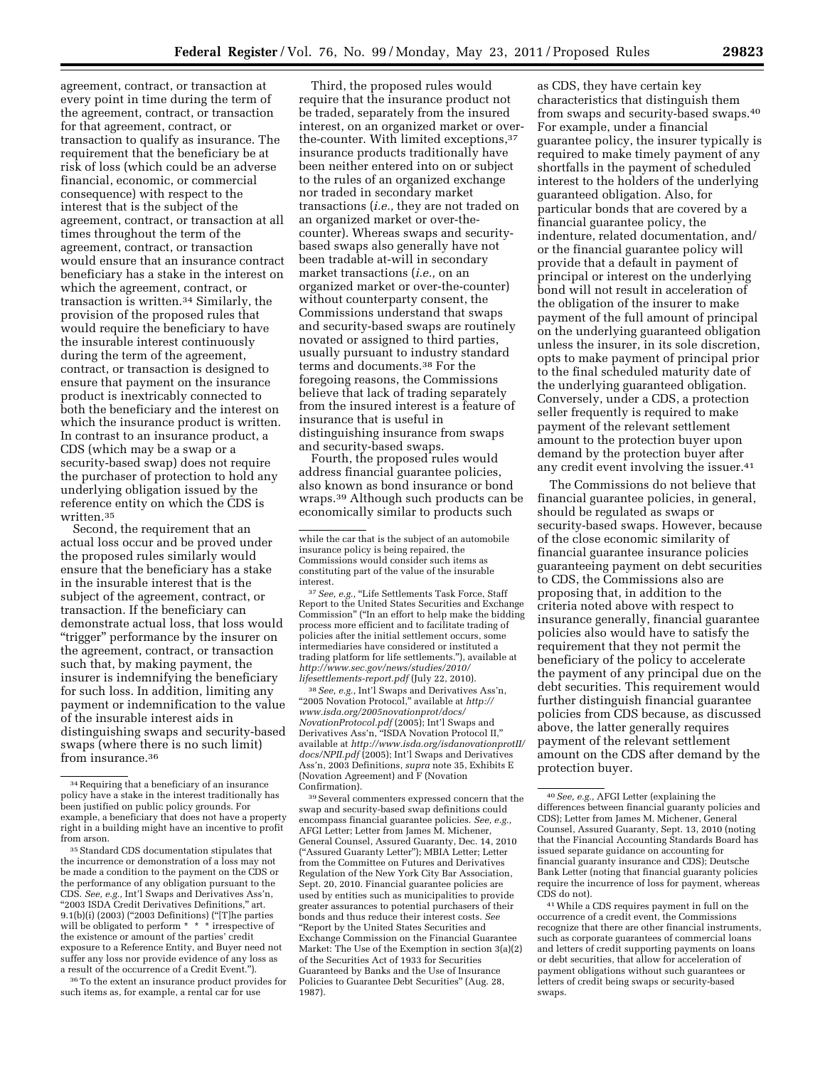agreement, contract, or transaction at every point in time during the term of the agreement, contract, or transaction for that agreement, contract, or transaction to qualify as insurance. The requirement that the beneficiary be at risk of loss (which could be an adverse financial, economic, or commercial consequence) with respect to the interest that is the subject of the agreement, contract, or transaction at all times throughout the term of the agreement, contract, or transaction would ensure that an insurance contract beneficiary has a stake in the interest on which the agreement, contract, or transaction is written.34 Similarly, the provision of the proposed rules that would require the beneficiary to have the insurable interest continuously during the term of the agreement, contract, or transaction is designed to ensure that payment on the insurance product is inextricably connected to both the beneficiary and the interest on which the insurance product is written. In contrast to an insurance product, a CDS (which may be a swap or a security-based swap) does not require the purchaser of protection to hold any underlying obligation issued by the reference entity on which the CDS is written.35

Second, the requirement that an actual loss occur and be proved under the proposed rules similarly would ensure that the beneficiary has a stake in the insurable interest that is the subject of the agreement, contract, or transaction. If the beneficiary can demonstrate actual loss, that loss would ''trigger'' performance by the insurer on the agreement, contract, or transaction such that, by making payment, the insurer is indemnifying the beneficiary for such loss. In addition, limiting any payment or indemnification to the value of the insurable interest aids in distinguishing swaps and security-based swaps (where there is no such limit) from insurance.36

35Standard CDS documentation stipulates that the incurrence or demonstration of a loss may not be made a condition to the payment on the CDS or the performance of any obligation pursuant to the CDS. *See, e.g.,* Int'l Swaps and Derivatives Ass'n, "2003 ISDA Credit Derivatives Definitions," art. 9.1(b)(i) (2003) (''2003 Definitions) (''[T]he parties will be obligated to perform \* \* \* irrespective of the existence or amount of the parties' credit exposure to a Reference Entity, and Buyer need not suffer any loss nor provide evidence of any loss as a result of the occurrence of a Credit Event.'').

36To the extent an insurance product provides for such items as, for example, a rental car for use

Third, the proposed rules would require that the insurance product not be traded, separately from the insured interest, on an organized market or overthe-counter. With limited exceptions,37 insurance products traditionally have been neither entered into on or subject to the rules of an organized exchange nor traded in secondary market transactions (*i.e.,* they are not traded on an organized market or over-thecounter). Whereas swaps and securitybased swaps also generally have not been tradable at-will in secondary market transactions (*i.e.,* on an organized market or over-the-counter) without counterparty consent, the Commissions understand that swaps and security-based swaps are routinely novated or assigned to third parties, usually pursuant to industry standard terms and documents.38 For the foregoing reasons, the Commissions believe that lack of trading separately from the insured interest is a feature of insurance that is useful in distinguishing insurance from swaps and security-based swaps.

Fourth, the proposed rules would address financial guarantee policies, also known as bond insurance or bond wraps.39 Although such products can be economically similar to products such

<sup>37</sup> See, e.g., "Life Settlements Task Force, Staff Report to the United States Securities and Exchange Commission'' (''In an effort to help make the bidding process more efficient and to facilitate trading of policies after the initial settlement occurs, some intermediaries have considered or instituted a trading platform for life settlements.''), available at *[http://www.sec.gov/news/studies/2010/](http://www.sec.gov/news/studies/2010/lifesettlements-report.pdf) [lifesettlements-report.pdf](http://www.sec.gov/news/studies/2010/lifesettlements-report.pdf)* (July 22, 2010).

38*See, e.g.,* Int'l Swaps and Derivatives Ass'n, ''2005 Novation Protocol,'' available at *[http://](http://www.isda.org/2005novationprot/docs/NovationProtocol.pdf) [www.isda.org/2005novationprot/docs/](http://www.isda.org/2005novationprot/docs/NovationProtocol.pdf) [NovationProtocol.pdf](http://www.isda.org/2005novationprot/docs/NovationProtocol.pdf)* (2005); Int'l Swaps and Derivatives Ass'n, ''ISDA Novation Protocol II,'' available at *[http://www.isda.org/isdanovationprotII/](http://www.isda.org/isdanovationprotII/docs/NPII.pdf)  [docs/NPII.pdf](http://www.isda.org/isdanovationprotII/docs/NPII.pdf)* (2005); Int'l Swaps and Derivatives Ass'n, 2003 Definitions, *supra* note 35, Exhibits E (Novation Agreement) and F (Novation Confirmation).

39Several commenters expressed concern that the swap and security-based swap definitions could encompass financial guarantee policies. *See, e.g.,*  AFGI Letter; Letter from James M. Michener, General Counsel, Assured Guaranty, Dec. 14, 2010 (''Assured Guaranty Letter''); MBIA Letter; Letter from the Committee on Futures and Derivatives Regulation of the New York City Bar Association, Sept. 20, 2010. Financial guarantee policies are used by entities such as municipalities to provide greater assurances to potential purchasers of their bonds and thus reduce their interest costs. *See*  ''Report by the United States Securities and Exchange Commission on the Financial Guarantee Market: The Use of the Exemption in section 3(a)(2) of the Securities Act of 1933 for Securities Guaranteed by Banks and the Use of Insurance Policies to Guarantee Debt Securities'' (Aug. 28, 1987).

as CDS, they have certain key characteristics that distinguish them from swaps and security-based swaps.40 For example, under a financial guarantee policy, the insurer typically is required to make timely payment of any shortfalls in the payment of scheduled interest to the holders of the underlying guaranteed obligation. Also, for particular bonds that are covered by a financial guarantee policy, the indenture, related documentation, and/ or the financial guarantee policy will provide that a default in payment of principal or interest on the underlying bond will not result in acceleration of the obligation of the insurer to make payment of the full amount of principal on the underlying guaranteed obligation unless the insurer, in its sole discretion, opts to make payment of principal prior to the final scheduled maturity date of the underlying guaranteed obligation. Conversely, under a CDS, a protection seller frequently is required to make payment of the relevant settlement amount to the protection buyer upon demand by the protection buyer after any credit event involving the issuer.41

The Commissions do not believe that financial guarantee policies, in general, should be regulated as swaps or security-based swaps. However, because of the close economic similarity of financial guarantee insurance policies guaranteeing payment on debt securities to CDS, the Commissions also are proposing that, in addition to the criteria noted above with respect to insurance generally, financial guarantee policies also would have to satisfy the requirement that they not permit the beneficiary of the policy to accelerate the payment of any principal due on the debt securities. This requirement would further distinguish financial guarantee policies from CDS because, as discussed above, the latter generally requires payment of the relevant settlement amount on the CDS after demand by the protection buyer.

<sup>34</sup>Requiring that a beneficiary of an insurance policy have a stake in the interest traditionally has been justified on public policy grounds. For example, a beneficiary that does not have a property right in a building might have an incentive to profit from arson.

while the car that is the subject of an automobile insurance policy is being repaired, the Commissions would consider such items as constituting part of the value of the insurable interest.

<sup>40</sup>*See, e.g.,* AFGI Letter (explaining the differences between financial guaranty policies and CDS); Letter from James M. Michener, General Counsel, Assured Guaranty, Sept. 13, 2010 (noting that the Financial Accounting Standards Board has issued separate guidance on accounting for financial guaranty insurance and CDS); Deutsche Bank Letter (noting that financial guaranty policies require the incurrence of loss for payment, whereas CDS do not).

<sup>41</sup>While a CDS requires payment in full on the occurrence of a credit event, the Commissions recognize that there are other financial instruments, such as corporate guarantees of commercial loans and letters of credit supporting payments on loans or debt securities, that allow for acceleration of payment obligations without such guarantees or letters of credit being swaps or security-based swaps.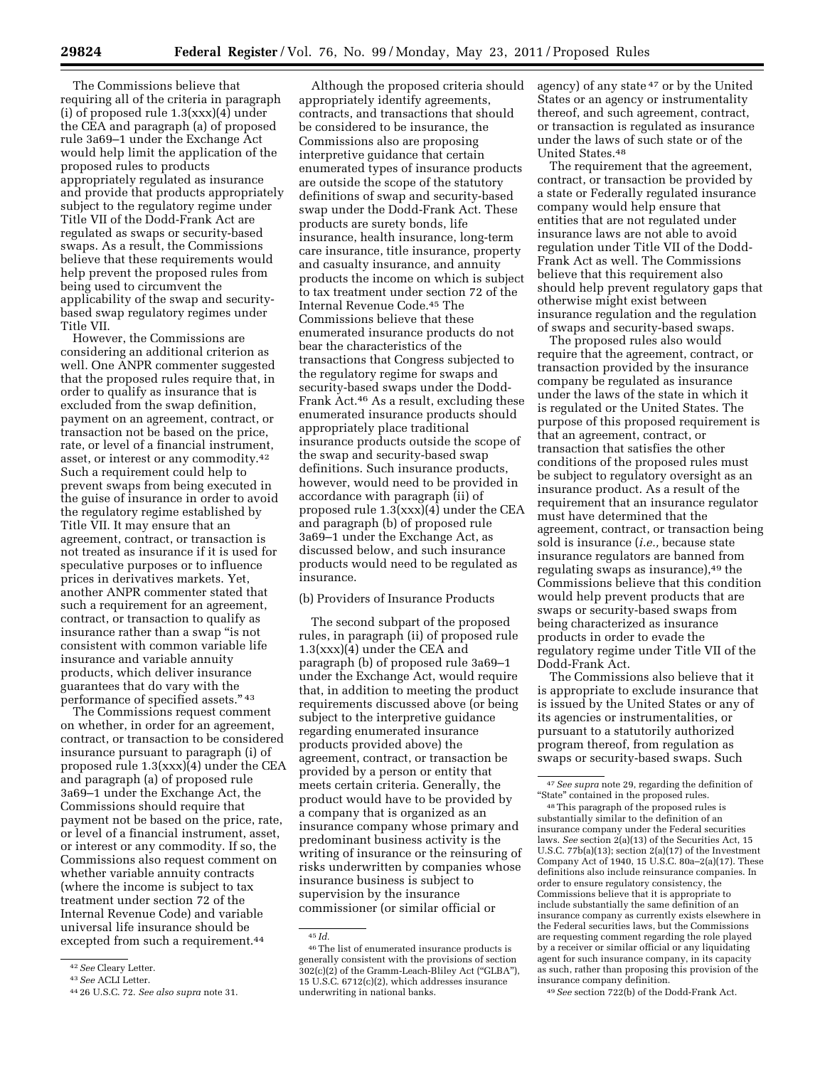The Commissions believe that requiring all of the criteria in paragraph (i) of proposed rule 1.3(xxx)(4) under the CEA and paragraph (a) of proposed rule 3a69–1 under the Exchange Act would help limit the application of the proposed rules to products appropriately regulated as insurance and provide that products appropriately subject to the regulatory regime under Title VII of the Dodd-Frank Act are regulated as swaps or security-based swaps. As a result, the Commissions believe that these requirements would help prevent the proposed rules from being used to circumvent the applicability of the swap and securitybased swap regulatory regimes under Title VII.

However, the Commissions are considering an additional criterion as well. One ANPR commenter suggested that the proposed rules require that, in order to qualify as insurance that is excluded from the swap definition, payment on an agreement, contract, or transaction not be based on the price, rate, or level of a financial instrument, asset, or interest or any commodity.42 Such a requirement could help to prevent swaps from being executed in the guise of insurance in order to avoid the regulatory regime established by Title VII. It may ensure that an agreement, contract, or transaction is not treated as insurance if it is used for speculative purposes or to influence prices in derivatives markets. Yet, another ANPR commenter stated that such a requirement for an agreement, contract, or transaction to qualify as insurance rather than a swap ''is not consistent with common variable life insurance and variable annuity products, which deliver insurance guarantees that do vary with the performance of specified assets." 43

The Commissions request comment on whether, in order for an agreement, contract, or transaction to be considered insurance pursuant to paragraph (i) of proposed rule 1.3(xxx)(4) under the CEA and paragraph (a) of proposed rule 3a69–1 under the Exchange Act, the Commissions should require that payment not be based on the price, rate, or level of a financial instrument, asset, or interest or any commodity. If so, the Commissions also request comment on whether variable annuity contracts (where the income is subject to tax treatment under section 72 of the Internal Revenue Code) and variable universal life insurance should be excepted from such a requirement.<sup>44</sup>

Although the proposed criteria should appropriately identify agreements, contracts, and transactions that should be considered to be insurance, the Commissions also are proposing interpretive guidance that certain enumerated types of insurance products are outside the scope of the statutory definitions of swap and security-based swap under the Dodd-Frank Act. These products are surety bonds, life insurance, health insurance, long-term care insurance, title insurance, property and casualty insurance, and annuity products the income on which is subject to tax treatment under section 72 of the Internal Revenue Code.45 The Commissions believe that these enumerated insurance products do not bear the characteristics of the transactions that Congress subjected to the regulatory regime for swaps and security-based swaps under the Dodd-Frank Act.46 As a result, excluding these enumerated insurance products should appropriately place traditional insurance products outside the scope of the swap and security-based swap definitions. Such insurance products, however, would need to be provided in accordance with paragraph (ii) of proposed rule 1.3(xxx)(4) under the CEA and paragraph (b) of proposed rule 3a69–1 under the Exchange Act, as discussed below, and such insurance products would need to be regulated as insurance.

#### (b) Providers of Insurance Products

The second subpart of the proposed rules, in paragraph (ii) of proposed rule 1.3(xxx)(4) under the CEA and paragraph (b) of proposed rule 3a69–1 under the Exchange Act, would require that, in addition to meeting the product requirements discussed above (or being subject to the interpretive guidance regarding enumerated insurance products provided above) the agreement, contract, or transaction be provided by a person or entity that meets certain criteria. Generally, the product would have to be provided by a company that is organized as an insurance company whose primary and predominant business activity is the writing of insurance or the reinsuring of risks underwritten by companies whose insurance business is subject to supervision by the insurance commissioner (or similar official or

agency) of any state 47 or by the United States or an agency or instrumentality thereof, and such agreement, contract, or transaction is regulated as insurance under the laws of such state or of the United States.48

The requirement that the agreement, contract, or transaction be provided by a state or Federally regulated insurance company would help ensure that entities that are not regulated under insurance laws are not able to avoid regulation under Title VII of the Dodd-Frank Act as well. The Commissions believe that this requirement also should help prevent regulatory gaps that otherwise might exist between insurance regulation and the regulation of swaps and security-based swaps.

The proposed rules also would require that the agreement, contract, or transaction provided by the insurance company be regulated as insurance under the laws of the state in which it is regulated or the United States. The purpose of this proposed requirement is that an agreement, contract, or transaction that satisfies the other conditions of the proposed rules must be subject to regulatory oversight as an insurance product. As a result of the requirement that an insurance regulator must have determined that the agreement, contract, or transaction being sold is insurance (*i.e.,* because state insurance regulators are banned from regulating swaps as insurance),49 the Commissions believe that this condition would help prevent products that are swaps or security-based swaps from being characterized as insurance products in order to evade the regulatory regime under Title VII of the Dodd-Frank Act.

The Commissions also believe that it is appropriate to exclude insurance that is issued by the United States or any of its agencies or instrumentalities, or pursuant to a statutorily authorized program thereof, from regulation as swaps or security-based swaps. Such

49*See* section 722(b) of the Dodd-Frank Act.

<sup>42</sup>*See* Cleary Letter.

<sup>43</sup>*See* ACLI Letter.

<sup>44</sup> 26 U.S.C. 72. *See also supra* note 31.

<sup>45</sup> *Id.* 

<sup>46</sup>The list of enumerated insurance products is generally consistent with the provisions of section 302(c)(2) of the Gramm-Leach-Bliley Act (''GLBA''), 15 U.S.C. 6712(c)(2), which addresses insurance underwriting in national banks.

<sup>47</sup>*See supra* note 29, regarding the definition of "State" contained in the proposed rules.

<sup>48</sup>This paragraph of the proposed rules is substantially similar to the definition of an insurance company under the Federal securities laws. *See* section 2(a)(13) of the Securities Act, 15 U.S.C. 77b(a)(13); section 2(a)(17) of the Investment Company Act of 1940, 15 U.S.C. 80a–2(a)(17). These definitions also include reinsurance companies. In order to ensure regulatory consistency, the Commissions believe that it is appropriate to include substantially the same definition of an insurance company as currently exists elsewhere in the Federal securities laws, but the Commissions are requesting comment regarding the role played by a receiver or similar official or any liquidating agent for such insurance company, in its capacity as such, rather than proposing this provision of the insurance company definition.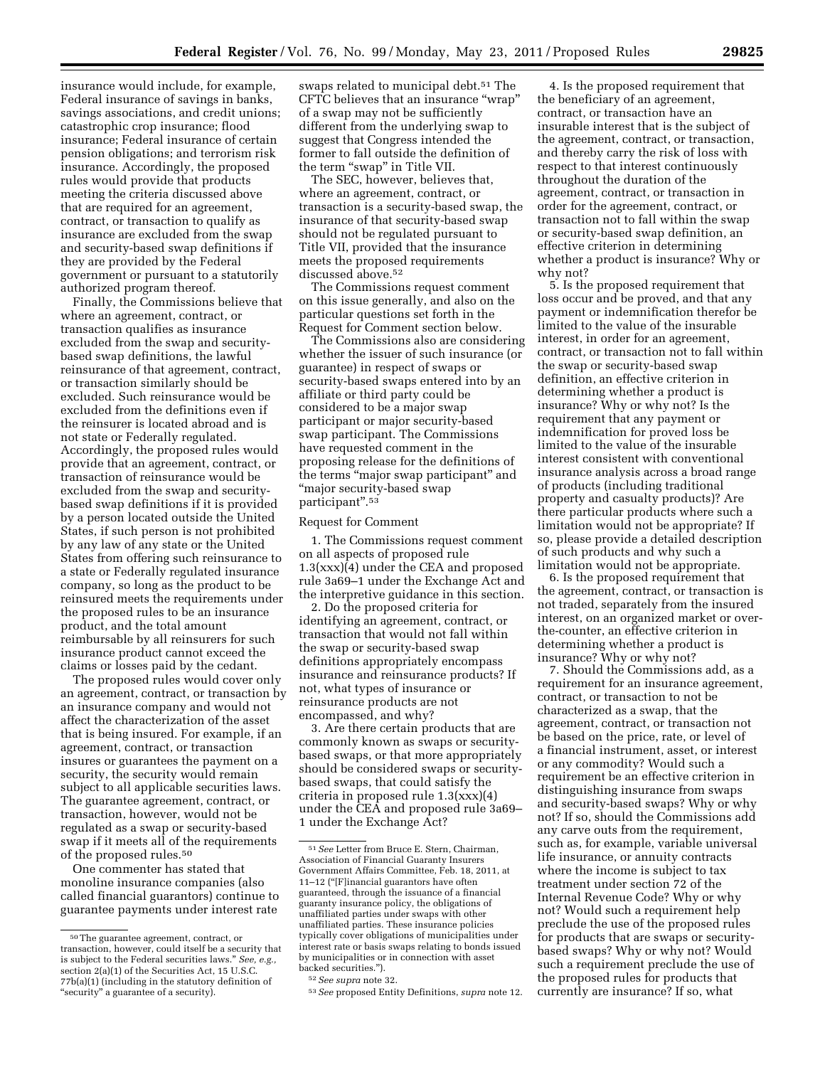insurance would include, for example, Federal insurance of savings in banks, savings associations, and credit unions; catastrophic crop insurance; flood insurance; Federal insurance of certain pension obligations; and terrorism risk insurance. Accordingly, the proposed rules would provide that products meeting the criteria discussed above that are required for an agreement, contract, or transaction to qualify as insurance are excluded from the swap and security-based swap definitions if they are provided by the Federal government or pursuant to a statutorily authorized program thereof.

Finally, the Commissions believe that where an agreement, contract, or transaction qualifies as insurance excluded from the swap and securitybased swap definitions, the lawful reinsurance of that agreement, contract, or transaction similarly should be excluded. Such reinsurance would be excluded from the definitions even if the reinsurer is located abroad and is not state or Federally regulated. Accordingly, the proposed rules would provide that an agreement, contract, or transaction of reinsurance would be excluded from the swap and securitybased swap definitions if it is provided by a person located outside the United States, if such person is not prohibited by any law of any state or the United States from offering such reinsurance to a state or Federally regulated insurance company, so long as the product to be reinsured meets the requirements under the proposed rules to be an insurance product, and the total amount reimbursable by all reinsurers for such insurance product cannot exceed the claims or losses paid by the cedant.

The proposed rules would cover only an agreement, contract, or transaction by an insurance company and would not affect the characterization of the asset that is being insured. For example, if an agreement, contract, or transaction insures or guarantees the payment on a security, the security would remain subject to all applicable securities laws. The guarantee agreement, contract, or transaction, however, would not be regulated as a swap or security-based swap if it meets all of the requirements of the proposed rules.50

One commenter has stated that monoline insurance companies (also called financial guarantors) continue to guarantee payments under interest rate

swaps related to municipal debt.<sup>51</sup> The CFTC believes that an insurance ''wrap'' of a swap may not be sufficiently different from the underlying swap to suggest that Congress intended the former to fall outside the definition of the term "swap" in Title VII.

The SEC, however, believes that, where an agreement, contract, or transaction is a security-based swap, the insurance of that security-based swap should not be regulated pursuant to Title VII, provided that the insurance meets the proposed requirements discussed above.<sup>52</sup>

The Commissions request comment on this issue generally, and also on the particular questions set forth in the Request for Comment section below.

The Commissions also are considering whether the issuer of such insurance (or guarantee) in respect of swaps or security-based swaps entered into by an affiliate or third party could be considered to be a major swap participant or major security-based swap participant. The Commissions have requested comment in the proposing release for the definitions of the terms "major swap participant" and ''major security-based swap participant''.53

#### Request for Comment

1. The Commissions request comment on all aspects of proposed rule 1.3(xxx)(4) under the CEA and proposed rule 3a69–1 under the Exchange Act and the interpretive guidance in this section.

2. Do the proposed criteria for identifying an agreement, contract, or transaction that would not fall within the swap or security-based swap definitions appropriately encompass insurance and reinsurance products? If not, what types of insurance or reinsurance products are not encompassed, and why?

3. Are there certain products that are commonly known as swaps or securitybased swaps, or that more appropriately should be considered swaps or securitybased swaps, that could satisfy the criteria in proposed rule 1.3(xxx)(4) under the CEA and proposed rule 3a69– 1 under the Exchange Act?

4. Is the proposed requirement that the beneficiary of an agreement, contract, or transaction have an insurable interest that is the subject of the agreement, contract, or transaction, and thereby carry the risk of loss with respect to that interest continuously throughout the duration of the agreement, contract, or transaction in order for the agreement, contract, or transaction not to fall within the swap or security-based swap definition, an effective criterion in determining whether a product is insurance? Why or why not?

5. Is the proposed requirement that loss occur and be proved, and that any payment or indemnification therefor be limited to the value of the insurable interest, in order for an agreement, contract, or transaction not to fall within the swap or security-based swap definition, an effective criterion in determining whether a product is insurance? Why or why not? Is the requirement that any payment or indemnification for proved loss be limited to the value of the insurable interest consistent with conventional insurance analysis across a broad range of products (including traditional property and casualty products)? Are there particular products where such a limitation would not be appropriate? If so, please provide a detailed description of such products and why such a limitation would not be appropriate.

6. Is the proposed requirement that the agreement, contract, or transaction is not traded, separately from the insured interest, on an organized market or overthe-counter, an effective criterion in determining whether a product is insurance? Why or why not?

7. Should the Commissions add, as a requirement for an insurance agreement, contract, or transaction to not be characterized as a swap, that the agreement, contract, or transaction not be based on the price, rate, or level of a financial instrument, asset, or interest or any commodity? Would such a requirement be an effective criterion in distinguishing insurance from swaps and security-based swaps? Why or why not? If so, should the Commissions add any carve outs from the requirement, such as, for example, variable universal life insurance, or annuity contracts where the income is subject to tax treatment under section 72 of the Internal Revenue Code? Why or why not? Would such a requirement help preclude the use of the proposed rules for products that are swaps or securitybased swaps? Why or why not? Would such a requirement preclude the use of the proposed rules for products that currently are insurance? If so, what

<sup>50</sup>The guarantee agreement, contract, or transaction, however, could itself be a security that is subject to the Federal securities laws.'' *See, e.g.,*  section 2(a)(1) of the Securities Act, 15 U.S.C. 77b(a)(1) (including in the statutory definition of "security" a guarantee of a security).

<sup>51</sup>*See* Letter from Bruce E. Stern, Chairman, Association of Financial Guaranty Insurers Government Affairs Committee, Feb. 18, 2011, at 11–12 (''[F]inancial guarantors have often guaranteed, through the issuance of a financial guaranty insurance policy, the obligations of unaffiliated parties under swaps with other unaffiliated parties. These insurance policies typically cover obligations of municipalities under interest rate or basis swaps relating to bonds issued by municipalities or in connection with asset backed securities.'').

<sup>52</sup>*See supra* note 32.

<sup>53</sup>*See* proposed Entity Definitions, *supra* note 12.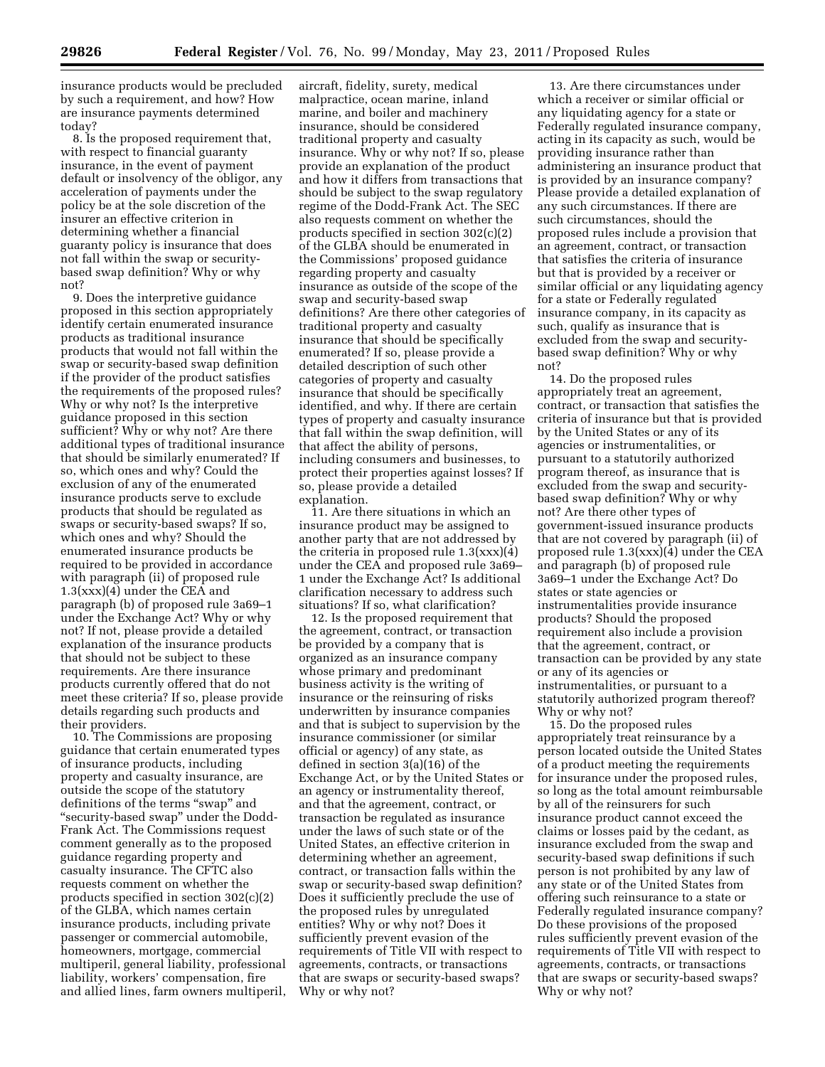insurance products would be precluded by such a requirement, and how? How are insurance payments determined today?

8. Is the proposed requirement that, with respect to financial guaranty insurance, in the event of payment default or insolvency of the obligor, any acceleration of payments under the policy be at the sole discretion of the insurer an effective criterion in determining whether a financial guaranty policy is insurance that does not fall within the swap or securitybased swap definition? Why or why not?

9. Does the interpretive guidance proposed in this section appropriately identify certain enumerated insurance products as traditional insurance products that would not fall within the swap or security-based swap definition if the provider of the product satisfies the requirements of the proposed rules? Why or why not? Is the interpretive guidance proposed in this section sufficient? Why or why not? Are there additional types of traditional insurance that should be similarly enumerated? If so, which ones and why? Could the exclusion of any of the enumerated insurance products serve to exclude products that should be regulated as swaps or security-based swaps? If so, which ones and why? Should the enumerated insurance products be required to be provided in accordance with paragraph (ii) of proposed rule 1.3(xxx)(4) under the CEA and paragraph (b) of proposed rule 3a69–1 under the Exchange Act? Why or why not? If not, please provide a detailed explanation of the insurance products that should not be subject to these requirements. Are there insurance products currently offered that do not meet these criteria? If so, please provide details regarding such products and their providers.

10. The Commissions are proposing guidance that certain enumerated types of insurance products, including property and casualty insurance, are outside the scope of the statutory definitions of the terms "swap" and ''security-based swap'' under the Dodd-Frank Act. The Commissions request comment generally as to the proposed guidance regarding property and casualty insurance. The CFTC also requests comment on whether the products specified in section 302(c)(2) of the GLBA, which names certain insurance products, including private passenger or commercial automobile, homeowners, mortgage, commercial multiperil, general liability, professional liability, workers' compensation, fire and allied lines, farm owners multiperil, aircraft, fidelity, surety, medical malpractice, ocean marine, inland marine, and boiler and machinery insurance, should be considered traditional property and casualty insurance. Why or why not? If so, please provide an explanation of the product and how it differs from transactions that should be subject to the swap regulatory regime of the Dodd-Frank Act. The SEC also requests comment on whether the products specified in section 302(c)(2) of the GLBA should be enumerated in the Commissions' proposed guidance regarding property and casualty insurance as outside of the scope of the swap and security-based swap definitions? Are there other categories of traditional property and casualty insurance that should be specifically enumerated? If so, please provide a detailed description of such other categories of property and casualty insurance that should be specifically identified, and why. If there are certain types of property and casualty insurance that fall within the swap definition, will that affect the ability of persons, including consumers and businesses, to protect their properties against losses? If so, please provide a detailed explanation.

11. Are there situations in which an insurance product may be assigned to another party that are not addressed by the criteria in proposed rule  $1.3(xxx)(4)$ under the CEA and proposed rule 3a69– 1 under the Exchange Act? Is additional clarification necessary to address such situations? If so, what clarification?

12. Is the proposed requirement that the agreement, contract, or transaction be provided by a company that is organized as an insurance company whose primary and predominant business activity is the writing of insurance or the reinsuring of risks underwritten by insurance companies and that is subject to supervision by the insurance commissioner (or similar official or agency) of any state, as defined in section 3(a)(16) of the Exchange Act, or by the United States or an agency or instrumentality thereof, and that the agreement, contract, or transaction be regulated as insurance under the laws of such state or of the United States, an effective criterion in determining whether an agreement, contract, or transaction falls within the swap or security-based swap definition? Does it sufficiently preclude the use of the proposed rules by unregulated entities? Why or why not? Does it sufficiently prevent evasion of the requirements of Title VII with respect to agreements, contracts, or transactions that are swaps or security-based swaps? Why or why not?

13. Are there circumstances under which a receiver or similar official or any liquidating agency for a state or Federally regulated insurance company, acting in its capacity as such, would be providing insurance rather than administering an insurance product that is provided by an insurance company? Please provide a detailed explanation of any such circumstances. If there are such circumstances, should the proposed rules include a provision that an agreement, contract, or transaction that satisfies the criteria of insurance but that is provided by a receiver or similar official or any liquidating agency for a state or Federally regulated insurance company, in its capacity as such, qualify as insurance that is excluded from the swap and securitybased swap definition? Why or why not?

14. Do the proposed rules appropriately treat an agreement, contract, or transaction that satisfies the criteria of insurance but that is provided by the United States or any of its agencies or instrumentalities, or pursuant to a statutorily authorized program thereof, as insurance that is excluded from the swap and securitybased swap definition? Why or why not? Are there other types of government-issued insurance products that are not covered by paragraph (ii) of proposed rule 1.3(xxx)(4) under the CEA and paragraph (b) of proposed rule 3a69–1 under the Exchange Act? Do states or state agencies or instrumentalities provide insurance products? Should the proposed requirement also include a provision that the agreement, contract, or transaction can be provided by any state or any of its agencies or instrumentalities, or pursuant to a statutorily authorized program thereof? Why or why not?

15. Do the proposed rules appropriately treat reinsurance by a person located outside the United States of a product meeting the requirements for insurance under the proposed rules, so long as the total amount reimbursable by all of the reinsurers for such insurance product cannot exceed the claims or losses paid by the cedant, as insurance excluded from the swap and security-based swap definitions if such person is not prohibited by any law of any state or of the United States from offering such reinsurance to a state or Federally regulated insurance company? Do these provisions of the proposed rules sufficiently prevent evasion of the requirements of Title VII with respect to agreements, contracts, or transactions that are swaps or security-based swaps? Why or why not?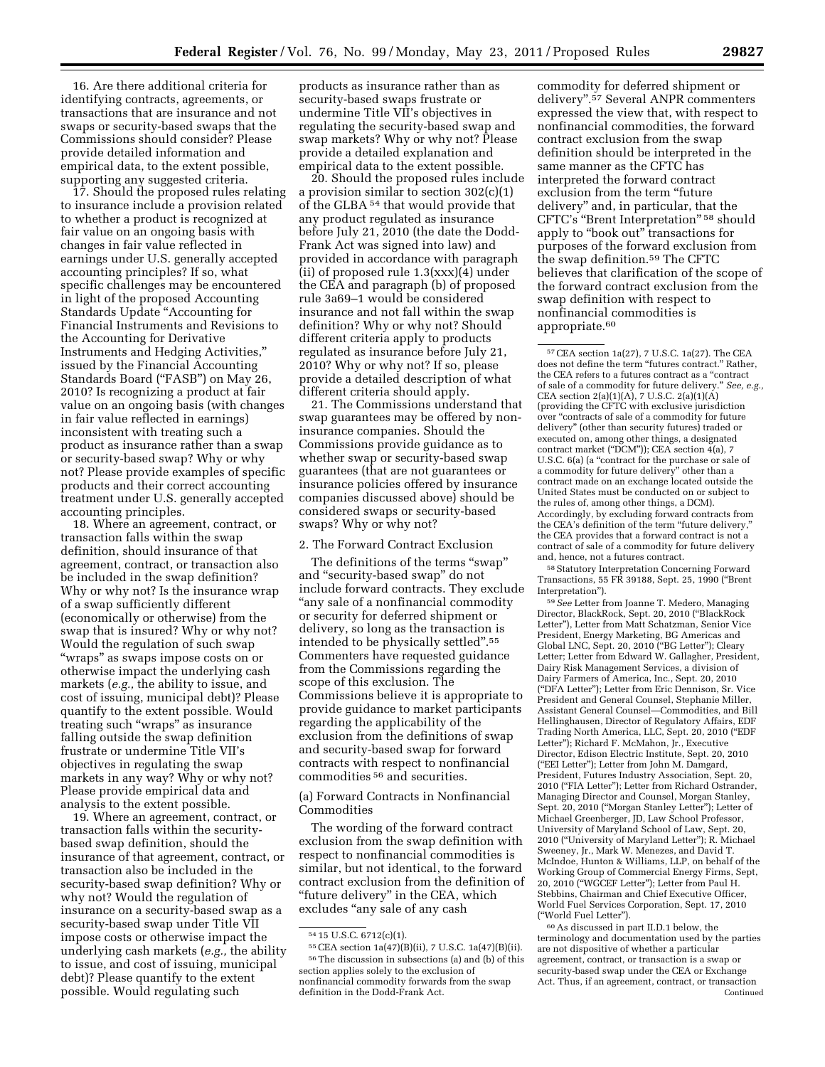16. Are there additional criteria for identifying contracts, agreements, or transactions that are insurance and not swaps or security-based swaps that the Commissions should consider? Please provide detailed information and empirical data, to the extent possible, supporting any suggested criteria.

17. Should the proposed rules relating to insurance include a provision related to whether a product is recognized at fair value on an ongoing basis with changes in fair value reflected in earnings under U.S. generally accepted accounting principles? If so, what specific challenges may be encountered in light of the proposed Accounting Standards Update ''Accounting for Financial Instruments and Revisions to the Accounting for Derivative Instruments and Hedging Activities,'' issued by the Financial Accounting Standards Board (''FASB'') on May 26, 2010? Is recognizing a product at fair value on an ongoing basis (with changes in fair value reflected in earnings) inconsistent with treating such a product as insurance rather than a swap or security-based swap? Why or why not? Please provide examples of specific products and their correct accounting treatment under U.S. generally accepted accounting principles.

18. Where an agreement, contract, or transaction falls within the swap definition, should insurance of that agreement, contract, or transaction also be included in the swap definition? Why or why not? Is the insurance wrap of a swap sufficiently different (economically or otherwise) from the swap that is insured? Why or why not? Would the regulation of such swap ''wraps'' as swaps impose costs on or otherwise impact the underlying cash markets (*e.g.,* the ability to issue, and cost of issuing, municipal debt)? Please quantify to the extent possible. Would treating such ''wraps'' as insurance falling outside the swap definition frustrate or undermine Title VII's objectives in regulating the swap markets in any way? Why or why not? Please provide empirical data and analysis to the extent possible.

19. Where an agreement, contract, or transaction falls within the securitybased swap definition, should the insurance of that agreement, contract, or transaction also be included in the security-based swap definition? Why or why not? Would the regulation of insurance on a security-based swap as a security-based swap under Title VII impose costs or otherwise impact the underlying cash markets (*e.g.,* the ability to issue, and cost of issuing, municipal debt)? Please quantify to the extent possible. Would regulating such

products as insurance rather than as security-based swaps frustrate or undermine Title VII's objectives in regulating the security-based swap and swap markets? Why or why not? Please provide a detailed explanation and empirical data to the extent possible.

20. Should the proposed rules include a provision similar to section 302(c)(1) of the GLBA 54 that would provide that any product regulated as insurance before July 21, 2010 (the date the Dodd-Frank Act was signed into law) and provided in accordance with paragraph (ii) of proposed rule 1.3(xxx)(4) under the CEA and paragraph (b) of proposed rule 3a69–1 would be considered insurance and not fall within the swap definition? Why or why not? Should different criteria apply to products regulated as insurance before July 21, 2010? Why or why not? If so, please provide a detailed description of what different criteria should apply.

21. The Commissions understand that swap guarantees may be offered by noninsurance companies. Should the Commissions provide guidance as to whether swap or security-based swap guarantees (that are not guarantees or insurance policies offered by insurance companies discussed above) should be considered swaps or security-based swaps? Why or why not?

### 2. The Forward Contract Exclusion

The definitions of the terms ''swap'' and ''security-based swap'' do not include forward contracts. They exclude ''any sale of a nonfinancial commodity or security for deferred shipment or delivery, so long as the transaction is intended to be physically settled''.55 Commenters have requested guidance from the Commissions regarding the scope of this exclusion. The Commissions believe it is appropriate to provide guidance to market participants regarding the applicability of the exclusion from the definitions of swap and security-based swap for forward contracts with respect to nonfinancial commodities 56 and securities.

(a) Forward Contracts in Nonfinancial Commodities

The wording of the forward contract exclusion from the swap definition with respect to nonfinancial commodities is similar, but not identical, to the forward contract exclusion from the definition of "future delivery" in the CEA, which excludes "any sale of any cash

commodity for deferred shipment or delivery''.57 Several ANPR commenters expressed the view that, with respect to nonfinancial commodities, the forward contract exclusion from the swap definition should be interpreted in the same manner as the CFTC has interpreted the forward contract exclusion from the term ''future delivery'' and, in particular, that the CFTC's ''Brent Interpretation'' 58 should apply to "book out" transactions for purposes of the forward exclusion from the swap definition.59 The CFTC believes that clarification of the scope of the forward contract exclusion from the swap definition with respect to nonfinancial commodities is appropriate.60

57CEA section 1a(27), 7 U.S.C. 1a(27). The CEA does not define the term ''futures contract.'' Rather, the CEA refers to a futures contract as a ''contract of sale of a commodity for future delivery.'' *See, e.g.,*  CEA section 2(a)(1)(A), 7 U.S.C. 2(a)(1)(A) (providing the CFTC with exclusive jurisdiction over ''contracts of sale of a commodity for future delivery'' (other than security futures) traded or executed on, among other things, a designated contract market (''DCM'')); CEA section 4(a), 7 U.S.C. 6(a) (a "contract for the purchase or sale of a commodity for future delivery'' other than a contract made on an exchange located outside the United States must be conducted on or subject to the rules of, among other things, a DCM). Accordingly, by excluding forward contracts from the CEA's definition of the term "future delivery, the CEA provides that a forward contract is not a contract of sale of a commodity for future delivery and, hence, not a futures contract.

58Statutory Interpretation Concerning Forward Transactions, 55 FR 39188, Sept. 25, 1990 (''Brent Interpretation'').

59*See* Letter from Joanne T. Medero, Managing Director, BlackRock, Sept. 20, 2010 (''BlackRock Letter''), Letter from Matt Schatzman, Senior Vice President, Energy Marketing, BG Americas and Global LNC, Sept. 20, 2010 (''BG Letter''); Cleary Letter; Letter from Edward W. Gallagher, President, Dairy Risk Management Services, a division of Dairy Farmers of America, Inc., Sept. 20, 2010 (''DFA Letter''); Letter from Eric Dennison, Sr. Vice President and General Counsel, Stephanie Miller, Assistant General Counsel—Commodities, and Bill Hellinghausen, Director of Regulatory Affairs, EDF Trading North America, LLC, Sept. 20, 2010 (''EDF Letter''); Richard F. McMahon, Jr., Executive Director, Edison Electric Institute, Sept. 20, 2010 (''EEI Letter''); Letter from John M. Damgard, President, Futures Industry Association, Sept. 20, 2010 (''FIA Letter''); Letter from Richard Ostrander, Managing Director and Counsel, Morgan Stanley, Sept. 20, 2010 (''Morgan Stanley Letter''); Letter of Michael Greenberger, JD, Law School Professor, University of Maryland School of Law, Sept. 20, 2010 (''University of Maryland Letter''); R. Michael Sweeney, Jr., Mark W. Menezes, and David T. McIndoe, Hunton & Williams, LLP, on behalf of the Working Group of Commercial Energy Firms, Sept, 20, 2010 (''WGCEF Letter''); Letter from Paul H. Stebbins, Chairman and Chief Executive Officer, World Fuel Services Corporation, Sept. 17, 2010 (''World Fuel Letter'').

60As discussed in part II.D.1 below, the terminology and documentation used by the parties are not dispositive of whether a particular agreement, contract, or transaction is a swap or security-based swap under the CEA or Exchange Act. Thus, if an agreement, contract, or transaction Continued

<sup>54</sup> 15 U.S.C. 6712(c)(1).

<sup>55</sup>CEA section 1a(47)(B)(ii), 7 U.S.C. 1a(47)(B)(ii). 56The discussion in subsections (a) and (b) of this section applies solely to the exclusion of nonfinancial commodity forwards from the swap definition in the Dodd-Frank Act.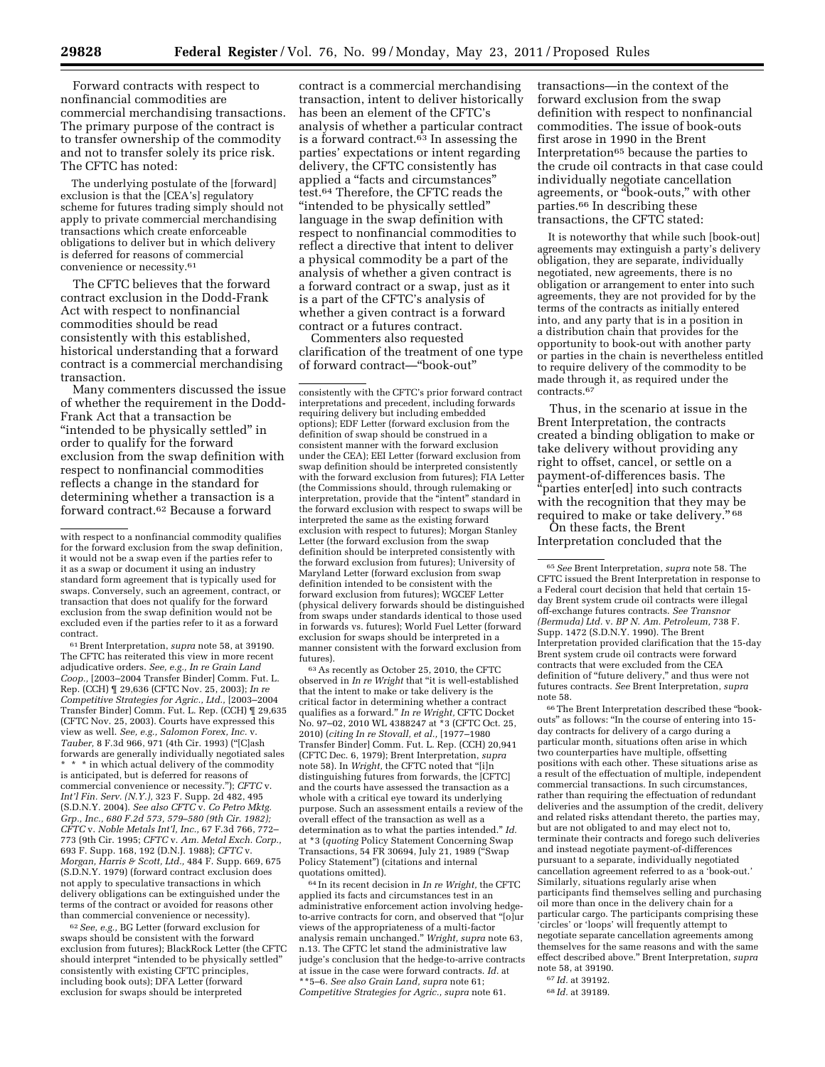Forward contracts with respect to nonfinancial commodities are commercial merchandising transactions. The primary purpose of the contract is to transfer ownership of the commodity and not to transfer solely its price risk. The CFTC has noted:

The underlying postulate of the [forward] exclusion is that the [CEA's] regulatory scheme for futures trading simply should not apply to private commercial merchandising transactions which create enforceable obligations to deliver but in which delivery is deferred for reasons of commercial convenience or necessity.61

The CFTC believes that the forward contract exclusion in the Dodd-Frank Act with respect to nonfinancial commodities should be read consistently with this established, historical understanding that a forward contract is a commercial merchandising transaction.

Many commenters discussed the issue of whether the requirement in the Dodd-Frank Act that a transaction be ''intended to be physically settled'' in order to qualify for the forward exclusion from the swap definition with respect to nonfinancial commodities reflects a change in the standard for determining whether a transaction is a forward contract.62 Because a forward

61Brent Interpretation, *supra* note 58, at 39190. The CFTC has reiterated this view in more recent adjudicative orders. *See, e.g., In re Grain Land Coop.,* [2003–2004 Transfer Binder] Comm. Fut. L. Rep. (CCH) ¶ 29,636 (CFTC Nov. 25, 2003); *In re Competitive Strategies for Agric., Ltd.,* [2003–2004 Transfer Binder] Comm. Fut. L. Rep. (CCH) ¶ 29,635 (CFTC Nov. 25, 2003). Courts have expressed this view as well. *See, e.g., Salomon Forex, Inc.* v. *Tauber,* 8 F.3d 966, 971 (4th Cir. 1993) (''[C]ash forwards are generally individually negotiated sales \* \* \* in which actual delivery of the commodity is anticipated, but is deferred for reasons of commercial convenience or necessity.''); *CFTC* v. *Int'l Fin. Serv. (N.Y.),* 323 F. Supp. 2d 482, 495 (S.D.N.Y. 2004). *See also CFTC* v. *Co Petro Mktg. Grp., Inc., 680 F.2d 573, 579–580 (9th Cir. 1982); CFTC* v. *Noble Metals Int'l, Inc.,* 67 F.3d 766, 772– 773 (9th Cir. 1995; *CFTC* v. *Am. Metal Exch. Corp.,*  693 F. Supp. 168, 192 (D.N.J. 1988); *CFTC* v. *Morgan, Harris & Scott, Ltd.,* 484 F. Supp. 669, 675 (S.D.N.Y. 1979) (forward contract exclusion does not apply to speculative transactions in which delivery obligations can be extinguished under the terms of the contract or avoided for reasons other than commercial convenience or necessity).

62*See, e.g.,* BG Letter (forward exclusion for swaps should be consistent with the forward exclusion from futures); BlackRock Letter (the CFTC should interpret ''intended to be physically settled'' consistently with existing CFTC principles, including book outs); DFA Letter (forward exclusion for swaps should be interpreted

contract is a commercial merchandising transaction, intent to deliver historically has been an element of the CFTC's analysis of whether a particular contract is a forward contract. $63$  In assessing the parties' expectations or intent regarding delivery, the CFTC consistently has applied a ''facts and circumstances'' test.64 Therefore, the CFTC reads the ''intended to be physically settled'' language in the swap definition with respect to nonfinancial commodities to reflect a directive that intent to deliver a physical commodity be a part of the analysis of whether a given contract is a forward contract or a swap, just as it is a part of the CFTC's analysis of whether a given contract is a forward contract or a futures contract.

Commenters also requested clarification of the treatment of one type of forward contract—''book-out''

consistently with the CFTC's prior forward contract interpretations and precedent, including forwards requiring delivery but including embedded options); EDF Letter (forward exclusion from the definition of swap should be construed in a consistent manner with the forward exclusion under the CEA); EEI Letter (forward exclusion from swap definition should be interpreted consistently with the forward exclusion from futures); FIA Letter (the Commissions should, through rulemaking or interpretation, provide that the "intent" standard in the forward exclusion with respect to swaps will be interpreted the same as the existing forward exclusion with respect to futures); Morgan Stanley Letter (the forward exclusion from the swap definition should be interpreted consistently with the forward exclusion from futures); University of Maryland Letter (forward exclusion from swap definition intended to be consistent with the forward exclusion from futures); WGCEF Letter (physical delivery forwards should be distinguished from swaps under standards identical to those used in forwards vs. futures); World Fuel Letter (forward exclusion for swaps should be interpreted in a manner consistent with the forward exclusion from futures).

63As recently as October 25, 2010, the CFTC observed in *In re Wright* that ''it is well-established that the intent to make or take delivery is the critical factor in determining whether a contract qualifies as a forward.'' *In re Wright,* CFTC Docket No. 97–02, 2010 WL 4388247 at \*3 (CFTC Oct. 25, 2010) (*citing In re Stovall, et al.,* [1977–1980 Transfer Binder] Comm. Fut. L. Rep. (CCH) 20,941 (CFTC Dec. 6, 1979); Brent Interpretation, *supra*  note 58). In *Wright*, the CFTC noted that "[i]n distinguishing futures from forwards, the [CFTC] and the courts have assessed the transaction as a whole with a critical eye toward its underlying purpose. Such an assessment entails a review of the overall effect of the transaction as well as a determination as to what the parties intended.'' *Id.*  at \*3 (*quoting* Policy Statement Concerning Swap Transactions, 54 FR 30694, July 21, 1989 (''Swap Policy Statement'') (citations and internal quotations omitted).

64 In its recent decision in *In re Wright,* the CFTC applied its facts and circumstances test in an administrative enforcement action involving hedgeto-arrive contracts for corn, and observed that ''[o]ur views of the appropriateness of a multi-factor analysis remain unchanged.'' *Wright, supra* note 63, n.13. The CFTC let stand the administrative law judge's conclusion that the hedge-to-arrive contracts at issue in the case were forward contracts. *Id.* at \*\*5–6. *See also Grain Land, supra* note 61; *Competitive Strategies for Agric., supra* note 61.

transactions—in the context of the forward exclusion from the swap definition with respect to nonfinancial commodities. The issue of book-outs first arose in 1990 in the Brent Interpretation<sup>65</sup> because the parties to the crude oil contracts in that case could individually negotiate cancellation agreements, or ''book-outs,'' with other parties.66 In describing these transactions, the CFTC stated:

It is noteworthy that while such [book-out] agreements may extinguish a party's delivery obligation, they are separate, individually negotiated, new agreements, there is no obligation or arrangement to enter into such agreements, they are not provided for by the terms of the contracts as initially entered into, and any party that is in a position in a distribution chain that provides for the opportunity to book-out with another party or parties in the chain is nevertheless entitled to require delivery of the commodity to be made through it, as required under the contracts.67

Thus, in the scenario at issue in the Brent Interpretation, the contracts created a binding obligation to make or take delivery without providing any right to offset, cancel, or settle on a payment-of-differences basis. The 'parties enter[ed] into such contracts with the recognition that they may be required to make or take delivery.'' 68

On these facts, the Brent Interpretation concluded that the

66The Brent Interpretation described these ''bookouts'' as follows: ''In the course of entering into 15 day contracts for delivery of a cargo during a particular month, situations often arise in which two counterparties have multiple, offsetting positions with each other. These situations arise as a result of the effectuation of multiple, independent commercial transactions. In such circumstances, rather than requiring the effectuation of redundant deliveries and the assumption of the credit, delivery and related risks attendant thereto, the parties may, but are not obligated to and may elect not to, terminate their contracts and forego such deliveries and instead negotiate payment-of-differences pursuant to a separate, individually negotiated cancellation agreement referred to as a 'book-out.' Similarly, situations regularly arise when participants find themselves selling and purchasing oil more than once in the delivery chain for a particular cargo. The participants comprising these 'circles' or 'loops' will frequently attempt to negotiate separate cancellation agreements among themselves for the same reasons and with the same effect described above.'' Brent Interpretation, *supra*  note 58, at 39190.

with respect to a nonfinancial commodity qualifies for the forward exclusion from the swap definition, it would not be a swap even if the parties refer to it as a swap or document it using an industry standard form agreement that is typically used for swaps. Conversely, such an agreement, contract, or transaction that does not qualify for the forward exclusion from the swap definition would not be excluded even if the parties refer to it as a forward contract.

<sup>65</sup>*See* Brent Interpretation, *supra* note 58. The CFTC issued the Brent Interpretation in response to a Federal court decision that held that certain 15 day Brent system crude oil contracts were illegal off-exchange futures contracts. *See Transnor (Bermuda) Ltd.* v. *BP N. Am. Petroleum,* 738 F. Supp. 1472 (S.D.N.Y. 1990). The Brent Interpretation provided clarification that the 15-day Brent system crude oil contracts were forward contracts that were excluded from the CEA definition of ''future delivery,'' and thus were not futures contracts. *See* Brent Interpretation, *supra*  note 58.

<sup>67</sup> *Id.* at 39192. 68 *Id.* at 39189.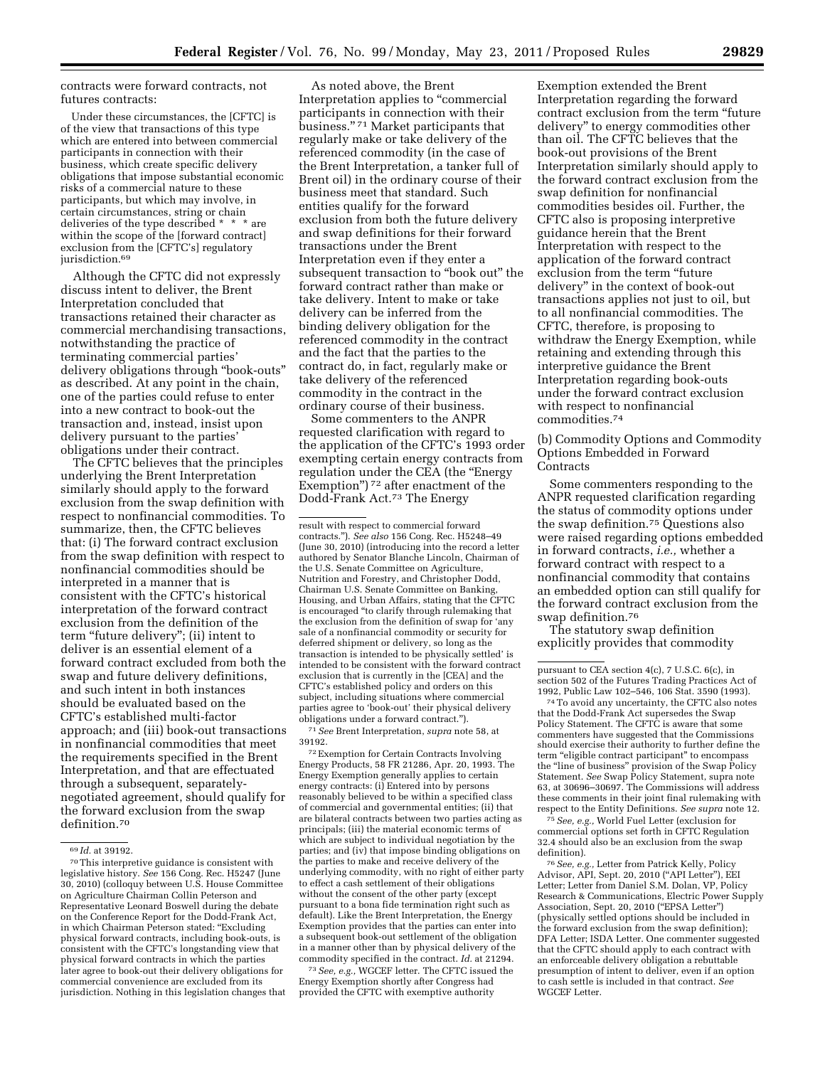contracts were forward contracts, not futures contracts:

Under these circumstances, the [CFTC] is of the view that transactions of this type which are entered into between commercial participants in connection with their business, which create specific delivery obligations that impose substantial economic risks of a commercial nature to these participants, but which may involve, in certain circumstances, string or chain deliveries of the type described \* \* \* are within the scope of the [forward contract] exclusion from the [CFTC's] regulatory jurisdiction.<sup>69</sup>

Although the CFTC did not expressly discuss intent to deliver, the Brent Interpretation concluded that transactions retained their character as commercial merchandising transactions, notwithstanding the practice of terminating commercial parties' delivery obligations through ''book-outs'' as described. At any point in the chain, one of the parties could refuse to enter into a new contract to book-out the transaction and, instead, insist upon delivery pursuant to the parties' obligations under their contract.

The CFTC believes that the principles underlying the Brent Interpretation similarly should apply to the forward exclusion from the swap definition with respect to nonfinancial commodities. To summarize, then, the CFTC believes that: (i) The forward contract exclusion from the swap definition with respect to nonfinancial commodities should be interpreted in a manner that is consistent with the CFTC's historical interpretation of the forward contract exclusion from the definition of the term "future delivery"; (ii) intent to deliver is an essential element of a forward contract excluded from both the swap and future delivery definitions, and such intent in both instances should be evaluated based on the CFTC's established multi-factor approach; and (iii) book-out transactions in nonfinancial commodities that meet the requirements specified in the Brent Interpretation, and that are effectuated through a subsequent, separatelynegotiated agreement, should qualify for the forward exclusion from the swap definition.70

As noted above, the Brent Interpretation applies to "commercial participants in connection with their business.'' 71 Market participants that regularly make or take delivery of the referenced commodity (in the case of the Brent Interpretation, a tanker full of Brent oil) in the ordinary course of their business meet that standard. Such entities qualify for the forward exclusion from both the future delivery and swap definitions for their forward transactions under the Brent Interpretation even if they enter a subsequent transaction to "book out" the forward contract rather than make or take delivery. Intent to make or take delivery can be inferred from the binding delivery obligation for the referenced commodity in the contract and the fact that the parties to the contract do, in fact, regularly make or take delivery of the referenced commodity in the contract in the ordinary course of their business.

Some commenters to the ANPR requested clarification with regard to the application of the CFTC's 1993 order exempting certain energy contracts from regulation under the CEA (the ''Energy Exemption'') 72 after enactment of the Dodd-Frank Act.73 The Energy

71*See* Brent Interpretation, *supra* note 58, at 39192.

72Exemption for Certain Contracts Involving Energy Products, 58 FR 21286, Apr. 20, 1993. The Energy Exemption generally applies to certain energy contracts: (i) Entered into by persons reasonably believed to be within a specified class of commercial and governmental entities; (ii) that are bilateral contracts between two parties acting as principals; (iii) the material economic terms of which are subject to individual negotiation by the parties; and (iv) that impose binding obligations on the parties to make and receive delivery of the underlying commodity, with no right of either party to effect a cash settlement of their obligations without the consent of the other party (except pursuant to a bona fide termination right such as default). Like the Brent Interpretation, the Energy Exemption provides that the parties can enter into a subsequent book-out settlement of the obligation in a manner other than by physical delivery of the commodity specified in the contract. *Id.* at 21294.

73*See, e.g.,* WGCEF letter. The CFTC issued the Energy Exemption shortly after Congress had provided the CFTC with exemptive authority

Exemption extended the Brent Interpretation regarding the forward contract exclusion from the term ''future delivery'' to energy commodities other than oil. The CFTC believes that the book-out provisions of the Brent Interpretation similarly should apply to the forward contract exclusion from the swap definition for nonfinancial commodities besides oil. Further, the CFTC also is proposing interpretive guidance herein that the Brent Interpretation with respect to the application of the forward contract exclusion from the term "future delivery'' in the context of book-out transactions applies not just to oil, but to all nonfinancial commodities. The CFTC, therefore, is proposing to withdraw the Energy Exemption, while retaining and extending through this interpretive guidance the Brent Interpretation regarding book-outs under the forward contract exclusion with respect to nonfinancial commodities.74

(b) Commodity Options and Commodity Options Embedded in Forward **Contracts** 

Some commenters responding to the ANPR requested clarification regarding the status of commodity options under the swap definition.75 Questions also were raised regarding options embedded in forward contracts, *i.e.,* whether a forward contract with respect to a nonfinancial commodity that contains an embedded option can still qualify for the forward contract exclusion from the swap definition.76

The statutory swap definition explicitly provides that commodity

<sup>74</sup> To avoid any uncertainty, the CFTC also notes that the Dodd-Frank Act supersedes the Swap Policy Statement. The CFTC is aware that some commenters have suggested that the Commissions should exercise their authority to further define the term "eligible contract participant" to encompass the "line of business" provision of the Swap Policy Statement. *See* Swap Policy Statement, supra note 63, at 30696–30697. The Commissions will address these comments in their joint final rulemaking with respect to the Entity Definitions. *See supra* note 12.

75*See, e.g.,* World Fuel Letter (exclusion for commercial options set forth in CFTC Regulation 32.4 should also be an exclusion from the swap definition).

76*See, e.g.,* Letter from Patrick Kelly, Policy Advisor, API, Sept. 20, 2010 (''API Letter''), EEI Letter; Letter from Daniel S.M. Dolan, VP, Policy Research & Communications, Electric Power Supply Association, Sept. 20, 2010 (''EPSA Letter'') (physically settled options should be included in the forward exclusion from the swap definition); DFA Letter; ISDA Letter. One commenter suggested that the CFTC should apply to each contract with an enforceable delivery obligation a rebuttable presumption of intent to deliver, even if an option to cash settle is included in that contract. *See*  WGCEF Letter.

<sup>69</sup> *Id.* at 39192.

<sup>70</sup>This interpretive guidance is consistent with legislative history. *See* 156 Cong. Rec. H5247 (June 30, 2010) (colloquy between U.S. House Committee on Agriculture Chairman Collin Peterson and Representative Leonard Boswell during the debate on the Conference Report for the Dodd-Frank Act, in which Chairman Peterson stated: ''Excluding physical forward contracts, including book-outs, is consistent with the CFTC's longstanding view that physical forward contracts in which the parties later agree to book-out their delivery obligations for commercial convenience are excluded from its jurisdiction. Nothing in this legislation changes that

result with respect to commercial forward contracts.''). *See also* 156 Cong. Rec. H5248–49 (June 30, 2010) (introducing into the record a letter authored by Senator Blanche Lincoln, Chairman of the U.S. Senate Committee on Agriculture, Nutrition and Forestry, and Christopher Dodd, Chairman U.S. Senate Committee on Banking, Housing, and Urban Affairs, stating that the CFTC is encouraged ''to clarify through rulemaking that the exclusion from the definition of swap for 'any sale of a nonfinancial commodity or security for deferred shipment or delivery, so long as the transaction is intended to be physically settled' is intended to be consistent with the forward contract exclusion that is currently in the [CEA] and the CFTC's established policy and orders on this subject, including situations where commercial parties agree to 'book-out' their physical delivery obligations under a forward contract.'').

pursuant to CEA section 4(c), 7 U.S.C. 6(c), in section 502 of the Futures Trading Practices Act of<br>1992, Public Law 102–546, 106 Stat. 3590 (1993).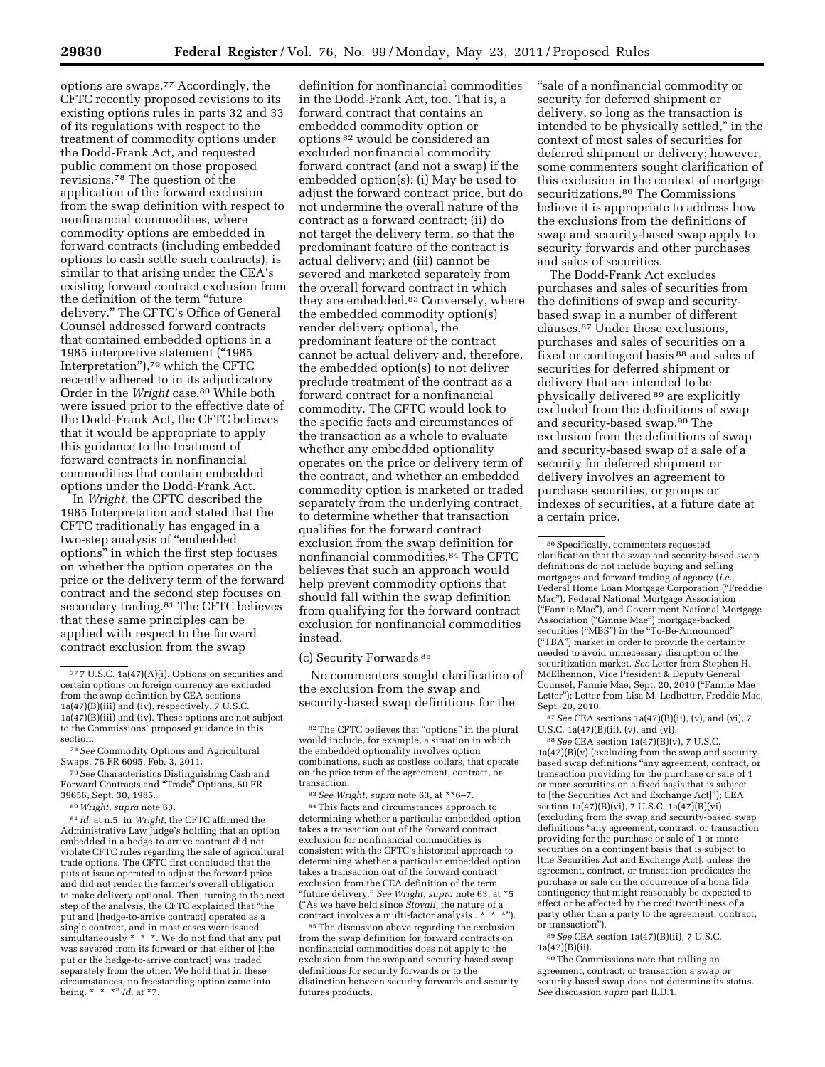options are swaps.77 Accordingly, the CFTC recently proposed revisions to its existing options rules in parts 32 and 33 of its regulations with respect to the treatment of commodity options under the Dodd-Frank Act, and requested public comment on those proposed revisions.78 The question of the application of the forward exclusion from the swap definition with respect to nonfinancial commodities, where commodity options are embedded in forward contracts (including embedded options to cash settle such contracts), is similar to that arising under the CEA's existing forward contract exclusion from the definition of the term "future delivery.'' The CFTC's Office of General Counsel addressed forward contracts that contained embedded options in a 1985 interpretive statement (''1985 Interpretation''),79 which the CFTC recently adhered to in its adjudicatory Order in the *Wright* case.80 While both were issued prior to the effective date of the Dodd-Frank Act, the CFTC believes that it would be appropriate to apply this guidance to the treatment of forward contracts in nonfinancial commodities that contain embedded options under the Dodd-Frank Act.

In *Wright,* the CFTC described the 1985 Interpretation and stated that the CFTC traditionally has engaged in a two-step analysis of ''embedded options'' in which the first step focuses on whether the option operates on the price or the delivery term of the forward contract and the second step focuses on secondary trading.<sup>81</sup> The CFTC believes that these same principles can be applied with respect to the forward contract exclusion from the swap

81 *Id.* at n.5. In *Wright,* the CFTC affirmed the Administrative Law Judge's holding that an option embedded in a hedge-to-arrive contract did not violate CFTC rules regarding the sale of agricultural trade options. The CFTC first concluded that the puts at issue operated to adjust the forward price and did not render the farmer's overall obligation to make delivery optional. Then, turning to the next step of the analysis, the CFTC explained that ''the put and [hedge-to-arrive contract] operated as a single contract, and in most cases were issued simultaneously \* \* \*. We do not find that any put was severed from its forward or that either of [the put or the hedge-to-arrive contract] was traded separately from the other. We hold that in these circumstances, no freestanding option came into being. \* \* \*'' *Id.* at \*7.

definition for nonfinancial commodities in the Dodd-Frank Act, too. That is, a forward contract that contains an embedded commodity option or options 82 would be considered an excluded nonfinancial commodity forward contract (and not a swap) if the embedded option(s): (i) May be used to adjust the forward contract price, but do not undermine the overall nature of the contract as a forward contract; (ii) do not target the delivery term, so that the predominant feature of the contract is actual delivery; and (iii) cannot be severed and marketed separately from the overall forward contract in which they are embedded.83 Conversely, where the embedded commodity option(s) render delivery optional, the predominant feature of the contract cannot be actual delivery and, therefore, the embedded option(s) to not deliver preclude treatment of the contract as a forward contract for a nonfinancial commodity. The CFTC would look to the specific facts and circumstances of the transaction as a whole to evaluate whether any embedded optionality operates on the price or delivery term of the contract, and whether an embedded commodity option is marketed or traded separately from the underlying contract, to determine whether that transaction qualifies for the forward contract exclusion from the swap definition for nonfinancial commodities.84 The CFTC believes that such an approach would help prevent commodity options that should fall within the swap definition from qualifying for the forward contract exclusion for nonfinancial commodities instead.

#### (c) Security Forwards 85

No commenters sought clarification of the exclusion from the swap and security-based swap definitions for the

''sale of a nonfinancial commodity or security for deferred shipment or delivery, so long as the transaction is intended to be physically settled,'' in the context of most sales of securities for deferred shipment or delivery; however, some commenters sought clarification of this exclusion in the context of mortgage securitizations.86 The Commissions believe it is appropriate to address how the exclusions from the definitions of swap and security-based swap apply to security forwards and other purchases and sales of securities.

The Dodd-Frank Act excludes purchases and sales of securities from the definitions of swap and securitybased swap in a number of different clauses.87 Under these exclusions, purchases and sales of securities on a fixed or contingent basis<sup>88</sup> and sales of securities for deferred shipment or delivery that are intended to be physically delivered 89 are explicitly excluded from the definitions of swap and security-based swap.90 The exclusion from the definitions of swap and security-based swap of a sale of a security for deferred shipment or delivery involves an agreement to purchase securities, or groups or indexes of securities, at a future date at a certain price.

87*See* CEA sections 1a(47)(B)(ii), (v), and (vi), 7 U.S.C. 1a(47)(B)(ii), (v), and (vi).

88*See* CEA section 1a(47)(B)(v), 7 U.S.C. 1a(47)(B)(v) (excluding from the swap and securitybased swap definitions ''any agreement, contract, or transaction providing for the purchase or sale of 1 or more securities on a fixed basis that is subject to [the Securities Act and Exchange Act]''); CEA section  $1a(47)(B)(vi)$ , 7 U.S.C.  $1a(47)(B)(vi)$ (excluding from the swap and security-based swap definitions ''any agreement, contract, or transaction providing for the purchase or sale of 1 or more securities on a contingent basis that is subject to [the Securities Act and Exchange Act], unless the agreement, contract, or transaction predicates the purchase or sale on the occurrence of a bona fide contingency that might reasonably be expected to affect or be affected by the creditworthiness of a party other than a party to the agreement, contract, or transaction'').

89*See* CEA section 1a(47)(B)(ii), 7 U.S.C. 1a(47)(B)(ii).

90The Commissions note that calling an agreement, contract, or transaction a swap or security-based swap does not determine its status. *See* discussion *supra* part II.D.1.

 $^{77}\,7$  U.S.C. 1a(47)(A)(i). Options on securities and certain options on foreign currency are excluded from the swap definition by CEA sections 1a(47)(B)(iii) and (iv), respectively. 7 U.S.C. 1a(47)(B)(iii) and (iv). These options are not subject to the Commissions' proposed guidance in this section.

<sup>78</sup>*See* Commodity Options and Agricultural Swaps, 76 FR 6095, Feb. 3, 2011.

<sup>79</sup>*See* Characteristics Distinguishing Cash and Forward Contracts and ''Trade'' Options, 50 FR 39656, Sept. 30, 1985.

<sup>80</sup>*Wright, supra* note 63.

<sup>82</sup>The CFTC believes that ''options'' in the plural would include, for example, a situation in which the embedded optionality involves option combinations, such as costless collars, that operate on the price term of the agreement, contract, or transaction.

<sup>83</sup>*See Wright, supra* note 63, at \*\*6–7.

<sup>84</sup>This facts and circumstances approach to determining whether a particular embedded option takes a transaction out of the forward contract exclusion for nonfinancial commodities is consistent with the CFTC's historical approach to determining whether a particular embedded option takes a transaction out of the forward contract exclusion from the CEA definition of the term<br>"future delivery." See Wright, supra note 63, at \*5 ''future delivery.'' *See Wright, supra* note 63, at \*5 (''As we have held since *Stovall,* the nature of a contract involves a multi-factor analysis . \*

<sup>85</sup>The discussion above regarding the exclusion from the swap definition for forward contracts on nonfinancial commodities does not apply to the exclusion from the swap and security-based swap definitions for security forwards or to the distinction between security forwards and security futures products.

<sup>86</sup>Specifically, commenters requested clarification that the swap and security-based swap definitions do not include buying and selling mortgages and forward trading of agency (*i.e.,*  Federal Home Loan Mortgage Corporation (''Freddie Mac''), Federal National Mortgage Association (''Fannie Mae''), and Government National Mortgage Association (''Ginnie Mae'') mortgage-backed securities (''MBS'') in the ''To-Be-Announced'' (''TBA'') market in order to provide the certainty needed to avoid unnecessary disruption of the securitization market. *See* Letter from Stephen H. McElhennon, Vice President & Deputy General Counsel, Fannie Mae, Sept. 20, 2010 (''Fannie Mae Letter''); Letter from Lisa M. Ledbetter, Freddie Mac, Sept. 20, 2010.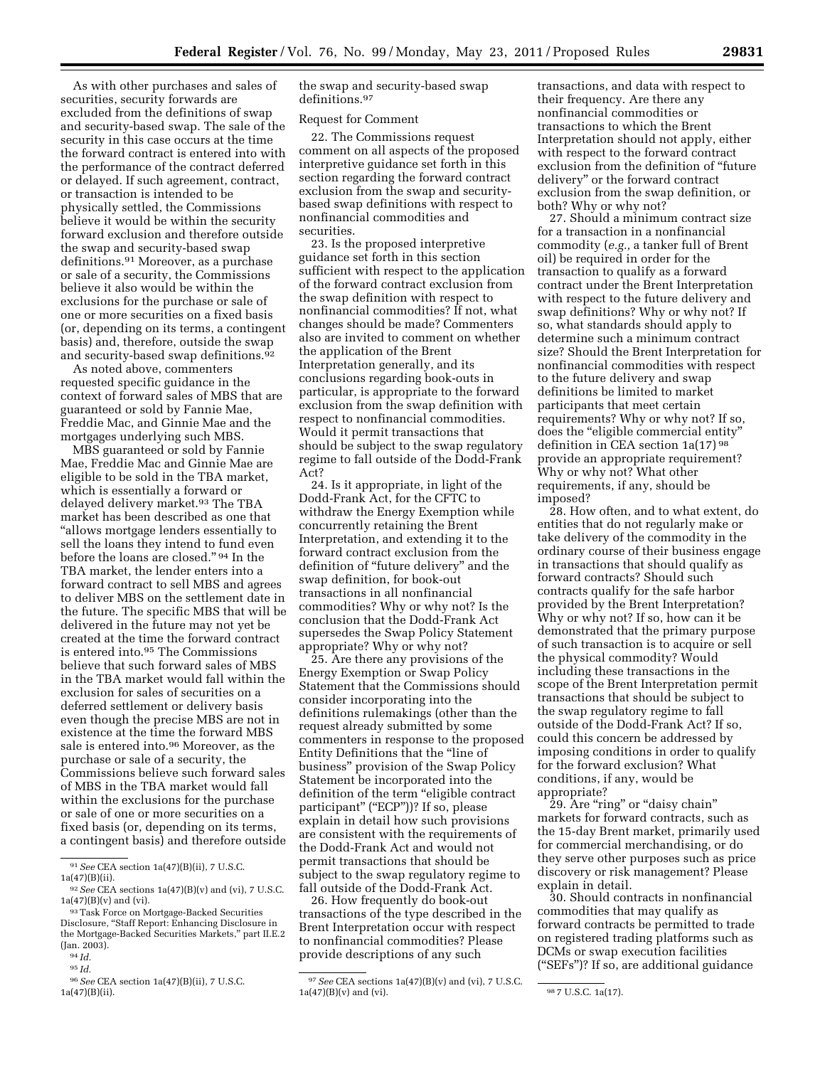As with other purchases and sales of securities, security forwards are excluded from the definitions of swap and security-based swap. The sale of the security in this case occurs at the time the forward contract is entered into with the performance of the contract deferred or delayed. If such agreement, contract, or transaction is intended to be physically settled, the Commissions believe it would be within the security forward exclusion and therefore outside the swap and security-based swap definitions.91 Moreover, as a purchase or sale of a security, the Commissions believe it also would be within the exclusions for the purchase or sale of one or more securities on a fixed basis (or, depending on its terms, a contingent basis) and, therefore, outside the swap

and security-based swap definitions.92 As noted above, commenters requested specific guidance in the context of forward sales of MBS that are guaranteed or sold by Fannie Mae, Freddie Mac, and Ginnie Mae and the mortgages underlying such MBS.

MBS guaranteed or sold by Fannie Mae, Freddie Mac and Ginnie Mae are eligible to be sold in the TBA market, which is essentially a forward or delayed delivery market.93 The TBA market has been described as one that ''allows mortgage lenders essentially to sell the loans they intend to fund even before the loans are closed.'' 94 In the TBA market, the lender enters into a forward contract to sell MBS and agrees to deliver MBS on the settlement date in the future. The specific MBS that will be delivered in the future may not yet be created at the time the forward contract is entered into.95 The Commissions believe that such forward sales of MBS in the TBA market would fall within the exclusion for sales of securities on a deferred settlement or delivery basis even though the precise MBS are not in existence at the time the forward MBS sale is entered into.96 Moreover, as the purchase or sale of a security, the Commissions believe such forward sales of MBS in the TBA market would fall within the exclusions for the purchase or sale of one or more securities on a fixed basis (or, depending on its terms, a contingent basis) and therefore outside

96*See* CEA section 1a(47)(B)(ii), 7 U.S.C. 1a(47)(B)(ii).

the swap and security-based swap definitions.97

## Request for Comment

22. The Commissions request comment on all aspects of the proposed interpretive guidance set forth in this section regarding the forward contract exclusion from the swap and securitybased swap definitions with respect to nonfinancial commodities and securities.

23. Is the proposed interpretive guidance set forth in this section sufficient with respect to the application of the forward contract exclusion from the swap definition with respect to nonfinancial commodities? If not, what changes should be made? Commenters also are invited to comment on whether the application of the Brent Interpretation generally, and its conclusions regarding book-outs in particular, is appropriate to the forward exclusion from the swap definition with respect to nonfinancial commodities. Would it permit transactions that should be subject to the swap regulatory regime to fall outside of the Dodd-Frank Act?

24. Is it appropriate, in light of the Dodd-Frank Act, for the CFTC to withdraw the Energy Exemption while concurrently retaining the Brent Interpretation, and extending it to the forward contract exclusion from the definition of ''future delivery'' and the swap definition, for book-out transactions in all nonfinancial commodities? Why or why not? Is the conclusion that the Dodd-Frank Act supersedes the Swap Policy Statement appropriate? Why or why not?

25. Are there any provisions of the Energy Exemption or Swap Policy Statement that the Commissions should consider incorporating into the definitions rulemakings (other than the request already submitted by some commenters in response to the proposed Entity Definitions that the ''line of business'' provision of the Swap Policy Statement be incorporated into the definition of the term "eligible contract participant" ("ECP"))? If so, please explain in detail how such provisions are consistent with the requirements of the Dodd-Frank Act and would not permit transactions that should be subject to the swap regulatory regime to fall outside of the Dodd-Frank Act.

26. How frequently do book-out transactions of the type described in the Brent Interpretation occur with respect to nonfinancial commodities? Please provide descriptions of any such

transactions, and data with respect to their frequency. Are there any nonfinancial commodities or transactions to which the Brent Interpretation should not apply, either with respect to the forward contract exclusion from the definition of ''future delivery'' or the forward contract exclusion from the swap definition, or both? Why or why not?

27. Should a minimum contract size for a transaction in a nonfinancial commodity (*e.g.,* a tanker full of Brent oil) be required in order for the transaction to qualify as a forward contract under the Brent Interpretation with respect to the future delivery and swap definitions? Why or why not? If so, what standards should apply to determine such a minimum contract size? Should the Brent Interpretation for nonfinancial commodities with respect to the future delivery and swap definitions be limited to market participants that meet certain requirements? Why or why not? If so, does the "eligible commercial entity" definition in CEA section 1a(17) 98 provide an appropriate requirement? Why or why not? What other requirements, if any, should be imposed?

28. How often, and to what extent, do entities that do not regularly make or take delivery of the commodity in the ordinary course of their business engage in transactions that should qualify as forward contracts? Should such contracts qualify for the safe harbor provided by the Brent Interpretation? Why or why not? If so, how can it be demonstrated that the primary purpose of such transaction is to acquire or sell the physical commodity? Would including these transactions in the scope of the Brent Interpretation permit transactions that should be subject to the swap regulatory regime to fall outside of the Dodd-Frank Act? If so, could this concern be addressed by imposing conditions in order to qualify for the forward exclusion? What conditions, if any, would be appropriate?

29. Are "ring" or "daisy chain" markets for forward contracts, such as the 15-day Brent market, primarily used for commercial merchandising, or do they serve other purposes such as price discovery or risk management? Please explain in detail.

30. Should contracts in nonfinancial commodities that may qualify as forward contracts be permitted to trade on registered trading platforms such as DCMs or swap execution facilities (''SEFs'')? If so, are additional guidance

<sup>91</sup>*See* CEA section 1a(47)(B)(ii), 7 U.S.C. 1a(47)(B)(ii).

<sup>92</sup>*See* CEA sections 1a(47)(B)(v) and (vi), 7 U.S.C.  $1a(47)(B)(v)$  and  $(vi)$ .

<sup>93</sup>Task Force on Mortgage-Backed Securities Disclosure, ''Staff Report: Enhancing Disclosure in the Mortgage-Backed Securities Markets,'' part II.E.2 (Jan. 2003).

<sup>94</sup> *Id.* 

<sup>95</sup> *Id.* 

<sup>97</sup>*See* CEA sections 1a(47)(B)(v) and (vi), 7 U.S.C.  $1a(47)(B)(v)$  and (vi). 98 7 U.S.C.  $1a(17)$ .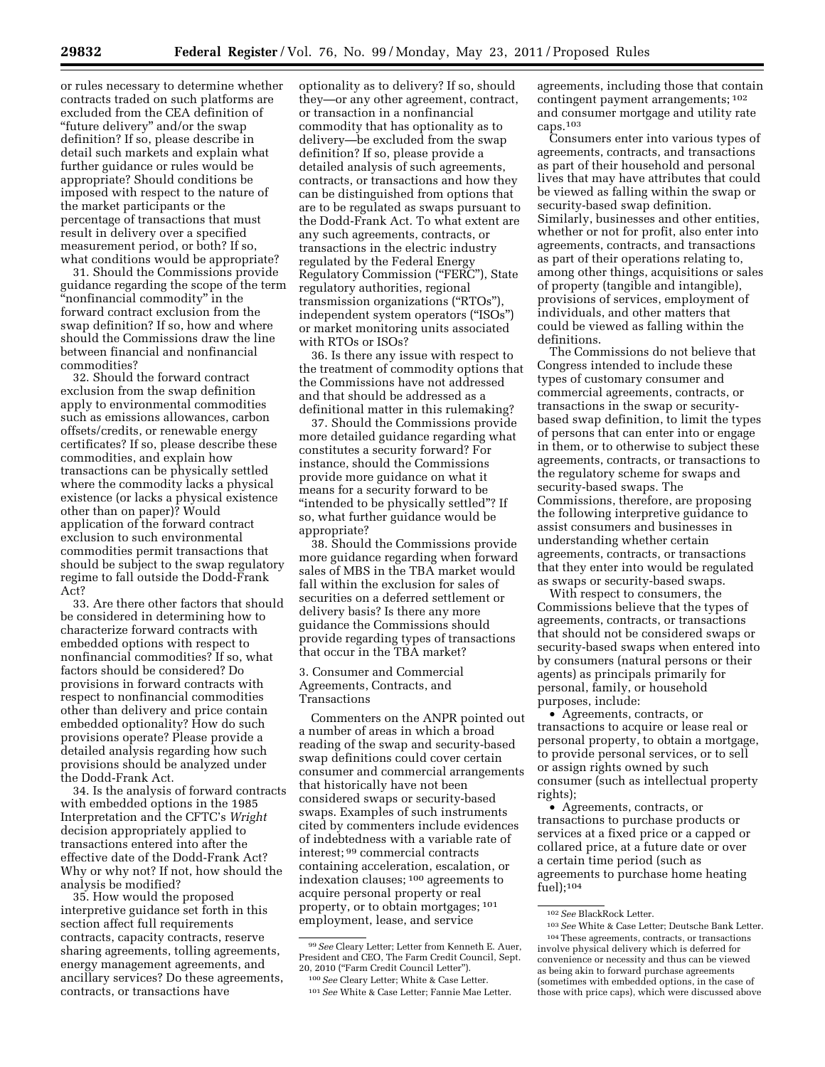or rules necessary to determine whether contracts traded on such platforms are excluded from the CEA definition of "future delivery" and/or the swap definition? If so, please describe in detail such markets and explain what further guidance or rules would be appropriate? Should conditions be imposed with respect to the nature of the market participants or the percentage of transactions that must result in delivery over a specified measurement period, or both? If so, what conditions would be appropriate?

31. Should the Commissions provide guidance regarding the scope of the term ''nonfinancial commodity'' in the forward contract exclusion from the swap definition? If so, how and where should the Commissions draw the line between financial and nonfinancial commodities?

32. Should the forward contract exclusion from the swap definition apply to environmental commodities such as emissions allowances, carbon offsets/credits, or renewable energy certificates? If so, please describe these commodities, and explain how transactions can be physically settled where the commodity lacks a physical existence (or lacks a physical existence other than on paper)? Would application of the forward contract exclusion to such environmental commodities permit transactions that should be subject to the swap regulatory regime to fall outside the Dodd-Frank Act?

33. Are there other factors that should be considered in determining how to characterize forward contracts with embedded options with respect to nonfinancial commodities? If so, what factors should be considered? Do provisions in forward contracts with respect to nonfinancial commodities other than delivery and price contain embedded optionality? How do such provisions operate? Please provide a detailed analysis regarding how such provisions should be analyzed under the Dodd-Frank Act.

34. Is the analysis of forward contracts with embedded options in the 1985 Interpretation and the CFTC's *Wright*  decision appropriately applied to transactions entered into after the effective date of the Dodd-Frank Act? Why or why not? If not, how should the analysis be modified?

35. How would the proposed interpretive guidance set forth in this section affect full requirements contracts, capacity contracts, reserve sharing agreements, tolling agreements, energy management agreements, and ancillary services? Do these agreements, contracts, or transactions have

optionality as to delivery? If so, should they—or any other agreement, contract, or transaction in a nonfinancial commodity that has optionality as to delivery—be excluded from the swap definition? If so, please provide a detailed analysis of such agreements, contracts, or transactions and how they can be distinguished from options that are to be regulated as swaps pursuant to the Dodd-Frank Act. To what extent are any such agreements, contracts, or transactions in the electric industry regulated by the Federal Energy Regulatory Commission (''FERC''), State regulatory authorities, regional transmission organizations (''RTOs''), independent system operators (''ISOs'') or market monitoring units associated with RTOs or ISOs?

36. Is there any issue with respect to the treatment of commodity options that the Commissions have not addressed and that should be addressed as a definitional matter in this rulemaking?

37. Should the Commissions provide more detailed guidance regarding what constitutes a security forward? For instance, should the Commissions provide more guidance on what it means for a security forward to be ''intended to be physically settled''? If so, what further guidance would be appropriate?

38. Should the Commissions provide more guidance regarding when forward sales of MBS in the TBA market would fall within the exclusion for sales of securities on a deferred settlement or delivery basis? Is there any more guidance the Commissions should provide regarding types of transactions that occur in the TBA market?

### 3. Consumer and Commercial Agreements, Contracts, and Transactions

Commenters on the ANPR pointed out a number of areas in which a broad reading of the swap and security-based swap definitions could cover certain consumer and commercial arrangements that historically have not been considered swaps or security-based swaps. Examples of such instruments cited by commenters include evidences of indebtedness with a variable rate of interest; 99 commercial contracts containing acceleration, escalation, or indexation clauses; 100 agreements to acquire personal property or real property, or to obtain mortgages; 101 employment, lease, and service

Consumers enter into various types of agreements, contracts, and transactions as part of their household and personal lives that may have attributes that could be viewed as falling within the swap or security-based swap definition. Similarly, businesses and other entities, whether or not for profit, also enter into agreements, contracts, and transactions as part of their operations relating to, among other things, acquisitions or sales of property (tangible and intangible), provisions of services, employment of individuals, and other matters that could be viewed as falling within the definitions.

The Commissions do not believe that Congress intended to include these types of customary consumer and commercial agreements, contracts, or transactions in the swap or securitybased swap definition, to limit the types of persons that can enter into or engage in them, or to otherwise to subject these agreements, contracts, or transactions to the regulatory scheme for swaps and security-based swaps. The Commissions, therefore, are proposing the following interpretive guidance to assist consumers and businesses in understanding whether certain agreements, contracts, or transactions that they enter into would be regulated as swaps or security-based swaps.

With respect to consumers, the Commissions believe that the types of agreements, contracts, or transactions that should not be considered swaps or security-based swaps when entered into by consumers (natural persons or their agents) as principals primarily for personal, family, or household purposes, include:

• Agreements, contracts, or transactions to acquire or lease real or personal property, to obtain a mortgage, to provide personal services, or to sell or assign rights owned by such consumer (such as intellectual property rights);

• Agreements, contracts, or transactions to purchase products or services at a fixed price or a capped or collared price, at a future date or over a certain time period (such as agreements to purchase home heating fuel);104

those with price caps), which were discussed above

<sup>99</sup>*See* Cleary Letter; Letter from Kenneth E. Auer, President and CEO, The Farm Credit Council, Sept. 20, 2010 (''Farm Credit Council Letter'').

<sup>100</sup>*See* Cleary Letter; White & Case Letter.

agreements, including those that contain contingent payment arrangements; 102 and consumer mortgage and utility rate caps.103

<sup>102</sup>*See* BlackRock Letter.

<sup>103</sup>*See* White & Case Letter; Deutsche Bank Letter. 104These agreements, contracts, or transactions involve physical delivery which is deferred for convenience or necessity and thus can be viewed as being akin to forward purchase agreements (sometimes with embedded options, in the case of

<sup>101</sup>*See* White & Case Letter; Fannie Mae Letter.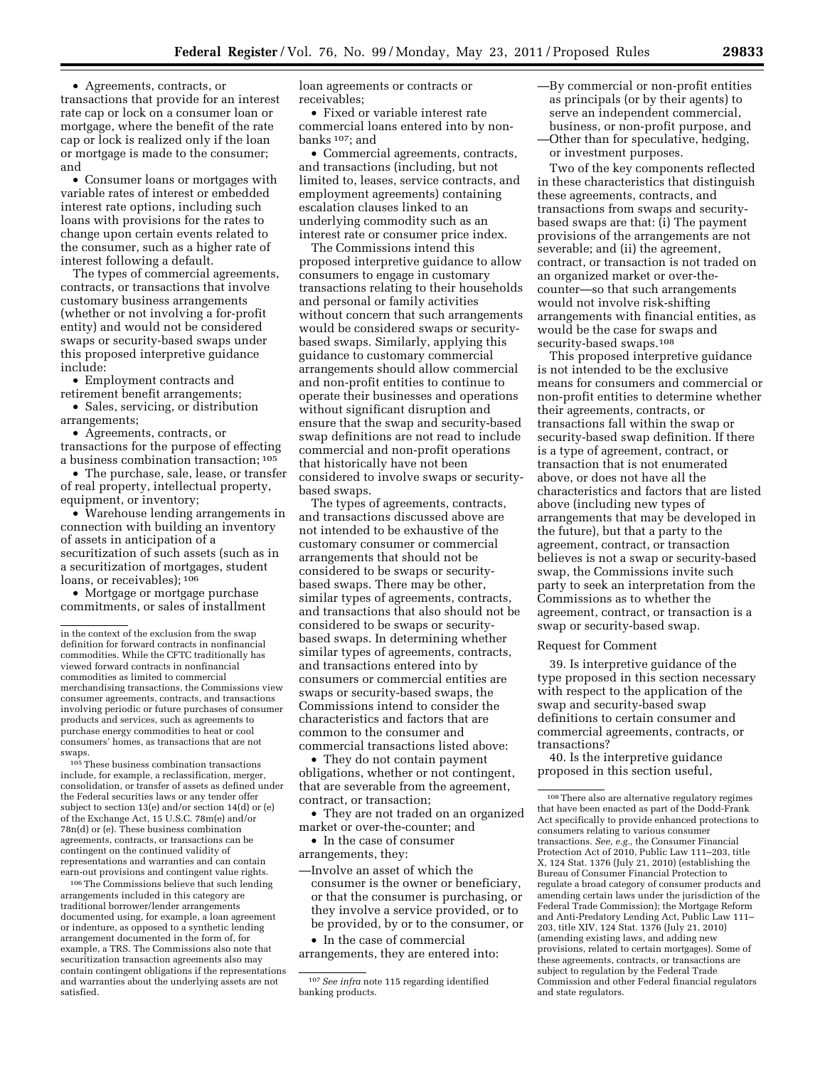• Agreements, contracts, or transactions that provide for an interest rate cap or lock on a consumer loan or mortgage, where the benefit of the rate cap or lock is realized only if the loan or mortgage is made to the consumer;

and

• Consumer loans or mortgages with variable rates of interest or embedded interest rate options, including such loans with provisions for the rates to change upon certain events related to the consumer, such as a higher rate of interest following a default.

The types of commercial agreements, contracts, or transactions that involve customary business arrangements (whether or not involving a for-profit entity) and would not be considered swaps or security-based swaps under this proposed interpretive guidance include:

• Employment contracts and retirement benefit arrangements;

• Sales, servicing, or distribution arrangements;

• Agreements, contracts, or transactions for the purpose of effecting a business combination transaction; 105

• The purchase, sale, lease, or transfer of real property, intellectual property, equipment, or inventory;

• Warehouse lending arrangements in connection with building an inventory of assets in anticipation of a securitization of such assets (such as in a securitization of mortgages, student loans, or receivables); 106

• Mortgage or mortgage purchase commitments, or sales of installment

 $^{105}\mathrm{\,These}$  business combination transactions include, for example, a reclassification, merger, consolidation, or transfer of assets as defined under the Federal securities laws or any tender offer subject to section 13(e) and/or section 14(d) or (e) of the Exchange Act, 15 U.S.C. 78m(e) and/or 78n(d) or (e). These business combination agreements, contracts, or transactions can be contingent on the continued validity of representations and warranties and can contain earn-out provisions and contingent value rights.

106The Commissions believe that such lending arrangements included in this category are traditional borrower/lender arrangements documented using, for example, a loan agreement or indenture, as opposed to a synthetic lending arrangement documented in the form of, for example, a TRS. The Commissions also note that securitization transaction agreements also may contain contingent obligations if the representations and warranties about the underlying assets are not satisfied.

loan agreements or contracts or receivables;

• Fixed or variable interest rate commercial loans entered into by nonbanks 107; and

• Commercial agreements, contracts, and transactions (including, but not limited to, leases, service contracts, and employment agreements) containing escalation clauses linked to an underlying commodity such as an interest rate or consumer price index.

The Commissions intend this proposed interpretive guidance to allow consumers to engage in customary transactions relating to their households and personal or family activities without concern that such arrangements would be considered swaps or securitybased swaps. Similarly, applying this guidance to customary commercial arrangements should allow commercial and non-profit entities to continue to operate their businesses and operations without significant disruption and ensure that the swap and security-based swap definitions are not read to include commercial and non-profit operations that historically have not been considered to involve swaps or securitybased swaps.

The types of agreements, contracts, and transactions discussed above are not intended to be exhaustive of the customary consumer or commercial arrangements that should not be considered to be swaps or securitybased swaps. There may be other, similar types of agreements, contracts, and transactions that also should not be considered to be swaps or securitybased swaps. In determining whether similar types of agreements, contracts, and transactions entered into by consumers or commercial entities are swaps or security-based swaps, the Commissions intend to consider the characteristics and factors that are common to the consumer and commercial transactions listed above:

• They do not contain payment obligations, whether or not contingent, that are severable from the agreement, contract, or transaction;

• They are not traded on an organized market or over-the-counter; and

- In the case of consumer arrangements, they:
- —Involve an asset of which the consumer is the owner or beneficiary, or that the consumer is purchasing, or they involve a service provided, or to be provided, by or to the consumer, or

• In the case of commercial arrangements, they are entered into: —By commercial or non-profit entities as principals (or by their agents) to serve an independent commercial, business, or non-profit purpose, and —Other than for speculative, hedging, or investment purposes.

Two of the key components reflected in these characteristics that distinguish these agreements, contracts, and transactions from swaps and securitybased swaps are that: (i) The payment provisions of the arrangements are not severable; and (ii) the agreement, contract, or transaction is not traded on an organized market or over-thecounter—so that such arrangements would not involve risk-shifting arrangements with financial entities, as would be the case for swaps and security-based swaps.108

This proposed interpretive guidance is not intended to be the exclusive means for consumers and commercial or non-profit entities to determine whether their agreements, contracts, or transactions fall within the swap or security-based swap definition. If there is a type of agreement, contract, or transaction that is not enumerated above, or does not have all the characteristics and factors that are listed above (including new types of arrangements that may be developed in the future), but that a party to the agreement, contract, or transaction believes is not a swap or security-based swap, the Commissions invite such party to seek an interpretation from the Commissions as to whether the agreement, contract, or transaction is a swap or security-based swap.

### Request for Comment

39. Is interpretive guidance of the type proposed in this section necessary with respect to the application of the swap and security-based swap definitions to certain consumer and commercial agreements, contracts, or transactions?

40. Is the interpretive guidance proposed in this section useful,

in the context of the exclusion from the swap definition for forward contracts in nonfinancial commodities. While the CFTC traditionally has viewed forward contracts in nonfinancial commodities as limited to commercial merchandising transactions, the Commissions view consumer agreements, contracts, and transactions involving periodic or future purchases of consumer products and services, such as agreements to purchase energy commodities to heat or cool consumers' homes, as transactions that are not swaps.

<sup>107</sup>*See infra* note 115 regarding identified banking products.

<sup>108</sup>There also are alternative regulatory regimes that have been enacted as part of the Dodd-Frank Act specifically to provide enhanced protections to consumers relating to various consumer transactions. *See, e.g.,* the Consumer Financial Protection Act of 2010, Public Law 111–203, title X, 124 Stat. 1376 (July 21, 2010) (establishing the Bureau of Consumer Financial Protection to regulate a broad category of consumer products and amending certain laws under the jurisdiction of the Federal Trade Commission); the Mortgage Reform and Anti-Predatory Lending Act, Public Law 111– 203, title XIV, 124 Stat. 1376 (July 21, 2010) (amending existing laws, and adding new provisions, related to certain mortgages). Some of these agreements, contracts, or transactions are subject to regulation by the Federal Trade Commission and other Federal financial regulators and state regulators.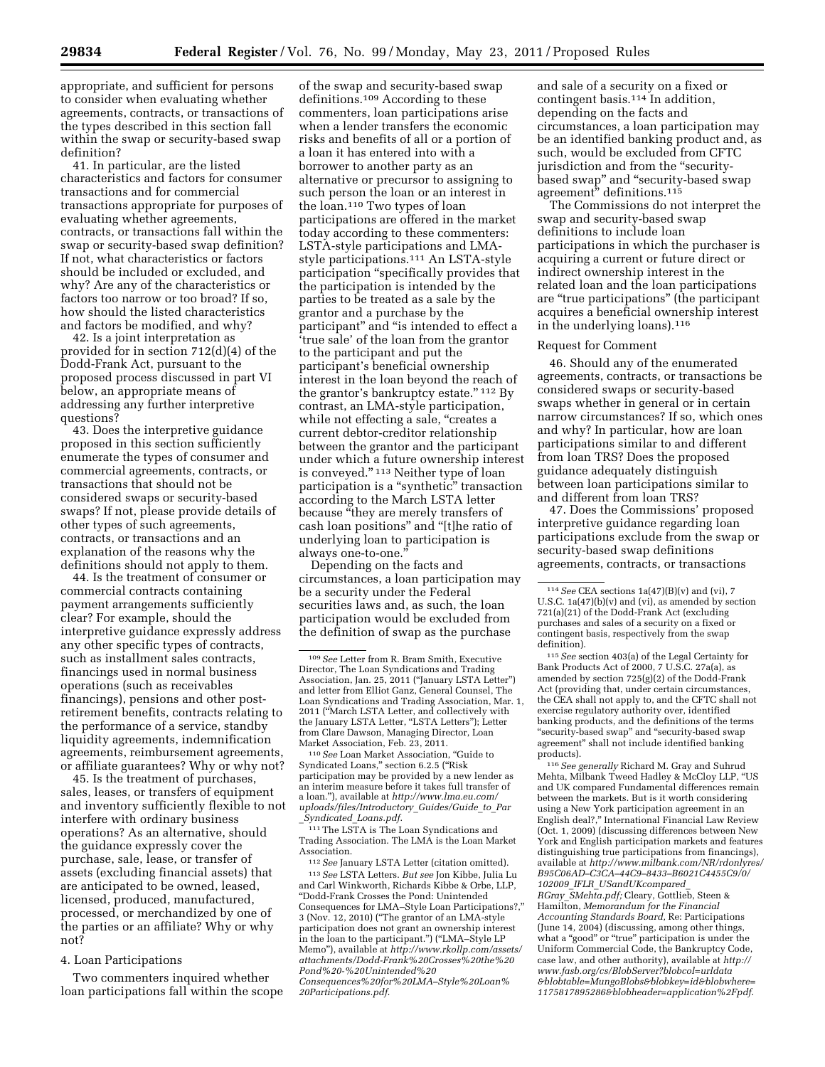appropriate, and sufficient for persons to consider when evaluating whether agreements, contracts, or transactions of the types described in this section fall within the swap or security-based swap definition?

41. In particular, are the listed characteristics and factors for consumer transactions and for commercial transactions appropriate for purposes of evaluating whether agreements, contracts, or transactions fall within the swap or security-based swap definition? If not, what characteristics or factors should be included or excluded, and why? Are any of the characteristics or factors too narrow or too broad? If so, how should the listed characteristics and factors be modified, and why?

42. Is a joint interpretation as provided for in section 712(d)(4) of the Dodd-Frank Act, pursuant to the proposed process discussed in part VI below, an appropriate means of addressing any further interpretive questions?

43. Does the interpretive guidance proposed in this section sufficiently enumerate the types of consumer and commercial agreements, contracts, or transactions that should not be considered swaps or security-based swaps? If not, please provide details of other types of such agreements, contracts, or transactions and an explanation of the reasons why the definitions should not apply to them.

44. Is the treatment of consumer or commercial contracts containing payment arrangements sufficiently clear? For example, should the interpretive guidance expressly address any other specific types of contracts, such as installment sales contracts, financings used in normal business operations (such as receivables financings), pensions and other postretirement benefits, contracts relating to the performance of a service, standby liquidity agreements, indemnification agreements, reimbursement agreements, or affiliate guarantees? Why or why not?

45. Is the treatment of purchases, sales, leases, or transfers of equipment and inventory sufficiently flexible to not interfere with ordinary business operations? As an alternative, should the guidance expressly cover the purchase, sale, lease, or transfer of assets (excluding financial assets) that are anticipated to be owned, leased, licensed, produced, manufactured, processed, or merchandized by one of the parties or an affiliate? Why or why not?

# 4. Loan Participations

Two commenters inquired whether loan participations fall within the scope

of the swap and security-based swap definitions.109 According to these commenters, loan participations arise when a lender transfers the economic risks and benefits of all or a portion of a loan it has entered into with a borrower to another party as an alternative or precursor to assigning to such person the loan or an interest in the loan.110 Two types of loan participations are offered in the market today according to these commenters: LSTA-style participations and LMAstyle participations.111 An LSTA-style participation ''specifically provides that the participation is intended by the parties to be treated as a sale by the grantor and a purchase by the participant'' and ''is intended to effect a 'true sale' of the loan from the grantor to the participant and put the participant's beneficial ownership interest in the loan beyond the reach of the grantor's bankruptcy estate.'' 112 By contrast, an LMA-style participation, while not effecting a sale, "creates a current debtor-creditor relationship between the grantor and the participant under which a future ownership interest is conveyed.'' 113 Neither type of loan participation is a ''synthetic'' transaction according to the March LSTA letter because ''they are merely transfers of cash loan positions'' and ''[t]he ratio of underlying loan to participation is always one-to-one.''

Depending on the facts and circumstances, a loan participation may be a security under the Federal securities laws and, as such, the loan participation would be excluded from the definition of swap as the purchase

110*See* Loan Market Association, ''Guide to Syndicated Loans,'' section 6.2.5 (''Risk participation may be provided by a new lender as an interim measure before it takes full transfer of a loan.''), available at *[http://www.lma.eu.com/](http://www.lma.eu.com/uploads/files/Introductory_Guides/Guide_to_Par_Syndicated_Loans.pdf) [uploads/files/Introductory](http://www.lma.eu.com/uploads/files/Introductory_Guides/Guide_to_Par_Syndicated_Loans.pdf)*\_*Guides/Guide*\_*to*\_*Par* \_*[Syndicated](http://www.lma.eu.com/uploads/files/Introductory_Guides/Guide_to_Par_Syndicated_Loans.pdf)*\_*Loans.pdf*.

 $^{111}\mathrm{The }$  LSTA is The Loan Syndications and Trading Association. The LMA is the Loan Market Association.

112*See* January LSTA Letter (citation omitted). 113*See* LSTA Letters. *But see* Jon Kibbe, Julia Lu and Carl Winkworth, Richards Kibbe & Orbe, LLP, ''Dodd-Frank Crosses the Pond: Unintended Consequences for LMA–Style Loan Participations?,'' 3 (Nov. 12, 2010) (''The grantor of an LMA-style participation does not grant an ownership interest in the loan to the participant.'') (''LMA–Style LP Memo''), available at *[http://www.rkollp.com/assets/](http://www.rkollp.com/assets/attachments/Dodd-Frank%20Crosses%20the%20Pond%20-%20Unintended%20Consequences%20for%20LMA-Style%20Loan%20Participations.pdf)  [attachments/Dodd-Frank%20Crosses%20the%20](http://www.rkollp.com/assets/attachments/Dodd-Frank%20Crosses%20the%20Pond%20-%20Unintended%20Consequences%20for%20LMA-Style%20Loan%20Participations.pdf) [Pond%20-%20Unintended%20](http://www.rkollp.com/assets/attachments/Dodd-Frank%20Crosses%20the%20Pond%20-%20Unintended%20Consequences%20for%20LMA-Style%20Loan%20Participations.pdf)*

*[Consequences%20for%20LMA–Style%20Loan%](http://www.rkollp.com/assets/attachments/Dodd-Frank%20Crosses%20the%20Pond%20-%20Unintended%20Consequences%20for%20LMA-Style%20Loan%20Participations.pdf) [20Participations.pdf](http://www.rkollp.com/assets/attachments/Dodd-Frank%20Crosses%20the%20Pond%20-%20Unintended%20Consequences%20for%20LMA-Style%20Loan%20Participations.pdf)*.

and sale of a security on a fixed or contingent basis.114 In addition, depending on the facts and circumstances, a loan participation may be an identified banking product and, as such, would be excluded from CFTC jurisdiction and from the ''securitybased swap'' and ''security-based swap agreement" definitions.<sup>115</sup>

The Commissions do not interpret the swap and security-based swap definitions to include loan participations in which the purchaser is acquiring a current or future direct or indirect ownership interest in the related loan and the loan participations are ''true participations'' (the participant acquires a beneficial ownership interest in the underlying loans).<sup>116</sup>

#### Request for Comment

46. Should any of the enumerated agreements, contracts, or transactions be considered swaps or security-based swaps whether in general or in certain narrow circumstances? If so, which ones and why? In particular, how are loan participations similar to and different from loan TRS? Does the proposed guidance adequately distinguish between loan participations similar to and different from loan TRS?

47. Does the Commissions' proposed interpretive guidance regarding loan participations exclude from the swap or security-based swap definitions agreements, contracts, or transactions

115*See* section 403(a) of the Legal Certainty for Bank Products Act of 2000, 7 U.S.C. 27a(a), as amended by section 725(g)(2) of the Dodd-Frank Act (providing that, under certain circumstances, the CEA shall not apply to, and the CFTC shall not exercise regulatory authority over, identified banking products, and the definitions of the terms ''security-based swap'' and ''security-based swap agreement'' shall not include identified banking products).

116*See generally* Richard M. Gray and Suhrud Mehta, Milbank Tweed Hadley & McCloy LLP, ''US and UK compared Fundamental differences remain between the markets. But is it worth considering using a New York participation agreement in an English deal?,'' International Financial Law Review (Oct. 1, 2009) (discussing differences between New York and English participation markets and features distinguishing true participations from financings), available at *[http://www.milbank.com/NR/rdonlyres/](http://www.milbank.com/NR/rdonlyres/B95C06AD-C3CA-44C9-8433-B6021C4455C9/0/102009_IFLR_USandUKcompared_RGray_SMehta.pdf)  [B95C06AD–C3CA–44C9–8433–B6021C4455C9/0/](http://www.milbank.com/NR/rdonlyres/B95C06AD-C3CA-44C9-8433-B6021C4455C9/0/102009_IFLR_USandUKcompared_RGray_SMehta.pdf) 102009*\_*IFLR*\_*[USandUKcompared](http://www.milbank.com/NR/rdonlyres/B95C06AD-C3CA-44C9-8433-B6021C4455C9/0/102009_IFLR_USandUKcompared_RGray_SMehta.pdf)*\_ *RGray*\_*[SMehta.pdf;](http://www.milbank.com/NR/rdonlyres/B95C06AD-C3CA-44C9-8433-B6021C4455C9/0/102009_IFLR_USandUKcompared_RGray_SMehta.pdf)* Cleary, Gottlieb, Steen & Hamilton, *Memorandum for the Financial Accounting Standards Board,* Re: Participations (June 14, 2004) (discussing, among other things, what a ''good'' or ''true'' participation is under the Uniform Commercial Code, the Bankruptcy Code, case law, and other authority), available at *[http://](http://www.fasb.org/cs/BlobServer?blobcol=urldata&blobtable=MungoBlobs&blobkey=id&blobwhere=1175817895286&blobheader=application%2Fpdf)  [www.fasb.org/cs/BlobServer?blobcol=urldata](http://www.fasb.org/cs/BlobServer?blobcol=urldata&blobtable=MungoBlobs&blobkey=id&blobwhere=1175817895286&blobheader=application%2Fpdf) [&blobtable=MungoBlobs&blobkey=id&blobwhere=](http://www.fasb.org/cs/BlobServer?blobcol=urldata&blobtable=MungoBlobs&blobkey=id&blobwhere=1175817895286&blobheader=application%2Fpdf) [1175817895286&blobheader=application%2Fpdf](http://www.fasb.org/cs/BlobServer?blobcol=urldata&blobtable=MungoBlobs&blobkey=id&blobwhere=1175817895286&blobheader=application%2Fpdf)*.

<sup>109</sup>*See* Letter from R. Bram Smith, Executive Director, The Loan Syndications and Trading Association, Jan. 25, 2011 (''January LSTA Letter'') and letter from Elliot Ganz, General Counsel, The Loan Syndications and Trading Association, Mar. 1, 2011 (''March LSTA Letter, and collectively with the January LSTA Letter, "LSTA Letters"); Letter from Clare Dawson, Managing Director, Loan Market Association, Feb. 23, 2011.

<sup>114</sup>*See* CEA sections 1a(47)(B)(v) and (vi), 7 U.S.C. 1a(47)(b)(v) and (vi), as amended by section 721(a)(21) of the Dodd-Frank Act (excluding purchases and sales of a security on a fixed or contingent basis, respectively from the swap definition).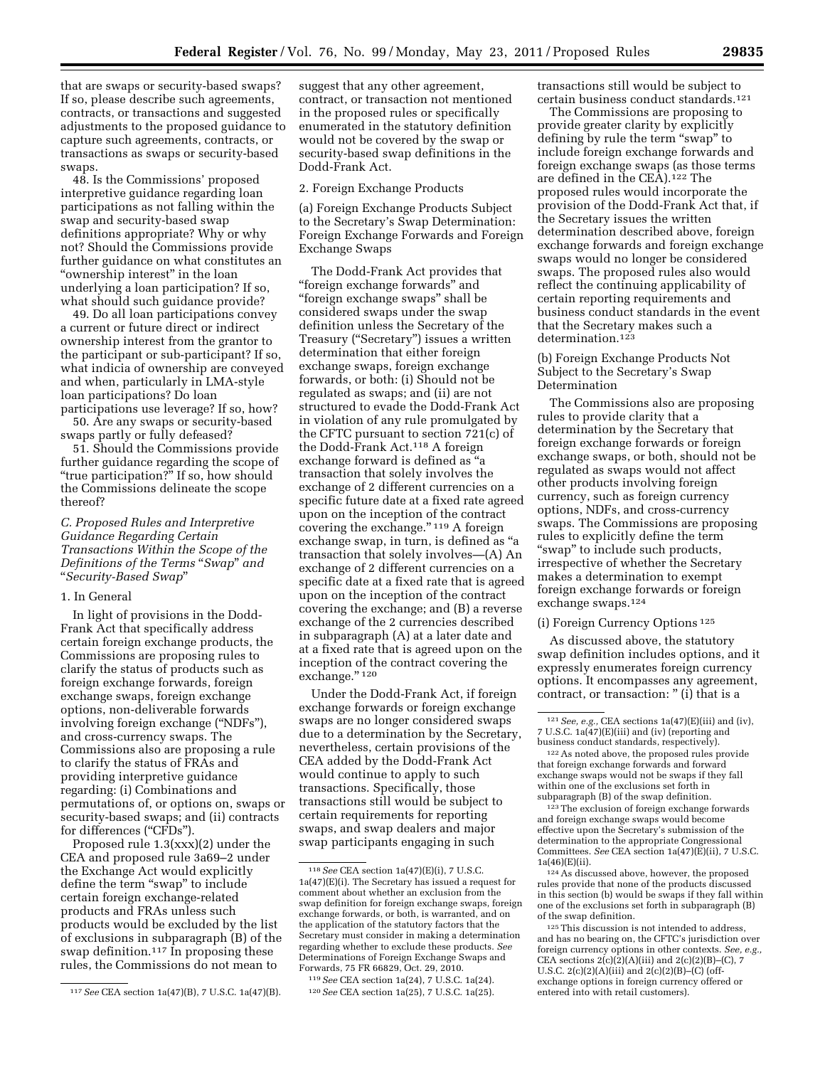that are swaps or security-based swaps? If so, please describe such agreements, contracts, or transactions and suggested adjustments to the proposed guidance to capture such agreements, contracts, or transactions as swaps or security-based swaps.

48. Is the Commissions' proposed interpretive guidance regarding loan participations as not falling within the swap and security-based swap definitions appropriate? Why or why not? Should the Commissions provide further guidance on what constitutes an "ownership interest" in the loan underlying a loan participation? If so, what should such guidance provide?

49. Do all loan participations convey a current or future direct or indirect ownership interest from the grantor to the participant or sub-participant? If so, what indicia of ownership are conveyed and when, particularly in LMA-style loan participations? Do loan participations use leverage? If so, how?

50. Are any swaps or security-based swaps partly or fully defeased?

51. Should the Commissions provide further guidance regarding the scope of ''true participation?'' If so, how should the Commissions delineate the scope thereof?

*C. Proposed Rules and Interpretive Guidance Regarding Certain Transactions Within the Scope of the Definitions of the Terms* ''*Swap*'' *and*  ''*Security-Based Swap*''

### 1. In General

In light of provisions in the Dodd-Frank Act that specifically address certain foreign exchange products, the Commissions are proposing rules to clarify the status of products such as foreign exchange forwards, foreign exchange swaps, foreign exchange options, non-deliverable forwards involving foreign exchange (''NDFs''), and cross-currency swaps. The Commissions also are proposing a rule to clarify the status of FRAs and providing interpretive guidance regarding: (i) Combinations and permutations of, or options on, swaps or security-based swaps; and (ii) contracts for differences ("CFDs").

Proposed rule 1.3(xxx)(2) under the CEA and proposed rule 3a69–2 under the Exchange Act would explicitly define the term "swap" to include certain foreign exchange-related products and FRAs unless such products would be excluded by the list of exclusions in subparagraph (B) of the swap definition.<sup>117</sup> In proposing these rules, the Commissions do not mean to

117*See* CEA section 1a(47)(B), 7 U.S.C. 1a(47)(B).

suggest that any other agreement, contract, or transaction not mentioned in the proposed rules or specifically enumerated in the statutory definition would not be covered by the swap or security-based swap definitions in the Dodd-Frank Act.

2. Foreign Exchange Products

(a) Foreign Exchange Products Subject to the Secretary's Swap Determination: Foreign Exchange Forwards and Foreign Exchange Swaps

The Dodd-Frank Act provides that ''foreign exchange forwards'' and ''foreign exchange swaps'' shall be considered swaps under the swap definition unless the Secretary of the Treasury (''Secretary'') issues a written determination that either foreign exchange swaps, foreign exchange forwards, or both: (i) Should not be regulated as swaps; and (ii) are not structured to evade the Dodd-Frank Act in violation of any rule promulgated by the CFTC pursuant to section 721(c) of the Dodd-Frank Act.118 A foreign exchange forward is defined as ''a transaction that solely involves the exchange of 2 different currencies on a specific future date at a fixed rate agreed upon on the inception of the contract covering the exchange."<sup>119</sup> A foreign exchange swap, in turn, is defined as ''a transaction that solely involves—(A) An exchange of 2 different currencies on a specific date at a fixed rate that is agreed upon on the inception of the contract covering the exchange; and (B) a reverse exchange of the 2 currencies described in subparagraph (A) at a later date and at a fixed rate that is agreed upon on the inception of the contract covering the exchange." 120

Under the Dodd-Frank Act, if foreign exchange forwards or foreign exchange swaps are no longer considered swaps due to a determination by the Secretary, nevertheless, certain provisions of the CEA added by the Dodd-Frank Act would continue to apply to such transactions. Specifically, those transactions still would be subject to certain requirements for reporting swaps, and swap dealers and major swap participants engaging in such

119*See* CEA section 1a(24), 7 U.S.C. 1a(24). 120*See* CEA section 1a(25), 7 U.S.C. 1a(25). transactions still would be subject to certain business conduct standards.121

The Commissions are proposing to provide greater clarity by explicitly defining by rule the term "swap" to include foreign exchange forwards and foreign exchange swaps (as those terms are defined in the CEA).122 The proposed rules would incorporate the provision of the Dodd-Frank Act that, if the Secretary issues the written determination described above, foreign exchange forwards and foreign exchange swaps would no longer be considered swaps. The proposed rules also would reflect the continuing applicability of certain reporting requirements and business conduct standards in the event that the Secretary makes such a determination.<sup>123</sup>

(b) Foreign Exchange Products Not Subject to the Secretary's Swap Determination

The Commissions also are proposing rules to provide clarity that a determination by the Secretary that foreign exchange forwards or foreign exchange swaps, or both, should not be regulated as swaps would not affect other products involving foreign currency, such as foreign currency options, NDFs, and cross-currency swaps. The Commissions are proposing rules to explicitly define the term ''swap'' to include such products, irrespective of whether the Secretary makes a determination to exempt foreign exchange forwards or foreign exchange swaps.124

#### (i) Foreign Currency Options 125

As discussed above, the statutory swap definition includes options, and it expressly enumerates foreign currency options. It encompasses any agreement, contract, or transaction: "(i) that is a

<sup>122</sup> As noted above, the proposed rules provide that foreign exchange forwards and forward exchange swaps would not be swaps if they fall within one of the exclusions set forth in subparagraph (B) of the swap definition.

<sup>123</sup>The exclusion of foreign exchange forwards and foreign exchange swaps would become effective upon the Secretary's submission of the determination to the appropriate Congressional Committees. *See* CEA section 1a(47)(E)(ii), 7 U.S.C. 1a(46)(E)(ii).

124As discussed above, however, the proposed rules provide that none of the products discussed in this section (b) would be swaps if they fall within one of the exclusions set forth in subparagraph (B) of the swap definition.

<sup>118</sup>*See* CEA section 1a(47)(E)(i), 7 U.S.C. 1a(47)(E)(i). The Secretary has issued a request for comment about whether an exclusion from the swap definition for foreign exchange swaps, foreign exchange forwards, or both, is warranted, and on the application of the statutory factors that the Secretary must consider in making a determination regarding whether to exclude these products. *See*  Determinations of Foreign Exchange Swaps and Forwards, 75 FR 66829, Oct. 29, 2010.

<sup>121</sup>*See, e.g.,* CEA sections 1a(47)(E)(iii) and (iv), 7 U.S.C. 1a(47)(E)(iii) and (iv) (reporting and

<sup>125</sup>This discussion is not intended to address, and has no bearing on, the CFTC's jurisdiction over foreign currency options in other contexts. *See, e.g.,*  CEA sections  $2(c)(2)(A)(iii)$  and  $2(c)(2)(B)$ –(C), 7 U.S.C.  $2(c)(2)(A)(iii)$  and  $2(c)(2)(B)$ –(C) (offexchange options in foreign currency offered or entered into with retail customers).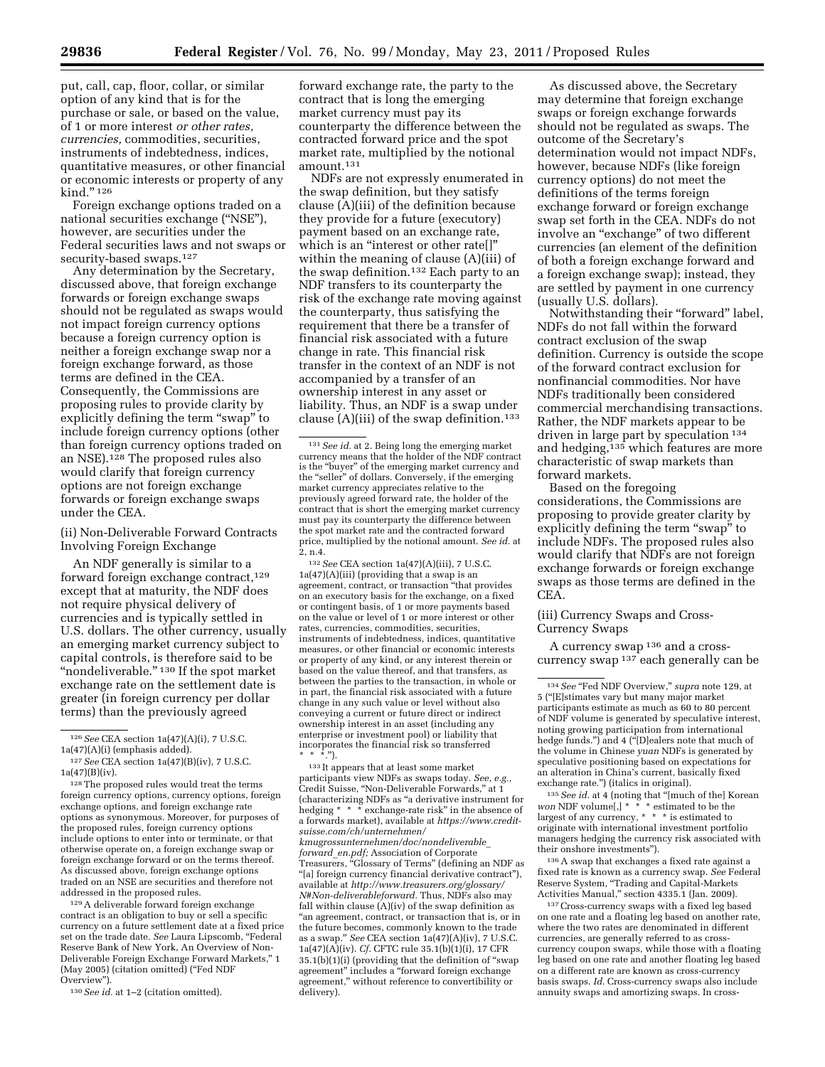put, call, cap, floor, collar, or similar option of any kind that is for the purchase or sale, or based on the value, of 1 or more interest *or other rates, currencies,* commodities, securities, instruments of indebtedness, indices, quantitative measures, or other financial or economic interests or property of any kind."<sup>126</sup>

Foreign exchange options traded on a national securities exchange ("NSE"), however, are securities under the Federal securities laws and not swaps or security-based swaps.<sup>127</sup>

Any determination by the Secretary, discussed above, that foreign exchange forwards or foreign exchange swaps should not be regulated as swaps would not impact foreign currency options because a foreign currency option is neither a foreign exchange swap nor a foreign exchange forward, as those terms are defined in the CEA. Consequently, the Commissions are proposing rules to provide clarity by explicitly defining the term "swap" to include foreign currency options (other than foreign currency options traded on an NSE).128 The proposed rules also would clarify that foreign currency options are not foreign exchange forwards or foreign exchange swaps under the CEA.

(ii) Non-Deliverable Forward Contracts Involving Foreign Exchange

An NDF generally is similar to a forward foreign exchange contract,<sup>129</sup> except that at maturity, the NDF does not require physical delivery of currencies and is typically settled in U.S. dollars. The other currency, usually an emerging market currency subject to capital controls, is therefore said to be "nondeliverable."<sup>130</sup> If the spot market exchange rate on the settlement date is greater (in foreign currency per dollar terms) than the previously agreed

126*See* CEA section 1a(47)(A)(i), 7 U.S.C. 1a(47)(A)(i) (emphasis added).

127*See* CEA section 1a(47)(B)(iv), 7 U.S.C. 1a(47)(B)(iv).

128The proposed rules would treat the terms foreign currency options, currency options, foreign exchange options, and foreign exchange rate options as synonymous. Moreover, for purposes of the proposed rules, foreign currency options include options to enter into or terminate, or that otherwise operate on, a foreign exchange swap or foreign exchange forward or on the terms thereof. As discussed above, foreign exchange options traded on an NSE are securities and therefore not addressed in the proposed rules.

129A deliverable forward foreign exchange contract is an obligation to buy or sell a specific currency on a future settlement date at a fixed price set on the trade date. *See* Laura Lipscomb, ''Federal Reserve Bank of New York, An Overview of Non-Deliverable Foreign Exchange Forward Markets,'' 1 (May 2005) (citation omitted) (''Fed NDF Overview'').

130*See id.* at 1–2 (citation omitted).

forward exchange rate, the party to the contract that is long the emerging market currency must pay its counterparty the difference between the contracted forward price and the spot market rate, multiplied by the notional amount.131

NDFs are not expressly enumerated in the swap definition, but they satisfy clause (A)(iii) of the definition because they provide for a future (executory) payment based on an exchange rate, which is an "interest or other rate<sup>[]"</sup> within the meaning of clause (A)(iii) of the swap definition.132 Each party to an NDF transfers to its counterparty the risk of the exchange rate moving against the counterparty, thus satisfying the requirement that there be a transfer of financial risk associated with a future change in rate. This financial risk transfer in the context of an NDF is not accompanied by a transfer of an ownership interest in any asset or liability. Thus, an NDF is a swap under clause  $(A)$ (iii) of the swap definition.<sup>133</sup>

132*See* CEA section 1a(47)(A)(iii), 7 U.S.C. 1a(47)(A)(iii) (providing that a swap is an agreement, contract, or transaction ''that provides on an executory basis for the exchange, on a fixed or contingent basis, of 1 or more payments based on the value or level of 1 or more interest or other rates, currencies, commodities, securities, instruments of indebtedness, indices, quantitative measures, or other financial or economic interests or property of any kind, or any interest therein or based on the value thereof, and that transfers, as between the parties to the transaction, in whole or in part, the financial risk associated with a future change in any such value or level without also conveying a current or future direct or indirect ownership interest in an asset (including any enterprise or investment pool) or liability that incorporates the financial risk so transferred \* \* \*.'').

133 It appears that at least some market participants view NDFs as swaps today. *See, e.g.,*  Credit Suisse, "Non-Deliverable Forwards," at 1 (characterizing NDFs as ''a derivative instrument for hedging \* \* \* exchange-rate risk'' in the absence of a forwards market), available at *[https://www.credit](https://www.credit-suisse.com/ch/unternehmen/kmugrossunternehmen/doc/nondeliverable_forward_en.pdf)[suisse.com/ch/unternehmen/](https://www.credit-suisse.com/ch/unternehmen/kmugrossunternehmen/doc/nondeliverable_forward_en.pdf) [kmugrossunternehmen/doc/nondeliverable](https://www.credit-suisse.com/ch/unternehmen/kmugrossunternehmen/doc/nondeliverable_forward_en.pdf)*\_ *[forward](https://www.credit-suisse.com/ch/unternehmen/kmugrossunternehmen/doc/nondeliverable_forward_en.pdf)*\_*en.pdf;* Association of Corporate Treasurers, ''Glossary of Terms'' (defining an NDF as "[a] foreign currency financial derivative contract"), available at *[http://www.treasurers.org/glossary/](http://www.treasurers.org/glossary/N#Non-deliverableforward) [N#Non-deliverableforward.](http://www.treasurers.org/glossary/N#Non-deliverableforward)* Thus, NDFs also may fall within clause (A)(iv) of the swap definition as ''an agreement, contract, or transaction that is, or in the future becomes, commonly known to the trade as a swap.'' *See* CEA section 1a(47)(A)(iv), 7 U.S.C. 1a(47)(A)(iv). *Cf.* CFTC rule 35.1(b)(1)(i), 17 CFR 35.1(b)(1)(i) (providing that the definition of ''swap agreement'' includes a ''forward foreign exchange agreement,'' without reference to convertibility or delivery).

As discussed above, the Secretary may determine that foreign exchange swaps or foreign exchange forwards should not be regulated as swaps. The outcome of the Secretary's determination would not impact NDFs, however, because NDFs (like foreign currency options) do not meet the definitions of the terms foreign exchange forward or foreign exchange swap set forth in the CEA. NDFs do not involve an "exchange" of two different currencies (an element of the definition of both a foreign exchange forward and a foreign exchange swap); instead, they are settled by payment in one currency (usually U.S. dollars).

Notwithstanding their "forward" label, NDFs do not fall within the forward contract exclusion of the swap definition. Currency is outside the scope of the forward contract exclusion for nonfinancial commodities. Nor have NDFs traditionally been considered commercial merchandising transactions. Rather, the NDF markets appear to be driven in large part by speculation 134 and hedging,<sup>135</sup> which features are more characteristic of swap markets than forward markets.

Based on the foregoing considerations, the Commissions are proposing to provide greater clarity by explicitly defining the term "swap" to include NDFs. The proposed rules also would clarify that NDFs are not foreign exchange forwards or foreign exchange swaps as those terms are defined in the CEA.

### (iii) Currency Swaps and Cross-Currency Swaps

A currency swap 136 and a crosscurrency swap 137 each generally can be

<sup>135</sup> See id. at 4 (noting that "[much of the] Korean *won* NDF volume[,] \* \* \* estimated to be the largest of any currency, \* \* \* is estimated to originate with international investment portfolio managers hedging the currency risk associated with their onshore investments'').

136A swap that exchanges a fixed rate against a fixed rate is known as a currency swap. *See* Federal Reserve System, ''Trading and Capital-Markets Activities Manual,'' section 4335.1 (Jan. 2009).

137Cross-currency swaps with a fixed leg based on one rate and a floating leg based on another rate, where the two rates are denominated in different currencies, are generally referred to as crosscurrency coupon swaps, while those with a floating leg based on one rate and another floating leg based on a different rate are known as cross-currency basis swaps. *Id.* Cross-currency swaps also include annuity swaps and amortizing swaps. In cross-

<sup>131</sup>*See id.* at 2. Being long the emerging market currency means that the holder of the NDF contract is the "buyer" of the emerging market currency and the "seller" of dollars. Conversely, if the emerging market currency appreciates relative to the previously agreed forward rate, the holder of the contract that is short the emerging market currency must pay its counterparty the difference between the spot market rate and the contracted forward price, multiplied by the notional amount. *See id.* at 2, n.4.

<sup>134</sup>*See* ''Fed NDF Overview,'' *supra* note 129, at 5 (''[E]stimates vary but many major market participants estimate as much as 60 to 80 percent of NDF volume is generated by speculative interest, noting growing participation from international hedge funds.") and 4 ("[D]ealers note that much of the volume in Chinese *yuan* NDFs is generated by speculative positioning based on expectations for an alteration in China's current, basically fixed exchange rate.'') (italics in original).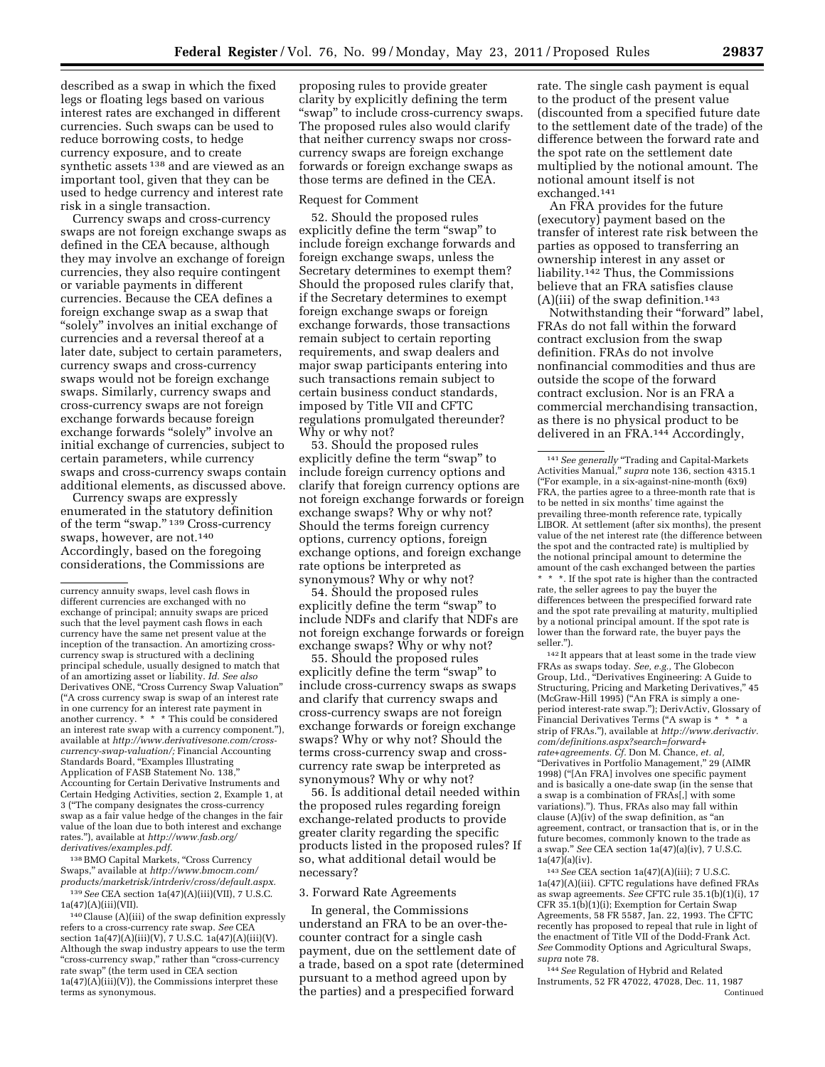described as a swap in which the fixed legs or floating legs based on various interest rates are exchanged in different currencies. Such swaps can be used to reduce borrowing costs, to hedge currency exposure, and to create synthetic assets 138 and are viewed as an important tool, given that they can be used to hedge currency and interest rate risk in a single transaction.

Currency swaps and cross-currency swaps are not foreign exchange swaps as defined in the CEA because, although they may involve an exchange of foreign currencies, they also require contingent or variable payments in different currencies. Because the CEA defines a foreign exchange swap as a swap that "solely" involves an initial exchange of currencies and a reversal thereof at a later date, subject to certain parameters, currency swaps and cross-currency swaps would not be foreign exchange swaps. Similarly, currency swaps and cross-currency swaps are not foreign exchange forwards because foreign exchange forwards "solely" involve an initial exchange of currencies, subject to certain parameters, while currency swaps and cross-currency swaps contain additional elements, as discussed above.

Currency swaps are expressly enumerated in the statutory definition of the term "swap." <sup>139</sup> Cross-currency swaps, however, are not.<sup>140</sup> Accordingly, based on the foregoing considerations, the Commissions are

138 BMO Capital Markets, "Cross Currency Swaps,'' available at *[http://www.bmocm.com/](http://www.bmocm.com/products/marketrisk/intrderiv/cross/default.aspx) [products/marketrisk/intrderiv/cross/default.aspx.](http://www.bmocm.com/products/marketrisk/intrderiv/cross/default.aspx)*  139*See* CEA section 1a(47)(A)(iii)(VII), 7 U.S.C. 1a(47)(A)(iii)(VII).

140Clause (A)(iii) of the swap definition expressly refers to a cross-currency rate swap. *See* CEA section 1a(47)(A)(iii)(V), 7 U.S.C. 1a(47)(A)(iii)(V). Although the swap industry appears to use the term ''cross-currency swap,'' rather than ''cross-currency rate swap'' (the term used in CEA section  $1a(47)(A)(iii)(V)$ , the Commissions interpret these terms as synonymous.

proposing rules to provide greater clarity by explicitly defining the term ''swap'' to include cross-currency swaps. The proposed rules also would clarify that neither currency swaps nor crosscurrency swaps are foreign exchange forwards or foreign exchange swaps as those terms are defined in the CEA.

#### Request for Comment

52. Should the proposed rules explicitly define the term "swap" to include foreign exchange forwards and foreign exchange swaps, unless the Secretary determines to exempt them? Should the proposed rules clarify that, if the Secretary determines to exempt foreign exchange swaps or foreign exchange forwards, those transactions remain subject to certain reporting requirements, and swap dealers and major swap participants entering into such transactions remain subject to certain business conduct standards, imposed by Title VII and CFTC regulations promulgated thereunder? Why or why not?

53. Should the proposed rules explicitly define the term "swap" to include foreign currency options and clarify that foreign currency options are not foreign exchange forwards or foreign exchange swaps? Why or why not? Should the terms foreign currency options, currency options, foreign exchange options, and foreign exchange rate options be interpreted as synonymous? Why or why not?

54. Should the proposed rules explicitly define the term "swap" to include NDFs and clarify that NDFs are not foreign exchange forwards or foreign exchange swaps? Why or why not?

55. Should the proposed rules explicitly define the term "swap" to include cross-currency swaps as swaps and clarify that currency swaps and cross-currency swaps are not foreign exchange forwards or foreign exchange swaps? Why or why not? Should the terms cross-currency swap and crosscurrency rate swap be interpreted as synonymous? Why or why not?

56. Is additional detail needed within the proposed rules regarding foreign exchange-related products to provide greater clarity regarding the specific products listed in the proposed rules? If so, what additional detail would be necessary?

# 3. Forward Rate Agreements

In general, the Commissions understand an FRA to be an over-thecounter contract for a single cash payment, due on the settlement date of a trade, based on a spot rate (determined pursuant to a method agreed upon by the parties) and a prespecified forward

rate. The single cash payment is equal to the product of the present value (discounted from a specified future date to the settlement date of the trade) of the difference between the forward rate and the spot rate on the settlement date multiplied by the notional amount. The notional amount itself is not exchanged.141

An FRA provides for the future (executory) payment based on the transfer of interest rate risk between the parties as opposed to transferring an ownership interest in any asset or liability.142 Thus, the Commissions believe that an FRA satisfies clause  $(A)(iii)$  of the swap definition.<sup>143</sup>

Notwithstanding their "forward" label, FRAs do not fall within the forward contract exclusion from the swap definition. FRAs do not involve nonfinancial commodities and thus are outside the scope of the forward contract exclusion. Nor is an FRA a commercial merchandising transaction, as there is no physical product to be delivered in an FRA.144 Accordingly,

and the spot rate prevailing at maturity, multiplied by a notional principal amount. If the spot rate is lower than the forward rate, the buyer pays the seller.'').

142 It appears that at least some in the trade view FRAs as swaps today. *See, e.g.,* The Globecon Group, Ltd., ''Derivatives Engineering: A Guide to Structuring, Pricing and Marketing Derivatives,'' 45 (McGraw-Hill 1995) ("An FRA is simply a oneperiod interest-rate swap.''); DerivActiv, Glossary of Financial Derivatives Terms ("A swap is \* \* \* a strip of FRAs.''), available at *[http://](http)www.derivactiv. com/definitions.aspx?search=forward+ rate+agreements. Cf.* Don M. Chance, *et. al,*  ''Derivatives in Portfolio Management,'' 29 (AIMR 1998) (''[An FRA] involves one specific payment and is basically a one-date swap (in the sense that a swap is a combination of FRAs[,] with some variations).''). Thus, FRAs also may fall within clause (A)(iv) of the swap definition, as ''an agreement, contract, or transaction that is, or in the future becomes, commonly known to the trade as a swap.'' *See* CEA section 1a(47)(a)(iv), 7 U.S.C.  $1a(47)(a)(iv)$ .

143*See* CEA section 1a(47)(A)(iii); 7 U.S.C. 1a(47)(A)(iii). CFTC regulations have defined FRAs as swap agreements. *See* CFTC rule 35.1(b)(1)(i), 17 CFR 35.1(b)(1)(i); Exemption for Certain Swap Agreements, 58 FR 5587, Jan. 22, 1993. The CFTC recently has proposed to repeal that rule in light of the enactment of Title VII of the Dodd-Frank Act. *See* Commodity Options and Agricultural Swaps, *supra* note 78.

144*See* Regulation of Hybrid and Related Instruments, 52 FR 47022, 47028, Dec. 11, 1987 Continued

currency annuity swaps, level cash flows in different currencies are exchanged with no exchange of principal; annuity swaps are priced such that the level payment cash flows in each currency have the same net present value at the inception of the transaction. An amortizing crosscurrency swap is structured with a declining principal schedule, usually designed to match that of an amortizing asset or liability. *Id. See also*  Derivatives ONE, ''Cross Currency Swap Valuation'' (''A cross currency swap is swap of an interest rate in one currency for an interest rate payment in another currency. \* \* \* This could be considered an interest rate swap with a currency component.''), available at *[http://www.derivativesone.com/cross](http://www.derivativesone.com/cross-currency-swap-valuation/)[currency-swap-valuation/;](http://www.derivativesone.com/cross-currency-swap-valuation/)* Financial Accounting Standards Board, "Examples Illustrating Application of FASB Statement No. 138,'' Accounting for Certain Derivative Instruments and Certain Hedging Activities, section 2, Example 1, at 3 (''The company designates the cross-currency swap as a fair value hedge of the changes in the fair value of the loan due to both interest and exchange rates.''), available at *[http://www.fasb.org/](http://www.fasb.org/derivatives/examples.pdf) [derivatives/examples.pdf.](http://www.fasb.org/derivatives/examples.pdf)* 

<sup>&</sup>lt;sup>141</sup> See generally "Trading and Capital-Markets Activities Manual,'' *supra* note 136, section 4315.1 (''For example, in a six-against-nine-month (6x9) FRA, the parties agree to a three-month rate that is to be netted in six months' time against the prevailing three-month reference rate, typically LIBOR. At settlement (after six months), the present value of the net interest rate (the difference between the spot and the contracted rate) is multiplied by the notional principal amount to determine the amount of the cash exchanged between the parties \* \* \*. If the spot rate is higher than the contracted rate, the seller agrees to pay the buyer the differences between the prespecified forward rate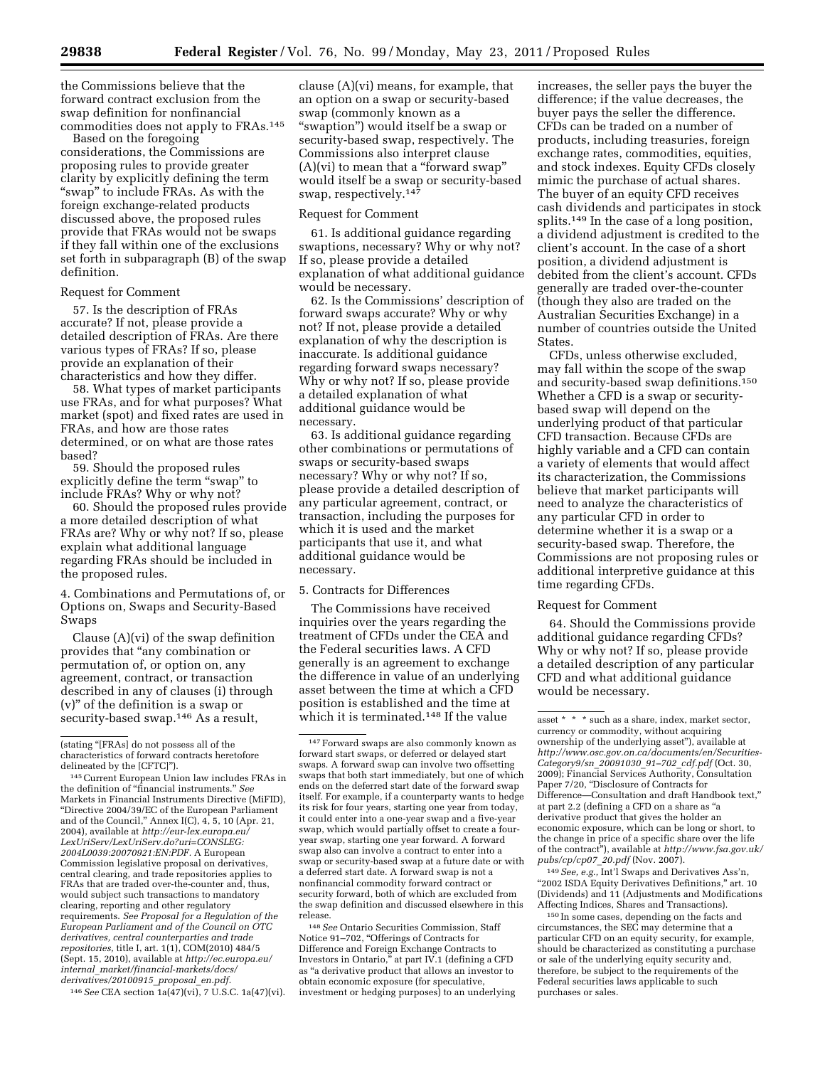the Commissions believe that the forward contract exclusion from the swap definition for nonfinancial commodities does not apply to FRAs.145

Based on the foregoing considerations, the Commissions are proposing rules to provide greater clarity by explicitly defining the term "swap" to include FRAs. As with the foreign exchange-related products discussed above, the proposed rules provide that FRAs would not be swaps if they fall within one of the exclusions set forth in subparagraph (B) of the swap definition.

#### Request for Comment

57. Is the description of FRAs accurate? If not, please provide a detailed description of FRAs. Are there various types of FRAs? If so, please provide an explanation of their characteristics and how they differ.

58. What types of market participants use FRAs, and for what purposes? What market (spot) and fixed rates are used in FRAs, and how are those rates determined, or on what are those rates based?

59. Should the proposed rules explicitly define the term "swap" to include FRAs? Why or why not?

60. Should the proposed rules provide a more detailed description of what FRAs are? Why or why not? If so, please explain what additional language regarding FRAs should be included in the proposed rules.

4. Combinations and Permutations of, or Options on, Swaps and Security-Based Swaps

Clause (A)(vi) of the swap definition provides that ''any combination or permutation of, or option on, any agreement, contract, or transaction described in any of clauses (i) through (v)'' of the definition is a swap or security-based swap.<sup>146</sup> As a result,

146*See* CEA section 1a(47)(vi), 7 U.S.C. 1a(47)(vi).

clause (A)(vi) means, for example, that an option on a swap or security-based swap (commonly known as a "swaption") would itself be a swap or security-based swap, respectively. The Commissions also interpret clause (A)(vi) to mean that a ''forward swap'' would itself be a swap or security-based swap, respectively.147

#### Request for Comment

61. Is additional guidance regarding swaptions, necessary? Why or why not? If so, please provide a detailed explanation of what additional guidance would be necessary.

62. Is the Commissions' description of forward swaps accurate? Why or why not? If not, please provide a detailed explanation of why the description is inaccurate. Is additional guidance regarding forward swaps necessary? Why or why not? If so, please provide a detailed explanation of what additional guidance would be necessary.

63. Is additional guidance regarding other combinations or permutations of swaps or security-based swaps necessary? Why or why not? If so, please provide a detailed description of any particular agreement, contract, or transaction, including the purposes for which it is used and the market participants that use it, and what additional guidance would be necessary.

# 5. Contracts for Differences

The Commissions have received inquiries over the years regarding the treatment of CFDs under the CEA and the Federal securities laws. A CFD generally is an agreement to exchange the difference in value of an underlying asset between the time at which a CFD position is established and the time at which it is terminated.<sup>148</sup> If the value

148*See* Ontario Securities Commission, Staff Notice 91-702, "Offerings of Contracts for Difference and Foreign Exchange Contracts to Investors in Ontario,'' at part IV.1 (defining a CFD as ''a derivative product that allows an investor to obtain economic exposure (for speculative, investment or hedging purposes) to an underlying

increases, the seller pays the buyer the difference; if the value decreases, the buyer pays the seller the difference. CFDs can be traded on a number of products, including treasuries, foreign exchange rates, commodities, equities, and stock indexes. Equity CFDs closely mimic the purchase of actual shares. The buyer of an equity CFD receives cash dividends and participates in stock splits.149 In the case of a long position, a dividend adjustment is credited to the client's account. In the case of a short position, a dividend adjustment is debited from the client's account. CFDs generally are traded over-the-counter (though they also are traded on the Australian Securities Exchange) in a number of countries outside the United States.

CFDs, unless otherwise excluded, may fall within the scope of the swap and security-based swap definitions.150 Whether a CFD is a swap or securitybased swap will depend on the underlying product of that particular CFD transaction. Because CFDs are highly variable and a CFD can contain a variety of elements that would affect its characterization, the Commissions believe that market participants will need to analyze the characteristics of any particular CFD in order to determine whether it is a swap or a security-based swap. Therefore, the Commissions are not proposing rules or additional interpretive guidance at this time regarding CFDs.

#### Request for Comment

64. Should the Commissions provide additional guidance regarding CFDs? Why or why not? If so, please provide a detailed description of any particular CFD and what additional guidance would be necessary.

149*See, e.g.,* Int'l Swaps and Derivatives Ass'n, ''2002 ISDA Equity Derivatives Definitions,'' art. 10 (Dividends) and 11 (Adjustments and Modifications Affecting Indices, Shares and Transactions).

<sup>(</sup>stating ''[FRAs] do not possess all of the characteristics of forward contracts heretofore delineated by the [CFTC]'').

<sup>145</sup>Current European Union law includes FRAs in the definition of ''financial instruments.'' *See*  Markets in Financial Instruments Directive (MiFID), ''Directive 2004/39/EC of the European Parliament and of the Council,'' Annex I(C), 4, 5, 10 (Apr. 21, 2004), available at *[http://e](http)ur-lex.europa.eu/ LexUriServ/LexUriServ.do?uri=CONSLEG: 2004L0039:20070921:EN:PDF.* A European Commission legislative proposal on derivatives, central clearing, and trade repositories applies to FRAs that are traded over-the-counter and, thus, would subject such transactions to mandatory clearing, reporting and other regulatory requirements. *See Proposal for a Regulation of the European Parliament and of the Council on OTC derivatives, central counterparties and trade repositories,* title I, art. 1(1), COM(2010) 484/5 (Sept. 15, 2010), available at *[http://ec.europa.eu/](http://ec.europa.eu/internal_market/financial-markets/docs/derivatives/20100915_proposal_en.pdf) internal*\_*[market/financial-markets/docs/](http://ec.europa.eu/internal_market/financial-markets/docs/derivatives/20100915_proposal_en.pdf) [derivatives/20100915](http://ec.europa.eu/internal_market/financial-markets/docs/derivatives/20100915_proposal_en.pdf)*\_*proposal*\_*en.pdf.* 

<sup>147</sup>Forward swaps are also commonly known as forward start swaps, or deferred or delayed start swaps. A forward swap can involve two offsetting swaps that both start immediately, but one of which ends on the deferred start date of the forward swap itself. For example, if a counterparty wants to hedge its risk for four years, starting one year from today, it could enter into a one-year swap and a five-year swap, which would partially offset to create a fouryear swap, starting one year forward. A forward swap also can involve a contract to enter into a swap or security-based swap at a future date or with a deferred start date. A forward swap is not a nonfinancial commodity forward contract or security forward, both of which are excluded from the swap definition and discussed elsewhere in this release.

asset \* \* \* such as a share, index, market sector, currency or commodity, without acquiring ownership of the underlying asset''), available at *[http://www.osc.gov.on.ca/documents/en/Securities-](http://www.osc.gov.on.ca/documents/en/Securities-Category9/sn_20091030_91-702_cdf.pdf)[Category9/sn](http://www.osc.gov.on.ca/documents/en/Securities-Category9/sn_20091030_91-702_cdf.pdf)*\_*20091030*\_*91–702*\_*cdf.pdf* (Oct. 30, 2009); Financial Services Authority, Consultation Paper 7/20, "Disclosure of Contracts for Difference—Consultation and draft Handbook text,'' at part 2.2 (defining a CFD on a share as ''a derivative product that gives the holder an economic exposure, which can be long or short, to the change in price of a specific share over the life of the contract''), available at *[http://www.fsa.gov.uk/](http://www.fsa.gov.uk/pubs/cp/cp07_20.pdf) [pubs/cp/cp07](http://www.fsa.gov.uk/pubs/cp/cp07_20.pdf)*\_*20.pdf* (Nov. 2007).

<sup>150</sup> In some cases, depending on the facts and circumstances, the SEC may determine that a particular CFD on an equity security, for example, should be characterized as constituting a purchase or sale of the underlying equity security and, therefore, be subject to the requirements of the Federal securities laws applicable to such purchases or sales.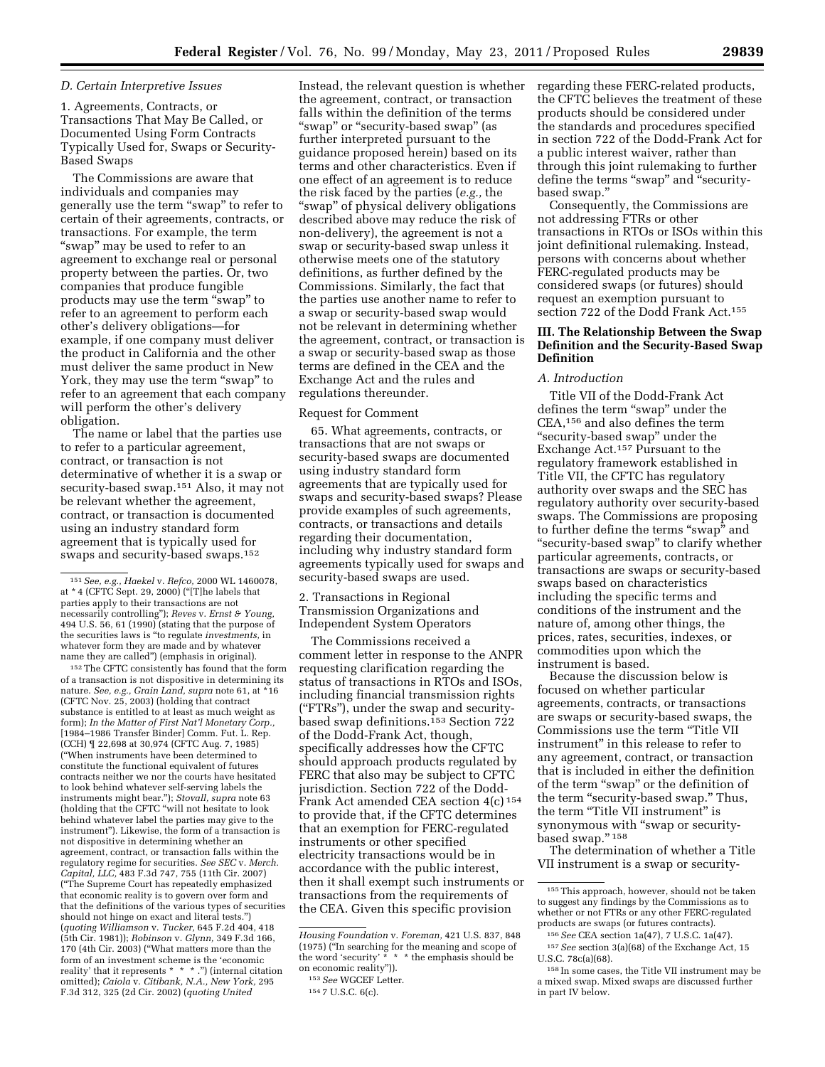### *D. Certain Interpretive Issues*

1. Agreements, Contracts, or Transactions That May Be Called, or Documented Using Form Contracts Typically Used for, Swaps or Security-Based Swaps

The Commissions are aware that individuals and companies may generally use the term ''swap'' to refer to certain of their agreements, contracts, or transactions. For example, the term "swap" may be used to refer to an agreement to exchange real or personal property between the parties. Or, two companies that produce fungible products may use the term ''swap'' to refer to an agreement to perform each other's delivery obligations—for example, if one company must deliver the product in California and the other must deliver the same product in New York, they may use the term "swap" to refer to an agreement that each company will perform the other's delivery obligation.

The name or label that the parties use to refer to a particular agreement, contract, or transaction is not determinative of whether it is a swap or security-based swap.151 Also, it may not be relevant whether the agreement, contract, or transaction is documented using an industry standard form agreement that is typically used for swaps and security-based swaps.152

152The CFTC consistently has found that the form of a transaction is not dispositive in determining its nature. *See, e.g., Grain Land, supra* note 61, at \*16 (CFTC Nov. 25, 2003) (holding that contract substance is entitled to at least as much weight as form); *In the Matter of First Nat'l Monetary Corp.,*  [1984–1986 Transfer Binder] Comm. Fut. L. Rep. (CCH) ¶ 22,698 at 30,974 (CFTC Aug. 7, 1985) (''When instruments have been determined to constitute the functional equivalent of futures contracts neither we nor the courts have hesitated to look behind whatever self-serving labels the instruments might bear.''); *Stovall, supra* note 63 (holding that the CFTC ''will not hesitate to look behind whatever label the parties may give to the instrument''). Likewise, the form of a transaction is not dispositive in determining whether an agreement, contract, or transaction falls within the regulatory regime for securities. *See SEC* v. *Merch. Capital, LLC,* 483 F.3d 747, 755 (11th Cir. 2007) (''The Supreme Court has repeatedly emphasized that economic reality is to govern over form and that the definitions of the various types of securities should not hinge on exact and literal tests.'') (*quoting Williamson* v. *Tucker,* 645 F.2d 404, 418 (5th Cir. 1981)); *Robinson* v. *Glynn,* 349 F.3d 166, 170 (4th Cir. 2003) (''What matters more than the form of an investment scheme is the 'economic reality' that it represents \* \* \* .'') (internal citation omitted); *Caiola* v. *Citibank, N.A., New York,* 295 F.3d 312, 325 (2d Cir. 2002) (*quoting United* 

Instead, the relevant question is whether the agreement, contract, or transaction falls within the definition of the terms "swap" or "security-based swap" (as further interpreted pursuant to the guidance proposed herein) based on its terms and other characteristics. Even if one effect of an agreement is to reduce the risk faced by the parties (*e.g.,* the ''swap'' of physical delivery obligations described above may reduce the risk of non-delivery), the agreement is not a swap or security-based swap unless it otherwise meets one of the statutory definitions, as further defined by the Commissions. Similarly, the fact that the parties use another name to refer to a swap or security-based swap would not be relevant in determining whether the agreement, contract, or transaction is a swap or security-based swap as those terms are defined in the CEA and the Exchange Act and the rules and regulations thereunder.

### Request for Comment

65. What agreements, contracts, or transactions that are not swaps or security-based swaps are documented using industry standard form agreements that are typically used for swaps and security-based swaps? Please provide examples of such agreements, contracts, or transactions and details regarding their documentation, including why industry standard form agreements typically used for swaps and security-based swaps are used.

2. Transactions in Regional Transmission Organizations and Independent System Operators

The Commissions received a comment letter in response to the ANPR requesting clarification regarding the status of transactions in RTOs and ISOs, including financial transmission rights (''FTRs''), under the swap and securitybased swap definitions.153 Section 722 of the Dodd-Frank Act, though, specifically addresses how the CFTC should approach products regulated by FERC that also may be subject to CFTC jurisdiction. Section 722 of the Dodd-Frank Act amended CEA section 4(c) 154 to provide that, if the CFTC determines that an exemption for FERC-regulated instruments or other specified electricity transactions would be in accordance with the public interest, then it shall exempt such instruments or transactions from the requirements of the CEA. Given this specific provision

regarding these FERC-related products, the CFTC believes the treatment of these products should be considered under the standards and procedures specified in section 722 of the Dodd-Frank Act for a public interest waiver, rather than through this joint rulemaking to further define the terms "swap" and "securitybased swap.''

Consequently, the Commissions are not addressing FTRs or other transactions in RTOs or ISOs within this joint definitional rulemaking. Instead, persons with concerns about whether FERC-regulated products may be considered swaps (or futures) should request an exemption pursuant to section 722 of the Dodd Frank Act.155

# **III. The Relationship Between the Swap Definition and the Security-Based Swap Definition**

#### *A. Introduction*

Title VII of the Dodd-Frank Act defines the term "swap" under the CEA,156 and also defines the term ''security-based swap'' under the Exchange Act.157 Pursuant to the regulatory framework established in Title VII, the CFTC has regulatory authority over swaps and the SEC has regulatory authority over security-based swaps. The Commissions are proposing to further define the terms "swap" and ''security-based swap'' to clarify whether particular agreements, contracts, or transactions are swaps or security-based swaps based on characteristics including the specific terms and conditions of the instrument and the nature of, among other things, the prices, rates, securities, indexes, or commodities upon which the instrument is based.

Because the discussion below is focused on whether particular agreements, contracts, or transactions are swaps or security-based swaps, the Commissions use the term ''Title VII instrument'' in this release to refer to any agreement, contract, or transaction that is included in either the definition of the term ''swap'' or the definition of the term "security-based swap." Thus, the term "Title VII instrument" is synonymous with ''swap or securitybased swap."<sup>158</sup>

The determination of whether a Title VII instrument is a swap or security-

<sup>151</sup>*See, e.g., Haekel* v. *Refco,* 2000 WL 1460078, at \* 4 (CFTC Sept. 29, 2000) (''[T]he labels that parties apply to their transactions are not necessarily controlling''); *Reves* v. *Ernst & Young,*  494 U.S. 56, 61 (1990) (stating that the purpose of the securities laws is ''to regulate *investments,* in whatever form they are made and by whatever name they are called'') (emphasis in original).

*Housing Foundation* v. *Foreman,* 421 U.S. 837, 848 (1975) (''In searching for the meaning and scope of the word 'security'  $* * *$  the emphasis should be on economic reality'')).

<sup>153</sup>*See* WGCEF Letter.

<sup>154</sup> 7 U.S.C. 6(c).

<sup>155</sup>This approach, however, should not be taken to suggest any findings by the Commissions as to whether or not FTRs or any other FERC-regulated products are swaps (or futures contracts).

<sup>156</sup>*See* CEA section 1a(47), 7 U.S.C. 1a(47).

<sup>157</sup>*See* section 3(a)(68) of the Exchange Act, 15 U.S.C. 78c(a)(68).

<sup>158</sup> In some cases, the Title VII instrument may be a mixed swap. Mixed swaps are discussed further in part IV below.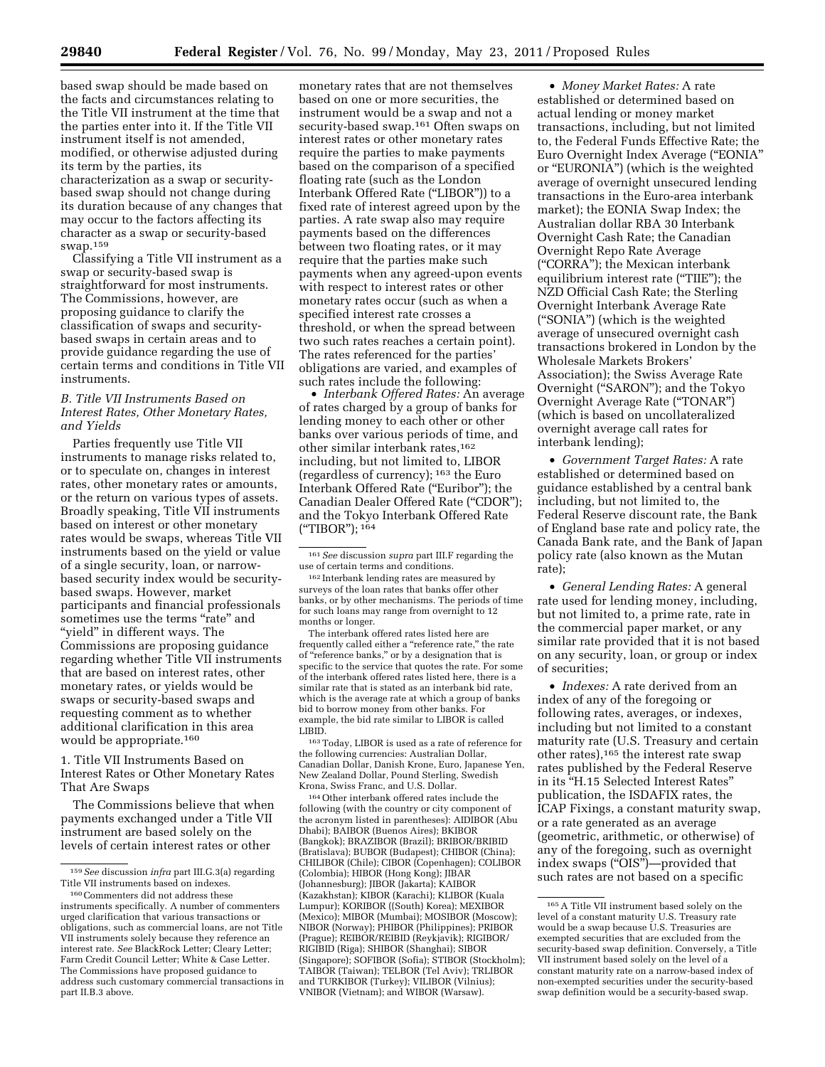based swap should be made based on the facts and circumstances relating to the Title VII instrument at the time that the parties enter into it. If the Title VII instrument itself is not amended, modified, or otherwise adjusted during its term by the parties, its characterization as a swap or securitybased swap should not change during its duration because of any changes that may occur to the factors affecting its character as a swap or security-based swap.159

Classifying a Title VII instrument as a swap or security-based swap is straightforward for most instruments. The Commissions, however, are proposing guidance to clarify the classification of swaps and securitybased swaps in certain areas and to provide guidance regarding the use of certain terms and conditions in Title VII instruments.

# *B. Title VII Instruments Based on Interest Rates, Other Monetary Rates, and Yields*

Parties frequently use Title VII instruments to manage risks related to, or to speculate on, changes in interest rates, other monetary rates or amounts, or the return on various types of assets. Broadly speaking, Title VII instruments based on interest or other monetary rates would be swaps, whereas Title VII instruments based on the yield or value of a single security, loan, or narrowbased security index would be securitybased swaps. However, market participants and financial professionals sometimes use the terms "rate" and "yield" in different ways. The Commissions are proposing guidance regarding whether Title VII instruments that are based on interest rates, other monetary rates, or yields would be swaps or security-based swaps and requesting comment as to whether additional clarification in this area would be appropriate.160

1. Title VII Instruments Based on Interest Rates or Other Monetary Rates That Are Swaps

The Commissions believe that when payments exchanged under a Title VII instrument are based solely on the levels of certain interest rates or other

monetary rates that are not themselves based on one or more securities, the instrument would be a swap and not a security-based swap.161 Often swaps on interest rates or other monetary rates require the parties to make payments based on the comparison of a specified floating rate (such as the London Interbank Offered Rate (''LIBOR'')) to a fixed rate of interest agreed upon by the parties. A rate swap also may require payments based on the differences between two floating rates, or it may require that the parties make such payments when any agreed-upon events with respect to interest rates or other monetary rates occur (such as when a specified interest rate crosses a threshold, or when the spread between two such rates reaches a certain point). The rates referenced for the parties' obligations are varied, and examples of such rates include the following:

• *Interbank Offered Rates:* An average of rates charged by a group of banks for lending money to each other or other banks over various periods of time, and other similar interbank rates,162 including, but not limited to, LIBOR (regardless of currency); 163 the Euro Interbank Offered Rate (''Euribor''); the Canadian Dealer Offered Rate (''CDOR''); and the Tokyo Interbank Offered Rate (''TIBOR''); 164

161*See* discussion *supra* part III.F regarding the use of certain terms and conditions.

162 Interbank lending rates are measured by surveys of the loan rates that banks offer other banks, or by other mechanisms. The periods of time for such loans may range from overnight to 12 months or longer.

The interbank offered rates listed here are frequently called either a ''reference rate,'' the rate of ''reference banks,'' or by a designation that is specific to the service that quotes the rate. For some of the interbank offered rates listed here, there is a similar rate that is stated as an interbank bid rate, which is the average rate at which a group of banks bid to borrow money from other banks. For example, the bid rate similar to LIBOR is called LIBID.

163Today, LIBOR is used as a rate of reference for the following currencies: Australian Dollar, Canadian Dollar, Danish Krone, Euro, Japanese Yen, New Zealand Dollar, Pound Sterling, Swedish Krona, Swiss Franc, and U.S. Dollar.

164Other interbank offered rates include the following (with the country or city component of the acronym listed in parentheses): AIDIBOR (Abu Dhabi); BAIBOR (Buenos Aires); BKIBOR (Bangkok); BRAZIBOR (Brazil); BRIBOR/BRIBID (Bratislava); BUBOR (Budapest); CHIBOR (China); CHILIBOR (Chile); CIBOR (Copenhagen); COLIBOR (Colombia); HIBOR (Hong Kong); JIBAR (Johannesburg); JIBOR (Jakarta); KAIBOR (Kazakhstan); KIBOR (Karachi); KLIBOR (Kuala Lumpur); KORIBOR ((South) Korea); MEXIBOR (Mexico); MIBOR (Mumbai); MOSIBOR (Moscow); NIBOR (Norway); PHIBOR (Philippines); PRIBOR (Prague); REIBOR/REIBID (Reykjavik); RIGIBOR/ RIGIBID (Riga); SHIBOR (Shanghai); SIBOR (Singapore); SOFIBOR (Sofia); STIBOR (Stockholm); TAIBOR (Taiwan); TELBOR (Tel Aviv); TRLIBOR and TURKIBOR (Turkey); VILIBOR (Vilnius); VNIBOR (Vietnam); and WIBOR (Warsaw).

• *Money Market Rates:* A rate established or determined based on actual lending or money market transactions, including, but not limited to, the Federal Funds Effective Rate; the Euro Overnight Index Average (''EONIA'' or ''EURONIA'') (which is the weighted average of overnight unsecured lending transactions in the Euro-area interbank market); the EONIA Swap Index; the Australian dollar RBA 30 Interbank Overnight Cash Rate; the Canadian Overnight Repo Rate Average (''CORRA''); the Mexican interbank equilibrium interest rate ("TIIE"); the NZD Official Cash Rate; the Sterling Overnight Interbank Average Rate (''SONIA'') (which is the weighted average of unsecured overnight cash transactions brokered in London by the Wholesale Markets Brokers' Association); the Swiss Average Rate Overnight (''SARON''); and the Tokyo Overnight Average Rate (''TONAR'') (which is based on uncollateralized overnight average call rates for interbank lending);

• *Government Target Rates:* A rate established or determined based on guidance established by a central bank including, but not limited to, the Federal Reserve discount rate, the Bank of England base rate and policy rate, the Canada Bank rate, and the Bank of Japan policy rate (also known as the Mutan rate);

• *General Lending Rates:* A general rate used for lending money, including, but not limited to, a prime rate, rate in the commercial paper market, or any similar rate provided that it is not based on any security, loan, or group or index of securities;

• *Indexes:* A rate derived from an index of any of the foregoing or following rates, averages, or indexes, including but not limited to a constant maturity rate (U.S. Treasury and certain other rates),165 the interest rate swap rates published by the Federal Reserve in its ''H.15 Selected Interest Rates'' publication, the ISDAFIX rates, the ICAP Fixings, a constant maturity swap, or a rate generated as an average (geometric, arithmetic, or otherwise) of any of the foregoing, such as overnight index swaps (''OIS'')—provided that such rates are not based on a specific

<sup>159</sup>*See* discussion *infra* part III.G.3(a) regarding Title VII instruments based on indexes.

<sup>160</sup>Commenters did not address these instruments specifically. A number of commenters urged clarification that various transactions or obligations, such as commercial loans, are not Title VII instruments solely because they reference an interest rate. *See* BlackRock Letter; Cleary Letter; Farm Credit Council Letter; White & Case Letter. The Commissions have proposed guidance to address such customary commercial transactions in part II.B.3 above.

<sup>165</sup>A Title VII instrument based solely on the level of a constant maturity U.S. Treasury rate would be a swap because U.S. Treasuries are exempted securities that are excluded from the security-based swap definition. Conversely, a Title VII instrument based solely on the level of a constant maturity rate on a narrow-based index of non-exempted securities under the security-based swap definition would be a security-based swap.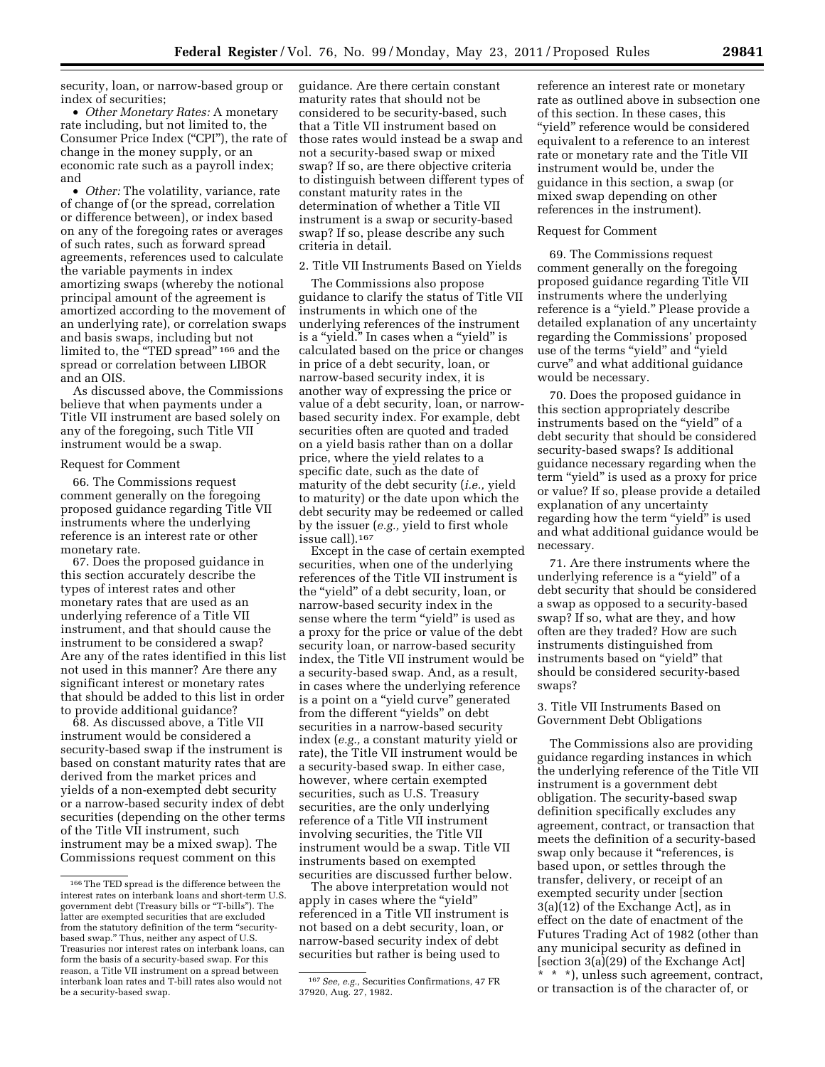security, loan, or narrow-based group or index of securities;

• *Other Monetary Rates:* A monetary rate including, but not limited to, the Consumer Price Index (''CPI''), the rate of change in the money supply, or an economic rate such as a payroll index; and

• *Other:* The volatility, variance, rate of change of (or the spread, correlation or difference between), or index based on any of the foregoing rates or averages of such rates, such as forward spread agreements, references used to calculate the variable payments in index amortizing swaps (whereby the notional principal amount of the agreement is amortized according to the movement of an underlying rate), or correlation swaps and basis swaps, including but not limited to, the "TED spread" <sup>166</sup> and the spread or correlation between LIBOR and an OIS.

As discussed above, the Commissions believe that when payments under a Title VII instrument are based solely on any of the foregoing, such Title VII instrument would be a swap.

# Request for Comment

66. The Commissions request comment generally on the foregoing proposed guidance regarding Title VII instruments where the underlying reference is an interest rate or other monetary rate.

67. Does the proposed guidance in this section accurately describe the types of interest rates and other monetary rates that are used as an underlying reference of a Title VII instrument, and that should cause the instrument to be considered a swap? Are any of the rates identified in this list not used in this manner? Are there any significant interest or monetary rates that should be added to this list in order to provide additional guidance?

68. As discussed above, a Title VII instrument would be considered a security-based swap if the instrument is based on constant maturity rates that are derived from the market prices and yields of a non-exempted debt security or a narrow-based security index of debt securities (depending on the other terms of the Title VII instrument, such instrument may be a mixed swap). The Commissions request comment on this

guidance. Are there certain constant maturity rates that should not be considered to be security-based, such that a Title VII instrument based on those rates would instead be a swap and not a security-based swap or mixed swap? If so, are there objective criteria to distinguish between different types of constant maturity rates in the determination of whether a Title VII instrument is a swap or security-based swap? If so, please describe any such criteria in detail.

#### 2. Title VII Instruments Based on Yields

The Commissions also propose guidance to clarify the status of Title VII instruments in which one of the underlying references of the instrument is a ''yield.'' In cases when a ''yield'' is calculated based on the price or changes in price of a debt security, loan, or narrow-based security index, it is another way of expressing the price or value of a debt security, loan, or narrowbased security index. For example, debt securities often are quoted and traded on a yield basis rather than on a dollar price, where the yield relates to a specific date, such as the date of maturity of the debt security (*i.e.,* yield to maturity) or the date upon which the debt security may be redeemed or called by the issuer (*e.g.,* yield to first whole issue call).167

Except in the case of certain exempted securities, when one of the underlying references of the Title VII instrument is the ''yield'' of a debt security, loan, or narrow-based security index in the sense where the term "yield" is used as a proxy for the price or value of the debt security loan, or narrow-based security index, the Title VII instrument would be a security-based swap. And, as a result, in cases where the underlying reference is a point on a ''yield curve'' generated from the different ''yields'' on debt securities in a narrow-based security index (*e.g.,* a constant maturity yield or rate), the Title VII instrument would be a security-based swap. In either case, however, where certain exempted securities, such as U.S. Treasury securities, are the only underlying reference of a Title VII instrument involving securities, the Title VII instrument would be a swap. Title VII instruments based on exempted securities are discussed further below.

The above interpretation would not apply in cases where the "yield" referenced in a Title VII instrument is not based on a debt security, loan, or narrow-based security index of debt securities but rather is being used to

reference an interest rate or monetary rate as outlined above in subsection one of this section. In these cases, this ''yield'' reference would be considered equivalent to a reference to an interest rate or monetary rate and the Title VII instrument would be, under the guidance in this section, a swap (or mixed swap depending on other references in the instrument).

#### Request for Comment

69. The Commissions request comment generally on the foregoing proposed guidance regarding Title VII instruments where the underlying reference is a ''yield.'' Please provide a detailed explanation of any uncertainty regarding the Commissions' proposed use of the terms "yield" and "yield curve'' and what additional guidance would be necessary.

70. Does the proposed guidance in this section appropriately describe instruments based on the "yield" of a debt security that should be considered security-based swaps? Is additional guidance necessary regarding when the term "yield" is used as a proxy for price or value? If so, please provide a detailed explanation of any uncertainty regarding how the term "yield" is used and what additional guidance would be necessary.

71. Are there instruments where the underlying reference is a "yield" of a debt security that should be considered a swap as opposed to a security-based swap? If so, what are they, and how often are they traded? How are such instruments distinguished from instruments based on ''yield'' that should be considered security-based swaps?

3. Title VII Instruments Based on Government Debt Obligations

The Commissions also are providing guidance regarding instances in which the underlying reference of the Title VII instrument is a government debt obligation. The security-based swap definition specifically excludes any agreement, contract, or transaction that meets the definition of a security-based swap only because it "references, is based upon, or settles through the transfer, delivery, or receipt of an exempted security under [section 3(a)(12) of the Exchange Act], as in effect on the date of enactment of the Futures Trading Act of 1982 (other than any municipal security as defined in [section 3(a)(29) of the Exchange Act] \* \* \*), unless such agreement, contract, or transaction is of the character of, or

<sup>166</sup>The TED spread is the difference between the interest rates on interbank loans and short-term U.S. government debt (Treasury bills or "T-bills"). The latter are exempted securities that are excluded from the statutory definition of the term "securitybased swap.'' Thus, neither any aspect of U.S. Treasuries nor interest rates on interbank loans, can form the basis of a security-based swap. For this reason, a Title VII instrument on a spread between interbank loan rates and T-bill rates also would not be a security-based swap.

<sup>167</sup>*See, e.g.,* Securities Confirmations, 47 FR 37920, Aug. 27, 1982.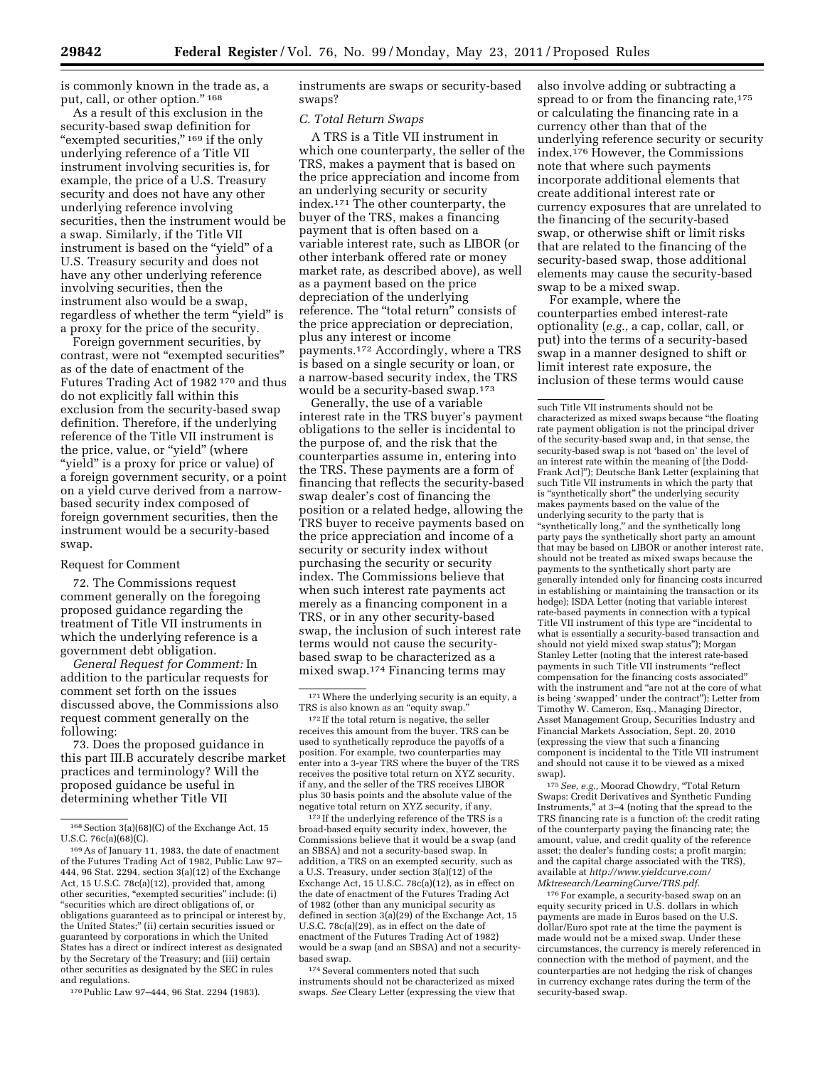is commonly known in the trade as, a put, call, or other option."<sup>168</sup>

As a result of this exclusion in the security-based swap definition for "exempted securities," 169 if the only underlying reference of a Title VII instrument involving securities is, for example, the price of a U.S. Treasury security and does not have any other underlying reference involving securities, then the instrument would be a swap. Similarly, if the Title VII instrument is based on the "yield" of a U.S. Treasury security and does not have any other underlying reference involving securities, then the instrument also would be a swap, regardless of whether the term "yield" is a proxy for the price of the security.

Foreign government securities, by contrast, were not "exempted securities" as of the date of enactment of the Futures Trading Act of 1982 170 and thus do not explicitly fall within this exclusion from the security-based swap definition. Therefore, if the underlying reference of the Title VII instrument is the price, value, or "yield" (where ''yield'' is a proxy for price or value) of a foreign government security, or a point on a yield curve derived from a narrowbased security index composed of foreign government securities, then the instrument would be a security-based swap.

#### Request for Comment

72. The Commissions request comment generally on the foregoing proposed guidance regarding the treatment of Title VII instruments in which the underlying reference is a government debt obligation.

*General Request for Comment:* In addition to the particular requests for comment set forth on the issues discussed above, the Commissions also request comment generally on the following:

73. Does the proposed guidance in this part III.B accurately describe market practices and terminology? Will the proposed guidance be useful in determining whether Title VII

170Public Law 97–444, 96 Stat. 2294 (1983).

instruments are swaps or security-based swaps?

### *C. Total Return Swaps*

A TRS is a Title VII instrument in which one counterparty, the seller of the TRS, makes a payment that is based on the price appreciation and income from an underlying security or security index.171 The other counterparty, the buyer of the TRS, makes a financing payment that is often based on a variable interest rate, such as LIBOR (or other interbank offered rate or money market rate, as described above), as well as a payment based on the price depreciation of the underlying reference. The "total return" consists of the price appreciation or depreciation, plus any interest or income payments.172 Accordingly, where a TRS is based on a single security or loan, or a narrow-based security index, the TRS would be a security-based swap.173

Generally, the use of a variable interest rate in the TRS buyer's payment obligations to the seller is incidental to the purpose of, and the risk that the counterparties assume in, entering into the TRS. These payments are a form of financing that reflects the security-based swap dealer's cost of financing the position or a related hedge, allowing the TRS buyer to receive payments based on the price appreciation and income of a security or security index without purchasing the security or security index. The Commissions believe that when such interest rate payments act merely as a financing component in a TRS, or in any other security-based swap, the inclusion of such interest rate terms would not cause the securitybased swap to be characterized as a mixed swap.174 Financing terms may

172 If the total return is negative, the seller receives this amount from the buyer. TRS can be used to synthetically reproduce the payoffs of a position. For example, two counterparties may enter into a 3-year TRS where the buyer of the TRS receives the positive total return on XYZ security, if any, and the seller of the TRS receives LIBOR plus 30 basis points and the absolute value of the negative total return on XYZ security, if any.

173 If the underlying reference of the TRS is a broad-based equity security index, however, the Commissions believe that it would be a swap (and an SBSA) and not a security-based swap. In addition, a TRS on an exempted security, such as a U.S. Treasury, under section 3(a)(12) of the Exchange Act, 15 U.S.C. 78c(a)(12), as in effect on the date of enactment of the Futures Trading Act of 1982 (other than any municipal security as defined in section 3(a)(29) of the Exchange Act, 15 U.S.C. 78c(a)(29), as in effect on the date of enactment of the Futures Trading Act of 1982) would be a swap (and an SBSA) and not a securitybased swap.

<sup>174</sup> Several commenters noted that such instruments should not be characterized as mixed swaps. *See* Cleary Letter (expressing the view that also involve adding or subtracting a spread to or from the financing rate,<sup>175</sup> or calculating the financing rate in a currency other than that of the underlying reference security or security index.176 However, the Commissions note that where such payments incorporate additional elements that create additional interest rate or currency exposures that are unrelated to the financing of the security-based swap, or otherwise shift or limit risks that are related to the financing of the security-based swap, those additional elements may cause the security-based swap to be a mixed swap.

For example, where the counterparties embed interest-rate optionality (*e.g.,* a cap, collar, call, or put) into the terms of a security-based swap in a manner designed to shift or limit interest rate exposure, the inclusion of these terms would cause

such Title VII instruments should not be characterized as mixed swaps because ''the floating rate payment obligation is not the principal driver of the security-based swap and, in that sense, the security-based swap is not 'based on' the level of an interest rate within the meaning of [the Dodd-Frank Act]''); Deutsche Bank Letter (explaining that such Title VII instruments in which the party that is "synthetically short" the underlying security makes payments based on the value of the underlying security to the party that is "synthetically long," and the synthetically long party pays the synthetically short party an amount that may be based on LIBOR or another interest rate, should not be treated as mixed swaps because the payments to the synthetically short party are generally intended only for financing costs incurred in establishing or maintaining the transaction or its hedge); ISDA Letter (noting that variable interest rate-based payments in connection with a typical Title VII instrument of this type are ''incidental to what is essentially a security-based transaction and should not yield mixed swap status''); Morgan Stanley Letter (noting that the interest rate-based payments in such Title VII instruments "reflect compensation for the financing costs associated'' with the instrument and "are not at the core of what is being 'swapped' under the contract''); Letter from Timothy W. Cameron, Esq., Managing Director, Asset Management Group, Securities Industry and Financial Markets Association, Sept. 20, 2010 (expressing the view that such a financing component is incidental to the Title VII instrument and should not cause it to be viewed as a mixed swap).

<sup>175</sup> See, e.g., Moorad Chowdry, "Total Return Swaps: Credit Derivatives and Synthetic Funding Instruments,'' at 3–4 (noting that the spread to the TRS financing rate is a function of: the credit rating of the counterparty paying the financing rate; the amount, value, and credit quality of the reference asset; the dealer's funding costs; a profit margin; and the capital charge associated with the TRS), available at *[http://www.yieldcurve.com/](http://www.yieldcurve.com/Mktresearch/LearningCurve/TRS.pdf)  [Mktresearch/LearningCurve/TRS.pdf.](http://www.yieldcurve.com/Mktresearch/LearningCurve/TRS.pdf)* 

176For example, a security-based swap on an equity security priced in U.S. dollars in which payments are made in Euros based on the U.S. dollar/Euro spot rate at the time the payment is made would not be a mixed swap. Under these circumstances, the currency is merely referenced in connection with the method of payment, and the counterparties are not hedging the risk of changes in currency exchange rates during the term of the security-based swap.

<sup>168</sup>Section 3(a)(68)(C) of the Exchange Act, 15 U.S.C. 76c(a)(68)(C).

<sup>169</sup>As of January 11, 1983, the date of enactment of the Futures Trading Act of 1982, Public Law 97– 444, 96 Stat. 2294, section 3(a)(12) of the Exchange Act, 15 U.S.C. 78c(a)(12), provided that, among other securities, "exempted securities" include: (i) ''securities which are direct obligations of, or obligations guaranteed as to principal or interest by, the United States;'' (ii) certain securities issued or guaranteed by corporations in which the United States has a direct or indirect interest as designated by the Secretary of the Treasury; and (iii) certain other securities as designated by the SEC in rules and regulations.

<sup>171</sup>Where the underlying security is an equity, a TRS is also known as an ''equity swap.''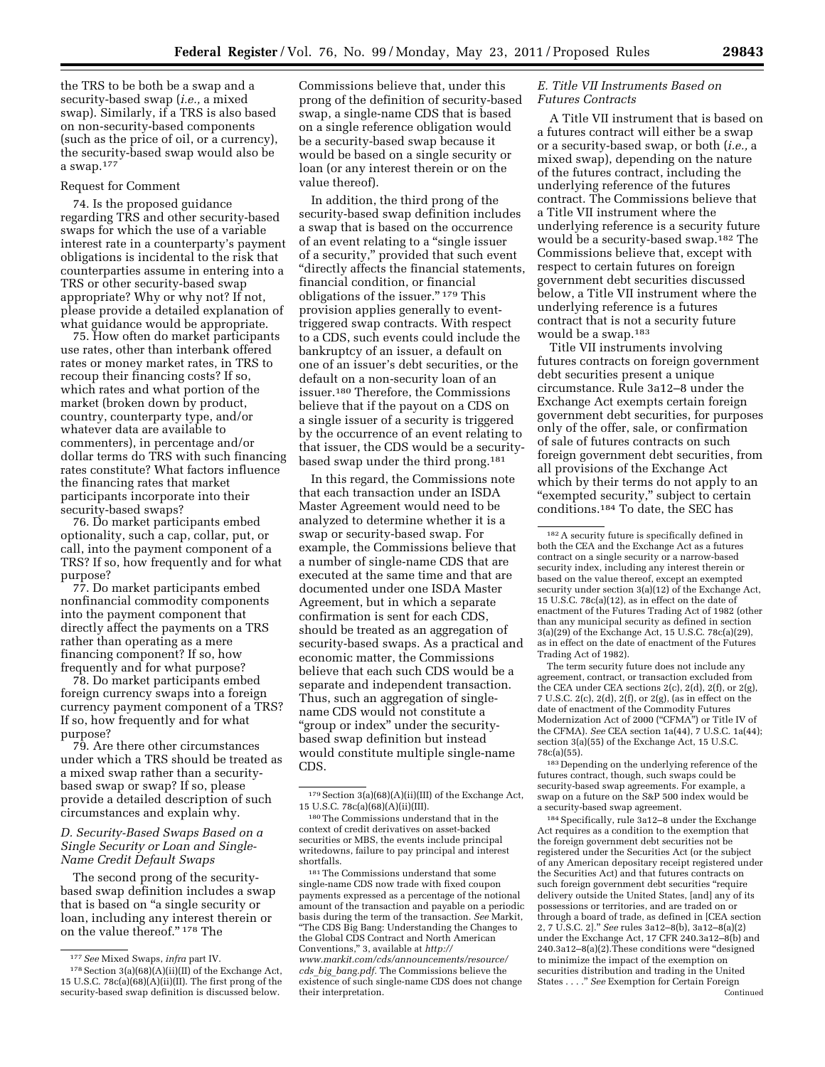the TRS to be both be a swap and a security-based swap (*i.e.,* a mixed swap). Similarly, if a TRS is also based on non-security-based components (such as the price of oil, or a currency), the security-based swap would also be a swap.177

# Request for Comment

74. Is the proposed guidance regarding TRS and other security-based swaps for which the use of a variable interest rate in a counterparty's payment obligations is incidental to the risk that counterparties assume in entering into a TRS or other security-based swap appropriate? Why or why not? If not, please provide a detailed explanation of what guidance would be appropriate.

75. How often do market participants use rates, other than interbank offered rates or money market rates, in TRS to recoup their financing costs? If so, which rates and what portion of the market (broken down by product, country, counterparty type, and/or whatever data are available to commenters), in percentage and/or dollar terms do TRS with such financing rates constitute? What factors influence the financing rates that market participants incorporate into their security-based swaps?

76. Do market participants embed optionality, such a cap, collar, put, or call, into the payment component of a TRS? If so, how frequently and for what purpose?

77. Do market participants embed nonfinancial commodity components into the payment component that directly affect the payments on a TRS rather than operating as a mere financing component? If so, how frequently and for what purpose?

78. Do market participants embed foreign currency swaps into a foreign currency payment component of a TRS? If so, how frequently and for what purpose?

79. Are there other circumstances under which a TRS should be treated as a mixed swap rather than a securitybased swap or swap? If so, please provide a detailed description of such circumstances and explain why.

# *D. Security-Based Swaps Based on a Single Security or Loan and Single-Name Credit Default Swaps*

The second prong of the securitybased swap definition includes a swap that is based on ''a single security or loan, including any interest therein or on the value thereof."<sup>178</sup> The

Commissions believe that, under this prong of the definition of security-based swap, a single-name CDS that is based on a single reference obligation would be a security-based swap because it would be based on a single security or loan (or any interest therein or on the value thereof).

In addition, the third prong of the security-based swap definition includes a swap that is based on the occurrence of an event relating to a ''single issuer of a security,'' provided that such event ''directly affects the financial statements, financial condition, or financial obligations of the issuer.'' 179 This provision applies generally to eventtriggered swap contracts. With respect to a CDS, such events could include the bankruptcy of an issuer, a default on one of an issuer's debt securities, or the default on a non-security loan of an issuer.180 Therefore, the Commissions believe that if the payout on a CDS on a single issuer of a security is triggered by the occurrence of an event relating to that issuer, the CDS would be a securitybased swap under the third prong.181

In this regard, the Commissions note that each transaction under an ISDA Master Agreement would need to be analyzed to determine whether it is a swap or security-based swap. For example, the Commissions believe that a number of single-name CDS that are executed at the same time and that are documented under one ISDA Master Agreement, but in which a separate confirmation is sent for each CDS, should be treated as an aggregation of security-based swaps. As a practical and economic matter, the Commissions believe that each such CDS would be a separate and independent transaction. Thus, such an aggregation of singlename CDS would not constitute a ''group or index'' under the securitybased swap definition but instead would constitute multiple single-name CDS.

# *E. Title VII Instruments Based on Futures Contracts*

A Title VII instrument that is based on a futures contract will either be a swap or a security-based swap, or both (*i.e.,* a mixed swap), depending on the nature of the futures contract, including the underlying reference of the futures contract. The Commissions believe that a Title VII instrument where the underlying reference is a security future would be a security-based swap.182 The Commissions believe that, except with respect to certain futures on foreign government debt securities discussed below, a Title VII instrument where the underlying reference is a futures contract that is not a security future would be a swap.183

Title VII instruments involving futures contracts on foreign government debt securities present a unique circumstance. Rule 3a12–8 under the Exchange Act exempts certain foreign government debt securities, for purposes only of the offer, sale, or confirmation of sale of futures contracts on such foreign government debt securities, from all provisions of the Exchange Act which by their terms do not apply to an "exempted security," subject to certain conditions.184 To date, the SEC has

The term security future does not include any agreement, contract, or transaction excluded from the CEA under CEA sections 2(c), 2(d), 2(f), or 2(g), 7 U.S.C. 2(c), 2(d), 2(f), or 2(g), (as in effect on the date of enactment of the Commodity Futures Modernization Act of 2000 (''CFMA'') or Title IV of the CFMA). *See* CEA section 1a(44), 7 U.S.C. 1a(44); section 3(a)(55) of the Exchange Act, 15 U.S.C. 78c(a)(55).

183 Depending on the underlying reference of the futures contract, though, such swaps could be security-based swap agreements. For example, a swap on a future on the S&P 500 index would be a security-based swap agreement.

184Specifically, rule 3a12–8 under the Exchange Act requires as a condition to the exemption that the foreign government debt securities not be registered under the Securities Act (or the subject of any American depositary receipt registered under the Securities Act) and that futures contracts on such foreign government debt securities "require delivery outside the United States, [and] any of its possessions or territories, and are traded on or through a board of trade, as defined in [CEA section 2, 7 U.S.C. 2].'' *See* rules 3a12–8(b), 3a12–8(a)(2) under the Exchange Act, 17 CFR 240.3a12–8(b) and 240.3a12–8(a)(2).These conditions were ''designed to minimize the impact of the exemption on securities distribution and trading in the United States . . . .'' *See* Exemption for Certain Foreign Continued

<sup>177</sup>*See* Mixed Swaps, *infra* part IV.

 $178$  Section 3(a)(68)(A)(ii)(II) of the Exchange Act, 15 U.S.C. 78c(a)(68)(A)(ii)(II). The first prong of the security-based swap definition is discussed below.

 $^{179}\rm{Section}$  3(a)(68)(A)(ii)(III) of the Exchange Act, 15 U.S.C. 78c(a)(68)(A)(ii)(III).

<sup>180</sup>The Commissions understand that in the context of credit derivatives on asset-backed securities or MBS, the events include principal writedowns, failure to pay principal and interest shortfalls.

<sup>181</sup>The Commissions understand that some single-name CDS now trade with fixed coupon payments expressed as a percentage of the notional amount of the transaction and payable on a periodic basis during the term of the transaction. *See* Markit, ''The CDS Big Bang: Understanding the Changes to the Global CDS Contract and North American Conventions,'' 3, available at *[http://](http://www.markit.com/cds/announcements/resource/cds_big_bang.pdf) [www.markit.com/cds/announcements/resource/](http://www.markit.com/cds/announcements/resource/cds_big_bang.pdf) cds*\_*big*\_*[bang.pdf.](http://www.markit.com/cds/announcements/resource/cds_big_bang.pdf)* The Commissions believe the existence of such single-name CDS does not change their interpretation.

<sup>182</sup>A security future is specifically defined in both the CEA and the Exchange Act as a futures contract on a single security or a narrow-based security index, including any interest therein or based on the value thereof, except an exempted security under section 3(a)(12) of the Exchange Act, 15 U.S.C. 78c(a)(12), as in effect on the date of enactment of the Futures Trading Act of 1982 (other than any municipal security as defined in section 3(a)(29) of the Exchange Act, 15 U.S.C. 78c(a)(29), as in effect on the date of enactment of the Futures Trading Act of 1982).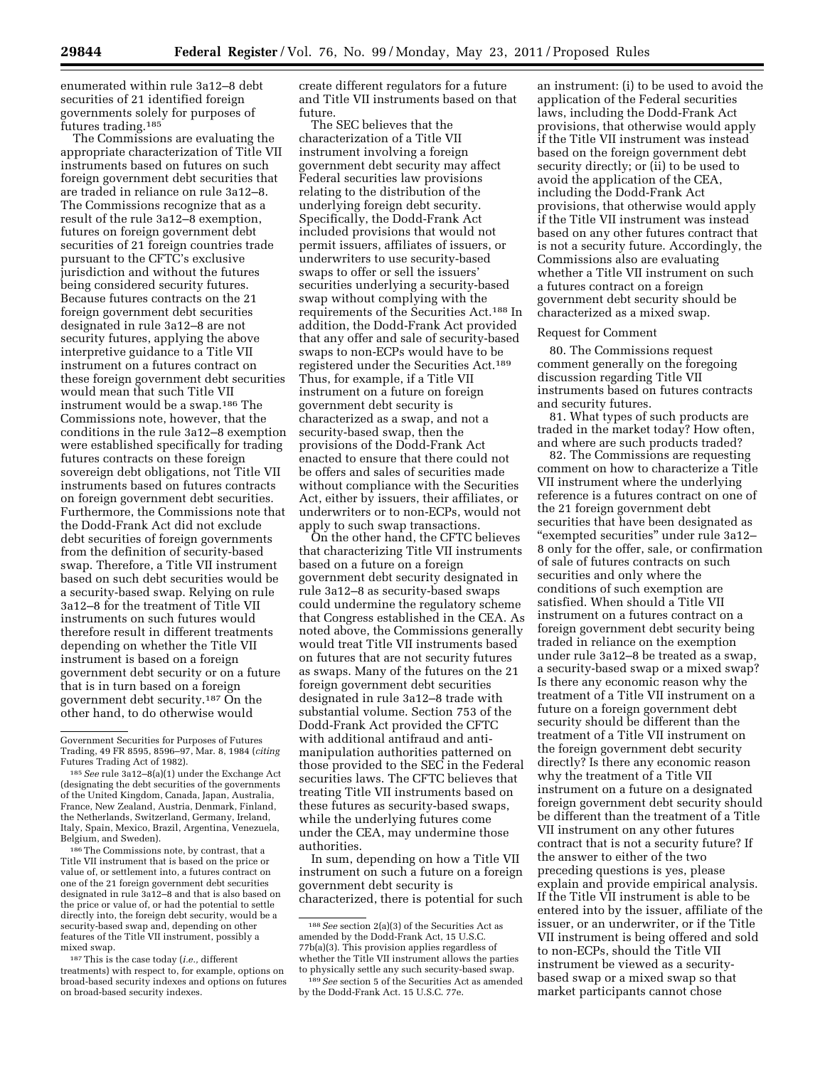enumerated within rule 3a12–8 debt securities of 21 identified foreign governments solely for purposes of futures trading.185

The Commissions are evaluating the appropriate characterization of Title VII instruments based on futures on such foreign government debt securities that are traded in reliance on rule 3a12–8. The Commissions recognize that as a result of the rule 3a12–8 exemption, futures on foreign government debt securities of 21 foreign countries trade pursuant to the CFTC's exclusive jurisdiction and without the futures being considered security futures. Because futures contracts on the 21 foreign government debt securities designated in rule 3a12–8 are not security futures, applying the above interpretive guidance to a Title VII instrument on a futures contract on these foreign government debt securities would mean that such Title VII instrument would be a swap.186 The Commissions note, however, that the conditions in the rule 3a12–8 exemption were established specifically for trading futures contracts on these foreign sovereign debt obligations, not Title VII instruments based on futures contracts on foreign government debt securities. Furthermore, the Commissions note that the Dodd-Frank Act did not exclude debt securities of foreign governments from the definition of security-based swap. Therefore, a Title VII instrument based on such debt securities would be a security-based swap. Relying on rule 3a12–8 for the treatment of Title VII instruments on such futures would therefore result in different treatments depending on whether the Title VII instrument is based on a foreign government debt security or on a future that is in turn based on a foreign government debt security.187 On the other hand, to do otherwise would

<sup>186</sup>The Commissions note, by contrast, that a Title VII instrument that is based on the price or value of, or settlement into, a futures contract on one of the 21 foreign government debt securities designated in rule 3a12–8 and that is also based on the price or value of, or had the potential to settle directly into, the foreign debt security, would be a security-based swap and, depending on other features of the Title VII instrument, possibly a mixed swap.

187This is the case today (*i.e.,* different treatments) with respect to, for example, options on broad-based security indexes and options on futures on broad-based security indexes.

create different regulators for a future and Title VII instruments based on that future.

The SEC believes that the characterization of a Title VII instrument involving a foreign government debt security may affect Federal securities law provisions relating to the distribution of the underlying foreign debt security. Specifically, the Dodd-Frank Act included provisions that would not permit issuers, affiliates of issuers, or underwriters to use security-based swaps to offer or sell the issuers' securities underlying a security-based swap without complying with the requirements of the Securities Act.188 In addition, the Dodd-Frank Act provided that any offer and sale of security-based swaps to non-ECPs would have to be registered under the Securities Act.189 Thus, for example, if a Title VII instrument on a future on foreign government debt security is characterized as a swap, and not a security-based swap, then the provisions of the Dodd-Frank Act enacted to ensure that there could not be offers and sales of securities made without compliance with the Securities Act, either by issuers, their affiliates, or underwriters or to non-ECPs, would not apply to such swap transactions.

On the other hand, the CFTC believes that characterizing Title VII instruments based on a future on a foreign government debt security designated in rule 3a12–8 as security-based swaps could undermine the regulatory scheme that Congress established in the CEA. As noted above, the Commissions generally would treat Title VII instruments based on futures that are not security futures as swaps. Many of the futures on the 21 foreign government debt securities designated in rule 3a12–8 trade with substantial volume. Section 753 of the Dodd-Frank Act provided the CFTC with additional antifraud and antimanipulation authorities patterned on those provided to the SEC in the Federal securities laws. The CFTC believes that treating Title VII instruments based on these futures as security-based swaps, while the underlying futures come under the CEA, may undermine those authorities.

In sum, depending on how a Title VII instrument on such a future on a foreign government debt security is characterized, there is potential for such

an instrument: (i) to be used to avoid the application of the Federal securities laws, including the Dodd-Frank Act provisions, that otherwise would apply if the Title VII instrument was instead based on the foreign government debt security directly; or (ii) to be used to avoid the application of the CEA, including the Dodd-Frank Act provisions, that otherwise would apply if the Title VII instrument was instead based on any other futures contract that is not a security future. Accordingly, the Commissions also are evaluating whether a Title VII instrument on such a futures contract on a foreign government debt security should be characterized as a mixed swap.

### Request for Comment

80. The Commissions request comment generally on the foregoing discussion regarding Title VII instruments based on futures contracts and security futures.

81. What types of such products are traded in the market today? How often, and where are such products traded?

82. The Commissions are requesting comment on how to characterize a Title VII instrument where the underlying reference is a futures contract on one of the 21 foreign government debt securities that have been designated as ''exempted securities'' under rule 3a12– 8 only for the offer, sale, or confirmation of sale of futures contracts on such securities and only where the conditions of such exemption are satisfied. When should a Title VII instrument on a futures contract on a foreign government debt security being traded in reliance on the exemption under rule 3a12–8 be treated as a swap, a security-based swap or a mixed swap? Is there any economic reason why the treatment of a Title VII instrument on a future on a foreign government debt security should be different than the treatment of a Title VII instrument on the foreign government debt security directly? Is there any economic reason why the treatment of a Title VII instrument on a future on a designated foreign government debt security should be different than the treatment of a Title VII instrument on any other futures contract that is not a security future? If the answer to either of the two preceding questions is yes, please explain and provide empirical analysis. If the Title VII instrument is able to be entered into by the issuer, affiliate of the issuer, or an underwriter, or if the Title VII instrument is being offered and sold to non-ECPs, should the Title VII instrument be viewed as a securitybased swap or a mixed swap so that market participants cannot chose

Government Securities for Purposes of Futures Trading, 49 FR 8595, 8596–97, Mar. 8, 1984 (*citing*  Futures Trading Act of 1982).

<sup>185</sup>*See* rule 3a12–8(a)(1) under the Exchange Act (designating the debt securities of the governments of the United Kingdom, Canada, Japan, Australia, France, New Zealand, Austria, Denmark, Finland, the Netherlands, Switzerland, Germany, Ireland, Italy, Spain, Mexico, Brazil, Argentina, Venezuela, Belgium, and Sweden).

<sup>188</sup>*See* section 2(a)(3) of the Securities Act as amended by the Dodd-Frank Act, 15 U.S.C. 77b(a)(3). This provision applies regardless of whether the Title VII instrument allows the parties to physically settle any such security-based swap.

<sup>189</sup>*See* section 5 of the Securities Act as amended by the Dodd-Frank Act. 15 U.S.C. 77e.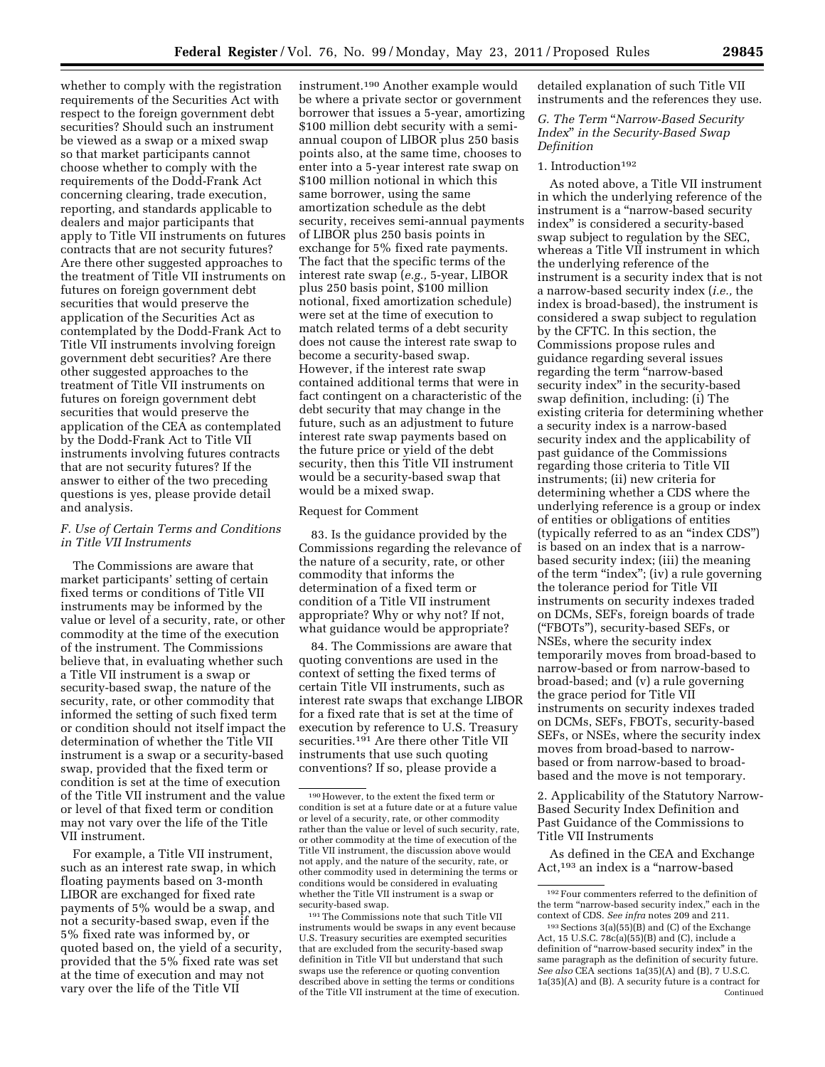whether to comply with the registration requirements of the Securities Act with respect to the foreign government debt securities? Should such an instrument be viewed as a swap or a mixed swap so that market participants cannot choose whether to comply with the requirements of the Dodd-Frank Act concerning clearing, trade execution, reporting, and standards applicable to dealers and major participants that apply to Title VII instruments on futures contracts that are not security futures? Are there other suggested approaches to the treatment of Title VII instruments on futures on foreign government debt securities that would preserve the application of the Securities Act as contemplated by the Dodd-Frank Act to Title VII instruments involving foreign government debt securities? Are there other suggested approaches to the treatment of Title VII instruments on futures on foreign government debt securities that would preserve the application of the CEA as contemplated by the Dodd-Frank Act to Title VII instruments involving futures contracts that are not security futures? If the answer to either of the two preceding questions is yes, please provide detail and analysis.

# *F. Use of Certain Terms and Conditions in Title VII Instruments*

The Commissions are aware that market participants' setting of certain fixed terms or conditions of Title VII instruments may be informed by the value or level of a security, rate, or other commodity at the time of the execution of the instrument. The Commissions believe that, in evaluating whether such a Title VII instrument is a swap or security-based swap, the nature of the security, rate, or other commodity that informed the setting of such fixed term or condition should not itself impact the determination of whether the Title VII instrument is a swap or a security-based swap, provided that the fixed term or condition is set at the time of execution of the Title VII instrument and the value or level of that fixed term or condition may not vary over the life of the Title VII instrument.

For example, a Title VII instrument, such as an interest rate swap, in which floating payments based on 3-month LIBOR are exchanged for fixed rate payments of 5% would be a swap, and not a security-based swap, even if the 5% fixed rate was informed by, or quoted based on, the yield of a security, provided that the 5% fixed rate was set at the time of execution and may not vary over the life of the Title VII

instrument.190 Another example would be where a private sector or government borrower that issues a 5-year, amortizing \$100 million debt security with a semiannual coupon of LIBOR plus 250 basis points also, at the same time, chooses to enter into a 5-year interest rate swap on \$100 million notional in which this same borrower, using the same amortization schedule as the debt security, receives semi-annual payments of LIBOR plus 250 basis points in exchange for 5% fixed rate payments. The fact that the specific terms of the interest rate swap (*e.g.,* 5-year, LIBOR plus 250 basis point, \$100 million notional, fixed amortization schedule) were set at the time of execution to match related terms of a debt security does not cause the interest rate swap to become a security-based swap. However, if the interest rate swap contained additional terms that were in fact contingent on a characteristic of the debt security that may change in the future, such as an adjustment to future interest rate swap payments based on the future price or yield of the debt security, then this Title VII instrument would be a security-based swap that would be a mixed swap.

### Request for Comment

83. Is the guidance provided by the Commissions regarding the relevance of the nature of a security, rate, or other commodity that informs the determination of a fixed term or condition of a Title VII instrument appropriate? Why or why not? If not, what guidance would be appropriate?

84. The Commissions are aware that quoting conventions are used in the context of setting the fixed terms of certain Title VII instruments, such as interest rate swaps that exchange LIBOR for a fixed rate that is set at the time of execution by reference to U.S. Treasury securities.<sup>191</sup> Are there other Title VII instruments that use such quoting conventions? If so, please provide a

 $^{\rm 191}\rm{The~Commissions}$  note that such Title VII instruments would be swaps in any event because U.S. Treasury securities are exempted securities that are excluded from the security-based swap definition in Title VII but understand that such swaps use the reference or quoting convention described above in setting the terms or conditions of the Title VII instrument at the time of execution.

detailed explanation of such Title VII instruments and the references they use.

# *G. The Term* ''*Narrow-Based Security Index*'' *in the Security-Based Swap Definition*

# 1. Introduction<sup>192</sup>

As noted above, a Title VII instrument in which the underlying reference of the instrument is a "narrow-based security index'' is considered a security-based swap subject to regulation by the SEC, whereas a Title VII instrument in which the underlying reference of the instrument is a security index that is not a narrow-based security index (*i.e.,* the index is broad-based), the instrument is considered a swap subject to regulation by the CFTC. In this section, the Commissions propose rules and guidance regarding several issues regarding the term "narrow-based" security index'' in the security-based swap definition, including: (i) The existing criteria for determining whether a security index is a narrow-based security index and the applicability of past guidance of the Commissions regarding those criteria to Title VII instruments; (ii) new criteria for determining whether a CDS where the underlying reference is a group or index of entities or obligations of entities (typically referred to as an ''index CDS'') is based on an index that is a narrowbased security index; (iii) the meaning of the term ''index''; (iv) a rule governing the tolerance period for Title VII instruments on security indexes traded on DCMs, SEFs, foreign boards of trade (''FBOTs''), security-based SEFs, or NSEs, where the security index temporarily moves from broad-based to narrow-based or from narrow-based to broad-based; and (v) a rule governing the grace period for Title VII instruments on security indexes traded on DCMs, SEFs, FBOTs, security-based SEFs, or NSEs, where the security index moves from broad-based to narrowbased or from narrow-based to broadbased and the move is not temporary.

2. Applicability of the Statutory Narrow-Based Security Index Definition and Past Guidance of the Commissions to Title VII Instruments

As defined in the CEA and Exchange Act,<sup>193</sup> an index is a "narrow-based

<sup>190</sup>However, to the extent the fixed term or condition is set at a future date or at a future value or level of a security, rate, or other commodity rather than the value or level of such security, rate, or other commodity at the time of execution of the Title VII instrument, the discussion above would not apply, and the nature of the security, rate, or other commodity used in determining the terms or conditions would be considered in evaluating whether the Title VII instrument is a swap or security-based swap.

<sup>192</sup>Four commenters referred to the definition of the term "narrow-based security index," each in the context of CDS. *See infra* notes 209 and 211.

<sup>193</sup>Sections 3(a)(55)(B) and (C) of the Exchange Act, 15 U.S.C. 78c(a)(55)(B) and (C), include a definition of ''narrow-based security index'' in the same paragraph as the definition of security future. *See also* CEA sections 1a(35)(A) and (B), 7 U.S.C. 1a(35)(A) and (B). A security future is a contract for Continued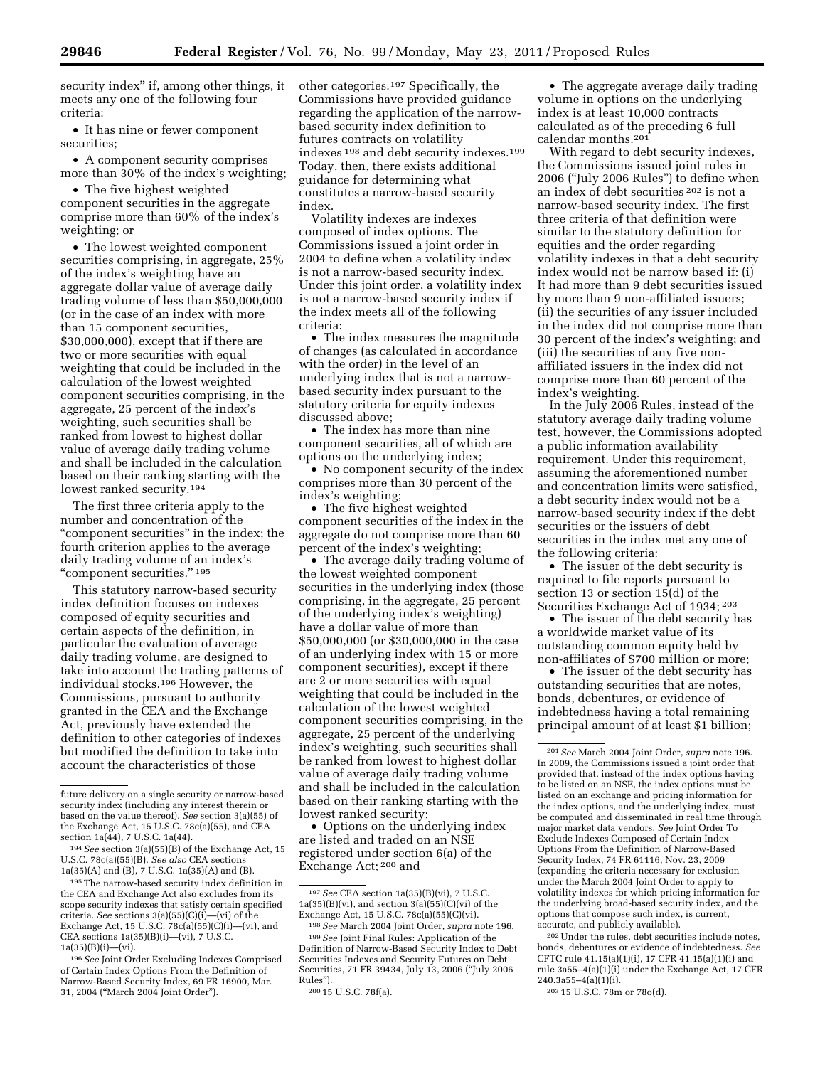security index'' if, among other things, it meets any one of the following four criteria:

• It has nine or fewer component securities;

• A component security comprises more than 30% of the index's weighting;

• The five highest weighted component securities in the aggregate comprise more than 60% of the index's weighting; or

• The lowest weighted component securities comprising, in aggregate, 25% of the index's weighting have an aggregate dollar value of average daily trading volume of less than \$50,000,000 (or in the case of an index with more than 15 component securities, \$30,000,000), except that if there are two or more securities with equal weighting that could be included in the calculation of the lowest weighted component securities comprising, in the aggregate, 25 percent of the index's weighting, such securities shall be ranked from lowest to highest dollar value of average daily trading volume and shall be included in the calculation based on their ranking starting with the lowest ranked security.194

The first three criteria apply to the number and concentration of the "component securities" in the index; the fourth criterion applies to the average daily trading volume of an index's "component securities." 195

This statutory narrow-based security index definition focuses on indexes composed of equity securities and certain aspects of the definition, in particular the evaluation of average daily trading volume, are designed to take into account the trading patterns of individual stocks.196 However, the Commissions, pursuant to authority granted in the CEA and the Exchange Act, previously have extended the definition to other categories of indexes but modified the definition to take into account the characteristics of those

other categories.197 Specifically, the Commissions have provided guidance regarding the application of the narrowbased security index definition to futures contracts on volatility indexes 198 and debt security indexes.199 Today, then, there exists additional guidance for determining what constitutes a narrow-based security index.

Volatility indexes are indexes composed of index options. The Commissions issued a joint order in 2004 to define when a volatility index is not a narrow-based security index. Under this joint order, a volatility index is not a narrow-based security index if the index meets all of the following criteria:

• The index measures the magnitude of changes (as calculated in accordance with the order) in the level of an underlying index that is not a narrowbased security index pursuant to the statutory criteria for equity indexes discussed above;

• The index has more than nine component securities, all of which are options on the underlying index;

• No component security of the index comprises more than 30 percent of the index's weighting;

• The five highest weighted component securities of the index in the aggregate do not comprise more than 60 percent of the index's weighting;

• The average daily trading volume of the lowest weighted component securities in the underlying index (those comprising, in the aggregate, 25 percent of the underlying index's weighting) have a dollar value of more than \$50,000,000 (or \$30,000,000 in the case of an underlying index with 15 or more component securities), except if there are 2 or more securities with equal weighting that could be included in the calculation of the lowest weighted component securities comprising, in the aggregate, 25 percent of the underlying index's weighting, such securities shall be ranked from lowest to highest dollar value of average daily trading volume and shall be included in the calculation based on their ranking starting with the lowest ranked security;

• Options on the underlying index are listed and traded on an NSE registered under section 6(a) of the Exchange Act; 200 and

• The aggregate average daily trading volume in options on the underlying index is at least 10,000 contracts calculated as of the preceding 6 full calendar months.201

With regard to debt security indexes, the Commissions issued joint rules in 2006 (''July 2006 Rules'') to define when an index of debt securities 202 is not a narrow-based security index. The first three criteria of that definition were similar to the statutory definition for equities and the order regarding volatility indexes in that a debt security index would not be narrow based if: (i) It had more than 9 debt securities issued by more than 9 non-affiliated issuers; (ii) the securities of any issuer included in the index did not comprise more than 30 percent of the index's weighting; and (iii) the securities of any five nonaffiliated issuers in the index did not comprise more than 60 percent of the index's weighting.

In the July 2006 Rules, instead of the statutory average daily trading volume test, however, the Commissions adopted a public information availability requirement. Under this requirement, assuming the aforementioned number and concentration limits were satisfied, a debt security index would not be a narrow-based security index if the debt securities or the issuers of debt securities in the index met any one of the following criteria:

• The issuer of the debt security is required to file reports pursuant to section 13 or section 15(d) of the Securities Exchange Act of 1934; 203

• The issuer of the debt security has a worldwide market value of its outstanding common equity held by non-affiliates of \$700 million or more;

• The issuer of the debt security has outstanding securities that are notes, bonds, debentures, or evidence of indebtedness having a total remaining principal amount of at least \$1 billion;

 $^{\rm 202}\!\,$  Under the rules, debt securities include notes, bonds, debentures or evidence of indebtedness. *See*  CFTC rule 41.15(a)(1)(i), 17 CFR 41.15(a)(1)(i) and rule 3a55–4(a)(1)(i) under the Exchange Act, 17 CFR  $240.3a55 - 4(a)(1)(i)$ .

203 15 U.S.C. 78m or 78o(d).

future delivery on a single security or narrow-based security index (including any interest therein or based on the value thereof). *See* section 3(a)(55) of the Exchange Act, 15 U.S.C. 78c(a)(55), and CEA section 1a(44), 7 U.S.C. 1a(44).

<sup>194</sup>*See* section 3(a)(55)(B) of the Exchange Act, 15 U.S.C. 78c(a)(55)(B). *See also* CEA sections 1a(35)(A) and (B), 7 U.S.C. 1a(35)(A) and (B).

<sup>195</sup>The narrow-based security index definition in the CEA and Exchange Act also excludes from its scope security indexes that satisfy certain specified criteria. *See* sections 3(a)(55)(C)(i)—(vi) of the Exchange Act, 15 U.S.C. 78c(a)(55)(C)(i)—(vi), and CEA sections  $1a(35)(B)(i)$ —(vi), 7 U.S.C.  $1a(35)(B)(i)$ —(vi).

<sup>196</sup>*See* Joint Order Excluding Indexes Comprised of Certain Index Options From the Definition of Narrow-Based Security Index, 69 FR 16900, Mar. 31, 2004 (''March 2004 Joint Order'').

<sup>197</sup>*See* CEA section 1a(35)(B)(vi), 7 U.S.C.  $1a(35)(B)(vi)$ , and section  $3(a)(55)(C)(vi)$  of the Exchange Act, 15 U.S.C. 78c(a)(55)(C)(vi).

<sup>&</sup>lt;sup>198</sup> See March 2004 Joint Order, *supra* note 196.<br><sup>199</sup> See Joint Final Rules: Application of the Definition of Narrow-Based Security Index to Debt Securities Indexes and Security Futures on Debt Securities, 71 FR 39434, July 13, 2006 (''July 2006 Rules'').

<sup>200</sup> 15 U.S.C. 78f(a).

<sup>201</sup>*See* March 2004 Joint Order, *supra* note 196. In 2009, the Commissions issued a joint order that provided that, instead of the index options having to be listed on an NSE, the index options must be listed on an exchange and pricing information for the index options, and the underlying index, must be computed and disseminated in real time through major market data vendors. *See* Joint Order To Exclude Indexes Composed of Certain Index Options From the Definition of Narrow-Based Security Index, 74 FR 61116, Nov. 23, 2009 (expanding the criteria necessary for exclusion under the March 2004 Joint Order to apply to volatility indexes for which pricing information for the underlying broad-based security index, and the options that compose such index, is current, accurate, and publicly available).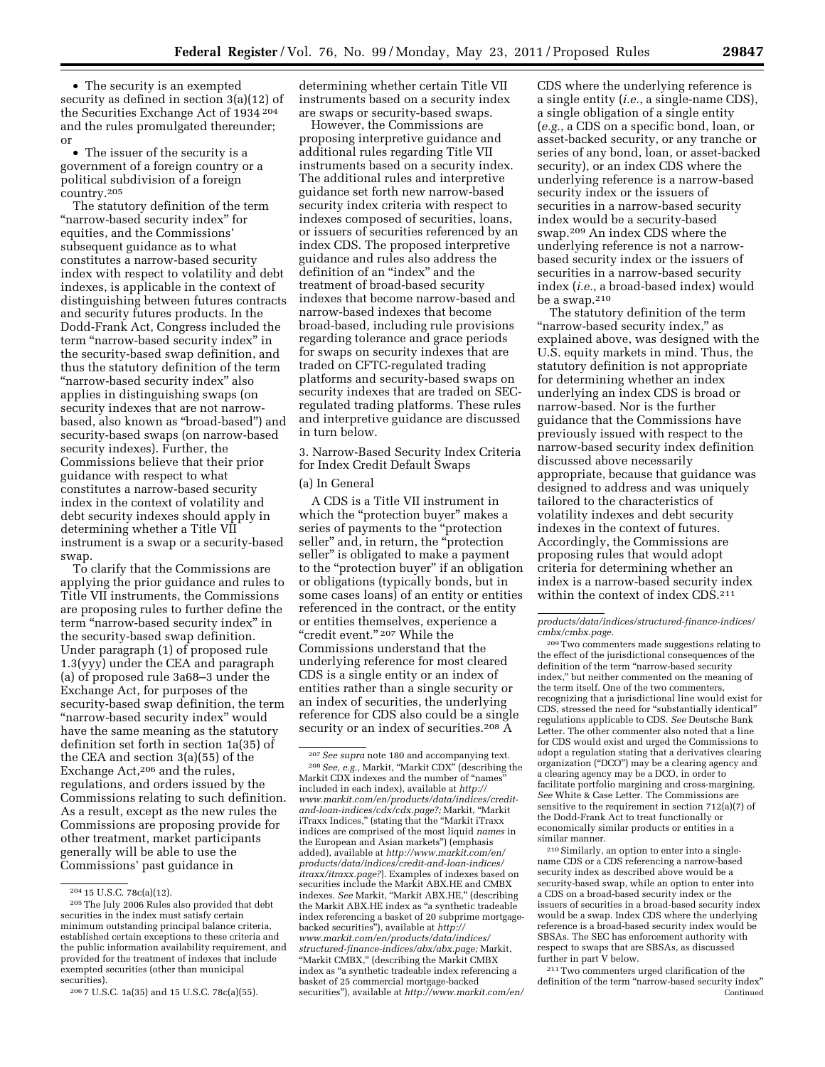• The security is an exempted security as defined in section 3(a)(12) of the Securities Exchange Act of 1934 204 and the rules promulgated thereunder; or

The issuer of the security is a government of a foreign country or a political subdivision of a foreign country.205

The statutory definition of the term "narrow-based security index" for equities, and the Commissions' subsequent guidance as to what constitutes a narrow-based security index with respect to volatility and debt indexes, is applicable in the context of distinguishing between futures contracts and security futures products. In the Dodd-Frank Act, Congress included the term "narrow-based security index" in the security-based swap definition, and thus the statutory definition of the term "narrow-based security index" also applies in distinguishing swaps (on security indexes that are not narrowbased, also known as ''broad-based'') and security-based swaps (on narrow-based security indexes). Further, the Commissions believe that their prior guidance with respect to what constitutes a narrow-based security index in the context of volatility and debt security indexes should apply in determining whether a Title VII instrument is a swap or a security-based swap.

To clarify that the Commissions are applying the prior guidance and rules to Title VII instruments, the Commissions are proposing rules to further define the term "narrow-based security index" in the security-based swap definition. Under paragraph (1) of proposed rule 1.3(yyy) under the CEA and paragraph (a) of proposed rule 3a68–3 under the Exchange Act, for purposes of the security-based swap definition, the term "narrow-based security index" would have the same meaning as the statutory definition set forth in section 1a(35) of the CEA and section 3(a)(55) of the Exchange Act,<sup>206</sup> and the rules, regulations, and orders issued by the Commissions relating to such definition. As a result, except as the new rules the Commissions are proposing provide for other treatment, market participants generally will be able to use the Commissions' past guidance in

determining whether certain Title VII instruments based on a security index are swaps or security-based swaps.

However, the Commissions are proposing interpretive guidance and additional rules regarding Title VII instruments based on a security index. The additional rules and interpretive guidance set forth new narrow-based security index criteria with respect to indexes composed of securities, loans, or issuers of securities referenced by an index CDS. The proposed interpretive guidance and rules also address the definition of an "index" and the treatment of broad-based security indexes that become narrow-based and narrow-based indexes that become broad-based, including rule provisions regarding tolerance and grace periods for swaps on security indexes that are traded on CFTC-regulated trading platforms and security-based swaps on security indexes that are traded on SECregulated trading platforms. These rules and interpretive guidance are discussed in turn below.

3. Narrow-Based Security Index Criteria for Index Credit Default Swaps

#### (a) In General

A CDS is a Title VII instrument in which the "protection buyer" makes a series of payments to the ''protection seller'' and, in return, the ''protection seller'' is obligated to make a payment to the ''protection buyer'' if an obligation or obligations (typically bonds, but in some cases loans) of an entity or entities referenced in the contract, or the entity or entities themselves, experience a "credit event." <sup>207</sup> While the Commissions understand that the underlying reference for most cleared CDS is a single entity or an index of entities rather than a single security or an index of securities, the underlying reference for CDS also could be a single security or an index of securities.<sup>208</sup> A

CDS where the underlying reference is a single entity (*i.e.*, a single-name CDS), a single obligation of a single entity (*e.g.*, a CDS on a specific bond, loan, or asset-backed security, or any tranche or series of any bond, loan, or asset-backed security), or an index CDS where the underlying reference is a narrow-based security index or the issuers of securities in a narrow-based security index would be a security-based swap.209 An index CDS where the underlying reference is not a narrowbased security index or the issuers of securities in a narrow-based security index (*i.e.*, a broad-based index) would be a swap.210

The statutory definition of the term ''narrow-based security index,'' as explained above, was designed with the U.S. equity markets in mind. Thus, the statutory definition is not appropriate for determining whether an index underlying an index CDS is broad or narrow-based. Nor is the further guidance that the Commissions have previously issued with respect to the narrow-based security index definition discussed above necessarily appropriate, because that guidance was designed to address and was uniquely tailored to the characteristics of volatility indexes and debt security indexes in the context of futures. Accordingly, the Commissions are proposing rules that would adopt criteria for determining whether an index is a narrow-based security index within the context of index CDS.211

209Two commenters made suggestions relating to the effect of the jurisdictional consequences of the definition of the term "narrow-based security index,'' but neither commented on the meaning of the term itself. One of the two commenters, recognizing that a jurisdictional line would exist for CDS, stressed the need for ''substantially identical'' regulations applicable to CDS. *See* Deutsche Bank Letter. The other commenter also noted that a line for CDS would exist and urged the Commissions to adopt a regulation stating that a derivatives clearing organization (''DCO'') may be a clearing agency and a clearing agency may be a DCO, in order to facilitate portfolio margining and cross-margining. *See* White & Case Letter. The Commissions are sensitive to the requirement in section 712(a)(7) of the Dodd-Frank Act to treat functionally or economically similar products or entities in a similar manner.

210Similarly, an option to enter into a singlename CDS or a CDS referencing a narrow-based security index as described above would be a security-based swap, while an option to enter into a CDS on a broad-based security index or the issuers of securities in a broad-based security index would be a swap. Index CDS where the underlying reference is a broad-based security index would be SBSAs. The SEC has enforcement authority with respect to swaps that are SBSAs, as discussed further in part V below.

211Two commenters urged clarification of the definition of the term "narrow-based security index" Continued

<sup>204</sup> 15 U.S.C. 78c(a)(12).

<sup>205</sup>The July 2006 Rules also provided that debt securities in the index must satisfy certain minimum outstanding principal balance criteria, established certain exceptions to these criteria and the public information availability requirement, and provided for the treatment of indexes that include exempted securities (other than municipal securities).

<sup>206</sup> 7 U.S.C. 1a(35) and 15 U.S.C. 78c(a)(55).

<sup>207</sup>*See supra* note 180 and accompanying text. 208*See, e.g.,* Markit, ''Markit CDX'' (describing the Markit CDX indexes and the number of "names included in each index), available at *[http://](http://www.markit.com/en/products/data/indices/credit-and-loan-indices/cdx/cdx.page) [www.markit.com/en/products/data/indices/credit](http://www.markit.com/en/products/data/indices/credit-and-loan-indices/cdx/cdx.page)[and-loan-indices/cdx/cdx.page?;](http://www.markit.com/en/products/data/indices/credit-and-loan-indices/cdx/cdx.page)* Markit, ''Markit iTraxx Indices,'' (stating that the ''Markit iTraxx indices are comprised of the most liquid *names* in the European and Asian markets'') (emphasis added), available at *[http://www.markit.com/en/](http://www.markit.com/en/products/data/indices/credit-and-loan-indices/itraxx/itraxx.page) [products/data/indices/credit-and-loan-indices/](http://www.markit.com/en/products/data/indices/credit-and-loan-indices/itraxx/itraxx.page) [itraxx/itraxx.page?](http://www.markit.com/en/products/data/indices/credit-and-loan-indices/itraxx/itraxx.page)*]. Examples of indexes based on securities include the Markit ABX.HE and CMBX indexes. *See* Markit, ''Markit ABX.HE,'' (describing the Markit ABX.HE index as "a synthetic tradeable index referencing a basket of 20 subprime mortgagebacked securities''), available at *[http://](http://www.markit.com/en/products/data/indices/structured-finance-indices/abx/abx.page) [www.markit.com/en/products/data/indices/](http://www.markit.com/en/products/data/indices/structured-finance-indices/abx/abx.page)  [structured-finance-indices/abx/abx.page;](http://www.markit.com/en/products/data/indices/structured-finance-indices/abx/abx.page)* Markit, ''Markit CMBX,'' (describing the Markit CMBX index as ''a synthetic tradeable index referencing a basket of 25 commercial mortgage-backed securities''), available at *[http://www.markit.com/en/](http://www.markit.com/en/products/data/indices/structured-finance-indices/cmbx/cmbx.page)* 

*[products/data/indices/structured-finance-indices/](http://www.markit.com/en/products/data/indices/structured-finance-indices/cmbx/cmbx.page)  [cmbx/cmbx.page.](http://www.markit.com/en/products/data/indices/structured-finance-indices/cmbx/cmbx.page)*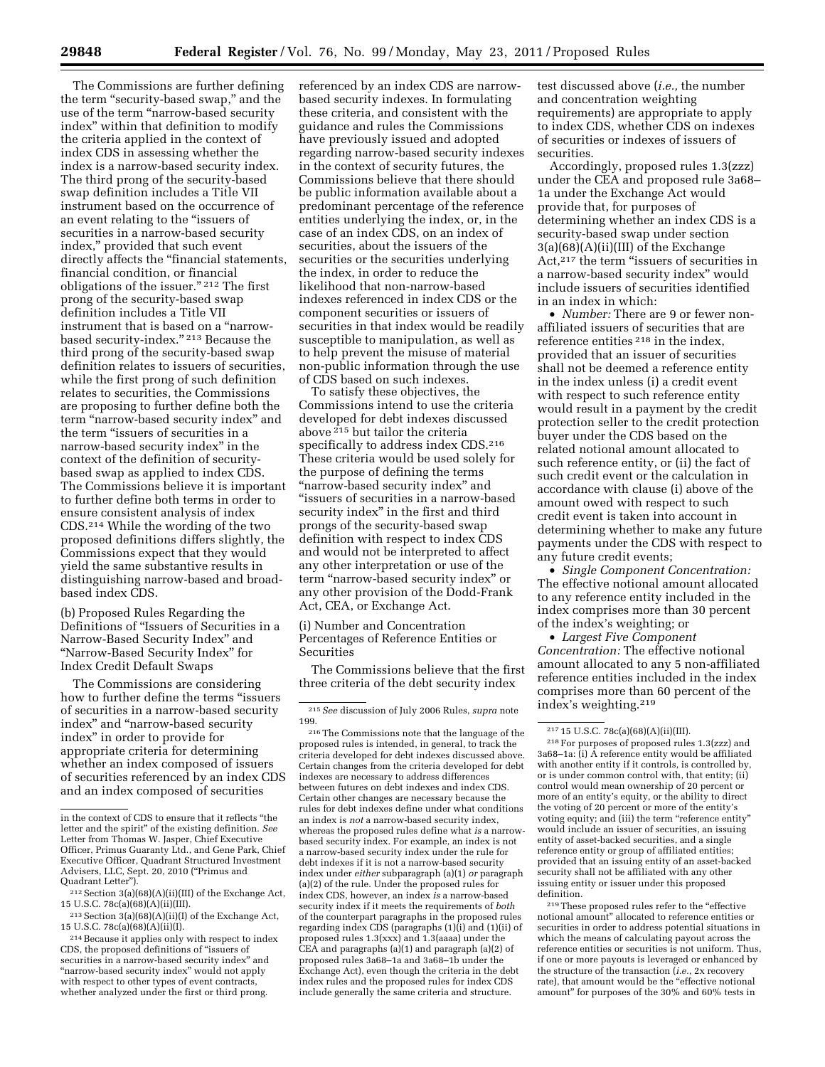The Commissions are further defining the term "security-based swap," and the use of the term ''narrow-based security index'' within that definition to modify the criteria applied in the context of index CDS in assessing whether the index is a narrow-based security index. The third prong of the security-based swap definition includes a Title VII instrument based on the occurrence of an event relating to the ''issuers of securities in a narrow-based security index,'' provided that such event directly affects the "financial statements, financial condition, or financial obligations of the issuer."<sup>212</sup> The first prong of the security-based swap definition includes a Title VII instrument that is based on a ''narrowbased security-index." <sup>213</sup> Because the third prong of the security-based swap definition relates to issuers of securities, while the first prong of such definition relates to securities, the Commissions are proposing to further define both the term "narrow-based security index" and the term ''issuers of securities in a narrow-based security index'' in the context of the definition of securitybased swap as applied to index CDS. The Commissions believe it is important to further define both terms in order to ensure consistent analysis of index CDS.214 While the wording of the two proposed definitions differs slightly, the Commissions expect that they would yield the same substantive results in distinguishing narrow-based and broadbased index CDS.

(b) Proposed Rules Regarding the Definitions of ''Issuers of Securities in a Narrow-Based Security Index'' and ''Narrow-Based Security Index'' for Index Credit Default Swaps

The Commissions are considering how to further define the terms ''issuers of securities in a narrow-based security index'' and ''narrow-based security index'' in order to provide for appropriate criteria for determining whether an index composed of issuers of securities referenced by an index CDS and an index composed of securities

referenced by an index CDS are narrowbased security indexes. In formulating these criteria, and consistent with the guidance and rules the Commissions have previously issued and adopted regarding narrow-based security indexes in the context of security futures, the Commissions believe that there should be public information available about a predominant percentage of the reference entities underlying the index, or, in the case of an index CDS, on an index of securities, about the issuers of the securities or the securities underlying the index, in order to reduce the likelihood that non-narrow-based indexes referenced in index CDS or the component securities or issuers of securities in that index would be readily susceptible to manipulation, as well as to help prevent the misuse of material non-public information through the use of CDS based on such indexes.

To satisfy these objectives, the Commissions intend to use the criteria developed for debt indexes discussed above <sup>215</sup> but tailor the criteria specifically to address index CDS.216 These criteria would be used solely for the purpose of defining the terms ''narrow-based security index'' and ''issuers of securities in a narrow-based security index'' in the first and third prongs of the security-based swap definition with respect to index CDS and would not be interpreted to affect any other interpretation or use of the term "narrow-based security index" or any other provision of the Dodd-Frank Act, CEA, or Exchange Act.

(i) Number and Concentration Percentages of Reference Entities or Securities

The Commissions believe that the first three criteria of the debt security index

216The Commissions note that the language of the proposed rules is intended, in general, to track the criteria developed for debt indexes discussed above. Certain changes from the criteria developed for debt indexes are necessary to address differences between futures on debt indexes and index CDS. Certain other changes are necessary because the rules for debt indexes define under what conditions an index is *not* a narrow-based security index, whereas the proposed rules define what *is* a narrowbased security index. For example, an index is not a narrow-based security index under the rule for debt indexes if it is not a narrow-based security index under *either* subparagraph (a)(1) *or* paragraph (a)(2) of the rule. Under the proposed rules for index CDS, however, an index *is* a narrow-based security index if it meets the requirements of *both*  of the counterpart paragraphs in the proposed rules regarding index CDS (paragraphs (1)(i) and (1)(ii) of proposed rules 1.3(xxx) and 1.3(aaaa) under the CEA and paragraphs (a)(1) and paragraph (a)(2) of proposed rules 3a68–1a and 3a68–1b under the Exchange Act), even though the criteria in the debt index rules and the proposed rules for index CDS include generally the same criteria and structure.

test discussed above (*i.e.,* the number and concentration weighting requirements) are appropriate to apply to index CDS, whether CDS on indexes of securities or indexes of issuers of securities.

Accordingly, proposed rules 1.3(zzz) under the CEA and proposed rule 3a68– 1a under the Exchange Act would provide that, for purposes of determining whether an index CDS is a security-based swap under section 3(a)(68)(A)(ii)(III) of the Exchange  $\rm Act, ^{217}$  the term "issuers of securities in a narrow-based security index'' would include issuers of securities identified in an index in which:

• *Number:* There are 9 or fewer nonaffiliated issuers of securities that are reference entities 218 in the index, provided that an issuer of securities shall not be deemed a reference entity in the index unless (i) a credit event with respect to such reference entity would result in a payment by the credit protection seller to the credit protection buyer under the CDS based on the related notional amount allocated to such reference entity, or (ii) the fact of such credit event or the calculation in accordance with clause (i) above of the amount owed with respect to such credit event is taken into account in determining whether to make any future payments under the CDS with respect to any future credit events;

• *Single Component Concentration:*  The effective notional amount allocated to any reference entity included in the index comprises more than 30 percent of the index's weighting; or

• *Largest Five Component Concentration:* The effective notional amount allocated to any 5 non-affiliated reference entities included in the index comprises more than 60 percent of the index's weighting.219

<sup>219</sup>These proposed rules refer to the "effective notional amount'' allocated to reference entities or securities in order to address potential situations in which the means of calculating payout across the reference entities or securities is not uniform. Thus, if one or more payouts is leveraged or enhanced by the structure of the transaction (*i.e.*, 2x recovery rate), that amount would be the "effective notional amount'' for purposes of the 30% and 60% tests in

in the context of CDS to ensure that it reflects ''the letter and the spirit'' of the existing definition. *See*  Letter from Thomas W. Jasper, Chief Executive Officer, Primus Guaranty Ltd., and Gene Park, Chief Executive Officer, Quadrant Structured Investment Advisers, LLC, Sept. 20, 2010 (''Primus and Quadrant Letter'').

 $^{212}$  Section 3(a)(68)(A)(ii)(III) of the Exchange Act, 15 U.S.C. 78c(a)(68)(A)(ii)(III).

<sup>213</sup>Section 3(a)(68)(A)(ii)(I) of the Exchange Act, 15 U.S.C. 78c(a)(68)(A)(ii)(I).

<sup>214</sup>Because it applies only with respect to index CDS, the proposed definitions of ''issuers of securities in a narrow-based security index'' and "narrow-based security index" would not apply with respect to other types of event contracts, whether analyzed under the first or third prong.

<sup>215</sup>*See* discussion of July 2006 Rules, *supra* note 199.

<sup>217</sup> 15 U.S.C. 78c(a)(68)(A)(ii)(III).

<sup>218</sup>For purposes of proposed rules 1.3(zzz) and 3a68–1a: (i) A reference entity would be affiliated with another entity if it controls, is controlled by, or is under common control with, that entity; (ii) control would mean ownership of 20 percent or more of an entity's equity, or the ability to direct the voting of 20 percent or more of the entity's voting equity; and (iii) the term "reference entity' would include an issuer of securities, an issuing entity of asset-backed securities, and a single reference entity or group of affiliated entities; provided that an issuing entity of an asset-backed security shall not be affiliated with any other issuing entity or issuer under this proposed definition.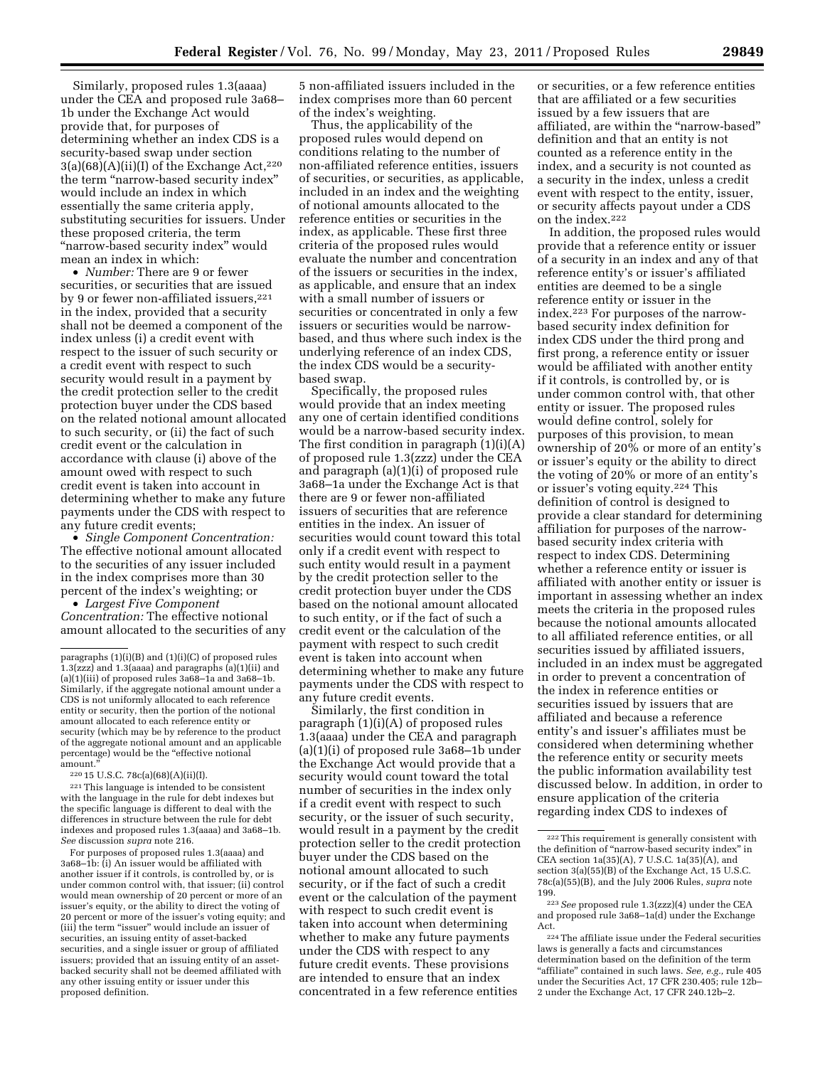Similarly, proposed rules 1.3(aaaa) under the CEA and proposed rule 3a68– 1b under the Exchange Act would provide that, for purposes of determining whether an index CDS is a security-based swap under section  $3(a)(68)(A)(ii)(I)$  of the Exchange Act,<sup>220</sup> the term ''narrow-based security index'' would include an index in which essentially the same criteria apply, substituting securities for issuers. Under these proposed criteria, the term ''narrow-based security index'' would mean an index in which:

• *Number:* There are 9 or fewer securities, or securities that are issued by 9 or fewer non-affiliated issuers,221 in the index, provided that a security shall not be deemed a component of the index unless (i) a credit event with respect to the issuer of such security or a credit event with respect to such security would result in a payment by the credit protection seller to the credit protection buyer under the CDS based on the related notional amount allocated to such security, or (ii) the fact of such credit event or the calculation in accordance with clause (i) above of the amount owed with respect to such credit event is taken into account in determining whether to make any future payments under the CDS with respect to any future credit events;

• *Single Component Concentration:*  The effective notional amount allocated to the securities of any issuer included in the index comprises more than 30 percent of the index's weighting; or • *Largest Five Component* 

*Concentration:* The effective notional amount allocated to the securities of any

221This language is intended to be consistent with the language in the rule for debt indexes but the specific language is different to deal with the differences in structure between the rule for debt indexes and proposed rules 1.3(aaaa) and 3a68–1b. *See* discussion *supra* note 216.

For purposes of proposed rules 1.3(aaaa) and 3a68–1b: (i) An issuer would be affiliated with another issuer if it controls, is controlled by, or is under common control with, that issuer; (ii) control would mean ownership of 20 percent or more of an issuer's equity, or the ability to direct the voting of 20 percent or more of the issuer's voting equity; and (iii) the term ''issuer'' would include an issuer of securities, an issuing entity of asset-backed securities, and a single issuer or group of affiliated issuers; provided that an issuing entity of an assetbacked security shall not be deemed affiliated with any other issuing entity or issuer under this proposed definition.

5 non-affiliated issuers included in the index comprises more than 60 percent of the index's weighting.

Thus, the applicability of the proposed rules would depend on conditions relating to the number of non-affiliated reference entities, issuers of securities, or securities, as applicable, included in an index and the weighting of notional amounts allocated to the reference entities or securities in the index, as applicable. These first three criteria of the proposed rules would evaluate the number and concentration of the issuers or securities in the index, as applicable, and ensure that an index with a small number of issuers or securities or concentrated in only a few issuers or securities would be narrowbased, and thus where such index is the underlying reference of an index CDS, the index CDS would be a securitybased swap.

Specifically, the proposed rules would provide that an index meeting any one of certain identified conditions would be a narrow-based security index. The first condition in paragraph (1)(i)(A) of proposed rule 1.3(zzz) under the CEA and paragraph (a)(1)(i) of proposed rule 3a68–1a under the Exchange Act is that there are 9 or fewer non-affiliated issuers of securities that are reference entities in the index. An issuer of securities would count toward this total only if a credit event with respect to such entity would result in a payment by the credit protection seller to the credit protection buyer under the CDS based on the notional amount allocated to such entity, or if the fact of such a credit event or the calculation of the payment with respect to such credit event is taken into account when determining whether to make any future payments under the CDS with respect to any future credit events.

Similarly, the first condition in paragraph (1)(i)(A) of proposed rules 1.3(aaaa) under the CEA and paragraph (a)(1)(i) of proposed rule 3a68–1b under the Exchange Act would provide that a security would count toward the total number of securities in the index only if a credit event with respect to such security, or the issuer of such security, would result in a payment by the credit protection seller to the credit protection buyer under the CDS based on the notional amount allocated to such security, or if the fact of such a credit event or the calculation of the payment with respect to such credit event is taken into account when determining whether to make any future payments under the CDS with respect to any future credit events. These provisions are intended to ensure that an index concentrated in a few reference entities

or securities, or a few reference entities that are affiliated or a few securities issued by a few issuers that are affiliated, are within the ''narrow-based'' definition and that an entity is not counted as a reference entity in the index, and a security is not counted as a security in the index, unless a credit event with respect to the entity, issuer, or security affects payout under a CDS on the index.222

In addition, the proposed rules would provide that a reference entity or issuer of a security in an index and any of that reference entity's or issuer's affiliated entities are deemed to be a single reference entity or issuer in the index.223 For purposes of the narrowbased security index definition for index CDS under the third prong and first prong, a reference entity or issuer would be affiliated with another entity if it controls, is controlled by, or is under common control with, that other entity or issuer. The proposed rules would define control, solely for purposes of this provision, to mean ownership of 20% or more of an entity's or issuer's equity or the ability to direct the voting of 20% or more of an entity's or issuer's voting equity.224 This definition of control is designed to provide a clear standard for determining affiliation for purposes of the narrowbased security index criteria with respect to index CDS. Determining whether a reference entity or issuer is affiliated with another entity or issuer is important in assessing whether an index meets the criteria in the proposed rules because the notional amounts allocated to all affiliated reference entities, or all securities issued by affiliated issuers, included in an index must be aggregated in order to prevent a concentration of the index in reference entities or securities issued by issuers that are affiliated and because a reference entity's and issuer's affiliates must be considered when determining whether the reference entity or security meets the public information availability test discussed below. In addition, in order to ensure application of the criteria regarding index CDS to indexes of

paragraphs (1)(i)(B) and (1)(i)(C) of proposed rules 1.3(zzz) and 1.3(aaaa) and paragraphs (a)(1)(ii) and (a)(1)(iii) of proposed rules 3a68–1a and 3a68–1b. Similarly, if the aggregate notional amount under a CDS is not uniformly allocated to each reference entity or security, then the portion of the notional amount allocated to each reference entity or security (which may be by reference to the product of the aggregate notional amount and an applicable percentage) would be the "effective notional amount.''

 $220$  15 U.S.C. 78c(a)(68)(A)(ii)(I).

<sup>222</sup>This requirement is generally consistent with the definition of ''narrow-based security index'' in CEA section 1a(35)(A), 7 U.S.C. 1a(35)(A), and section 3(a)(55)(B) of the Exchange Act, 15 U.S.C. 78c(a)(55)(B), and the July 2006 Rules, *supra* note 199.

<sup>223</sup>*See* proposed rule 1.3(zzz)(4) under the CEA and proposed rule 3a68–1a(d) under the Exchange Act.

<sup>224</sup>The affiliate issue under the Federal securities laws is generally a facts and circumstances determination based on the definition of the term "affiliate" contained in such laws. See, e.g., rule 405 under the Securities Act, 17 CFR 230.405; rule 12b– 2 under the Exchange Act, 17 CFR 240.12b–2.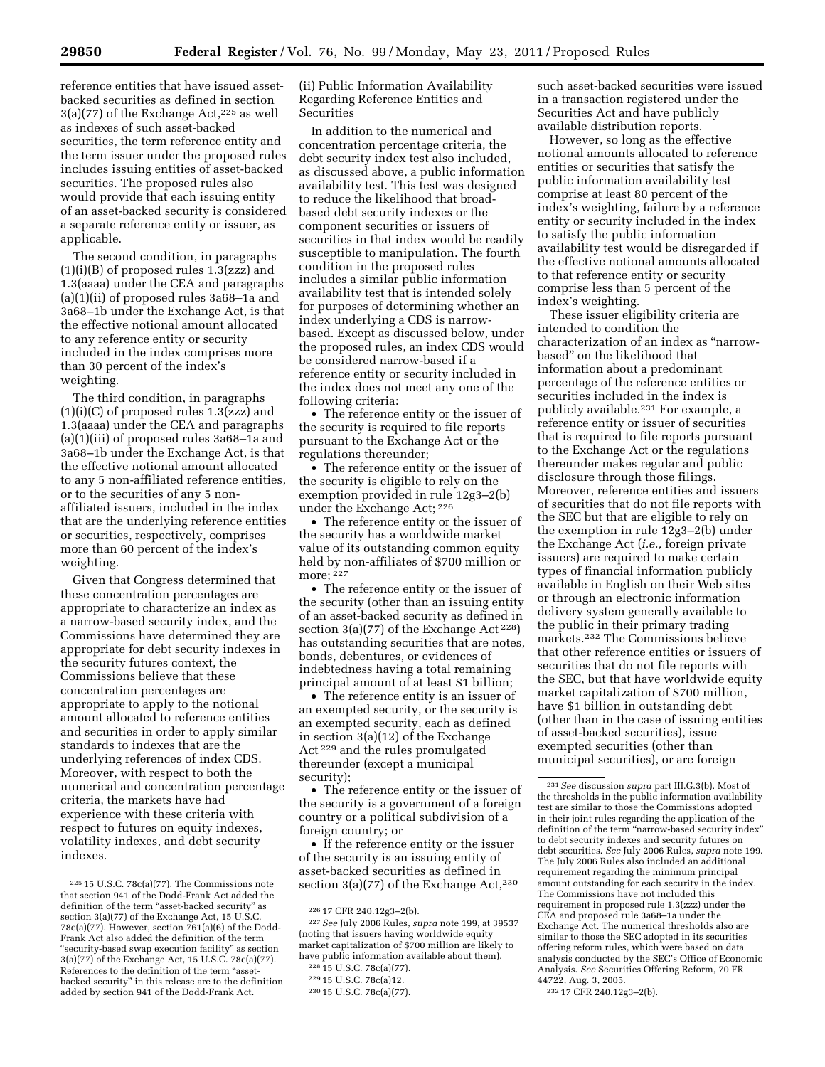reference entities that have issued assetbacked securities as defined in section  $3(a)(77)$  of the Exchange Act,<sup>225</sup> as well as indexes of such asset-backed securities, the term reference entity and the term issuer under the proposed rules includes issuing entities of asset-backed securities. The proposed rules also would provide that each issuing entity of an asset-backed security is considered a separate reference entity or issuer, as applicable.

The second condition, in paragraphs  $(1)(i)(B)$  of proposed rules 1.3(zzz) and 1.3(aaaa) under the CEA and paragraphs (a)(1)(ii) of proposed rules 3a68–1a and 3a68–1b under the Exchange Act, is that the effective notional amount allocated to any reference entity or security included in the index comprises more than 30 percent of the index's weighting.

The third condition, in paragraphs  $(1)(i)(C)$  of proposed rules 1.3(zzz) and 1.3(aaaa) under the CEA and paragraphs (a)(1)(iii) of proposed rules 3a68–1a and 3a68–1b under the Exchange Act, is that the effective notional amount allocated to any 5 non-affiliated reference entities, or to the securities of any 5 nonaffiliated issuers, included in the index that are the underlying reference entities or securities, respectively, comprises more than 60 percent of the index's weighting.

Given that Congress determined that these concentration percentages are appropriate to characterize an index as a narrow-based security index, and the Commissions have determined they are appropriate for debt security indexes in the security futures context, the Commissions believe that these concentration percentages are appropriate to apply to the notional amount allocated to reference entities and securities in order to apply similar standards to indexes that are the underlying references of index CDS. Moreover, with respect to both the numerical and concentration percentage criteria, the markets have had experience with these criteria with respect to futures on equity indexes, volatility indexes, and debt security indexes.

(ii) Public Information Availability Regarding Reference Entities and Securities

In addition to the numerical and concentration percentage criteria, the debt security index test also included, as discussed above, a public information availability test. This test was designed to reduce the likelihood that broadbased debt security indexes or the component securities or issuers of securities in that index would be readily susceptible to manipulation. The fourth condition in the proposed rules includes a similar public information availability test that is intended solely for purposes of determining whether an index underlying a CDS is narrowbased. Except as discussed below, under the proposed rules, an index CDS would be considered narrow-based if a reference entity or security included in the index does not meet any one of the following criteria:

• The reference entity or the issuer of the security is required to file reports pursuant to the Exchange Act or the regulations thereunder;

• The reference entity or the issuer of the security is eligible to rely on the exemption provided in rule 12g3–2(b) under the Exchange Act; 226

• The reference entity or the issuer of the security has a worldwide market value of its outstanding common equity held by non-affiliates of \$700 million or more;  $227$ 

• The reference entity or the issuer of the security (other than an issuing entity of an asset-backed security as defined in section  $3(a)(77)$  of the Exchange Act  $228$ ) has outstanding securities that are notes, bonds, debentures, or evidences of indebtedness having a total remaining principal amount of at least \$1 billion;

• The reference entity is an issuer of an exempted security, or the security is an exempted security, each as defined in section 3(a)(12) of the Exchange Act 229 and the rules promulgated thereunder (except a municipal security);

• The reference entity or the issuer of the security is a government of a foreign country or a political subdivision of a foreign country; or

• If the reference entity or the issuer of the security is an issuing entity of asset-backed securities as defined in section 3(a)(77) of the Exchange Act, $230$  such asset-backed securities were issued in a transaction registered under the Securities Act and have publicly available distribution reports.

However, so long as the effective notional amounts allocated to reference entities or securities that satisfy the public information availability test comprise at least 80 percent of the index's weighting, failure by a reference entity or security included in the index to satisfy the public information availability test would be disregarded if the effective notional amounts allocated to that reference entity or security comprise less than 5 percent of the index's weighting.

These issuer eligibility criteria are intended to condition the characterization of an index as ''narrowbased'' on the likelihood that information about a predominant percentage of the reference entities or securities included in the index is publicly available.231 For example, a reference entity or issuer of securities that is required to file reports pursuant to the Exchange Act or the regulations thereunder makes regular and public disclosure through those filings. Moreover, reference entities and issuers of securities that do not file reports with the SEC but that are eligible to rely on the exemption in rule 12g3–2(b) under the Exchange Act (*i.e.,* foreign private issuers) are required to make certain types of financial information publicly available in English on their Web sites or through an electronic information delivery system generally available to the public in their primary trading markets.232 The Commissions believe that other reference entities or issuers of securities that do not file reports with the SEC, but that have worldwide equity market capitalization of \$700 million, have \$1 billion in outstanding debt (other than in the case of issuing entities of asset-backed securities), issue exempted securities (other than municipal securities), or are foreign

<sup>225</sup> 15 U.S.C. 78c(a)(77). The Commissions note that section 941 of the Dodd-Frank Act added the definition of the term "asset-backed security" as section 3(a)(77) of the Exchange Act, 15 U.S.C. 78c(a)(77). However, section 761(a)(6) of the Dodd-Frank Act also added the definition of the term "security-based swap execution facility" as section 3(a)(77) of the Exchange Act, 15 U.S.C. 78c(a)(77). References to the definition of the term ''assetbacked security'' in this release are to the definition added by section 941 of the Dodd-Frank Act.

<sup>226</sup> 17 CFR 240.12g3–2(b).

<sup>227</sup>*See* July 2006 Rules, *supra* note 199, at 39537 (noting that issuers having worldwide equity market capitalization of \$700 million are likely to have public information available about them).

<sup>228</sup> 15 U.S.C. 78c(a)(77).

<sup>229</sup> 15 U.S.C. 78c(a)12.

<sup>230</sup> 15 U.S.C. 78c(a)(77).

<sup>231</sup>*See* discussion *supra* part III.G.3(b). Most of the thresholds in the public information availability test are similar to those the Commissions adopted in their joint rules regarding the application of the definition of the term "narrow-based security index" to debt security indexes and security futures on debt securities. *See* July 2006 Rules, *supra* note 199. The July 2006 Rules also included an additional requirement regarding the minimum principal amount outstanding for each security in the index. The Commissions have not included this requirement in proposed rule 1.3(zzz) under the CEA and proposed rule 3a68–1a under the Exchange Act. The numerical thresholds also are similar to those the SEC adopted in its securities offering reform rules, which were based on data analysis conducted by the SEC's Office of Economic Analysis. *See* Securities Offering Reform, 70 FR 44722, Aug. 3, 2005.

<sup>232</sup> 17 CFR 240.12g3–2(b).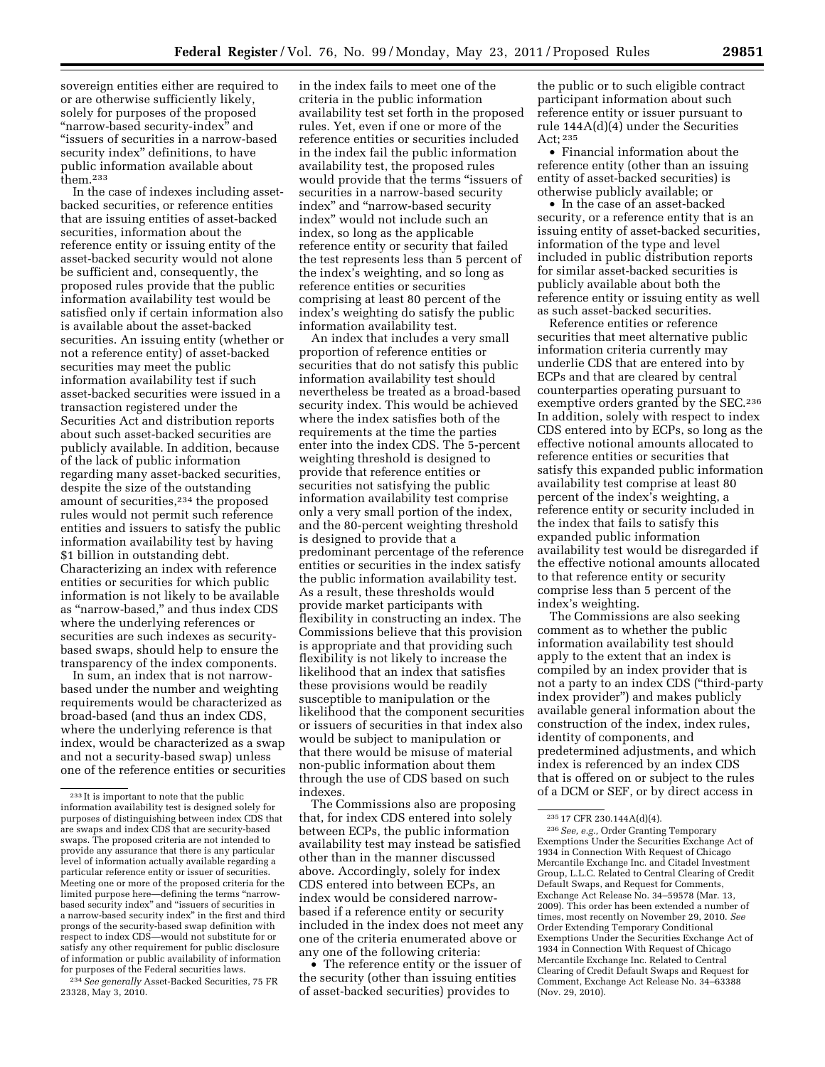sovereign entities either are required to or are otherwise sufficiently likely, solely for purposes of the proposed ''narrow-based security-index'' and "issuers of securities in a narrow-based security index'' definitions, to have public information available about

them.233 In the case of indexes including assetbacked securities, or reference entities that are issuing entities of asset-backed securities, information about the reference entity or issuing entity of the asset-backed security would not alone be sufficient and, consequently, the proposed rules provide that the public information availability test would be satisfied only if certain information also is available about the asset-backed securities. An issuing entity (whether or not a reference entity) of asset-backed securities may meet the public information availability test if such asset-backed securities were issued in a transaction registered under the Securities Act and distribution reports about such asset-backed securities are publicly available. In addition, because of the lack of public information regarding many asset-backed securities, despite the size of the outstanding amount of securities,234 the proposed rules would not permit such reference entities and issuers to satisfy the public information availability test by having \$1 billion in outstanding debt. Characterizing an index with reference entities or securities for which public information is not likely to be available as ''narrow-based,'' and thus index CDS where the underlying references or securities are such indexes as securitybased swaps, should help to ensure the transparency of the index components.

In sum, an index that is not narrowbased under the number and weighting requirements would be characterized as broad-based (and thus an index CDS, where the underlying reference is that index, would be characterized as a swap and not a security-based swap) unless one of the reference entities or securities

234*See generally* Asset-Backed Securities, 75 FR 23328, May 3, 2010.

in the index fails to meet one of the criteria in the public information availability test set forth in the proposed rules. Yet, even if one or more of the reference entities or securities included in the index fail the public information availability test, the proposed rules would provide that the terms ''issuers of securities in a narrow-based security index'' and ''narrow-based security index'' would not include such an index, so long as the applicable reference entity or security that failed the test represents less than 5 percent of the index's weighting, and so long as reference entities or securities comprising at least 80 percent of the index's weighting do satisfy the public information availability test.

An index that includes a very small proportion of reference entities or securities that do not satisfy this public information availability test should nevertheless be treated as a broad-based security index. This would be achieved where the index satisfies both of the requirements at the time the parties enter into the index CDS. The 5-percent weighting threshold is designed to provide that reference entities or securities not satisfying the public information availability test comprise only a very small portion of the index, and the 80-percent weighting threshold is designed to provide that a predominant percentage of the reference entities or securities in the index satisfy the public information availability test. As a result, these thresholds would provide market participants with flexibility in constructing an index. The Commissions believe that this provision is appropriate and that providing such flexibility is not likely to increase the likelihood that an index that satisfies these provisions would be readily susceptible to manipulation or the likelihood that the component securities or issuers of securities in that index also would be subject to manipulation or that there would be misuse of material non-public information about them through the use of CDS based on such indexes.

The Commissions also are proposing that, for index CDS entered into solely between ECPs, the public information availability test may instead be satisfied other than in the manner discussed above. Accordingly, solely for index CDS entered into between ECPs, an index would be considered narrowbased if a reference entity or security included in the index does not meet any one of the criteria enumerated above or any one of the following criteria:

• The reference entity or the issuer of the security (other than issuing entities of asset-backed securities) provides to

the public or to such eligible contract participant information about such reference entity or issuer pursuant to rule 144A(d)(4) under the Securities Act; 235

• Financial information about the reference entity (other than an issuing entity of asset-backed securities) is otherwise publicly available; or

• In the case of an asset-backed security, or a reference entity that is an issuing entity of asset-backed securities, information of the type and level included in public distribution reports for similar asset-backed securities is publicly available about both the reference entity or issuing entity as well as such asset-backed securities.

Reference entities or reference securities that meet alternative public information criteria currently may underlie CDS that are entered into by ECPs and that are cleared by central counterparties operating pursuant to exemptive orders granted by the SEC.<sup>236</sup> In addition, solely with respect to index CDS entered into by ECPs, so long as the effective notional amounts allocated to reference entities or securities that satisfy this expanded public information availability test comprise at least 80 percent of the index's weighting, a reference entity or security included in the index that fails to satisfy this expanded public information availability test would be disregarded if the effective notional amounts allocated to that reference entity or security comprise less than 5 percent of the index's weighting.

The Commissions are also seeking comment as to whether the public information availability test should apply to the extent that an index is compiled by an index provider that is not a party to an index CDS (''third-party index provider'') and makes publicly available general information about the construction of the index, index rules, identity of components, and predetermined adjustments, and which index is referenced by an index CDS that is offered on or subject to the rules of a DCM or SEF, or by direct access in

236*See, e.g.,* Order Granting Temporary Exemptions Under the Securities Exchange Act of 1934 in Connection With Request of Chicago Mercantile Exchange Inc. and Citadel Investment Group, L.L.C. Related to Central Clearing of Credit Default Swaps, and Request for Comments, Exchange Act Release No. 34–59578 (Mar. 13, 2009). This order has been extended a number of times, most recently on November 29, 2010. *See*  Order Extending Temporary Conditional Exemptions Under the Securities Exchange Act of 1934 in Connection With Request of Chicago Mercantile Exchange Inc. Related to Central Clearing of Credit Default Swaps and Request for Comment, Exchange Act Release No. 34–63388 (Nov. 29, 2010).

<sup>233</sup> It is important to note that the public information availability test is designed solely for purposes of distinguishing between index CDS that are swaps and index CDS that are security-based swaps. The proposed criteria are not intended to provide any assurance that there is any particular level of information actually available regarding a particular reference entity or issuer of securities. Meeting one or more of the proposed criteria for the limited purpose here—defining the terms "narrowbased security index'' and ''issuers of securities in a narrow-based security index'' in the first and third prongs of the security-based swap definition with respect to index CDS—would not substitute for or satisfy any other requirement for public disclosure of information or public availability of information for purposes of the Federal securities laws.

<sup>235</sup> 17 CFR 230.144A(d)(4).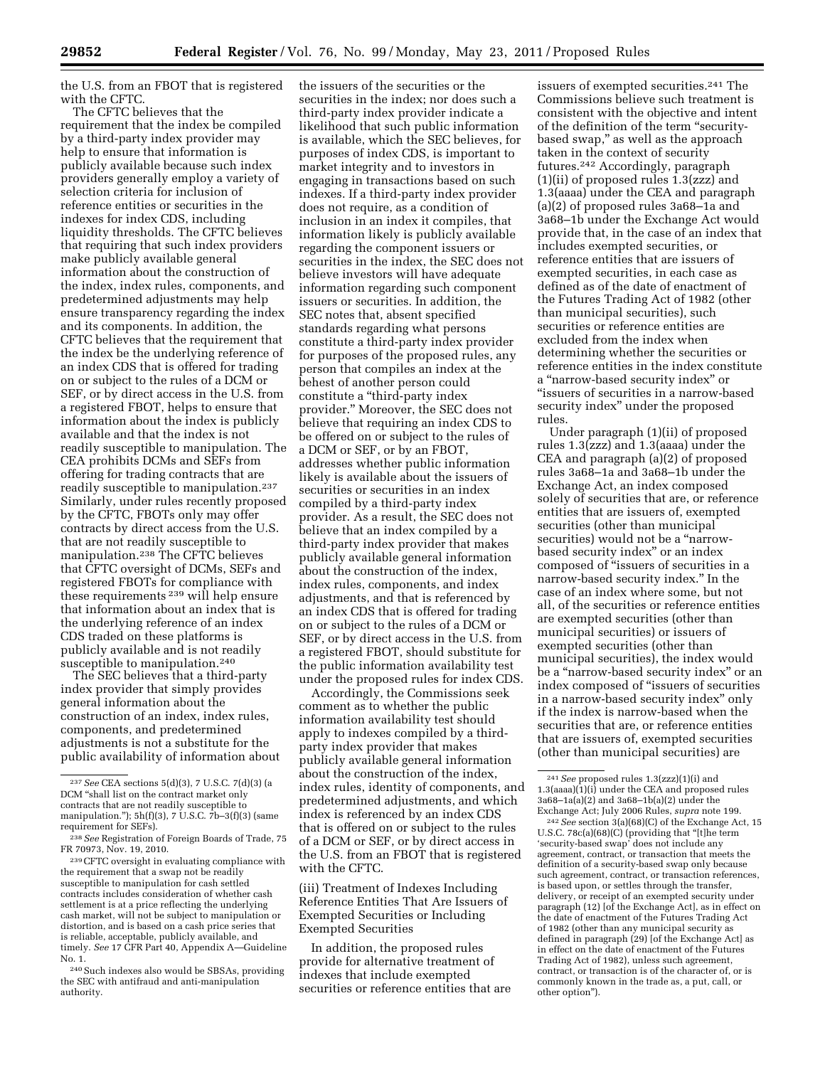the U.S. from an FBOT that is registered with the CFTC.

The CFTC believes that the requirement that the index be compiled by a third-party index provider may help to ensure that information is publicly available because such index providers generally employ a variety of selection criteria for inclusion of reference entities or securities in the indexes for index CDS, including liquidity thresholds. The CFTC believes that requiring that such index providers make publicly available general information about the construction of the index, index rules, components, and predetermined adjustments may help ensure transparency regarding the index and its components. In addition, the CFTC believes that the requirement that the index be the underlying reference of an index CDS that is offered for trading on or subject to the rules of a DCM or SEF, or by direct access in the U.S. from a registered FBOT, helps to ensure that information about the index is publicly available and that the index is not readily susceptible to manipulation. The CEA prohibits DCMs and SEFs from offering for trading contracts that are readily susceptible to manipulation.237 Similarly, under rules recently proposed by the CFTC, FBOTs only may offer contracts by direct access from the U.S. that are not readily susceptible to manipulation.238 The CFTC believes that CFTC oversight of DCMs, SEFs and registered FBOTs for compliance with these requirements 239 will help ensure that information about an index that is the underlying reference of an index CDS traded on these platforms is publicly available and is not readily susceptible to manipulation.<sup>240</sup>

The SEC believes that a third-party index provider that simply provides general information about the construction of an index, index rules, components, and predetermined adjustments is not a substitute for the public availability of information about

240Such indexes also would be SBSAs, providing the SEC with antifraud and anti-manipulation authority.

the issuers of the securities or the securities in the index; nor does such a third-party index provider indicate a likelihood that such public information is available, which the SEC believes, for purposes of index CDS, is important to market integrity and to investors in engaging in transactions based on such indexes. If a third-party index provider does not require, as a condition of inclusion in an index it compiles, that information likely is publicly available regarding the component issuers or securities in the index, the SEC does not believe investors will have adequate information regarding such component issuers or securities. In addition, the SEC notes that, absent specified standards regarding what persons constitute a third-party index provider for purposes of the proposed rules, any person that compiles an index at the behest of another person could constitute a ''third-party index provider.'' Moreover, the SEC does not believe that requiring an index CDS to be offered on or subject to the rules of a DCM or SEF, or by an FBOT, addresses whether public information likely is available about the issuers of securities or securities in an index compiled by a third-party index provider. As a result, the SEC does not believe that an index compiled by a third-party index provider that makes publicly available general information about the construction of the index, index rules, components, and index adjustments, and that is referenced by an index CDS that is offered for trading on or subject to the rules of a DCM or SEF, or by direct access in the U.S. from a registered FBOT, should substitute for the public information availability test under the proposed rules for index CDS.

Accordingly, the Commissions seek comment as to whether the public information availability test should apply to indexes compiled by a thirdparty index provider that makes publicly available general information about the construction of the index, index rules, identity of components, and predetermined adjustments, and which index is referenced by an index CDS that is offered on or subject to the rules of a DCM or SEF, or by direct access in the U.S. from an FBOT that is registered with the CFTC.

(iii) Treatment of Indexes Including Reference Entities That Are Issuers of Exempted Securities or Including Exempted Securities

In addition, the proposed rules provide for alternative treatment of indexes that include exempted securities or reference entities that are

issuers of exempted securities.241 The Commissions believe such treatment is consistent with the objective and intent of the definition of the term ''securitybased swap," as well as the approach taken in the context of security futures.242 Accordingly, paragraph (1)(ii) of proposed rules 1.3(zzz) and 1.3(aaaa) under the CEA and paragraph (a)(2) of proposed rules 3a68–1a and 3a68–1b under the Exchange Act would provide that, in the case of an index that includes exempted securities, or reference entities that are issuers of exempted securities, in each case as defined as of the date of enactment of the Futures Trading Act of 1982 (other than municipal securities), such securities or reference entities are excluded from the index when determining whether the securities or reference entities in the index constitute a ''narrow-based security index'' or ''issuers of securities in a narrow-based security index'' under the proposed rules.

Under paragraph (1)(ii) of proposed rules 1.3(zzz) and 1.3(aaaa) under the CEA and paragraph (a)(2) of proposed rules 3a68–1a and 3a68–1b under the Exchange Act, an index composed solely of securities that are, or reference entities that are issuers of, exempted securities (other than municipal securities) would not be a "narrowbased security index'' or an index composed of ''issuers of securities in a narrow-based security index.'' In the case of an index where some, but not all, of the securities or reference entities are exempted securities (other than municipal securities) or issuers of exempted securities (other than municipal securities), the index would be a ''narrow-based security index'' or an index composed of ''issuers of securities in a narrow-based security index'' only if the index is narrow-based when the securities that are, or reference entities that are issuers of, exempted securities (other than municipal securities) are

<sup>237</sup>*See* CEA sections 5(d)(3), 7 U.S.C. 7(d)(3) (a DCM ''shall list on the contract market only contracts that are not readily susceptible to manipulation.''); 5h(f)(3), 7 U.S.C. 7b–3(f)(3) (same requirement for SEFs).

<sup>238</sup>*See* Registration of Foreign Boards of Trade, 75 FR 70973, Nov. 19, 2010.

<sup>&</sup>lt;sup>239</sup> CFTC oversight in evaluating compliance with the requirement that a swap not be readily susceptible to manipulation for cash settled contracts includes consideration of whether cash settlement is at a price reflecting the underlying cash market, will not be subject to manipulation or distortion, and is based on a cash price series that is reliable, acceptable, publicly available, and timely. *See* 17 CFR Part 40, Appendix A—Guideline No. 1.

<sup>241</sup>*See* proposed rules 1.3(zzz)(1)(i) and  $1.3(aaaa)(1)(i)$  under the CEA and proposed rules  $3a68-1a(a)(2)$  and  $3a68-1b(a)(2)$  under the Exchange Act; July 2006 Rules, *supra* note 199.

<sup>&</sup>lt;sup>242</sup> See section 3(a)(68)(C) of the Exchange Act, 15 U.S.C. 78c(a)(68)(C) (providing that ''[t]he term 'security-based swap' does not include any agreement, contract, or transaction that meets the definition of a security-based swap only because such agreement, contract, or transaction references, is based upon, or settles through the transfer, delivery, or receipt of an exempted security under paragraph (12) [of the Exchange Act], as in effect on the date of enactment of the Futures Trading Act of 1982 (other than any municipal security as defined in paragraph (29) [of the Exchange Act] as in effect on the date of enactment of the Futures Trading Act of 1982), unless such agreement, contract, or transaction is of the character of, or is commonly known in the trade as, a put, call, or other option'').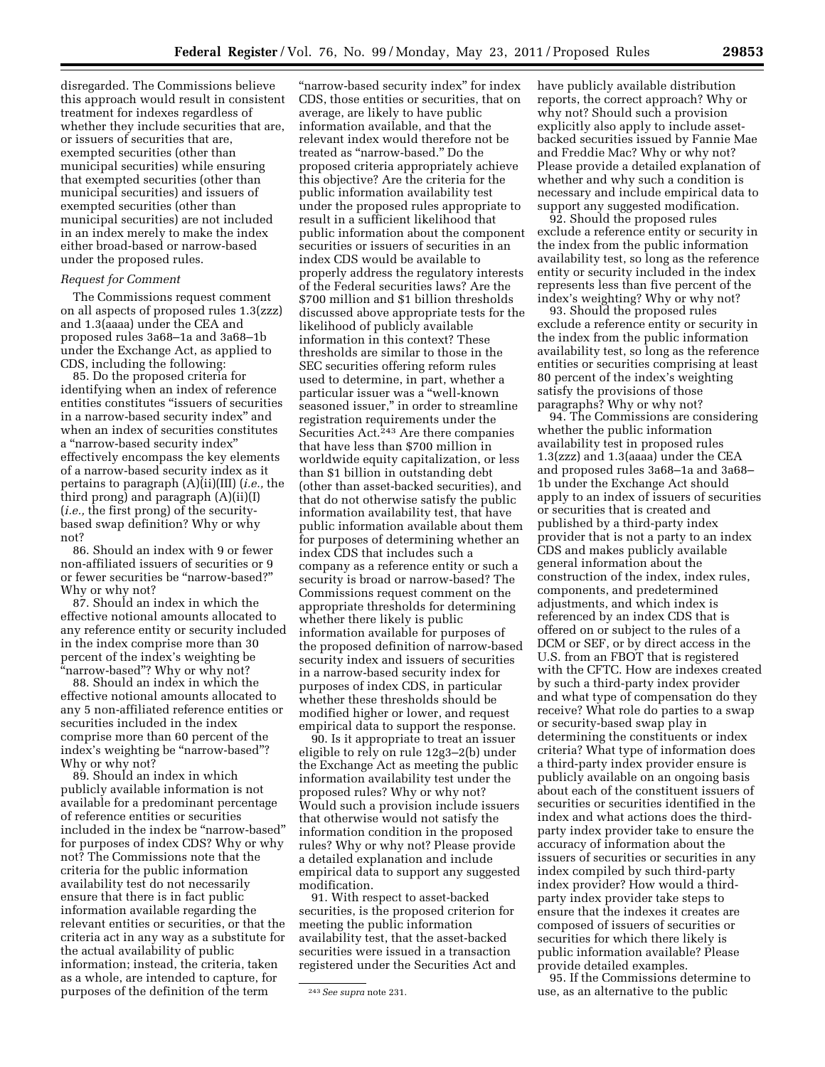disregarded. The Commissions believe this approach would result in consistent treatment for indexes regardless of whether they include securities that are, or issuers of securities that are, exempted securities (other than municipal securities) while ensuring that exempted securities (other than municipal securities) and issuers of exempted securities (other than municipal securities) are not included in an index merely to make the index either broad-based or narrow-based under the proposed rules.

# *Request for Comment*

The Commissions request comment on all aspects of proposed rules 1.3(zzz) and 1.3(aaaa) under the CEA and proposed rules 3a68–1a and 3a68–1b under the Exchange Act, as applied to CDS, including the following:

85. Do the proposed criteria for identifying when an index of reference entities constitutes ''issuers of securities in a narrow-based security index'' and when an index of securities constitutes a ''narrow-based security index'' effectively encompass the key elements of a narrow-based security index as it pertains to paragraph (A)(ii)(III) (*i.e.,* the third prong) and paragraph (A)(ii)(I) (*i.e.,* the first prong) of the securitybased swap definition? Why or why not?

86. Should an index with 9 or fewer non-affiliated issuers of securities or 9 or fewer securities be ''narrow-based?'' Why or why not?

87. Should an index in which the effective notional amounts allocated to any reference entity or security included in the index comprise more than 30 percent of the index's weighting be "narrow-based"? Why or why not?

88. Should an index in which the effective notional amounts allocated to any 5 non-affiliated reference entities or securities included in the index comprise more than 60 percent of the index's weighting be "narrow-based"? Why or why not?

89. Should an index in which publicly available information is not available for a predominant percentage of reference entities or securities included in the index be ''narrow-based'' for purposes of index CDS? Why or why not? The Commissions note that the criteria for the public information availability test do not necessarily ensure that there is in fact public information available regarding the relevant entities or securities, or that the criteria act in any way as a substitute for the actual availability of public information; instead, the criteria, taken as a whole, are intended to capture, for purposes of the definition of the term

"narrow-based security index" for index CDS, those entities or securities, that on average, are likely to have public information available, and that the relevant index would therefore not be treated as ''narrow-based.'' Do the proposed criteria appropriately achieve this objective? Are the criteria for the public information availability test under the proposed rules appropriate to result in a sufficient likelihood that public information about the component securities or issuers of securities in an index CDS would be available to properly address the regulatory interests of the Federal securities laws? Are the \$700 million and \$1 billion thresholds discussed above appropriate tests for the likelihood of publicly available information in this context? These thresholds are similar to those in the SEC securities offering reform rules used to determine, in part, whether a particular issuer was a ''well-known seasoned issuer,'' in order to streamline registration requirements under the Securities Act.<sup>243</sup> Are there companies that have less than \$700 million in worldwide equity capitalization, or less than \$1 billion in outstanding debt (other than asset-backed securities), and that do not otherwise satisfy the public information availability test, that have public information available about them for purposes of determining whether an index CDS that includes such a company as a reference entity or such a security is broad or narrow-based? The Commissions request comment on the appropriate thresholds for determining whether there likely is public information available for purposes of the proposed definition of narrow-based security index and issuers of securities in a narrow-based security index for purposes of index CDS, in particular whether these thresholds should be modified higher or lower, and request empirical data to support the response.

90. Is it appropriate to treat an issuer eligible to rely on rule 12g3–2(b) under the Exchange Act as meeting the public information availability test under the proposed rules? Why or why not? Would such a provision include issuers that otherwise would not satisfy the information condition in the proposed rules? Why or why not? Please provide a detailed explanation and include empirical data to support any suggested modification.

91. With respect to asset-backed securities, is the proposed criterion for meeting the public information availability test, that the asset-backed securities were issued in a transaction registered under the Securities Act and have publicly available distribution reports, the correct approach? Why or why not? Should such a provision explicitly also apply to include assetbacked securities issued by Fannie Mae and Freddie Mac? Why or why not? Please provide a detailed explanation of whether and why such a condition is necessary and include empirical data to support any suggested modification.

92. Should the proposed rules exclude a reference entity or security in the index from the public information availability test, so long as the reference entity or security included in the index represents less than five percent of the index's weighting? Why or why not?

93. Should the proposed rules exclude a reference entity or security in the index from the public information availability test, so long as the reference entities or securities comprising at least 80 percent of the index's weighting satisfy the provisions of those paragraphs? Why or why not?

94. The Commissions are considering whether the public information availability test in proposed rules 1.3(zzz) and 1.3(aaaa) under the CEA and proposed rules 3a68–1a and 3a68– 1b under the Exchange Act should apply to an index of issuers of securities or securities that is created and published by a third-party index provider that is not a party to an index CDS and makes publicly available general information about the construction of the index, index rules, components, and predetermined adjustments, and which index is referenced by an index CDS that is offered on or subject to the rules of a DCM or SEF, or by direct access in the U.S. from an FBOT that is registered with the CFTC. How are indexes created by such a third-party index provider and what type of compensation do they receive? What role do parties to a swap or security-based swap play in determining the constituents or index criteria? What type of information does a third-party index provider ensure is publicly available on an ongoing basis about each of the constituent issuers of securities or securities identified in the index and what actions does the thirdparty index provider take to ensure the accuracy of information about the issuers of securities or securities in any index compiled by such third-party index provider? How would a thirdparty index provider take steps to ensure that the indexes it creates are composed of issuers of securities or securities for which there likely is public information available? Please provide detailed examples.

95. If the Commissions determine to use, as an alternative to the public

<sup>243</sup>*See supra* note 231.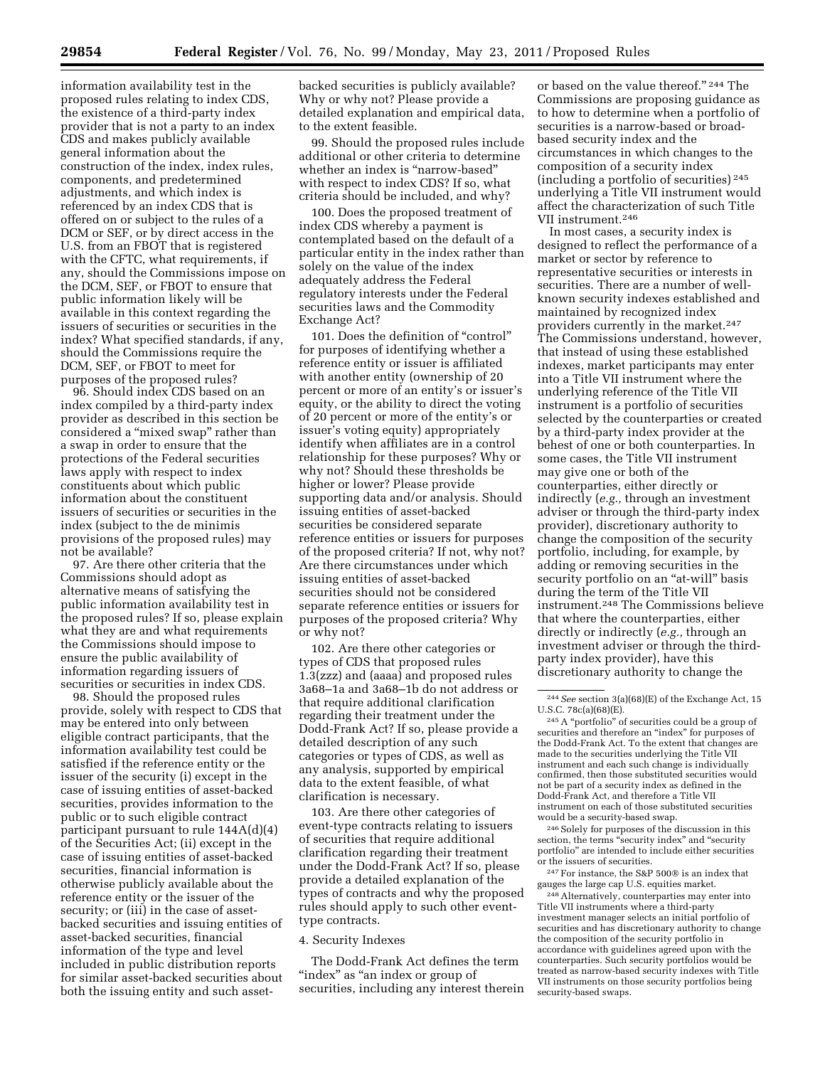information availability test in the proposed rules relating to index CDS, the existence of a third-party index provider that is not a party to an index CDS and makes publicly available general information about the construction of the index, index rules, components, and predetermined adjustments, and which index is referenced by an index CDS that is offered on or subject to the rules of a DCM or SEF, or by direct access in the U.S. from an FBOT that is registered with the CFTC, what requirements, if any, should the Commissions impose on the DCM, SEF, or FBOT to ensure that public information likely will be available in this context regarding the issuers of securities or securities in the index? What specified standards, if any, should the Commissions require the DCM, SEF, or FBOT to meet for purposes of the proposed rules?

96. Should index CDS based on an index compiled by a third-party index provider as described in this section be considered a ''mixed swap'' rather than a swap in order to ensure that the protections of the Federal securities laws apply with respect to index constituents about which public information about the constituent issuers of securities or securities in the index (subject to the de minimis provisions of the proposed rules) may not be available?

97. Are there other criteria that the Commissions should adopt as alternative means of satisfying the public information availability test in the proposed rules? If so, please explain what they are and what requirements the Commissions should impose to ensure the public availability of information regarding issuers of securities or securities in index CDS.

98. Should the proposed rules provide, solely with respect to CDS that may be entered into only between eligible contract participants, that the information availability test could be satisfied if the reference entity or the issuer of the security (i) except in the case of issuing entities of asset-backed securities, provides information to the public or to such eligible contract participant pursuant to rule 144A(d)(4) of the Securities Act; (ii) except in the case of issuing entities of asset-backed securities, financial information is otherwise publicly available about the reference entity or the issuer of the security; or (iii) in the case of assetbacked securities and issuing entities of asset-backed securities, financial information of the type and level included in public distribution reports for similar asset-backed securities about both the issuing entity and such assetbacked securities is publicly available? Why or why not? Please provide a detailed explanation and empirical data, to the extent feasible.

99. Should the proposed rules include additional or other criteria to determine whether an index is "narrow-based" with respect to index CDS? If so, what criteria should be included, and why?

100. Does the proposed treatment of index CDS whereby a payment is contemplated based on the default of a particular entity in the index rather than solely on the value of the index adequately address the Federal regulatory interests under the Federal securities laws and the Commodity Exchange Act?

101. Does the definition of ''control'' for purposes of identifying whether a reference entity or issuer is affiliated with another entity (ownership of 20 percent or more of an entity's or issuer's equity, or the ability to direct the voting of 20 percent or more of the entity's or issuer's voting equity) appropriately identify when affiliates are in a control relationship for these purposes? Why or why not? Should these thresholds be higher or lower? Please provide supporting data and/or analysis. Should issuing entities of asset-backed securities be considered separate reference entities or issuers for purposes of the proposed criteria? If not, why not? Are there circumstances under which issuing entities of asset-backed securities should not be considered separate reference entities or issuers for purposes of the proposed criteria? Why or why not?

102. Are there other categories or types of CDS that proposed rules 1.3(zzz) and (aaaa) and proposed rules 3a68–1a and 3a68–1b do not address or that require additional clarification regarding their treatment under the Dodd-Frank Act? If so, please provide a detailed description of any such categories or types of CDS, as well as any analysis, supported by empirical data to the extent feasible, of what clarification is necessary.

103. Are there other categories of event-type contracts relating to issuers of securities that require additional clarification regarding their treatment under the Dodd-Frank Act? If so, please provide a detailed explanation of the types of contracts and why the proposed rules should apply to such other eventtype contracts.

#### 4. Security Indexes

The Dodd-Frank Act defines the term "index" as "an index or group of securities, including any interest therein

or based on the value thereof." <sup>244</sup> The Commissions are proposing guidance as to how to determine when a portfolio of securities is a narrow-based or broadbased security index and the circumstances in which changes to the composition of a security index (including a portfolio of securities) 245 underlying a Title VII instrument would affect the characterization of such Title VII instrument.246

In most cases, a security index is designed to reflect the performance of a market or sector by reference to representative securities or interests in securities. There are a number of wellknown security indexes established and maintained by recognized index providers currently in the market.247 The Commissions understand, however, that instead of using these established indexes, market participants may enter into a Title VII instrument where the underlying reference of the Title VII instrument is a portfolio of securities selected by the counterparties or created by a third-party index provider at the behest of one or both counterparties. In some cases, the Title VII instrument may give one or both of the counterparties, either directly or indirectly (*e.g.,* through an investment adviser or through the third-party index provider), discretionary authority to change the composition of the security portfolio, including, for example, by adding or removing securities in the security portfolio on an "at-will" basis during the term of the Title VII instrument.248 The Commissions believe that where the counterparties, either directly or indirectly (*e.g.,* through an investment adviser or through the thirdparty index provider), have this discretionary authority to change the

246Solely for purposes of the discussion in this section, the terms "security index" and "security portfolio'' are intended to include either securities or the issuers of securities.

 $^{247}\rm{For}$  instance, the S&P 500® is an index that gauges the large cap U.S. equities market.

248Alternatively, counterparties may enter into Title VII instruments where a third-party investment manager selects an initial portfolio of securities and has discretionary authority to change the composition of the security portfolio in accordance with guidelines agreed upon with the counterparties. Such security portfolios would be treated as narrow-based security indexes with Title VII instruments on those security portfolios being security-based swaps.

<sup>244</sup>*See* section 3(a)(68)(E) of the Exchange Act, 15 U.S.C. 78c(a)(68)(E).

<sup>245</sup>A ''portfolio'' of securities could be a group of securities and therefore an "index" for purposes of the Dodd-Frank Act. To the extent that changes are made to the securities underlying the Title VII instrument and each such change is individually confirmed, then those substituted securities would not be part of a security index as defined in the Dodd-Frank Act, and therefore a Title VII instrument on each of those substituted securities would be a security-based swap.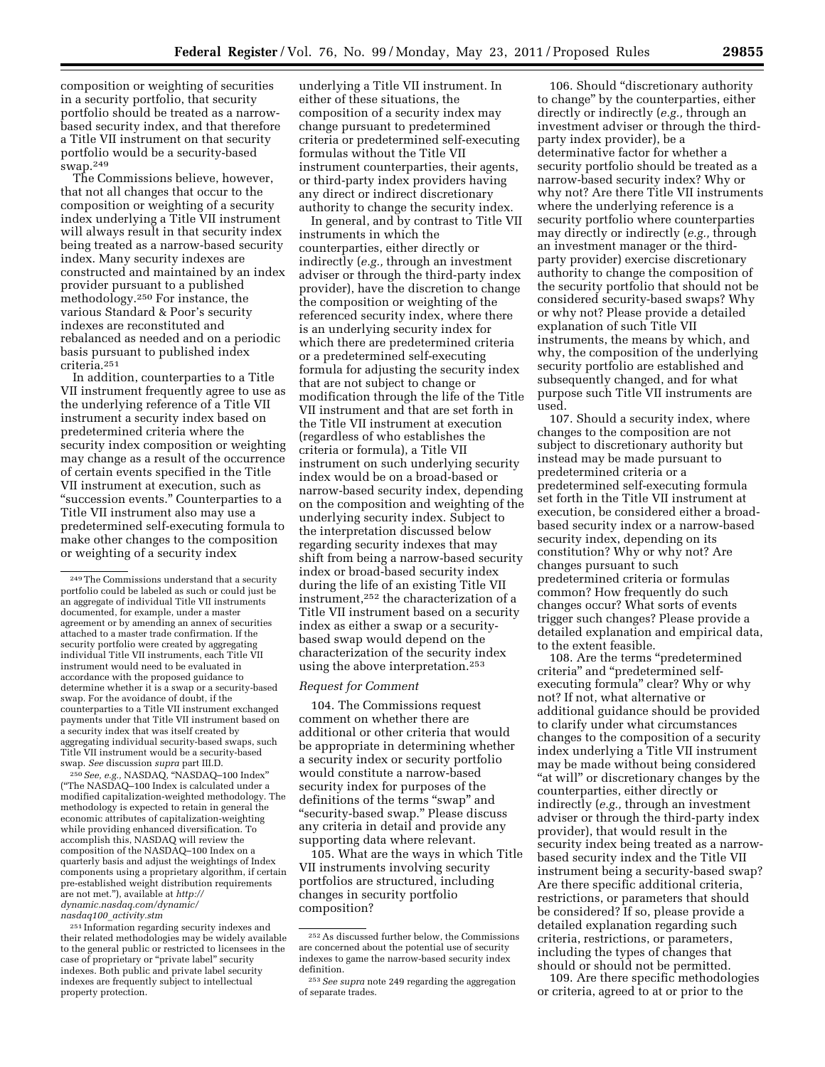composition or weighting of securities in a security portfolio, that security portfolio should be treated as a narrowbased security index, and that therefore a Title VII instrument on that security portfolio would be a security-based swap.249

The Commissions believe, however, that not all changes that occur to the composition or weighting of a security index underlying a Title VII instrument will always result in that security index being treated as a narrow-based security index. Many security indexes are constructed and maintained by an index provider pursuant to a published methodology.250 For instance, the various Standard & Poor's security indexes are reconstituted and rebalanced as needed and on a periodic basis pursuant to published index criteria.251

In addition, counterparties to a Title VII instrument frequently agree to use as the underlying reference of a Title VII instrument a security index based on predetermined criteria where the security index composition or weighting may change as a result of the occurrence of certain events specified in the Title VII instrument at execution, such as "succession events." Counterparties to a Title VII instrument also may use a predetermined self-executing formula to make other changes to the composition or weighting of a security index

250*See, e.g.,* NASDAQ, ''NASDAQ–100 Index'' (''The NASDAQ–100 Index is calculated under a modified capitalization-weighted methodology. The methodology is expected to retain in general the economic attributes of capitalization-weighting while providing enhanced diversification. To accomplish this, NASDAQ will review the composition of the NASDAQ–100 Index on a quarterly basis and adjust the weightings of Index components using a proprietary algorithm, if certain pre-established weight distribution requirements are not met.''), available at *[http://](http://dynamic.nasdaq.com/dynamic/nasdaq100_activity.stm) [dynamic.nasdaq.com/dynamic/](http://dynamic.nasdaq.com/dynamic/nasdaq100_activity.stm) nasdaq100*\_*[activity.stm](http://dynamic.nasdaq.com/dynamic/nasdaq100_activity.stm)* 

251 Information regarding security indexes and their related methodologies may be widely available to the general public or restricted to licensees in the case of proprietary or ''private label'' security indexes. Both public and private label security indexes are frequently subject to intellectual property protection.

underlying a Title VII instrument. In either of these situations, the composition of a security index may change pursuant to predetermined criteria or predetermined self-executing formulas without the Title VII instrument counterparties, their agents, or third-party index providers having any direct or indirect discretionary authority to change the security index.

In general, and by contrast to Title VII instruments in which the counterparties, either directly or indirectly (*e.g.,* through an investment adviser or through the third-party index provider), have the discretion to change the composition or weighting of the referenced security index, where there is an underlying security index for which there are predetermined criteria or a predetermined self-executing formula for adjusting the security index that are not subject to change or modification through the life of the Title VII instrument and that are set forth in the Title VII instrument at execution (regardless of who establishes the criteria or formula), a Title VII instrument on such underlying security index would be on a broad-based or narrow-based security index, depending on the composition and weighting of the underlying security index. Subject to the interpretation discussed below regarding security indexes that may shift from being a narrow-based security index or broad-based security index during the life of an existing Title VII instrument,252 the characterization of a Title VII instrument based on a security index as either a swap or a securitybased swap would depend on the characterization of the security index using the above interpretation.253

## *Request for Comment*

104. The Commissions request comment on whether there are additional or other criteria that would be appropriate in determining whether a security index or security portfolio would constitute a narrow-based security index for purposes of the definitions of the terms "swap" and ''security-based swap.'' Please discuss any criteria in detail and provide any supporting data where relevant.

105. What are the ways in which Title VII instruments involving security portfolios are structured, including changes in security portfolio composition?

106. Should ''discretionary authority to change'' by the counterparties, either directly or indirectly (*e.g.,* through an investment adviser or through the thirdparty index provider), be a determinative factor for whether a security portfolio should be treated as a narrow-based security index? Why or why not? Are there Title VII instruments where the underlying reference is a security portfolio where counterparties may directly or indirectly (*e.g.,* through an investment manager or the thirdparty provider) exercise discretionary authority to change the composition of the security portfolio that should not be considered security-based swaps? Why or why not? Please provide a detailed explanation of such Title VII instruments, the means by which, and why, the composition of the underlying security portfolio are established and subsequently changed, and for what purpose such Title VII instruments are used.

107. Should a security index, where changes to the composition are not subject to discretionary authority but instead may be made pursuant to predetermined criteria or a predetermined self-executing formula set forth in the Title VII instrument at execution, be considered either a broadbased security index or a narrow-based security index, depending on its constitution? Why or why not? Are changes pursuant to such predetermined criteria or formulas common? How frequently do such changes occur? What sorts of events trigger such changes? Please provide a detailed explanation and empirical data, to the extent feasible.

108. Are the terms ''predetermined criteria'' and ''predetermined selfexecuting formula'' clear? Why or why not? If not, what alternative or additional guidance should be provided to clarify under what circumstances changes to the composition of a security index underlying a Title VII instrument may be made without being considered "at will" or discretionary changes by the counterparties, either directly or indirectly (*e.g.,* through an investment adviser or through the third-party index provider), that would result in the security index being treated as a narrowbased security index and the Title VII instrument being a security-based swap? Are there specific additional criteria, restrictions, or parameters that should be considered? If so, please provide a detailed explanation regarding such criteria, restrictions, or parameters, including the types of changes that should or should not be permitted.

109. Are there specific methodologies or criteria, agreed to at or prior to the

<sup>249</sup>The Commissions understand that a security portfolio could be labeled as such or could just be an aggregate of individual Title VII instruments documented, for example, under a master agreement or by amending an annex of securities attached to a master trade confirmation. If the security portfolio were created by aggregating individual Title VII instruments, each Title VII instrument would need to be evaluated in accordance with the proposed guidance to determine whether it is a swap or a security-based swap. For the avoidance of doubt, if the counterparties to a Title VII instrument exchanged payments under that Title VII instrument based on a security index that was itself created by aggregating individual security-based swaps, such Title VII instrument would be a security-based swap. *See* discussion *supra* part III.D.

<sup>252</sup>As discussed further below, the Commissions are concerned about the potential use of security indexes to game the narrow-based security index definition.

<sup>253</sup>*See supra* note 249 regarding the aggregation of separate trades.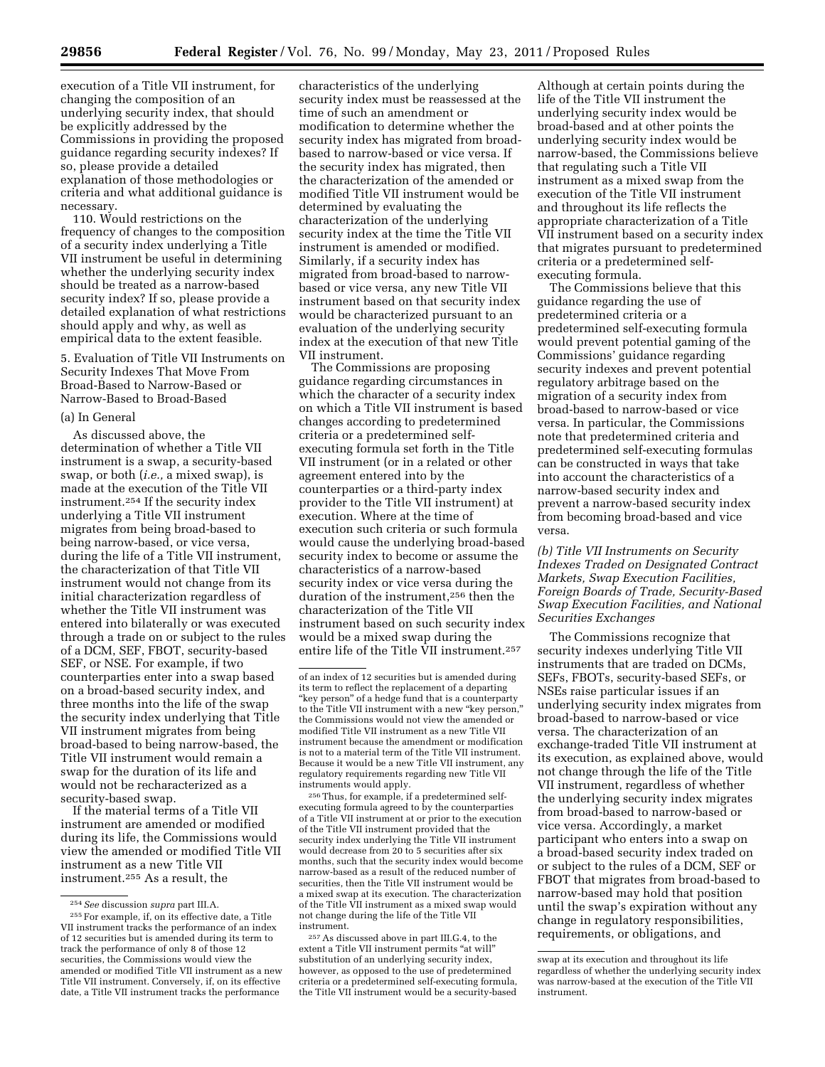execution of a Title VII instrument, for changing the composition of an underlying security index, that should be explicitly addressed by the Commissions in providing the proposed guidance regarding security indexes? If so, please provide a detailed explanation of those methodologies or criteria and what additional guidance is necessary.

110. Would restrictions on the frequency of changes to the composition of a security index underlying a Title VII instrument be useful in determining whether the underlying security index should be treated as a narrow-based security index? If so, please provide a detailed explanation of what restrictions should apply and why, as well as empirical data to the extent feasible.

5. Evaluation of Title VII Instruments on Security Indexes That Move From Broad-Based to Narrow-Based or Narrow-Based to Broad-Based

## (a) In General

As discussed above, the determination of whether a Title VII instrument is a swap, a security-based swap, or both (*i.e.,* a mixed swap), is made at the execution of the Title VII instrument.254 If the security index underlying a Title VII instrument migrates from being broad-based to being narrow-based, or vice versa, during the life of a Title VII instrument, the characterization of that Title VII instrument would not change from its initial characterization regardless of whether the Title VII instrument was entered into bilaterally or was executed through a trade on or subject to the rules of a DCM, SEF, FBOT, security-based SEF, or NSE. For example, if two counterparties enter into a swap based on a broad-based security index, and three months into the life of the swap the security index underlying that Title VII instrument migrates from being broad-based to being narrow-based, the Title VII instrument would remain a swap for the duration of its life and would not be recharacterized as a security-based swap.

If the material terms of a Title VII instrument are amended or modified during its life, the Commissions would view the amended or modified Title VII instrument as a new Title VII instrument.255 As a result, the

characteristics of the underlying security index must be reassessed at the time of such an amendment or modification to determine whether the security index has migrated from broadbased to narrow-based or vice versa. If the security index has migrated, then the characterization of the amended or modified Title VII instrument would be determined by evaluating the characterization of the underlying security index at the time the Title VII instrument is amended or modified. Similarly, if a security index has migrated from broad-based to narrowbased or vice versa, any new Title VII instrument based on that security index would be characterized pursuant to an evaluation of the underlying security index at the execution of that new Title VII instrument.

The Commissions are proposing guidance regarding circumstances in which the character of a security index on which a Title VII instrument is based changes according to predetermined criteria or a predetermined selfexecuting formula set forth in the Title VII instrument (or in a related or other agreement entered into by the counterparties or a third-party index provider to the Title VII instrument) at execution. Where at the time of execution such criteria or such formula would cause the underlying broad-based security index to become or assume the characteristics of a narrow-based security index or vice versa during the duration of the instrument,256 then the characterization of the Title VII instrument based on such security index would be a mixed swap during the entire life of the Title VII instrument.257

256Thus, for example, if a predetermined selfexecuting formula agreed to by the counterparties of a Title VII instrument at or prior to the execution of the Title VII instrument provided that the security index underlying the Title VII instrument would decrease from 20 to 5 securities after six months, such that the security index would become narrow-based as a result of the reduced number of securities, then the Title VII instrument would be a mixed swap at its execution. The characterization of the Title VII instrument as a mixed swap would not change during the life of the Title VII instrument.

257As discussed above in part III.G.4, to the extent a Title VII instrument permits "at will" substitution of an underlying security index, however, as opposed to the use of predetermined criteria or a predetermined self-executing formula, the Title VII instrument would be a security-based

Although at certain points during the life of the Title VII instrument the underlying security index would be broad-based and at other points the underlying security index would be narrow-based, the Commissions believe that regulating such a Title VII instrument as a mixed swap from the execution of the Title VII instrument and throughout its life reflects the appropriate characterization of a Title VII instrument based on a security index that migrates pursuant to predetermined criteria or a predetermined selfexecuting formula.

The Commissions believe that this guidance regarding the use of predetermined criteria or a predetermined self-executing formula would prevent potential gaming of the Commissions' guidance regarding security indexes and prevent potential regulatory arbitrage based on the migration of a security index from broad-based to narrow-based or vice versa. In particular, the Commissions note that predetermined criteria and predetermined self-executing formulas can be constructed in ways that take into account the characteristics of a narrow-based security index and prevent a narrow-based security index from becoming broad-based and vice versa.

*(b) Title VII Instruments on Security Indexes Traded on Designated Contract Markets, Swap Execution Facilities, Foreign Boards of Trade, Security-Based Swap Execution Facilities, and National Securities Exchanges* 

The Commissions recognize that security indexes underlying Title VII instruments that are traded on DCMs, SEFs, FBOTs, security-based SEFs, or NSEs raise particular issues if an underlying security index migrates from broad-based to narrow-based or vice versa. The characterization of an exchange-traded Title VII instrument at its execution, as explained above, would not change through the life of the Title VII instrument, regardless of whether the underlying security index migrates from broad-based to narrow-based or vice versa. Accordingly, a market participant who enters into a swap on a broad-based security index traded on or subject to the rules of a DCM, SEF or FBOT that migrates from broad-based to narrow-based may hold that position until the swap's expiration without any change in regulatory responsibilities, requirements, or obligations, and

<sup>254</sup>*See* discussion *supra* part III.A.

<sup>255</sup>For example, if, on its effective date, a Title VII instrument tracks the performance of an index of 12 securities but is amended during its term to track the performance of only 8 of those 12 securities, the Commissions would view the amended or modified Title VII instrument as a new Title VII instrument. Conversely, if, on its effective date, a Title VII instrument tracks the performance

of an index of 12 securities but is amended during its term to reflect the replacement of a departing ''key person'' of a hedge fund that is a counterparty to the Title VII instrument with a new "key person," the Commissions would not view the amended or modified Title VII instrument as a new Title VII instrument because the amendment or modification is not to a material term of the Title VII instrument. Because it would be a new Title VII instrument, any regulatory requirements regarding new Title VII instruments would apply.

swap at its execution and throughout its life regardless of whether the underlying security index was narrow-based at the execution of the Title VII instrument.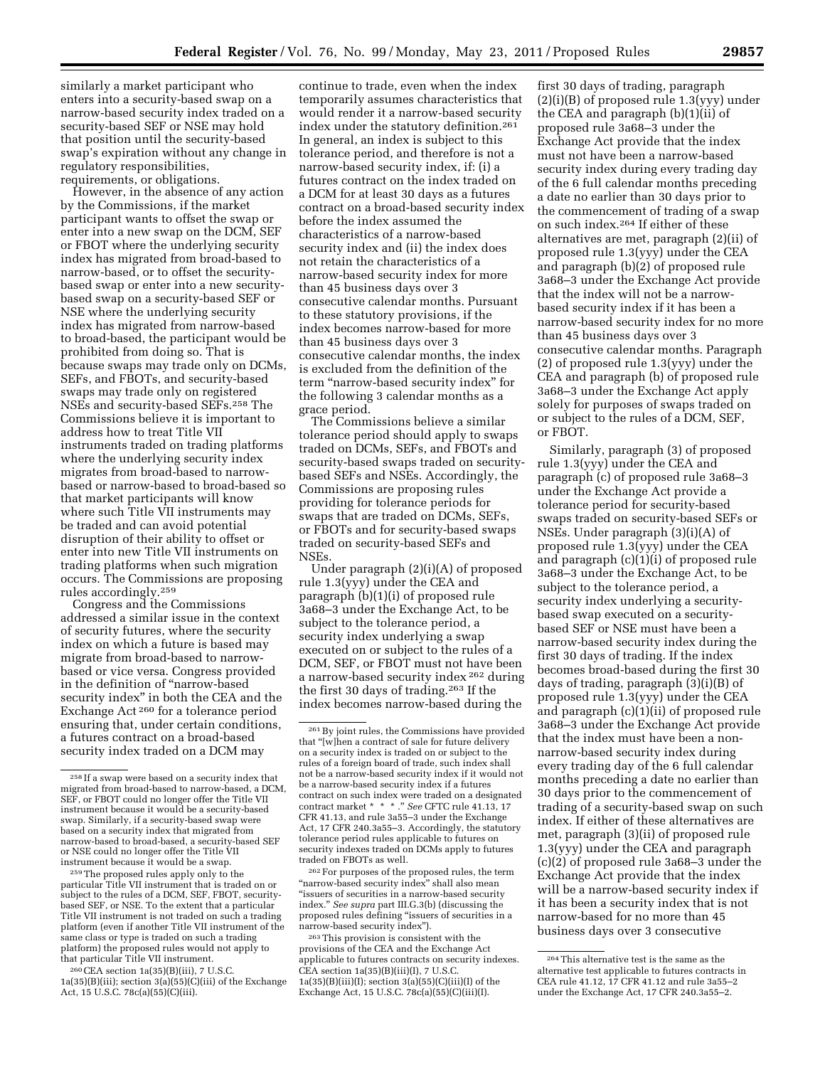similarly a market participant who enters into a security-based swap on a narrow-based security index traded on a security-based SEF or NSE may hold that position until the security-based swap's expiration without any change in regulatory responsibilities, requirements, or obligations.

However, in the absence of any action by the Commissions, if the market participant wants to offset the swap or enter into a new swap on the DCM, SEF or FBOT where the underlying security index has migrated from broad-based to narrow-based, or to offset the securitybased swap or enter into a new securitybased swap on a security-based SEF or NSE where the underlying security index has migrated from narrow-based to broad-based, the participant would be prohibited from doing so. That is because swaps may trade only on DCMs, SEFs, and FBOTs, and security-based swaps may trade only on registered NSEs and security-based SEFs.258 The Commissions believe it is important to address how to treat Title VII instruments traded on trading platforms where the underlying security index migrates from broad-based to narrowbased or narrow-based to broad-based so that market participants will know where such Title VII instruments may be traded and can avoid potential disruption of their ability to offset or enter into new Title VII instruments on trading platforms when such migration occurs. The Commissions are proposing rules accordingly.259

Congress and the Commissions addressed a similar issue in the context of security futures, where the security index on which a future is based may migrate from broad-based to narrowbased or vice versa. Congress provided in the definition of ''narrow-based security index'' in both the CEA and the Exchange Act 260 for a tolerance period ensuring that, under certain conditions, a futures contract on a broad-based security index traded on a DCM may

259The proposed rules apply only to the particular Title VII instrument that is traded on or subject to the rules of a DCM, SEF, FBOT, securitybased SEF, or NSE. To the extent that a particular Title VII instrument is not traded on such a trading platform (even if another Title VII instrument of the same class or type is traded on such a trading platform) the proposed rules would not apply to that particular Title VII instrument.

 $^{260}$ CEA section 1a(35)(B)(iii), 7 U.S.C.  $1a(35)(B)(iii)$ ; section  $3(a)(55)(C)(iii)$  of the Exchange Act, 15 U.S.C. 78c(a)(55)(C)(iii).

continue to trade, even when the index temporarily assumes characteristics that would render it a narrow-based security index under the statutory definition.261 In general, an index is subject to this tolerance period, and therefore is not a narrow-based security index, if: (i) a futures contract on the index traded on a DCM for at least 30 days as a futures contract on a broad-based security index before the index assumed the characteristics of a narrow-based security index and (ii) the index does not retain the characteristics of a narrow-based security index for more than 45 business days over 3 consecutive calendar months. Pursuant to these statutory provisions, if the index becomes narrow-based for more than 45 business days over 3 consecutive calendar months, the index is excluded from the definition of the term ''narrow-based security index'' for the following 3 calendar months as a grace period.

The Commissions believe a similar tolerance period should apply to swaps traded on DCMs, SEFs, and FBOTs and security-based swaps traded on securitybased SEFs and NSEs. Accordingly, the Commissions are proposing rules providing for tolerance periods for swaps that are traded on DCMs, SEFs, or FBOTs and for security-based swaps traded on security-based SEFs and NSEs.

Under paragraph (2)(i)(A) of proposed rule 1.3(yyy) under the CEA and paragraph (b)(1)(i) of proposed rule 3a68–3 under the Exchange Act, to be subject to the tolerance period, a security index underlying a swap executed on or subject to the rules of a DCM, SEF, or FBOT must not have been a narrow-based security index 262 during the first 30 days of trading.263 If the index becomes narrow-based during the

262For purposes of the proposed rules, the term "narrow-based security index" shall also mean ''issuers of securities in a narrow-based security index.'' *See supra* part III.G.3(b) (discussing the proposed rules defining ''issuers of securities in a narrow-based security index'').

263This provision is consistent with the provisions of the CEA and the Exchange Act applicable to futures contracts on security indexes.  $CEA$  section  $1a(35)(B)(iii)(I)$ , 7 U.S.C.  $1a(35)(B)(iii)(I);$  section  $3(a)(55)(C)(iii)(I)$  of the Exchange Act, 15 U.S.C. 78c(a)(55)(C)(iii)(I).

first 30 days of trading, paragraph (2)(i)(B) of proposed rule 1.3(yyy) under the CEA and paragraph (b)(1)(ii) of proposed rule 3a68–3 under the Exchange Act provide that the index must not have been a narrow-based security index during every trading day of the 6 full calendar months preceding a date no earlier than 30 days prior to the commencement of trading of a swap on such index.264 If either of these alternatives are met, paragraph (2)(ii) of proposed rule 1.3(yyy) under the CEA and paragraph (b)(2) of proposed rule 3a68–3 under the Exchange Act provide that the index will not be a narrowbased security index if it has been a narrow-based security index for no more than 45 business days over 3 consecutive calendar months. Paragraph (2) of proposed rule 1.3(yyy) under the CEA and paragraph (b) of proposed rule 3a68–3 under the Exchange Act apply solely for purposes of swaps traded on or subject to the rules of a DCM, SEF, or FBOT.

Similarly, paragraph (3) of proposed rule 1.3(yyy) under the CEA and paragraph (c) of proposed rule 3a68–3 under the Exchange Act provide a tolerance period for security-based swaps traded on security-based SEFs or NSEs. Under paragraph (3)(i)(A) of proposed rule 1.3(yyy) under the CEA and paragraph (c)(1)(i) of proposed rule 3a68–3 under the Exchange Act, to be subject to the tolerance period, a security index underlying a securitybased swap executed on a securitybased SEF or NSE must have been a narrow-based security index during the first 30 days of trading. If the index becomes broad-based during the first 30 days of trading, paragraph (3)(i)(B) of proposed rule 1.3(yyy) under the CEA and paragraph (c)(1)(ii) of proposed rule 3a68–3 under the Exchange Act provide that the index must have been a nonnarrow-based security index during every trading day of the 6 full calendar months preceding a date no earlier than 30 days prior to the commencement of trading of a security-based swap on such index. If either of these alternatives are met, paragraph (3)(ii) of proposed rule 1.3(yyy) under the CEA and paragraph (c)(2) of proposed rule 3a68–3 under the Exchange Act provide that the index will be a narrow-based security index if it has been a security index that is not narrow-based for no more than 45 business days over 3 consecutive

<sup>258</sup> If a swap were based on a security index that migrated from broad-based to narrow-based, a DCM, SEF, or FBOT could no longer offer the Title VII instrument because it would be a security-based swap. Similarly, if a security-based swap were based on a security index that migrated from narrow-based to broad-based, a security-based SEF or NSE could no longer offer the Title VII instrument because it would be a swap.

<sup>261</sup>By joint rules, the Commissions have provided that ''[w]hen a contract of sale for future delivery on a security index is traded on or subject to the rules of a foreign board of trade, such index shall not be a narrow-based security index if it would not be a narrow-based security index if a futures contract on such index were traded on a designated contract market \* \* \* .'' *See* CFTC rule 41.13, 17 CFR 41.13, and rule 3a55–3 under the Exchange Act, 17 CFR 240.3a55–3. Accordingly, the statutory tolerance period rules applicable to futures on security indexes traded on DCMs apply to futures traded on FBOTs as well.

<sup>264</sup>This alternative test is the same as the alternative test applicable to futures contracts in CEA rule 41.12, 17 CFR 41.12 and rule 3a55–2 under the Exchange Act, 17 CFR 240.3a55–2.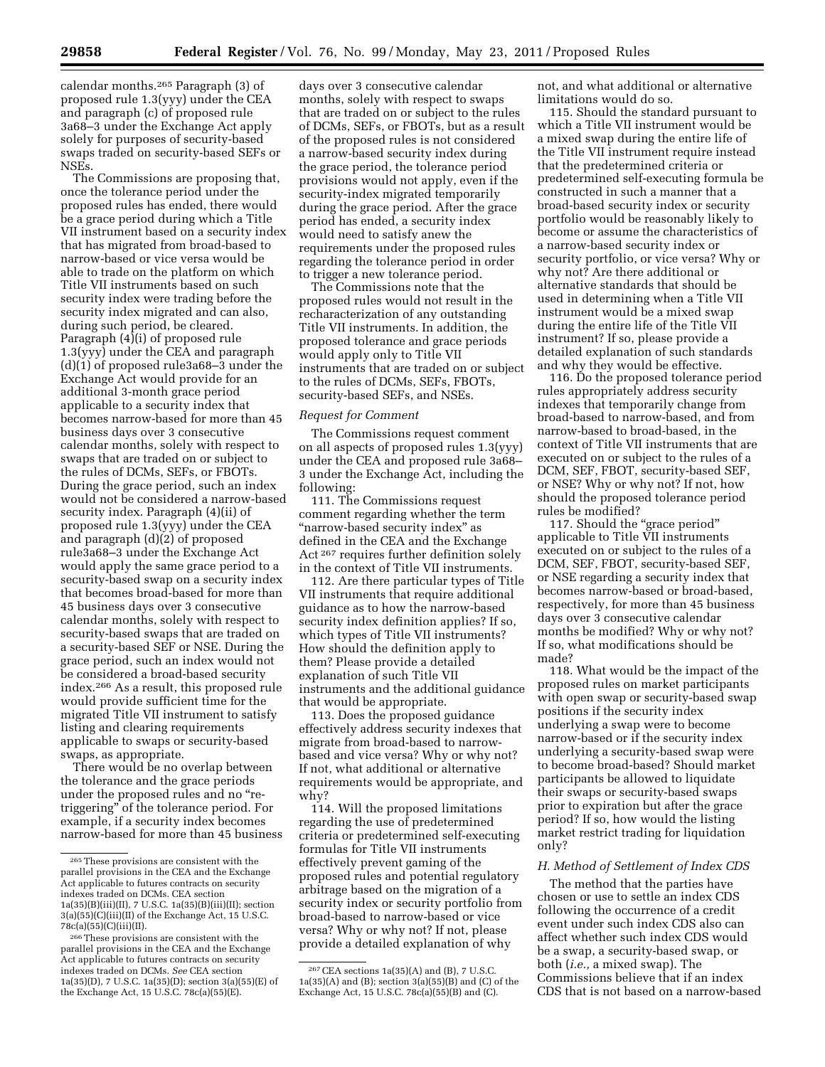calendar months.265 Paragraph (3) of proposed rule 1.3(yyy) under the CEA and paragraph (c) of proposed rule 3a68–3 under the Exchange Act apply solely for purposes of security-based swaps traded on security-based SEFs or NSEs.

The Commissions are proposing that, once the tolerance period under the proposed rules has ended, there would be a grace period during which a Title VII instrument based on a security index that has migrated from broad-based to narrow-based or vice versa would be able to trade on the platform on which Title VII instruments based on such security index were trading before the security index migrated and can also, during such period, be cleared. Paragraph (4)(i) of proposed rule 1.3(yyy) under the CEA and paragraph (d)(1) of proposed rule3a68–3 under the Exchange Act would provide for an additional 3-month grace period applicable to a security index that becomes narrow-based for more than 45 business days over 3 consecutive calendar months, solely with respect to swaps that are traded on or subject to the rules of DCMs, SEFs, or FBOTs. During the grace period, such an index would not be considered a narrow-based security index. Paragraph (4)(ii) of proposed rule 1.3(yyy) under the CEA and paragraph (d)(2) of proposed rule3a68–3 under the Exchange Act would apply the same grace period to a security-based swap on a security index that becomes broad-based for more than 45 business days over 3 consecutive calendar months, solely with respect to security-based swaps that are traded on a security-based SEF or NSE. During the grace period, such an index would not be considered a broad-based security index.266 As a result, this proposed rule would provide sufficient time for the migrated Title VII instrument to satisfy listing and clearing requirements applicable to swaps or security-based swaps, as appropriate.

There would be no overlap between the tolerance and the grace periods under the proposed rules and no "retriggering'' of the tolerance period. For example, if a security index becomes narrow-based for more than 45 business

days over 3 consecutive calendar months, solely with respect to swaps that are traded on or subject to the rules of DCMs, SEFs, or FBOTs, but as a result of the proposed rules is not considered a narrow-based security index during the grace period, the tolerance period provisions would not apply, even if the security-index migrated temporarily during the grace period. After the grace period has ended, a security index would need to satisfy anew the requirements under the proposed rules regarding the tolerance period in order to trigger a new tolerance period.

The Commissions note that the proposed rules would not result in the recharacterization of any outstanding Title VII instruments. In addition, the proposed tolerance and grace periods would apply only to Title VII instruments that are traded on or subject to the rules of DCMs, SEFs, FBOTs, security-based SEFs, and NSEs.

## *Request for Comment*

The Commissions request comment on all aspects of proposed rules 1.3(yyy) under the CEA and proposed rule 3a68– 3 under the Exchange Act, including the following:

111. The Commissions request comment regarding whether the term ''narrow-based security index'' as defined in the CEA and the Exchange Act 267 requires further definition solely in the context of Title VII instruments.

112. Are there particular types of Title VII instruments that require additional guidance as to how the narrow-based security index definition applies? If so, which types of Title VII instruments? How should the definition apply to them? Please provide a detailed explanation of such Title VII instruments and the additional guidance that would be appropriate.

113. Does the proposed guidance effectively address security indexes that migrate from broad-based to narrowbased and vice versa? Why or why not? If not, what additional or alternative requirements would be appropriate, and why?

114. Will the proposed limitations regarding the use of predetermined criteria or predetermined self-executing formulas for Title VII instruments effectively prevent gaming of the proposed rules and potential regulatory arbitrage based on the migration of a security index or security portfolio from broad-based to narrow-based or vice versa? Why or why not? If not, please provide a detailed explanation of why

not, and what additional or alternative limitations would do so.

115. Should the standard pursuant to which a Title VII instrument would be a mixed swap during the entire life of the Title VII instrument require instead that the predetermined criteria or predetermined self-executing formula be constructed in such a manner that a broad-based security index or security portfolio would be reasonably likely to become or assume the characteristics of a narrow-based security index or security portfolio, or vice versa? Why or why not? Are there additional or alternative standards that should be used in determining when a Title VII instrument would be a mixed swap during the entire life of the Title VII instrument? If so, please provide a detailed explanation of such standards and why they would be effective.

116. Do the proposed tolerance period rules appropriately address security indexes that temporarily change from broad-based to narrow-based, and from narrow-based to broad-based, in the context of Title VII instruments that are executed on or subject to the rules of a DCM, SEF, FBOT, security-based SEF, or NSE? Why or why not? If not, how should the proposed tolerance period rules be modified?

117. Should the "grace period" applicable to Title VII instruments executed on or subject to the rules of a DCM, SEF, FBOT, security-based SEF, or NSE regarding a security index that becomes narrow-based or broad-based, respectively, for more than 45 business days over 3 consecutive calendar months be modified? Why or why not? If so, what modifications should be made?

118. What would be the impact of the proposed rules on market participants with open swap or security-based swap positions if the security index underlying a swap were to become narrow-based or if the security index underlying a security-based swap were to become broad-based? Should market participants be allowed to liquidate their swaps or security-based swaps prior to expiration but after the grace period? If so, how would the listing market restrict trading for liquidation only?

#### *H. Method of Settlement of Index CDS*

The method that the parties have chosen or use to settle an index CDS following the occurrence of a credit event under such index CDS also can affect whether such index CDS would be a swap, a security-based swap, or both (*i.e.,* a mixed swap). The Commissions believe that if an index CDS that is not based on a narrow-based

<sup>265</sup>These provisions are consistent with the parallel provisions in the CEA and the Exchange Act applicable to futures contracts on security indexes traded on DCMs. CEA section 1a(35)(B)(iii)(II), 7 U.S.C. 1a(35)(B)(iii)(II); section 3(a)(55)(C)(iii)(II) of the Exchange Act, 15 U.S.C. 78c(a)(55)(C)(iii)(II).

<sup>266</sup>These provisions are consistent with the parallel provisions in the CEA and the Exchange Act applicable to futures contracts on security indexes traded on DCMs. *See* CEA section 1a(35)(D), 7 U.S.C. 1a(35)(D); section 3(a)(55)(E) of the Exchange Act, 15 U.S.C. 78c(a)(55)(E).

<sup>267</sup>CEA sections 1a(35)(A) and (B), 7 U.S.C.  $1a(35)(A)$  and (B); section  $3(a)(55)(B)$  and (C) of the Exchange Act, 15 U.S.C. 78c(a)(55)(B) and (C).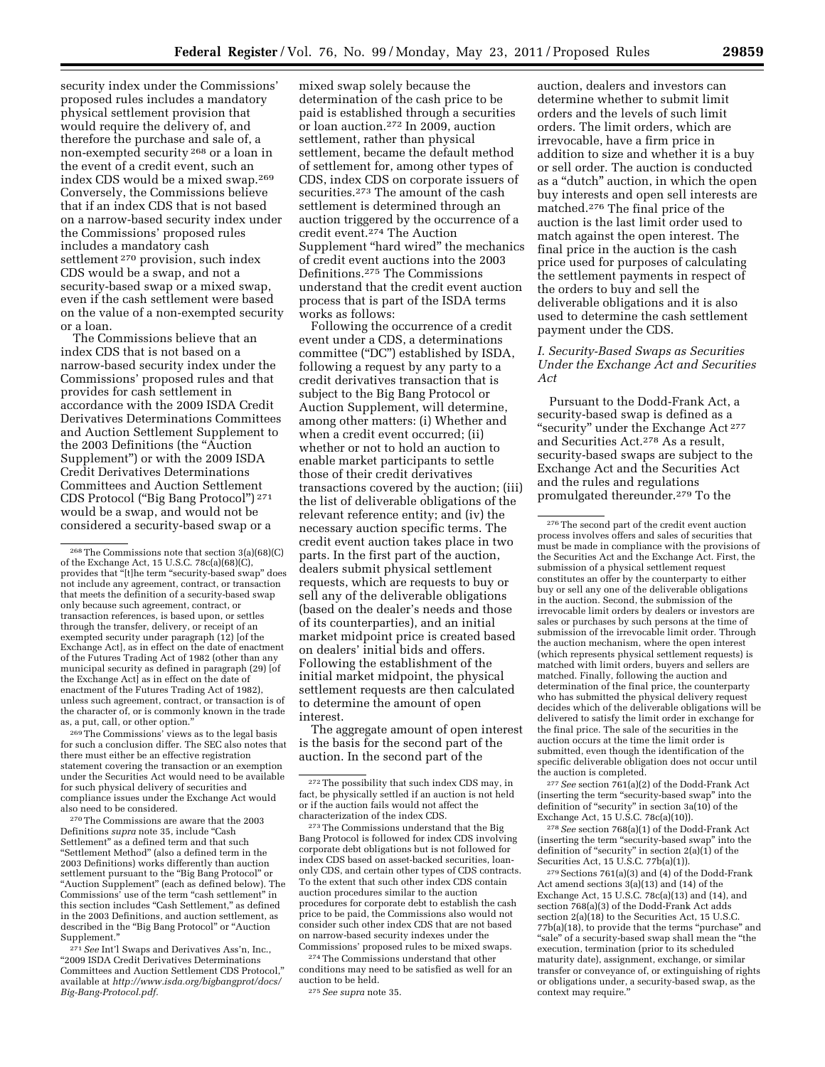security index under the Commissions' proposed rules includes a mandatory physical settlement provision that would require the delivery of, and therefore the purchase and sale of, a non-exempted security 268 or a loan in the event of a credit event, such an index CDS would be a mixed swap.269 Conversely, the Commissions believe that if an index CDS that is not based on a narrow-based security index under the Commissions' proposed rules includes a mandatory cash settlement 270 provision, such index CDS would be a swap, and not a security-based swap or a mixed swap, even if the cash settlement were based on the value of a non-exempted security or a loan.

The Commissions believe that an index CDS that is not based on a narrow-based security index under the Commissions' proposed rules and that provides for cash settlement in accordance with the 2009 ISDA Credit Derivatives Determinations Committees and Auction Settlement Supplement to the 2003 Definitions (the ''Auction Supplement'') or with the 2009 ISDA Credit Derivatives Determinations Committees and Auction Settlement CDS Protocol (''Big Bang Protocol'') 271 would be a swap, and would not be considered a security-based swap or a

269The Commissions' views as to the legal basis for such a conclusion differ. The SEC also notes that there must either be an effective registration statement covering the transaction or an exemption under the Securities Act would need to be available for such physical delivery of securities and compliance issues under the Exchange Act would also need to be considered.

270The Commissions are aware that the 2003 Definitions *supra* note 35, include "Cash Settlement" as a defined term and that such ''Settlement Method'' (also a defined term in the 2003 Definitions) works differently than auction settlement pursuant to the ''Big Bang Protocol'' or "Auction Supplement" (each as defined below). The Commissions' use of the term "cash settlement" in this section includes ''Cash Settlement,'' as defined in the 2003 Definitions, and auction settlement, as described in the ''Big Bang Protocol'' or ''Auction Supplement.''

271*See* Int'l Swaps and Derivatives Ass'n, Inc., ''2009 ISDA Credit Derivatives Determinations Committees and Auction Settlement CDS Protocol,'' available at *[http://www.isda.org/bigbangprot/docs/](http://www.isda.org/bigbangprot/docs/Big-Bang-Protocol.pdf)  [Big-Bang-Protocol.pdf.](http://www.isda.org/bigbangprot/docs/Big-Bang-Protocol.pdf)* 

mixed swap solely because the determination of the cash price to be paid is established through a securities or loan auction.272 In 2009, auction settlement, rather than physical settlement, became the default method of settlement for, among other types of CDS, index CDS on corporate issuers of securities.273 The amount of the cash settlement is determined through an auction triggered by the occurrence of a credit event.274 The Auction Supplement ''hard wired'' the mechanics of credit event auctions into the 2003 Definitions.275 The Commissions understand that the credit event auction process that is part of the ISDA terms works as follows:

Following the occurrence of a credit event under a CDS, a determinations committee (''DC'') established by ISDA, following a request by any party to a credit derivatives transaction that is subject to the Big Bang Protocol or Auction Supplement, will determine, among other matters: (i) Whether and when a credit event occurred; (ii) whether or not to hold an auction to enable market participants to settle those of their credit derivatives transactions covered by the auction; (iii) the list of deliverable obligations of the relevant reference entity; and (iv) the necessary auction specific terms. The credit event auction takes place in two parts. In the first part of the auction, dealers submit physical settlement requests, which are requests to buy or sell any of the deliverable obligations (based on the dealer's needs and those of its counterparties), and an initial market midpoint price is created based on dealers' initial bids and offers. Following the establishment of the initial market midpoint, the physical settlement requests are then calculated to determine the amount of open interest.

The aggregate amount of open interest is the basis for the second part of the auction. In the second part of the

273The Commissions understand that the Big Bang Protocol is followed for index CDS involving corporate debt obligations but is not followed for index CDS based on asset-backed securities, loanonly CDS, and certain other types of CDS contracts. To the extent that such other index CDS contain auction procedures similar to the auction procedures for corporate debt to establish the cash price to be paid, the Commissions also would not consider such other index CDS that are not based on narrow-based security indexes under the Commissions' proposed rules to be mixed swaps.

274The Commissions understand that other conditions may need to be satisfied as well for an auction to be held.

275*See supra* note 35.

auction, dealers and investors can determine whether to submit limit orders and the levels of such limit orders. The limit orders, which are irrevocable, have a firm price in addition to size and whether it is a buy or sell order. The auction is conducted as a ''dutch'' auction, in which the open buy interests and open sell interests are matched.276 The final price of the auction is the last limit order used to match against the open interest. The final price in the auction is the cash price used for purposes of calculating the settlement payments in respect of the orders to buy and sell the deliverable obligations and it is also used to determine the cash settlement payment under the CDS.

## *I. Security-Based Swaps as Securities Under the Exchange Act and Securities Act*

Pursuant to the Dodd-Frank Act, a security-based swap is defined as a "security" under the Exchange Act<sup>277</sup> and Securities Act.278 As a result, security-based swaps are subject to the Exchange Act and the Securities Act and the rules and regulations promulgated thereunder.279 To the

277*See* section 761(a)(2) of the Dodd-Frank Act (inserting the term "security-based swap" into the definition of "security" in section 3a(10) of the Exchange Act, 15 U.S.C. 78c(a)(10)).

278*See* section 768(a)(1) of the Dodd-Frank Act (inserting the term "security-based swap" into the definition of "security" in section  $2(a)(1)$  of the Securities Act, 15 U.S.C. 77b(a)(1)).

279Sections 761(a)(3) and (4) of the Dodd-Frank Act amend sections 3(a)(13) and (14) of the Exchange Act, 15 U.S.C. 78c(a)(13) and (14), and section 768(a)(3) of the Dodd-Frank Act adds section 2(a)(18) to the Securities Act, 15 U.S.C. 77b(a)(18), to provide that the terms ''purchase'' and "sale" of a security-based swap shall mean the "the execution, termination (prior to its scheduled maturity date), assignment, exchange, or similar transfer or conveyance of, or extinguishing of rights or obligations under, a security-based swap, as the context may require.''

<sup>268</sup>The Commissions note that section 3(a)(68)(C) of the Exchange Act, 15 U.S.C. 78c(a)(68)(C), provides that "[t]he term "security-based swap" does not include any agreement, contract, or transaction that meets the definition of a security-based swap only because such agreement, contract, or transaction references, is based upon, or settles through the transfer, delivery, or receipt of an exempted security under paragraph (12) [of the Exchange Act], as in effect on the date of enactment of the Futures Trading Act of 1982 (other than any municipal security as defined in paragraph (29) [of the Exchange Act] as in effect on the date of enactment of the Futures Trading Act of 1982), unless such agreement, contract, or transaction is of the character of, or is commonly known in the trade as, a put, call, or other option.''

<sup>272</sup>The possibility that such index CDS may, in fact, be physically settled if an auction is not held or if the auction fails would not affect the characterization of the index CDS.

 $\rm ^{276}$  The second part of the credit event auction process involves offers and sales of securities that must be made in compliance with the provisions of the Securities Act and the Exchange Act. First, the submission of a physical settlement request constitutes an offer by the counterparty to either buy or sell any one of the deliverable obligations in the auction. Second, the submission of the irrevocable limit orders by dealers or investors are sales or purchases by such persons at the time of submission of the irrevocable limit order. Through the auction mechanism, where the open interest (which represents physical settlement requests) is matched with limit orders, buyers and sellers are matched. Finally, following the auction and determination of the final price, the counterparty who has submitted the physical delivery request decides which of the deliverable obligations will be delivered to satisfy the limit order in exchange for the final price. The sale of the securities in the auction occurs at the time the limit order is submitted, even though the identification of the specific deliverable obligation does not occur until the auction is completed.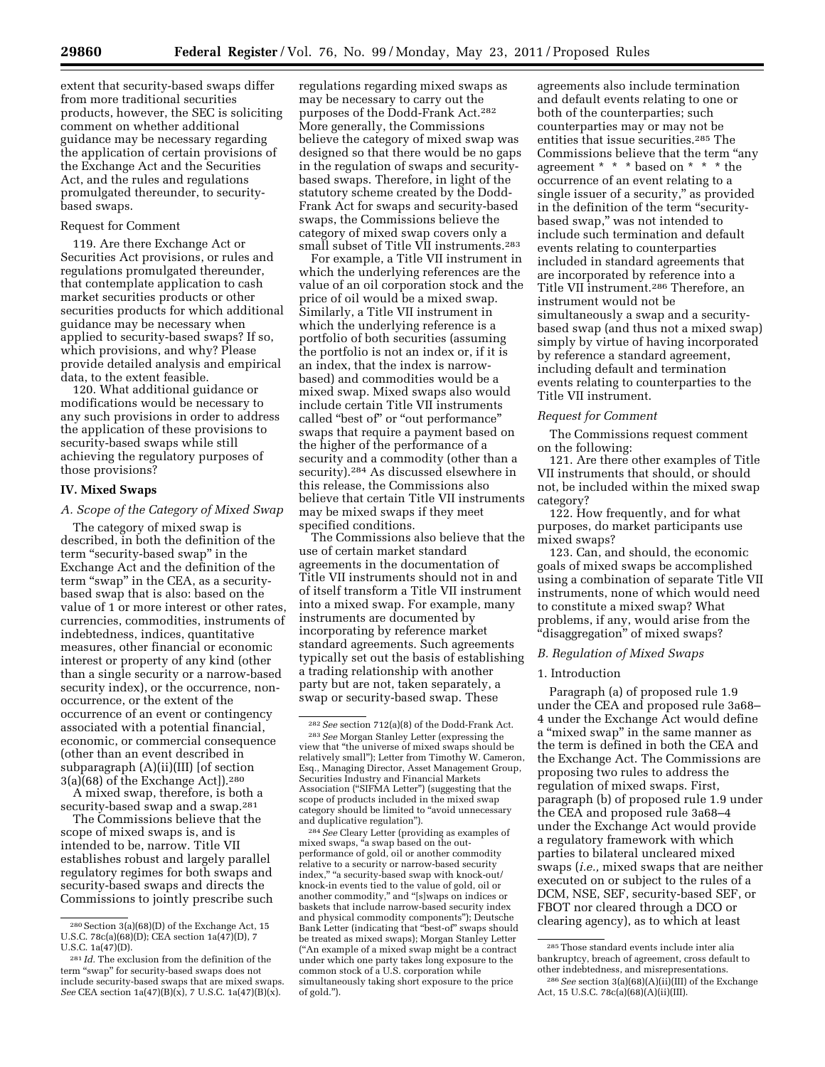extent that security-based swaps differ from more traditional securities products, however, the SEC is soliciting comment on whether additional guidance may be necessary regarding the application of certain provisions of the Exchange Act and the Securities Act, and the rules and regulations promulgated thereunder, to securitybased swaps.

#### Request for Comment

119. Are there Exchange Act or Securities Act provisions, or rules and regulations promulgated thereunder, that contemplate application to cash market securities products or other securities products for which additional guidance may be necessary when applied to security-based swaps? If so, which provisions, and why? Please provide detailed analysis and empirical data, to the extent feasible.

120. What additional guidance or modifications would be necessary to any such provisions in order to address the application of these provisions to security-based swaps while still achieving the regulatory purposes of those provisions?

## **IV. Mixed Swaps**

# *A. Scope of the Category of Mixed Swap*

The category of mixed swap is described, in both the definition of the term "security-based swap" in the Exchange Act and the definition of the term "swap" in the CEA, as a securitybased swap that is also: based on the value of 1 or more interest or other rates, currencies, commodities, instruments of indebtedness, indices, quantitative measures, other financial or economic interest or property of any kind (other than a single security or a narrow-based security index), or the occurrence, nonoccurrence, or the extent of the occurrence of an event or contingency associated with a potential financial, economic, or commercial consequence (other than an event described in subparagraph (A)(ii)(III) [of section  $3(a)(68)$  of the Exchange Act]).<sup>280</sup>

A mixed swap, therefore, is both a security-based swap and a swap.<sup>281</sup>

The Commissions believe that the scope of mixed swaps is, and is intended to be, narrow. Title VII establishes robust and largely parallel regulatory regimes for both swaps and security-based swaps and directs the Commissions to jointly prescribe such regulations regarding mixed swaps as may be necessary to carry out the purposes of the Dodd-Frank Act.282 More generally, the Commissions believe the category of mixed swap was designed so that there would be no gaps in the regulation of swaps and securitybased swaps. Therefore, in light of the statutory scheme created by the Dodd-Frank Act for swaps and security-based swaps, the Commissions believe the category of mixed swap covers only a small subset of Title VII instruments.283

For example, a Title VII instrument in which the underlying references are the value of an oil corporation stock and the price of oil would be a mixed swap. Similarly, a Title VII instrument in which the underlying reference is a portfolio of both securities (assuming the portfolio is not an index or, if it is an index, that the index is narrowbased) and commodities would be a mixed swap. Mixed swaps also would include certain Title VII instruments called ''best of'' or ''out performance'' swaps that require a payment based on the higher of the performance of a security and a commodity (other than a security).284 As discussed elsewhere in this release, the Commissions also believe that certain Title VII instruments may be mixed swaps if they meet specified conditions.

The Commissions also believe that the use of certain market standard agreements in the documentation of Title VII instruments should not in and of itself transform a Title VII instrument into a mixed swap. For example, many instruments are documented by incorporating by reference market standard agreements. Such agreements typically set out the basis of establishing a trading relationship with another party but are not, taken separately, a swap or security-based swap. These

284*See* Cleary Letter (providing as examples of mixed swaps, "a swap based on the outperformance of gold, oil or another commodity relative to a security or narrow-based security index," "a security-based swap with knock-out/ knock-in events tied to the value of gold, oil or another commodity," and "[s]waps on indices or baskets that include narrow-based security index and physical commodity components''); Deutsche Bank Letter (indicating that "best-of" swaps should be treated as mixed swaps); Morgan Stanley Letter (''An example of a mixed swap might be a contract under which one party takes long exposure to the common stock of a U.S. corporation while simultaneously taking short exposure to the price of gold.'').

agreements also include termination and default events relating to one or both of the counterparties; such counterparties may or may not be entities that issue securities.285 The Commissions believe that the term ''any agreement \* \* \* based on \* \* \* the occurrence of an event relating to a single issuer of a security," as provided in the definition of the term "securitybased swap,'' was not intended to include such termination and default events relating to counterparties included in standard agreements that are incorporated by reference into a Title VII instrument.286 Therefore, an instrument would not be simultaneously a swap and a securitybased swap (and thus not a mixed swap) simply by virtue of having incorporated by reference a standard agreement, including default and termination events relating to counterparties to the Title VII instrument.

#### *Request for Comment*

The Commissions request comment on the following:

121. Are there other examples of Title VII instruments that should, or should not, be included within the mixed swap category?

122. How frequently, and for what purposes, do market participants use mixed swaps?

123. Can, and should, the economic goals of mixed swaps be accomplished using a combination of separate Title VII instruments, none of which would need to constitute a mixed swap? What problems, if any, would arise from the ''disaggregation'' of mixed swaps?

### *B. Regulation of Mixed Swaps*

### 1. Introduction

Paragraph (a) of proposed rule 1.9 under the CEA and proposed rule 3a68– 4 under the Exchange Act would define a ''mixed swap'' in the same manner as the term is defined in both the CEA and the Exchange Act. The Commissions are proposing two rules to address the regulation of mixed swaps. First, paragraph (b) of proposed rule 1.9 under the CEA and proposed rule 3a68–4 under the Exchange Act would provide a regulatory framework with which parties to bilateral uncleared mixed swaps (*i.e.,* mixed swaps that are neither executed on or subject to the rules of a DCM, NSE, SEF, security-based SEF, or FBOT nor cleared through a DCO or clearing agency), as to which at least

<sup>280</sup>Section 3(a)(68)(D) of the Exchange Act, 15 U.S.C. 78c(a)(68)(D); CEA section 1a(47)(D), 7 U.S.C. 1a(47)(D).

<sup>281</sup> *Id.* The exclusion from the definition of the term "swap" for security-based swaps does not include security-based swaps that are mixed swaps. *See* CEA section 1a(47)(B)(x), 7 U.S.C. 1a(47)(B)(x).

<sup>282</sup>*See* section 712(a)(8) of the Dodd-Frank Act. 283*See* Morgan Stanley Letter (expressing the view that ''the universe of mixed swaps should be relatively small''); Letter from Timothy W. Cameron, Esq., Managing Director, Asset Management Group, Securities Industry and Financial Markets Association (''SIFMA Letter'') (suggesting that the scope of products included in the mixed swap category should be limited to "avoid unnecessary and duplicative regulation'').

<sup>285</sup>Those standard events include inter alia bankruptcy, breach of agreement, cross default to other indebtedness, and misrepresentations.

<sup>286</sup>*See* section 3(a)(68)(A)(ii)(III) of the Exchange Act, 15 U.S.C. 78c(a)(68)(A)(ii)(III).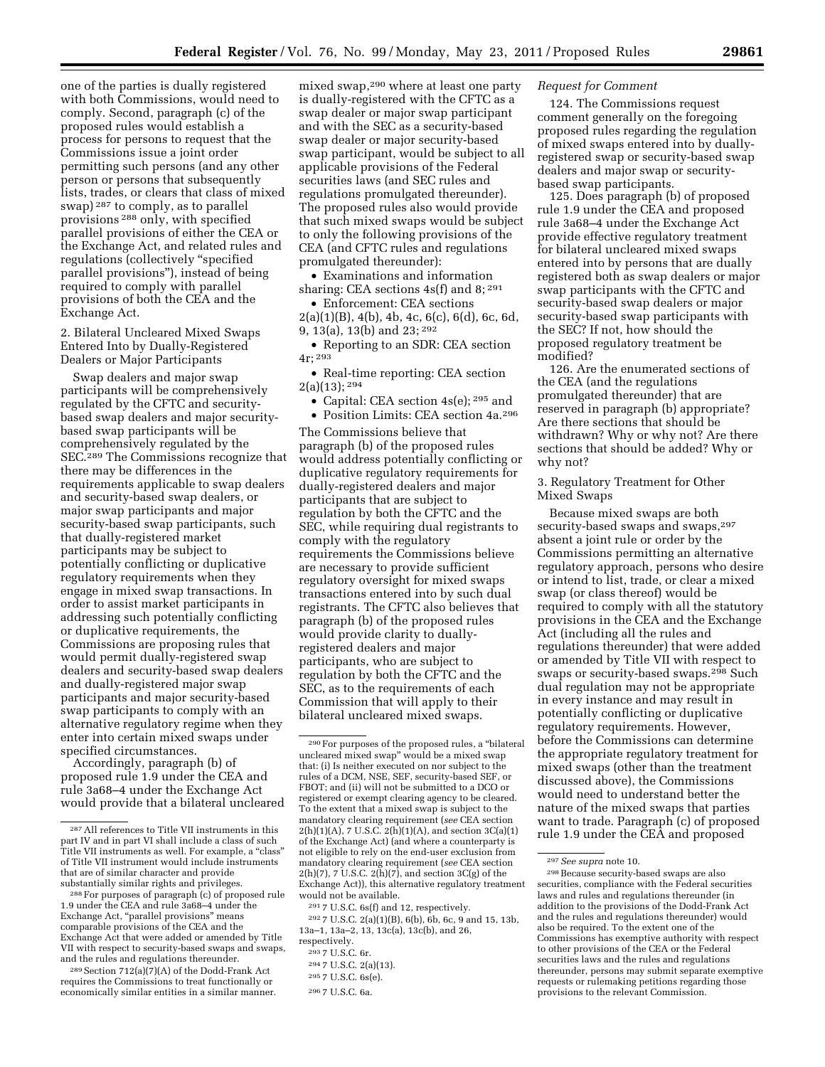one of the parties is dually registered with both Commissions, would need to comply. Second, paragraph (c) of the proposed rules would establish a process for persons to request that the Commissions issue a joint order permitting such persons (and any other person or persons that subsequently lists, trades, or clears that class of mixed swap) 287 to comply, as to parallel provisions 288 only, with specified parallel provisions of either the CEA or the Exchange Act, and related rules and regulations (collectively ''specified parallel provisions''), instead of being required to comply with parallel provisions of both the CEA and the Exchange Act.

2. Bilateral Uncleared Mixed Swaps Entered Into by Dually-Registered Dealers or Major Participants

Swap dealers and major swap participants will be comprehensively regulated by the CFTC and securitybased swap dealers and major securitybased swap participants will be comprehensively regulated by the SEC.289 The Commissions recognize that there may be differences in the requirements applicable to swap dealers and security-based swap dealers, or major swap participants and major security-based swap participants, such that dually-registered market participants may be subject to potentially conflicting or duplicative regulatory requirements when they engage in mixed swap transactions. In order to assist market participants in addressing such potentially conflicting or duplicative requirements, the Commissions are proposing rules that would permit dually-registered swap dealers and security-based swap dealers and dually-registered major swap participants and major security-based swap participants to comply with an alternative regulatory regime when they enter into certain mixed swaps under specified circumstances.

Accordingly, paragraph (b) of proposed rule 1.9 under the CEA and rule 3a68–4 under the Exchange Act would provide that a bilateral uncleared

289Section 712(a)(7)(A) of the Dodd-Frank Act requires the Commissions to treat functionally or economically similar entities in a similar manner.

mixed swap,290 where at least one party is dually-registered with the CFTC as a swap dealer or major swap participant and with the SEC as a security-based swap dealer or major security-based swap participant, would be subject to all applicable provisions of the Federal securities laws (and SEC rules and regulations promulgated thereunder). The proposed rules also would provide that such mixed swaps would be subject to only the following provisions of the CEA (and CFTC rules and regulations promulgated thereunder):

• Examinations and information sharing: CEA sections 4s(f) and 8; 291

• Enforcement: CEA sections  $2(a)(1)(B)$ , 4(b), 4b, 4c, 6(c), 6(d), 6c, 6d, 9, 13(a), 13(b) and 23; 292

• Reporting to an SDR: CEA section 4r; 293

• Real-time reporting: CEA section  $2(a)(13); 294$ 

• Capital: CEA section 4s(e); <sup>295</sup> and

• Position Limits: CEA section 4a.296 The Commissions believe that

paragraph (b) of the proposed rules would address potentially conflicting or duplicative regulatory requirements for dually-registered dealers and major participants that are subject to regulation by both the CFTC and the SEC, while requiring dual registrants to comply with the regulatory requirements the Commissions believe are necessary to provide sufficient regulatory oversight for mixed swaps transactions entered into by such dual registrants. The CFTC also believes that paragraph (b) of the proposed rules would provide clarity to duallyregistered dealers and major participants, who are subject to regulation by both the CFTC and the SEC, as to the requirements of each Commission that will apply to their bilateral uncleared mixed swaps.

291 7 U.S.C. 6s(f) and 12, respectively.

292 7 U.S.C. 2(a)(1)(B), 6(b), 6b, 6c, 9 and 15, 13b, 13a–1, 13a–2, 13, 13c(a), 13c(b), and 26, respectively.

- 294 7 U.S.C. 2(a)(13).
- 295 7 U.S.C. 6s(e).

### *Request for Comment*

124. The Commissions request comment generally on the foregoing proposed rules regarding the regulation of mixed swaps entered into by duallyregistered swap or security-based swap dealers and major swap or securitybased swap participants.

125. Does paragraph (b) of proposed rule 1.9 under the CEA and proposed rule 3a68–4 under the Exchange Act provide effective regulatory treatment for bilateral uncleared mixed swaps entered into by persons that are dually registered both as swap dealers or major swap participants with the CFTC and security-based swap dealers or major security-based swap participants with the SEC? If not, how should the proposed regulatory treatment be modified?

126. Are the enumerated sections of the CEA (and the regulations promulgated thereunder) that are reserved in paragraph (b) appropriate? Are there sections that should be withdrawn? Why or why not? Are there sections that should be added? Why or why not?

3. Regulatory Treatment for Other Mixed Swaps

Because mixed swaps are both security-based swaps and swaps,297 absent a joint rule or order by the Commissions permitting an alternative regulatory approach, persons who desire or intend to list, trade, or clear a mixed swap (or class thereof) would be required to comply with all the statutory provisions in the CEA and the Exchange Act (including all the rules and regulations thereunder) that were added or amended by Title VII with respect to swaps or security-based swaps.298 Such dual regulation may not be appropriate in every instance and may result in potentially conflicting or duplicative regulatory requirements. However, before the Commissions can determine the appropriate regulatory treatment for mixed swaps (other than the treatment discussed above), the Commissions would need to understand better the nature of the mixed swaps that parties want to trade. Paragraph (c) of proposed rule 1.9 under the CEA and proposed

 $^\mathrm{287}\mathrm{All}$  references to Title VII instruments in this part IV and in part VI shall include a class of such Title VII instruments as well. For example, a "class" of Title VII instrument would include instruments that are of similar character and provide substantially similar rights and privileges.

<sup>288</sup>For purposes of paragraph (c) of proposed rule 1.9 under the CEA and rule 3a68–4 under the Exchange Act, "parallel provisions" means comparable provisions of the CEA and the Exchange Act that were added or amended by Title VII with respect to security-based swaps and swaps, and the rules and regulations thereunder.

<sup>290</sup>For purposes of the proposed rules, a ''bilateral uncleared mixed swap'' would be a mixed swap that: (i) Is neither executed on nor subject to the rules of a DCM, NSE, SEF, security-based SEF, or FBOT; and (ii) will not be submitted to a DCO or registered or exempt clearing agency to be cleared. To the extent that a mixed swap is subject to the mandatory clearing requirement (*see* CEA section  $2(h)(1)(A)$ , 7 U.S.C.  $2(h)(1)(A)$ , and section  $3C(a)(1)$ of the Exchange Act) (and where a counterparty is not eligible to rely on the end-user exclusion from mandatory clearing requirement (*see* CEA section  $2(h)(7)$ , 7 U.S.C.  $2(h)(7)$ , and section  $3C(g)$  of the Exchange Act)), this alternative regulatory treatment would not be available.

<sup>293</sup> 7 U.S.C. 6r.

<sup>296</sup> 7 U.S.C. 6a.

<sup>297</sup>*See supra* note 10.

<sup>298</sup>Because security-based swaps are also securities, compliance with the Federal securities laws and rules and regulations thereunder (in addition to the provisions of the Dodd-Frank Act and the rules and regulations thereunder) would also be required. To the extent one of the Commissions has exemptive authority with respect to other provisions of the CEA or the Federal securities laws and the rules and regulations thereunder, persons may submit separate exemptive requests or rulemaking petitions regarding those provisions to the relevant Commission.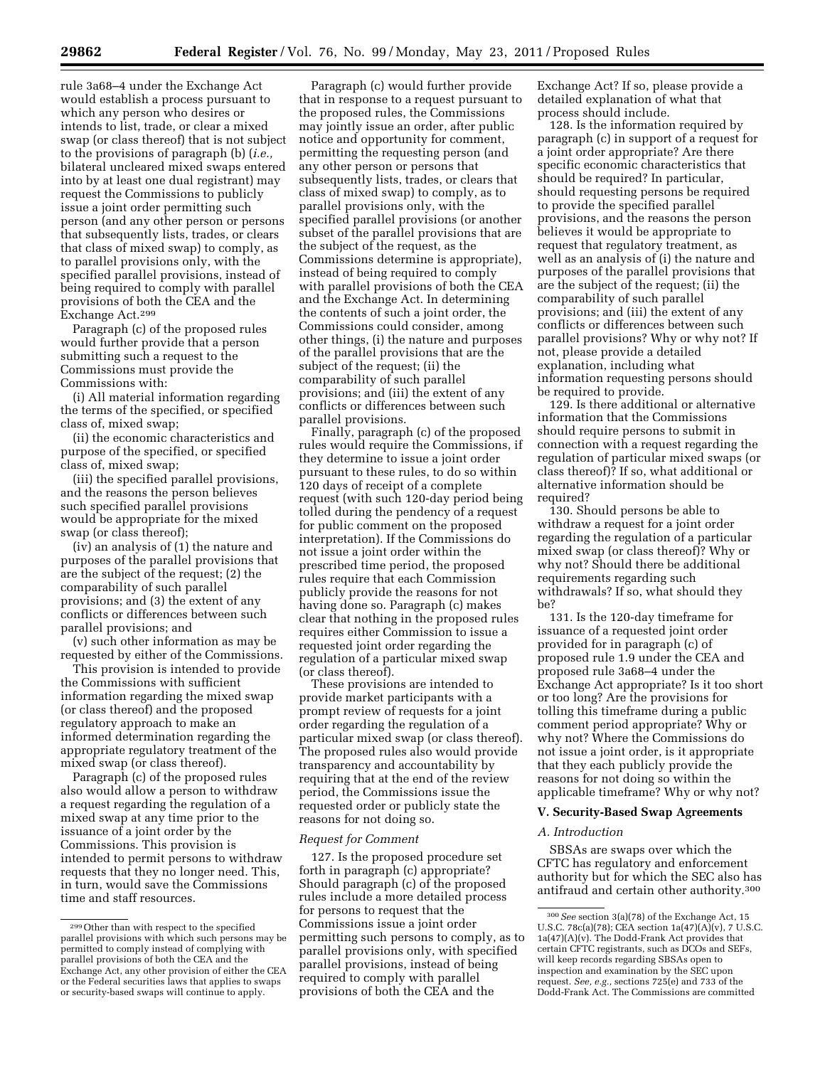rule 3a68–4 under the Exchange Act would establish a process pursuant to which any person who desires or intends to list, trade, or clear a mixed swap (or class thereof) that is not subject to the provisions of paragraph (b) (*i.e.,*  bilateral uncleared mixed swaps entered into by at least one dual registrant) may request the Commissions to publicly issue a joint order permitting such person (and any other person or persons that subsequently lists, trades, or clears that class of mixed swap) to comply, as to parallel provisions only, with the specified parallel provisions, instead of being required to comply with parallel provisions of both the CEA and the Exchange Act.299

Paragraph (c) of the proposed rules would further provide that a person submitting such a request to the Commissions must provide the Commissions with:

(i) All material information regarding the terms of the specified, or specified class of, mixed swap;

(ii) the economic characteristics and purpose of the specified, or specified class of, mixed swap;

(iii) the specified parallel provisions, and the reasons the person believes such specified parallel provisions would be appropriate for the mixed swap (or class thereof);

(iv) an analysis of (1) the nature and purposes of the parallel provisions that are the subject of the request; (2) the comparability of such parallel provisions; and (3) the extent of any conflicts or differences between such parallel provisions; and

(v) such other information as may be requested by either of the Commissions.

This provision is intended to provide the Commissions with sufficient information regarding the mixed swap (or class thereof) and the proposed regulatory approach to make an informed determination regarding the appropriate regulatory treatment of the mixed swap (or class thereof).

Paragraph (c) of the proposed rules also would allow a person to withdraw a request regarding the regulation of a mixed swap at any time prior to the issuance of a joint order by the Commissions. This provision is intended to permit persons to withdraw requests that they no longer need. This, in turn, would save the Commissions time and staff resources.

Paragraph (c) would further provide that in response to a request pursuant to the proposed rules, the Commissions may jointly issue an order, after public notice and opportunity for comment, permitting the requesting person (and any other person or persons that subsequently lists, trades, or clears that class of mixed swap) to comply, as to parallel provisions only, with the specified parallel provisions (or another subset of the parallel provisions that are the subject of the request, as the Commissions determine is appropriate), instead of being required to comply with parallel provisions of both the CEA and the Exchange Act. In determining the contents of such a joint order, the Commissions could consider, among other things, (i) the nature and purposes of the parallel provisions that are the subject of the request; (ii) the comparability of such parallel provisions; and (iii) the extent of any conflicts or differences between such parallel provisions.

Finally, paragraph (c) of the proposed rules would require the Commissions, if they determine to issue a joint order pursuant to these rules, to do so within 120 days of receipt of a complete request (with such 120-day period being tolled during the pendency of a request for public comment on the proposed interpretation). If the Commissions do not issue a joint order within the prescribed time period, the proposed rules require that each Commission publicly provide the reasons for not having done so. Paragraph (c) makes clear that nothing in the proposed rules requires either Commission to issue a requested joint order regarding the regulation of a particular mixed swap (or class thereof).

These provisions are intended to provide market participants with a prompt review of requests for a joint order regarding the regulation of a particular mixed swap (or class thereof). The proposed rules also would provide transparency and accountability by requiring that at the end of the review period, the Commissions issue the requested order or publicly state the reasons for not doing so.

#### *Request for Comment*

127. Is the proposed procedure set forth in paragraph (c) appropriate? Should paragraph (c) of the proposed rules include a more detailed process for persons to request that the Commissions issue a joint order permitting such persons to comply, as to parallel provisions only, with specified parallel provisions, instead of being required to comply with parallel provisions of both the CEA and the

Exchange Act? If so, please provide a detailed explanation of what that process should include.

128. Is the information required by paragraph (c) in support of a request for a joint order appropriate? Are there specific economic characteristics that should be required? In particular, should requesting persons be required to provide the specified parallel provisions, and the reasons the person believes it would be appropriate to request that regulatory treatment, as well as an analysis of (i) the nature and purposes of the parallel provisions that are the subject of the request; (ii) the comparability of such parallel provisions; and (iii) the extent of any conflicts or differences between such parallel provisions? Why or why not? If not, please provide a detailed explanation, including what information requesting persons should be required to provide.

129. Is there additional or alternative information that the Commissions should require persons to submit in connection with a request regarding the regulation of particular mixed swaps (or class thereof)? If so, what additional or alternative information should be required?

130. Should persons be able to withdraw a request for a joint order regarding the regulation of a particular mixed swap (or class thereof)? Why or why not? Should there be additional requirements regarding such withdrawals? If so, what should they be?

131. Is the 120-day timeframe for issuance of a requested joint order provided for in paragraph (c) of proposed rule 1.9 under the CEA and proposed rule 3a68–4 under the Exchange Act appropriate? Is it too short or too long? Are the provisions for tolling this timeframe during a public comment period appropriate? Why or why not? Where the Commissions do not issue a joint order, is it appropriate that they each publicly provide the reasons for not doing so within the applicable timeframe? Why or why not?

#### **V. Security-Based Swap Agreements**

## *A. Introduction*

SBSAs are swaps over which the CFTC has regulatory and enforcement authority but for which the SEC also has antifraud and certain other authority.300

<sup>299</sup>Other than with respect to the specified parallel provisions with which such persons may be permitted to comply instead of complying with parallel provisions of both the CEA and the Exchange Act, any other provision of either the CEA or the Federal securities laws that applies to swaps or security-based swaps will continue to apply.

<sup>300</sup>*See* section 3(a)(78) of the Exchange Act, 15 U.S.C. 78c(a)(78); CEA section 1a(47)(A)(v), 7 U.S.C. 1a(47)(A)(v). The Dodd-Frank Act provides that certain CFTC registrants, such as DCOs and SEFs, will keep records regarding SBSAs open to inspection and examination by the SEC upon request. *See, e.g.,* sections 725(e) and 733 of the Dodd-Frank Act. The Commissions are committed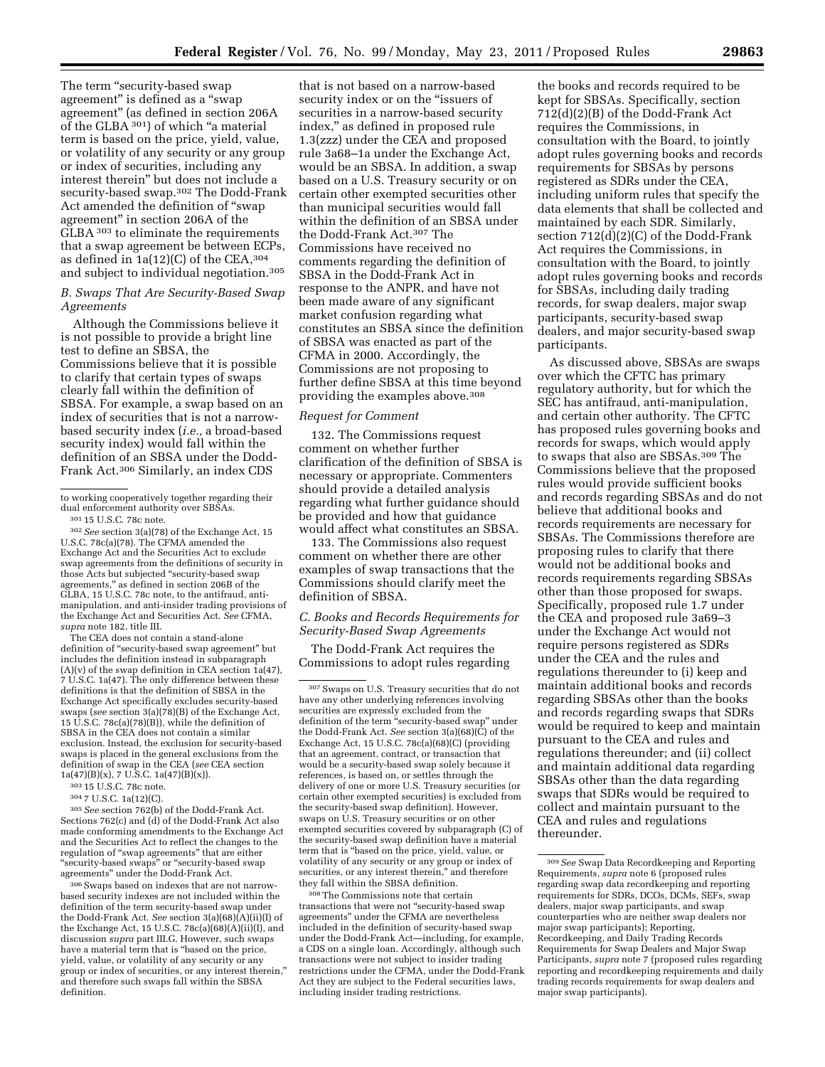The term "security-based swap agreement'' is defined as a ''swap agreement'' (as defined in section 206A of the GLBA 301) of which "a material term is based on the price, yield, value, or volatility of any security or any group or index of securities, including any interest therein'' but does not include a security-based swap.302 The Dodd-Frank Act amended the definition of ''swap agreement'' in section 206A of the GLBA 303 to eliminate the requirements that a swap agreement be between ECPs, as defined in  $1a(12)(C)$  of the CEA,  $304$ and subject to individual negotiation.305

## *B. Swaps That Are Security-Based Swap Agreements*

Although the Commissions believe it is not possible to provide a bright line test to define an SBSA, the Commissions believe that it is possible to clarify that certain types of swaps clearly fall within the definition of SBSA. For example, a swap based on an index of securities that is not a narrowbased security index (*i.e.,* a broad-based security index) would fall within the definition of an SBSA under the Dodd-Frank Act.306 Similarly, an index CDS

<sup>301</sup> 15 U.S.C. 78c note.<br><sup>302</sup> *See* section 3(a)(78) of the Exchange Act, 15 U.S.C. 78c(a)(78). The CFMA amended the Exchange Act and the Securities Act to exclude swap agreements from the definitions of security in those Acts but subjected ''security-based swap agreements,'' as defined in section 206B of the GLBA, 15 U.S.C. 78c note, to the antifraud, antimanipulation, and anti-insider trading provisions of the Exchange Act and Securities Act. *See* CFMA, *supra* note 182, title III.

The CEA does not contain a stand-alone definition of ''security-based swap agreement'' but includes the definition instead in subparagraph (A)(v) of the swap definition in CEA section 1a(47), 7 U.S.C. 1a(47). The only difference between these definitions is that the definition of SBSA in the Exchange Act specifically excludes security-based swaps (*see* section 3(a)(78)(B) of the Exchange Act, 15 U.S.C.  $78c(a)(78)(B)$ , while the definition of SBSA in the CEA does not contain a similar exclusion. Instead, the exclusion for security-based swaps is placed in the general exclusions from the definition of swap in the CEA (*see* CEA section  $1a(47)(B)(x)$ , 7 U.S.C.  $1a(47)(B)(x)$ .<br><sup>303</sup> 15 U.S.C. 78c note.

- 
- 

<sup>304</sup> 7 U.S.C. 1a(12)(C).<br><sup>305</sup> *See* section 762(b) of the Dodd-Frank Act. Sections 762(c) and (d) of the Dodd-Frank Act also made conforming amendments to the Exchange Act and the Securities Act to reflect the changes to the regulation of ''swap agreements'' that are either "security-based swaps" or "security-based swap agreements'' under the Dodd-Frank Act.

306Swaps based on indexes that are not narrowbased security indexes are not included within the definition of the term security-based swap under the Dodd-Frank Act. *See* section 3(a)(68)(A)(ii)(I) of the Exchange Act, 15 U.S.C.  $78c(a)(68)(A)(ii)(I)$ , and discussion *supra* part III.G. However, such swaps have a material term that is "based on the price, yield, value, or volatility of any security or any group or index of securities, or any interest therein,'' and therefore such swaps fall within the SBSA definition.

that is not based on a narrow-based security index or on the "issuers of securities in a narrow-based security index,'' as defined in proposed rule 1.3(zzz) under the CEA and proposed rule 3a68–1a under the Exchange Act, would be an SBSA. In addition, a swap based on a U.S. Treasury security or on certain other exempted securities other than municipal securities would fall within the definition of an SBSA under the Dodd-Frank Act.307 The Commissions have received no comments regarding the definition of SBSA in the Dodd-Frank Act in response to the ANPR, and have not been made aware of any significant market confusion regarding what constitutes an SBSA since the definition of SBSA was enacted as part of the CFMA in 2000. Accordingly, the Commissions are not proposing to further define SBSA at this time beyond providing the examples above.308

## *Request for Comment*

132. The Commissions request comment on whether further clarification of the definition of SBSA is necessary or appropriate. Commenters should provide a detailed analysis regarding what further guidance should be provided and how that guidance would affect what constitutes an SBSA.

133. The Commissions also request comment on whether there are other examples of swap transactions that the Commissions should clarify meet the definition of SBSA.

## *C. Books and Records Requirements for Security-Based Swap Agreements*

The Dodd-Frank Act requires the Commissions to adopt rules regarding

308The Commissions note that certain transactions that were not "security-based swap agreements'' under the CFMA are nevertheless included in the definition of security-based swap under the Dodd-Frank Act—including, for example, a CDS on a single loan. Accordingly, although such transactions were not subject to insider trading restrictions under the CFMA, under the Dodd-Frank Act they are subject to the Federal securities laws, including insider trading restrictions.

the books and records required to be kept for SBSAs. Specifically, section 712(d)(2)(B) of the Dodd-Frank Act requires the Commissions, in consultation with the Board, to jointly adopt rules governing books and records requirements for SBSAs by persons registered as SDRs under the CEA, including uniform rules that specify the data elements that shall be collected and maintained by each SDR. Similarly, section 712(d)(2)(C) of the Dodd-Frank Act requires the Commissions, in consultation with the Board, to jointly adopt rules governing books and records for SBSAs, including daily trading records, for swap dealers, major swap participants, security-based swap dealers, and major security-based swap participants.

As discussed above, SBSAs are swaps over which the CFTC has primary regulatory authority, but for which the SEC has antifraud, anti-manipulation, and certain other authority. The CFTC has proposed rules governing books and records for swaps, which would apply to swaps that also are SBSAs.309 The Commissions believe that the proposed rules would provide sufficient books and records regarding SBSAs and do not believe that additional books and records requirements are necessary for SBSAs. The Commissions therefore are proposing rules to clarify that there would not be additional books and records requirements regarding SBSAs other than those proposed for swaps. Specifically, proposed rule 1.7 under the CEA and proposed rule 3a69–3 under the Exchange Act would not require persons registered as SDRs under the CEA and the rules and regulations thereunder to (i) keep and maintain additional books and records regarding SBSAs other than the books and records regarding swaps that SDRs would be required to keep and maintain pursuant to the CEA and rules and regulations thereunder; and (ii) collect and maintain additional data regarding SBSAs other than the data regarding swaps that SDRs would be required to collect and maintain pursuant to the CEA and rules and regulations thereunder.

to working cooperatively together regarding their

<sup>307</sup>Swaps on U.S. Treasury securities that do not have any other underlying references involving securities are expressly excluded from the definition of the term ''security-based swap'' under the Dodd-Frank Act. *See* section 3(a)(68)(C) of the Exchange Act, 15 U.S.C. 78c(a)(68)(C) (providing that an agreement, contract, or transaction that would be a security-based swap solely because it references, is based on, or settles through the delivery of one or more U.S. Treasury securities (or certain other exempted securities) is excluded from the security-based swap definition). However, swaps on U.S. Treasury securities or on other exempted securities covered by subparagraph (C) of the security-based swap definition have a material term that is ''based on the price, yield, value, or volatility of any security or any group or index of securities, or any interest therein," and therefore they fall within the SBSA definition.

<sup>309</sup>*See* Swap Data Recordkeeping and Reporting Requirements, *supra* note 6 (proposed rules regarding swap data recordkeeping and reporting requirements for SDRs, DCOs, DCMs, SEFs, swap dealers, major swap participants, and swap counterparties who are neither swap dealers nor major swap participants); Reporting, Recordkeeping, and Daily Trading Records Requirements for Swap Dealers and Major Swap Participants, *supra* note 7 (proposed rules regarding reporting and recordkeeping requirements and daily trading records requirements for swap dealers and major swap participants).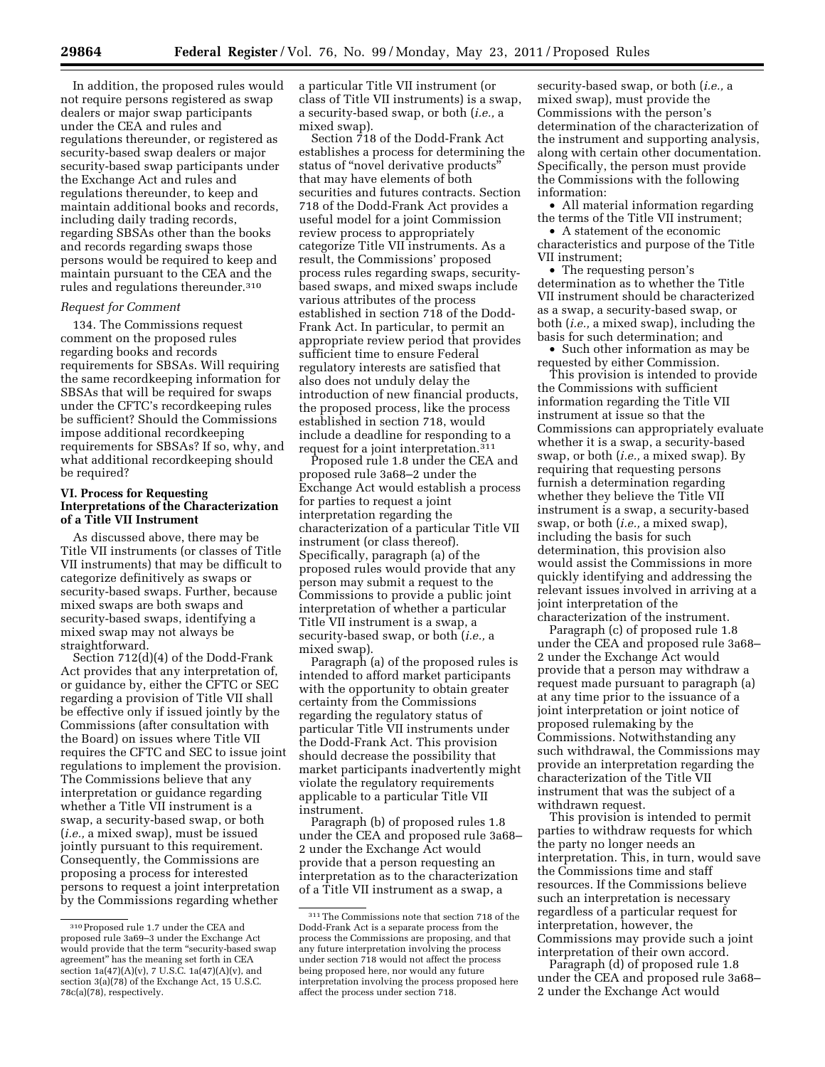In addition, the proposed rules would not require persons registered as swap dealers or major swap participants under the CEA and rules and regulations thereunder, or registered as security-based swap dealers or major security-based swap participants under the Exchange Act and rules and regulations thereunder, to keep and maintain additional books and records, including daily trading records, regarding SBSAs other than the books and records regarding swaps those persons would be required to keep and maintain pursuant to the CEA and the rules and regulations thereunder.310

#### *Request for Comment*

134. The Commissions request comment on the proposed rules regarding books and records requirements for SBSAs. Will requiring the same recordkeeping information for SBSAs that will be required for swaps under the CFTC's recordkeeping rules be sufficient? Should the Commissions impose additional recordkeeping requirements for SBSAs? If so, why, and what additional recordkeeping should be required?

## **VI. Process for Requesting Interpretations of the Characterization of a Title VII Instrument**

As discussed above, there may be Title VII instruments (or classes of Title VII instruments) that may be difficult to categorize definitively as swaps or security-based swaps. Further, because mixed swaps are both swaps and security-based swaps, identifying a mixed swap may not always be straightforward.

Section 712(d)(4) of the Dodd-Frank Act provides that any interpretation of, or guidance by, either the CFTC or SEC regarding a provision of Title VII shall be effective only if issued jointly by the Commissions (after consultation with the Board) on issues where Title VII requires the CFTC and SEC to issue joint regulations to implement the provision. The Commissions believe that any interpretation or guidance regarding whether a Title VII instrument is a swap, a security-based swap, or both (*i.e.,* a mixed swap), must be issued jointly pursuant to this requirement. Consequently, the Commissions are proposing a process for interested persons to request a joint interpretation by the Commissions regarding whether

a particular Title VII instrument (or class of Title VII instruments) is a swap, a security-based swap, or both (*i.e.,* a mixed swap).

Section 718 of the Dodd-Frank Act establishes a process for determining the status of "novel derivative products" that may have elements of both securities and futures contracts. Section 718 of the Dodd-Frank Act provides a useful model for a joint Commission review process to appropriately categorize Title VII instruments. As a result, the Commissions' proposed process rules regarding swaps, securitybased swaps, and mixed swaps include various attributes of the process established in section 718 of the Dodd-Frank Act. In particular, to permit an appropriate review period that provides sufficient time to ensure Federal regulatory interests are satisfied that also does not unduly delay the introduction of new financial products, the proposed process, like the process established in section 718, would include a deadline for responding to a request for a joint interpretation.311

Proposed rule 1.8 under the CEA and proposed rule 3a68–2 under the Exchange Act would establish a process for parties to request a joint interpretation regarding the characterization of a particular Title VII instrument (or class thereof). Specifically, paragraph (a) of the proposed rules would provide that any person may submit a request to the Commissions to provide a public joint interpretation of whether a particular Title VII instrument is a swap, a security-based swap, or both (*i.e.,* a mixed swap).

Paragraph (a) of the proposed rules is intended to afford market participants with the opportunity to obtain greater certainty from the Commissions regarding the regulatory status of particular Title VII instruments under the Dodd-Frank Act. This provision should decrease the possibility that market participants inadvertently might violate the regulatory requirements applicable to a particular Title VII instrument.

Paragraph (b) of proposed rules 1.8 under the CEA and proposed rule 3a68– 2 under the Exchange Act would provide that a person requesting an interpretation as to the characterization of a Title VII instrument as a swap, a

security-based swap, or both (*i.e.,* a mixed swap), must provide the Commissions with the person's determination of the characterization of the instrument and supporting analysis, along with certain other documentation. Specifically, the person must provide the Commissions with the following information:

• All material information regarding the terms of the Title VII instrument;

• A statement of the economic characteristics and purpose of the Title VII instrument;

• The requesting person's determination as to whether the Title VII instrument should be characterized as a swap, a security-based swap, or both (*i.e.,* a mixed swap), including the basis for such determination; and

• Such other information as may be requested by either Commission.

This provision is intended to provide the Commissions with sufficient information regarding the Title VII instrument at issue so that the Commissions can appropriately evaluate whether it is a swap, a security-based swap, or both (*i.e.,* a mixed swap). By requiring that requesting persons furnish a determination regarding whether they believe the Title VII instrument is a swap, a security-based swap, or both (*i.e.,* a mixed swap), including the basis for such determination, this provision also would assist the Commissions in more quickly identifying and addressing the relevant issues involved in arriving at a joint interpretation of the characterization of the instrument.

Paragraph (c) of proposed rule 1.8 under the CEA and proposed rule 3a68– 2 under the Exchange Act would provide that a person may withdraw a request made pursuant to paragraph (a) at any time prior to the issuance of a joint interpretation or joint notice of proposed rulemaking by the Commissions. Notwithstanding any such withdrawal, the Commissions may provide an interpretation regarding the characterization of the Title VII instrument that was the subject of a withdrawn request.

This provision is intended to permit parties to withdraw requests for which the party no longer needs an interpretation. This, in turn, would save the Commissions time and staff resources. If the Commissions believe such an interpretation is necessary regardless of a particular request for interpretation, however, the Commissions may provide such a joint interpretation of their own accord.

Paragraph (d) of proposed rule 1.8 under the CEA and proposed rule 3a68– 2 under the Exchange Act would

<sup>310</sup>Proposed rule 1.7 under the CEA and proposed rule 3a69–3 under the Exchange Act would provide that the term ''security-based swap agreement'' has the meaning set forth in CEA section 1a(47)(A)(v), 7 U.S.C. 1a(47)(A)(v), and section 3(a)(78) of the Exchange Act, 15 U.S.C. 78c(a)(78), respectively.

<sup>311</sup>The Commissions note that section 718 of the Dodd-Frank Act is a separate process from the process the Commissions are proposing, and that any future interpretation involving the process under section 718 would not affect the process being proposed here, nor would any future interpretation involving the process proposed here affect the process under section 718.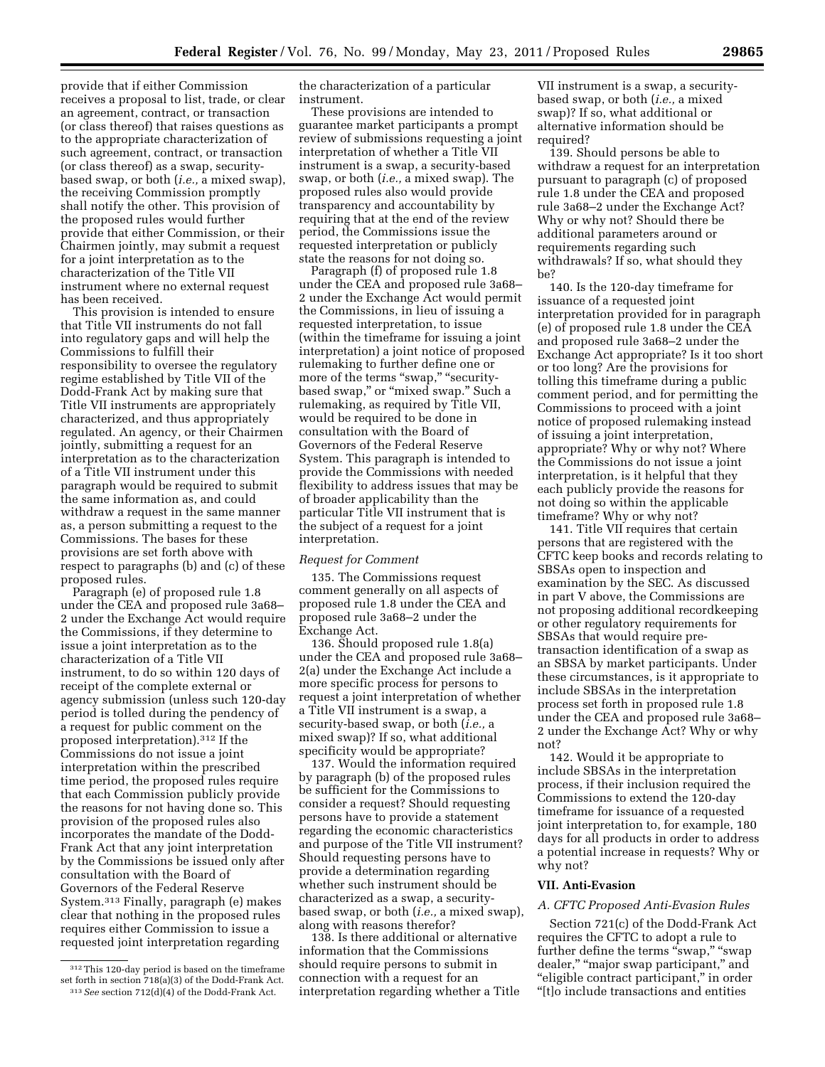provide that if either Commission receives a proposal to list, trade, or clear an agreement, contract, or transaction (or class thereof) that raises questions as to the appropriate characterization of such agreement, contract, or transaction (or class thereof) as a swap, securitybased swap, or both (*i.e.,* a mixed swap), the receiving Commission promptly shall notify the other. This provision of the proposed rules would further provide that either Commission, or their Chairmen jointly, may submit a request for a joint interpretation as to the characterization of the Title VII instrument where no external request has been received.

This provision is intended to ensure that Title VII instruments do not fall into regulatory gaps and will help the Commissions to fulfill their responsibility to oversee the regulatory regime established by Title VII of the Dodd-Frank Act by making sure that Title VII instruments are appropriately characterized, and thus appropriately regulated. An agency, or their Chairmen jointly, submitting a request for an interpretation as to the characterization of a Title VII instrument under this paragraph would be required to submit the same information as, and could withdraw a request in the same manner as, a person submitting a request to the Commissions. The bases for these provisions are set forth above with respect to paragraphs (b) and (c) of these proposed rules.

Paragraph (e) of proposed rule 1.8 under the CEA and proposed rule 3a68– 2 under the Exchange Act would require the Commissions, if they determine to issue a joint interpretation as to the characterization of a Title VII instrument, to do so within 120 days of receipt of the complete external or agency submission (unless such 120-day period is tolled during the pendency of a request for public comment on the proposed interpretation).312 If the Commissions do not issue a joint interpretation within the prescribed time period, the proposed rules require that each Commission publicly provide the reasons for not having done so. This provision of the proposed rules also incorporates the mandate of the Dodd-Frank Act that any joint interpretation by the Commissions be issued only after consultation with the Board of Governors of the Federal Reserve System.313 Finally, paragraph (e) makes clear that nothing in the proposed rules requires either Commission to issue a requested joint interpretation regarding

the characterization of a particular instrument.

These provisions are intended to guarantee market participants a prompt review of submissions requesting a joint interpretation of whether a Title VII instrument is a swap, a security-based swap, or both (*i.e.,* a mixed swap). The proposed rules also would provide transparency and accountability by requiring that at the end of the review period, the Commissions issue the requested interpretation or publicly state the reasons for not doing so.

Paragraph (f) of proposed rule 1.8 under the CEA and proposed rule 3a68– 2 under the Exchange Act would permit the Commissions, in lieu of issuing a requested interpretation, to issue (within the timeframe for issuing a joint interpretation) a joint notice of proposed rulemaking to further define one or more of the terms "swap," "securitybased swap," or "mixed swap." Such a rulemaking, as required by Title VII, would be required to be done in consultation with the Board of Governors of the Federal Reserve System. This paragraph is intended to provide the Commissions with needed flexibility to address issues that may be of broader applicability than the particular Title VII instrument that is the subject of a request for a joint interpretation.

### *Request for Comment*

135. The Commissions request comment generally on all aspects of proposed rule 1.8 under the CEA and proposed rule 3a68–2 under the Exchange Act.

136. Should proposed rule 1.8(a) under the CEA and proposed rule 3a68– 2(a) under the Exchange Act include a more specific process for persons to request a joint interpretation of whether a Title VII instrument is a swap, a security-based swap, or both (*i.e.,* a mixed swap)? If so, what additional specificity would be appropriate?

137. Would the information required by paragraph (b) of the proposed rules be sufficient for the Commissions to consider a request? Should requesting persons have to provide a statement regarding the economic characteristics and purpose of the Title VII instrument? Should requesting persons have to provide a determination regarding whether such instrument should be characterized as a swap, a securitybased swap, or both (*i.e.,* a mixed swap), along with reasons therefor?

138. Is there additional or alternative information that the Commissions should require persons to submit in connection with a request for an interpretation regarding whether a Title

VII instrument is a swap, a securitybased swap, or both (*i.e.,* a mixed swap)? If so, what additional or alternative information should be required?

139. Should persons be able to withdraw a request for an interpretation pursuant to paragraph (c) of proposed rule 1.8 under the CEA and proposed rule 3a68–2 under the Exchange Act? Why or why not? Should there be additional parameters around or requirements regarding such withdrawals? If so, what should they be?

140. Is the 120-day timeframe for issuance of a requested joint interpretation provided for in paragraph (e) of proposed rule 1.8 under the CEA and proposed rule 3a68–2 under the Exchange Act appropriate? Is it too short or too long? Are the provisions for tolling this timeframe during a public comment period, and for permitting the Commissions to proceed with a joint notice of proposed rulemaking instead of issuing a joint interpretation, appropriate? Why or why not? Where the Commissions do not issue a joint interpretation, is it helpful that they each publicly provide the reasons for not doing so within the applicable timeframe? Why or why not?

141. Title VII requires that certain persons that are registered with the CFTC keep books and records relating to SBSAs open to inspection and examination by the SEC. As discussed in part V above, the Commissions are not proposing additional recordkeeping or other regulatory requirements for SBSAs that would require pretransaction identification of a swap as an SBSA by market participants. Under these circumstances, is it appropriate to include SBSAs in the interpretation process set forth in proposed rule 1.8 under the CEA and proposed rule 3a68– 2 under the Exchange Act? Why or why not?

142. Would it be appropriate to include SBSAs in the interpretation process, if their inclusion required the Commissions to extend the 120-day timeframe for issuance of a requested joint interpretation to, for example, 180 days for all products in order to address a potential increase in requests? Why or why not?

## **VII. Anti-Evasion**

### *A. CFTC Proposed Anti-Evasion Rules*

Section 721(c) of the Dodd-Frank Act requires the CFTC to adopt a rule to further define the terms "swap," "swap dealer," "major swap participant," and "eligible contract participant," in order ''[t]o include transactions and entities

<sup>312</sup>This 120-day period is based on the timeframe set forth in section 718(a)(3) of the Dodd-Frank Act. 313*See* section 712(d)(4) of the Dodd-Frank Act.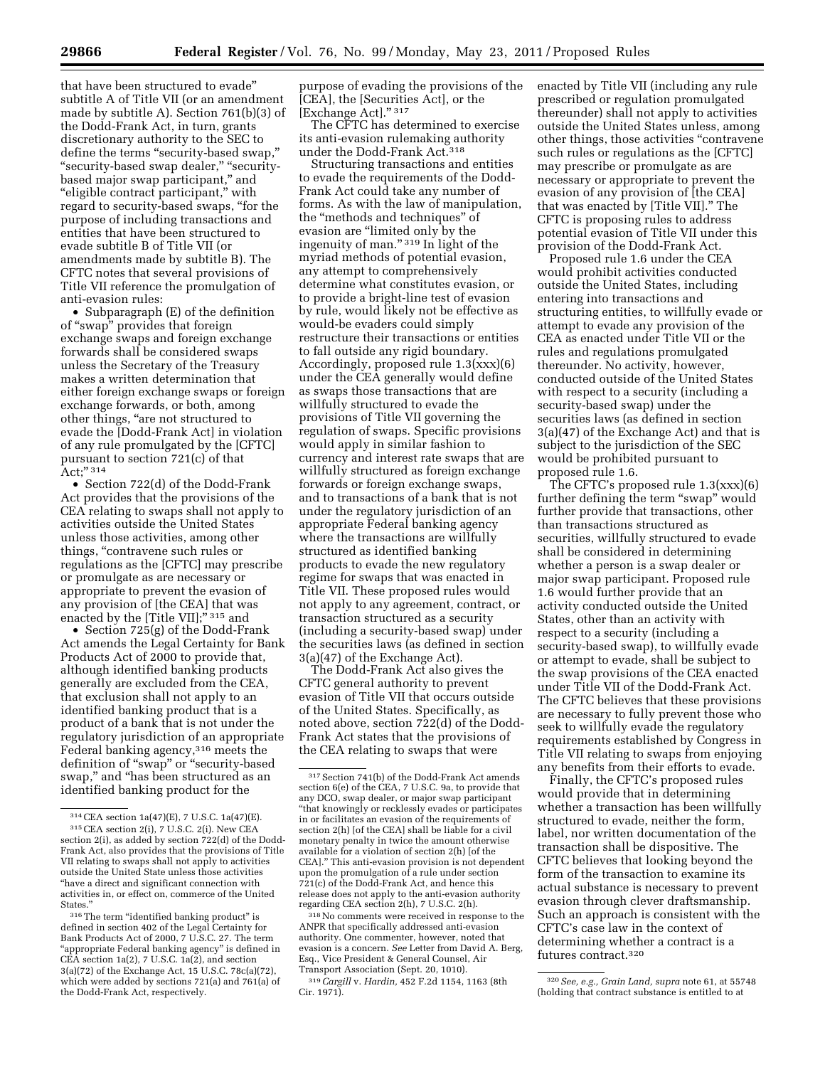that have been structured to evade'' subtitle A of Title VII (or an amendment made by subtitle A). Section 761(b)(3) of the Dodd-Frank Act, in turn, grants discretionary authority to the SEC to define the terms "security-based swap," "security-based swap dealer," "securitybased major swap participant,'' and "eligible contract participant," with regard to security-based swaps, ''for the purpose of including transactions and entities that have been structured to evade subtitle B of Title VII (or amendments made by subtitle B). The CFTC notes that several provisions of Title VII reference the promulgation of anti-evasion rules:

• Subparagraph (E) of the definition of "swap" provides that foreign exchange swaps and foreign exchange forwards shall be considered swaps unless the Secretary of the Treasury makes a written determination that either foreign exchange swaps or foreign exchange forwards, or both, among other things, ''are not structured to evade the [Dodd-Frank Act] in violation of any rule promulgated by the [CFTC] pursuant to section 721(c) of that Act;" 314

• Section 722(d) of the Dodd-Frank Act provides that the provisions of the CEA relating to swaps shall not apply to activities outside the United States unless those activities, among other things, ''contravene such rules or regulations as the [CFTC] may prescribe or promulgate as are necessary or appropriate to prevent the evasion of any provision of [the CEA] that was enacted by the [Title VII];"<sup>315</sup> and

• Section 725(g) of the Dodd-Frank Act amends the Legal Certainty for Bank Products Act of 2000 to provide that, although identified banking products generally are excluded from the CEA, that exclusion shall not apply to an identified banking product that is a product of a bank that is not under the regulatory jurisdiction of an appropriate Federal banking agency,316 meets the definition of "swap" or "security-based swap,'' and ''has been structured as an identified banking product for the

purpose of evading the provisions of the [CEA], the [Securities Act], or the [Exchange Act].'' 317

The CFTC has determined to exercise its anti-evasion rulemaking authority under the Dodd-Frank Act.318

Structuring transactions and entities to evade the requirements of the Dodd-Frank Act could take any number of forms. As with the law of manipulation, the ''methods and techniques'' of evasion are ''limited only by the ingenuity of man.'' 319 In light of the myriad methods of potential evasion, any attempt to comprehensively determine what constitutes evasion, or to provide a bright-line test of evasion by rule, would likely not be effective as would-be evaders could simply restructure their transactions or entities to fall outside any rigid boundary. Accordingly, proposed rule 1.3(xxx)(6) under the CEA generally would define as swaps those transactions that are willfully structured to evade the provisions of Title VII governing the regulation of swaps. Specific provisions would apply in similar fashion to currency and interest rate swaps that are willfully structured as foreign exchange forwards or foreign exchange swaps, and to transactions of a bank that is not under the regulatory jurisdiction of an appropriate Federal banking agency where the transactions are willfully structured as identified banking products to evade the new regulatory regime for swaps that was enacted in Title VII. These proposed rules would not apply to any agreement, contract, or transaction structured as a security (including a security-based swap) under the securities laws (as defined in section 3(a)(47) of the Exchange Act).

The Dodd-Frank Act also gives the CFTC general authority to prevent evasion of Title VII that occurs outside of the United States. Specifically, as noted above, section 722(d) of the Dodd-Frank Act states that the provisions of the CEA relating to swaps that were

318No comments were received in response to the ANPR that specifically addressed anti-evasion authority. One commenter, however, noted that evasion is a concern. *See* Letter from David A. Berg, Esq., Vice President & General Counsel, Air Transport Association (Sept. 20, 1010).

319*Cargill* v. *Hardin,* 452 F.2d 1154, 1163 (8th Cir. 1971).

enacted by Title VII (including any rule prescribed or regulation promulgated thereunder) shall not apply to activities outside the United States unless, among other things, those activities ''contravene such rules or regulations as the [CFTC] may prescribe or promulgate as are necessary or appropriate to prevent the evasion of any provision of [the CEA] that was enacted by [Title VII].'' The CFTC is proposing rules to address potential evasion of Title VII under this provision of the Dodd-Frank Act.

Proposed rule 1.6 under the CEA would prohibit activities conducted outside the United States, including entering into transactions and structuring entities, to willfully evade or attempt to evade any provision of the CEA as enacted under Title VII or the rules and regulations promulgated thereunder. No activity, however, conducted outside of the United States with respect to a security (including a security-based swap) under the securities laws (as defined in section 3(a)(47) of the Exchange Act) and that is subject to the jurisdiction of the SEC would be prohibited pursuant to proposed rule 1.6.

The CFTC's proposed rule 1.3(xxx)(6) further defining the term "swap" would further provide that transactions, other than transactions structured as securities, willfully structured to evade shall be considered in determining whether a person is a swap dealer or major swap participant. Proposed rule 1.6 would further provide that an activity conducted outside the United States, other than an activity with respect to a security (including a security-based swap), to willfully evade or attempt to evade, shall be subject to the swap provisions of the CEA enacted under Title VII of the Dodd-Frank Act. The CFTC believes that these provisions are necessary to fully prevent those who seek to willfully evade the regulatory requirements established by Congress in Title VII relating to swaps from enjoying any benefits from their efforts to evade.

Finally, the CFTC's proposed rules would provide that in determining whether a transaction has been willfully structured to evade, neither the form, label, nor written documentation of the transaction shall be dispositive. The CFTC believes that looking beyond the form of the transaction to examine its actual substance is necessary to prevent evasion through clever draftsmanship. Such an approach is consistent with the CFTC's case law in the context of determining whether a contract is a futures contract.320

<sup>314</sup>CEA section 1a(47)(E), 7 U.S.C. 1a(47)(E).

<sup>315</sup>CEA section 2(i), 7 U.S.C. 2(i). New CEA section 2(i), as added by section 722(d) of the Dodd-Frank Act, also provides that the provisions of Title VII relating to swaps shall not apply to activities outside the United State unless those activities ''have a direct and significant connection with activities in, or effect on, commerce of the United States.''

<sup>316</sup>The term ''identified banking product'' is defined in section 402 of the Legal Certainty for Bank Products Act of 2000, 7 U.S.C. 27. The term ''appropriate Federal banking agency'' is defined in  $C\tilde{E} \tilde{A}$  section 1a(2), 7 U.S.C. 1a(2), and section 3(a)(72) of the Exchange Act, 15 U.S.C. 78c(a)(72), which were added by sections 721(a) and 761(a) of the Dodd-Frank Act, respectively.

<sup>317</sup>Section 741(b) of the Dodd-Frank Act amends section 6(e) of the CEA, 7 U.S.C. 9a, to provide that any DCO, swap dealer, or major swap participant ''that knowingly or recklessly evades or participates in or facilitates an evasion of the requirements of section 2(h) [of the CEA] shall be liable for a civil monetary penalty in twice the amount otherwise available for a violation of section 2(h) [of the CEA].'' This anti-evasion provision is not dependent upon the promulgation of a rule under section 721(c) of the Dodd-Frank Act, and hence this release does not apply to the anti-evasion authority regarding CEA section 2(h), 7 U.S.C. 2(h).

<sup>320</sup>*See, e.g., Grain Land, supra* note 61, at 55748 (holding that contract substance is entitled to at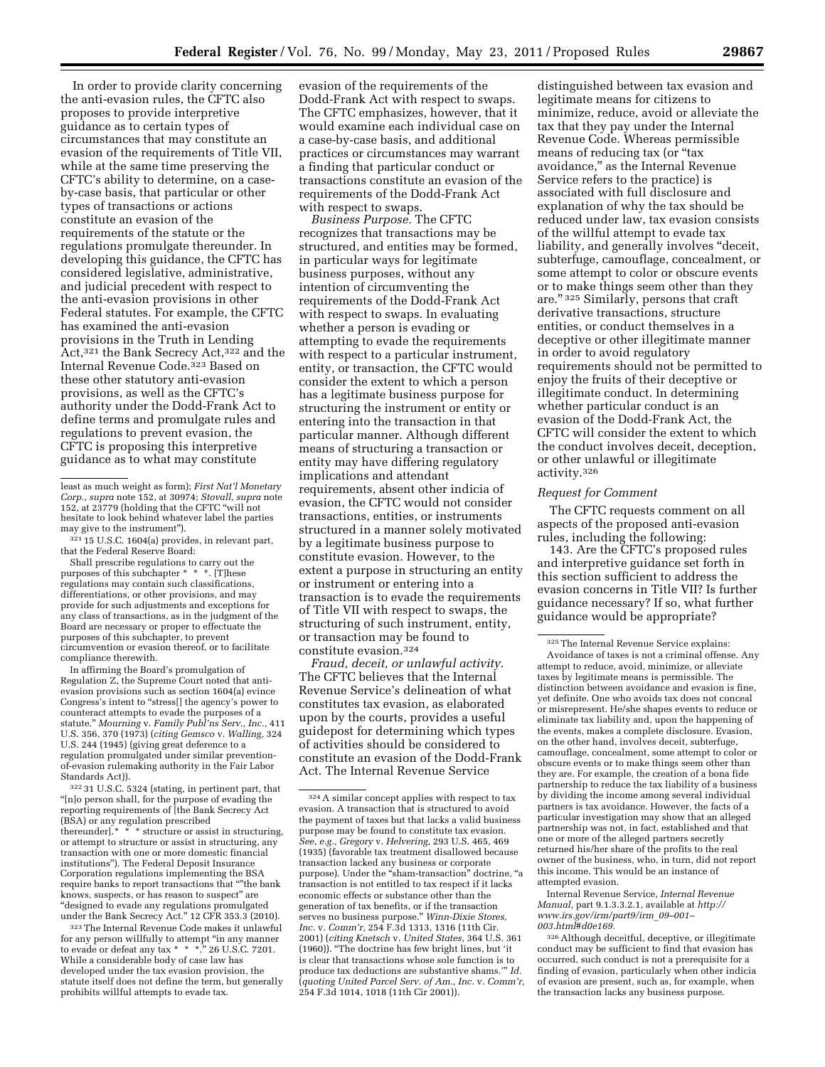In order to provide clarity concerning the anti-evasion rules, the CFTC also proposes to provide interpretive guidance as to certain types of circumstances that may constitute an evasion of the requirements of Title VII, while at the same time preserving the CFTC's ability to determine, on a caseby-case basis, that particular or other types of transactions or actions constitute an evasion of the requirements of the statute or the regulations promulgate thereunder. In developing this guidance, the CFTC has considered legislative, administrative, and judicial precedent with respect to the anti-evasion provisions in other Federal statutes. For example, the CFTC has examined the anti-evasion provisions in the Truth in Lending Act, 321 the Bank Secrecy Act, 322 and the Internal Revenue Code.323 Based on these other statutory anti-evasion provisions, as well as the CFTC's authority under the Dodd-Frank Act to define terms and promulgate rules and regulations to prevent evasion, the CFTC is proposing this interpretive guidance as to what may constitute

Shall prescribe regulations to carry out the purposes of this subchapter \* \* \*. [T]hese regulations may contain such classifications, differentiations, or other provisions, and may provide for such adjustments and exceptions for any class of transactions, as in the judgment of the Board are necessary or proper to effectuate the purposes of this subchapter, to prevent circumvention or evasion thereof, or to facilitate compliance therewith.

In affirming the Board's promulgation of Regulation Z, the Supreme Court noted that antievasion provisions such as section 1604(a) evince Congress's intent to ''stress[] the agency's power to counteract attempts to evade the purposes of a statute.'' *Mourning* v. *Family Publ'ns Serv., Inc.,* 411 U.S. 356, 370 (1973) (*citing Gemsco* v. *Walling,* 324 U.S. 244 (1945) (giving great deference to a regulation promulgated under similar preventionof-evasion rulemaking authority in the Fair Labor Standards Act)).

322 31 U.S.C. 5324 (stating, in pertinent part, that "[n]o person shall, for the purpose of evading the reporting requirements of [the Bank Secrecy Act (BSA) or any regulation prescribed thereunder].\* \* \* structure or assist in structuring, or attempt to structure or assist in structuring, any transaction with one or more domestic financial institutions''). The Federal Deposit Insurance Corporation regulations implementing the BSA require banks to report transactions that ''''the bank knows, suspects, or has reason to suspect'' are ''designed to evade any regulations promulgated under the Bank Secrecy Act.'' 12 CFR 353.3 (2010).

323The Internal Revenue Code makes it unlawful for any person willfully to attempt ''in any manner to evade or defeat any tax \* \* \*.'' 26 U.S.C. 7201. While a considerable body of case law has developed under the tax evasion provision, the statute itself does not define the term, but generally prohibits willful attempts to evade tax.

evasion of the requirements of the Dodd-Frank Act with respect to swaps. The CFTC emphasizes, however, that it would examine each individual case on a case-by-case basis, and additional practices or circumstances may warrant a finding that particular conduct or transactions constitute an evasion of the requirements of the Dodd-Frank Act with respect to swaps.

*Business Purpose.* The CFTC recognizes that transactions may be structured, and entities may be formed, in particular ways for legitimate business purposes, without any intention of circumventing the requirements of the Dodd-Frank Act with respect to swaps. In evaluating whether a person is evading or attempting to evade the requirements with respect to a particular instrument, entity, or transaction, the CFTC would consider the extent to which a person has a legitimate business purpose for structuring the instrument or entity or entering into the transaction in that particular manner. Although different means of structuring a transaction or entity may have differing regulatory implications and attendant requirements, absent other indicia of evasion, the CFTC would not consider transactions, entities, or instruments structured in a manner solely motivated by a legitimate business purpose to constitute evasion. However, to the extent a purpose in structuring an entity or instrument or entering into a transaction is to evade the requirements of Title VII with respect to swaps, the structuring of such instrument, entity, or transaction may be found to constitute evasion.324

*Fraud, deceit, or unlawful activity.*  The CFTC believes that the Internal Revenue Service's delineation of what constitutes tax evasion, as elaborated upon by the courts, provides a useful guidepost for determining which types of activities should be considered to constitute an evasion of the Dodd-Frank Act. The Internal Revenue Service

distinguished between tax evasion and legitimate means for citizens to minimize, reduce, avoid or alleviate the tax that they pay under the Internal Revenue Code. Whereas permissible means of reducing tax (or "tax" avoidance,'' as the Internal Revenue Service refers to the practice) is associated with full disclosure and explanation of why the tax should be reduced under law, tax evasion consists of the willful attempt to evade tax liability, and generally involves ''deceit, subterfuge, camouflage, concealment, or some attempt to color or obscure events or to make things seem other than they are.'' 325 Similarly, persons that craft derivative transactions, structure entities, or conduct themselves in a deceptive or other illegitimate manner in order to avoid regulatory requirements should not be permitted to enjoy the fruits of their deceptive or illegitimate conduct. In determining whether particular conduct is an evasion of the Dodd-Frank Act, the CFTC will consider the extent to which the conduct involves deceit, deception, or other unlawful or illegitimate activity.326

#### *Request for Comment*

The CFTC requests comment on all aspects of the proposed anti-evasion rules, including the following:

143. Are the CFTC's proposed rules and interpretive guidance set forth in this section sufficient to address the evasion concerns in Title VII? Is further guidance necessary? If so, what further guidance would be appropriate?

Internal Revenue Service, *Internal Revenue Manual,* part 9.1.3.3.2.1, available at *[http://](http://www.irs.gov/irm/part9/irm_09-001-003.html#d0e169) [www.irs.gov/irm/part9/irm](http://www.irs.gov/irm/part9/irm_09-001-003.html#d0e169)*\_*09–001– [003.html#d0e169.](http://www.irs.gov/irm/part9/irm_09-001-003.html#d0e169)* 

326Although deceitful, deceptive, or illegitimate conduct may be sufficient to find that evasion has occurred, such conduct is not a prerequisite for a finding of evasion, particularly when other indicia of evasion are present, such as, for example, when the transaction lacks any business purpose.

least as much weight as form); *First Nat'l Monetary Corp., supra* note 152, at 30974; *Stovall, supra* note 152, at 23779 (holding that the CFTC ''will not hesitate to look behind whatever label the parties may give to the instrument").

 $321$  15 U.S.C. 1604(a) provides, in relevant part, that the Federal Reserve Board:

<sup>324</sup>A similar concept applies with respect to tax evasion. A transaction that is structured to avoid the payment of taxes but that lacks a valid business purpose may be found to constitute tax evasion. *See, e.g., Gregory* v. *Helvering,* 293 U.S. 465, 469 (1935) (favorable tax treatment disallowed because transaction lacked any business or corporate purpose). Under the "sham-transaction" doctrine, "a transaction is not entitled to tax respect if it lacks economic effects or substance other than the generation of tax benefits, or if the transaction serves no business purpose.'' *Winn-Dixie Stores, Inc.* v. *Comm'r,* 254 F.3d 1313, 1316 (11th Cir. 2001) (*citing Knetsch* v. *United States,* 364 U.S. 361 (1960)). ''The doctrine has few bright lines, but 'it is clear that transactions whose sole function is to produce tax deductions are substantive shams.''' *Id.*  (*quoting United Parcel Serv. of Am., Inc.* v. *Comm'r,*  254 F.3d 1014, 1018 (11th Cir 2001)).

<sup>325</sup>The Internal Revenue Service explains: Avoidance of taxes is not a criminal offense. Any

attempt to reduce, avoid, minimize, or alleviate taxes by legitimate means is permissible. The distinction between avoidance and evasion is fine, yet definite. One who avoids tax does not conceal or misrepresent. He/she shapes events to reduce or eliminate tax liability and, upon the happening of the events, makes a complete disclosure. Evasion, on the other hand, involves deceit, subterfuge, camouflage, concealment, some attempt to color or obscure events or to make things seem other than they are. For example, the creation of a bona fide partnership to reduce the tax liability of a business by dividing the income among several individual partners is tax avoidance. However, the facts of a particular investigation may show that an alleged partnership was not, in fact, established and that one or more of the alleged partners secretly returned his/her share of the profits to the real owner of the business, who, in turn, did not report this income. This would be an instance of attempted evasion.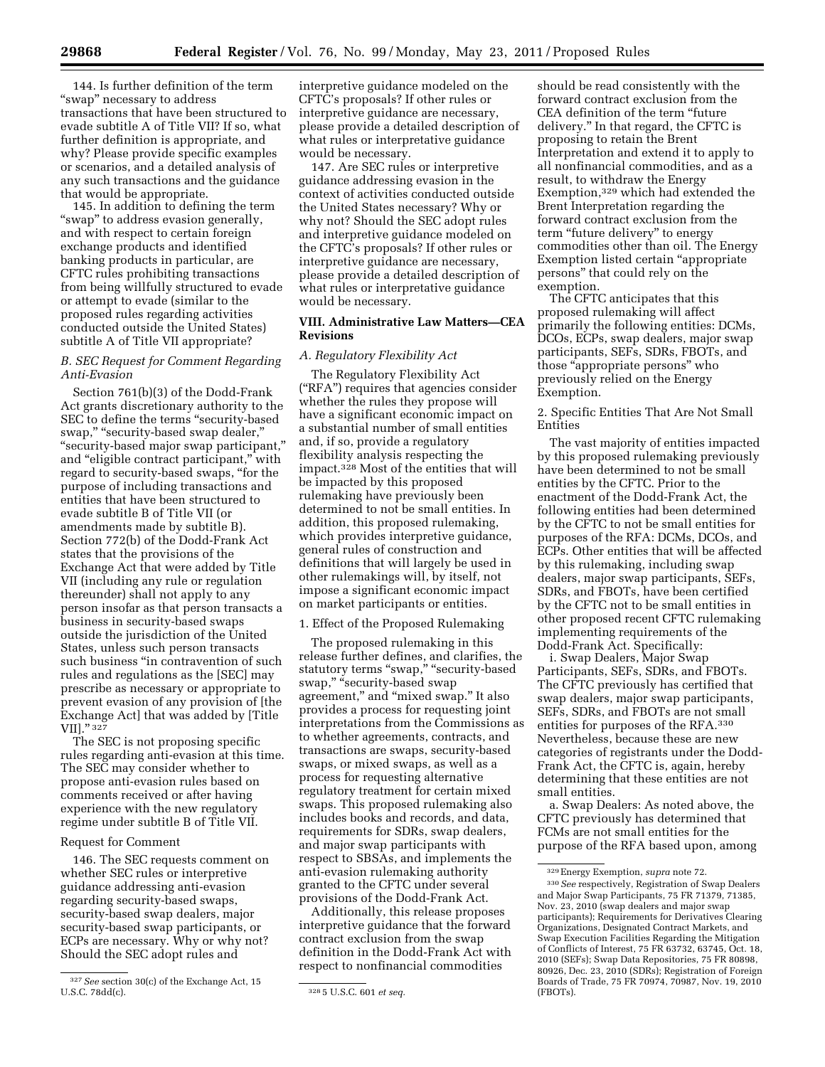144. Is further definition of the term ''swap'' necessary to address transactions that have been structured to evade subtitle A of Title VII? If so, what further definition is appropriate, and why? Please provide specific examples or scenarios, and a detailed analysis of any such transactions and the guidance that would be appropriate.

145. In addition to defining the term "swap" to address evasion generally, and with respect to certain foreign exchange products and identified banking products in particular, are CFTC rules prohibiting transactions from being willfully structured to evade or attempt to evade (similar to the proposed rules regarding activities conducted outside the United States) subtitle A of Title VII appropriate?

## *B. SEC Request for Comment Regarding Anti-Evasion*

Section 761(b)(3) of the Dodd-Frank Act grants discretionary authority to the SEC to define the terms "security-based swap," "security-based swap dealer," ''security-based major swap participant,'' and "eligible contract participant," with regard to security-based swaps, ''for the purpose of including transactions and entities that have been structured to evade subtitle B of Title VII (or amendments made by subtitle B). Section 772(b) of the Dodd-Frank Act states that the provisions of the Exchange Act that were added by Title VII (including any rule or regulation thereunder) shall not apply to any person insofar as that person transacts a business in security-based swaps outside the jurisdiction of the United States, unless such person transacts such business "in contravention of such rules and regulations as the [SEC] may prescribe as necessary or appropriate to prevent evasion of any provision of [the Exchange Act] that was added by [Title VII]." 327

The SEC is not proposing specific rules regarding anti-evasion at this time. The SEC may consider whether to propose anti-evasion rules based on comments received or after having experience with the new regulatory regime under subtitle B of Title VII.

## Request for Comment

146. The SEC requests comment on whether SEC rules or interpretive guidance addressing anti-evasion regarding security-based swaps, security-based swap dealers, major security-based swap participants, or ECPs are necessary. Why or why not? Should the SEC adopt rules and

<sup>327</sup> See section 30(c) of the Exchange Act, 15<br>U.S.C. 78dd(c).

interpretive guidance modeled on the CFTC's proposals? If other rules or interpretive guidance are necessary, please provide a detailed description of what rules or interpretative guidance would be necessary.

147. Are SEC rules or interpretive guidance addressing evasion in the context of activities conducted outside the United States necessary? Why or why not? Should the SEC adopt rules and interpretive guidance modeled on the CFTC's proposals? If other rules or interpretive guidance are necessary, please provide a detailed description of what rules or interpretative guidance would be necessary.

## **VIII. Administrative Law Matters—CEA Revisions**

## *A. Regulatory Flexibility Act*

The Regulatory Flexibility Act (''RFA'') requires that agencies consider whether the rules they propose will have a significant economic impact on a substantial number of small entities and, if so, provide a regulatory flexibility analysis respecting the impact.328 Most of the entities that will be impacted by this proposed rulemaking have previously been determined to not be small entities. In addition, this proposed rulemaking, which provides interpretive guidance, general rules of construction and definitions that will largely be used in other rulemakings will, by itself, not impose a significant economic impact on market participants or entities.

## 1. Effect of the Proposed Rulemaking

The proposed rulemaking in this release further defines, and clarifies, the statutory terms "swap," "security-based swap," "security-based swap agreement,'' and ''mixed swap.'' It also provides a process for requesting joint interpretations from the Commissions as to whether agreements, contracts, and transactions are swaps, security-based swaps, or mixed swaps, as well as a process for requesting alternative regulatory treatment for certain mixed swaps. This proposed rulemaking also includes books and records, and data, requirements for SDRs, swap dealers, and major swap participants with respect to SBSAs, and implements the anti-evasion rulemaking authority granted to the CFTC under several provisions of the Dodd-Frank Act.

Additionally, this release proposes interpretive guidance that the forward contract exclusion from the swap definition in the Dodd-Frank Act with respect to nonfinancial commodities

should be read consistently with the forward contract exclusion from the CEA definition of the term ''future delivery.'' In that regard, the CFTC is proposing to retain the Brent Interpretation and extend it to apply to all nonfinancial commodities, and as a result, to withdraw the Energy Exemption,329 which had extended the Brent Interpretation regarding the forward contract exclusion from the term "future delivery" to energy commodities other than oil. The Energy Exemption listed certain "appropriate" persons'' that could rely on the exemption.

The CFTC anticipates that this proposed rulemaking will affect primarily the following entities: DCMs, DCOs, ECPs, swap dealers, major swap participants, SEFs, SDRs, FBOTs, and those ''appropriate persons'' who previously relied on the Energy Exemption.

2. Specific Entities That Are Not Small Entities

The vast majority of entities impacted by this proposed rulemaking previously have been determined to not be small entities by the CFTC. Prior to the enactment of the Dodd-Frank Act, the following entities had been determined by the CFTC to not be small entities for purposes of the RFA: DCMs, DCOs, and ECPs. Other entities that will be affected by this rulemaking, including swap dealers, major swap participants, SEFs, SDRs, and FBOTs, have been certified by the CFTC not to be small entities in other proposed recent CFTC rulemaking implementing requirements of the Dodd-Frank Act. Specifically:

i. Swap Dealers, Major Swap Participants, SEFs, SDRs, and FBOTs. The CFTC previously has certified that swap dealers, major swap participants, SEFs, SDRs, and FBOTs are not small entities for purposes of the RFA.330 Nevertheless, because these are new categories of registrants under the Dodd-Frank Act, the CFTC is, again, hereby determining that these entities are not small entities.

a. Swap Dealers: As noted above, the CFTC previously has determined that FCMs are not small entities for the purpose of the RFA based upon, among

<sup>328 5</sup> U.S.C. 601 *et seq.* 

<sup>329</sup>Energy Exemption, *supra* note 72.

<sup>330</sup>*See* respectively, Registration of Swap Dealers and Major Swap Participants, 75 FR 71379, 71385, Nov. 23, 2010 (swap dealers and major swap participants); Requirements for Derivatives Clearing Organizations, Designated Contract Markets, and Swap Execution Facilities Regarding the Mitigation of Conflicts of Interest, 75 FR 63732, 63745, Oct. 18, 2010 (SEFs); Swap Data Repositories, 75 FR 80898, 80926, Dec. 23, 2010 (SDRs); Registration of Foreign Boards of Trade, 75 FR 70974, 70987, Nov. 19, 2010 (FBOTs).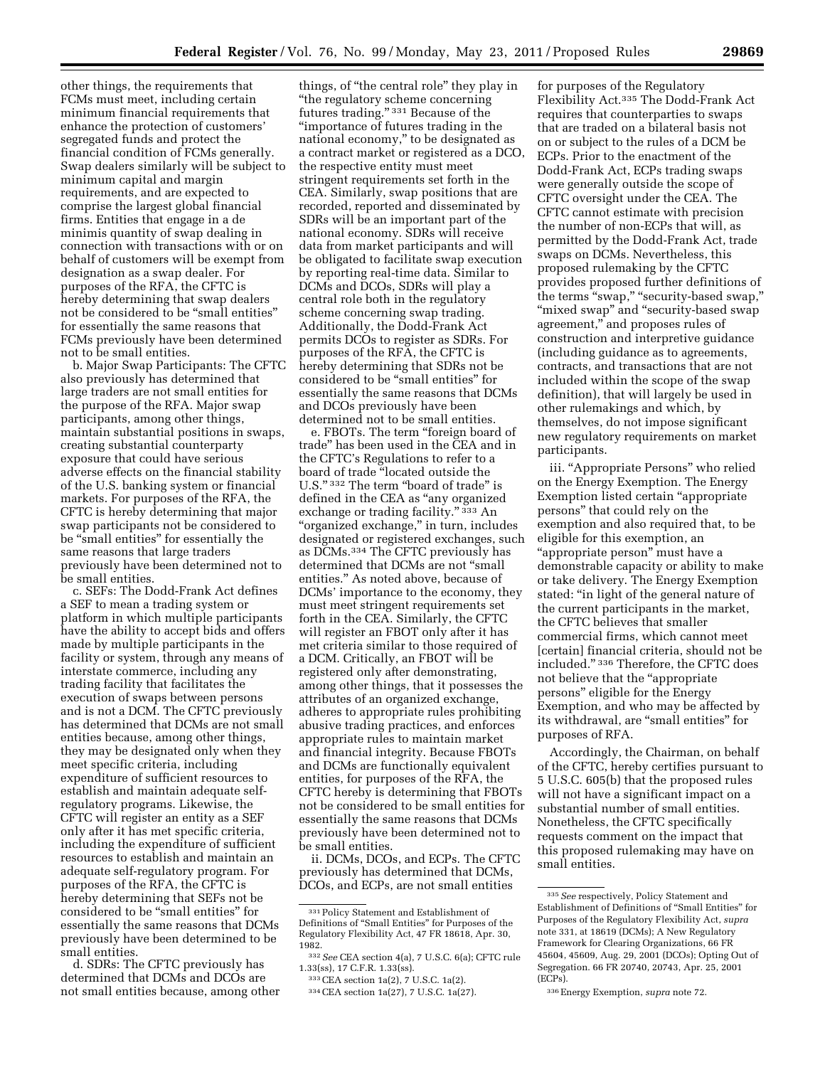other things, the requirements that FCMs must meet, including certain minimum financial requirements that enhance the protection of customers' segregated funds and protect the financial condition of FCMs generally. Swap dealers similarly will be subject to minimum capital and margin requirements, and are expected to comprise the largest global financial firms. Entities that engage in a de minimis quantity of swap dealing in connection with transactions with or on behalf of customers will be exempt from designation as a swap dealer. For purposes of the RFA, the CFTC is hereby determining that swap dealers not be considered to be ''small entities'' for essentially the same reasons that FCMs previously have been determined not to be small entities.

b. Major Swap Participants: The CFTC also previously has determined that large traders are not small entities for the purpose of the RFA. Major swap participants, among other things, maintain substantial positions in swaps, creating substantial counterparty exposure that could have serious adverse effects on the financial stability of the U.S. banking system or financial markets. For purposes of the RFA, the CFTC is hereby determining that major swap participants not be considered to be "small entities" for essentially the same reasons that large traders previously have been determined not to be small entities.

c. SEFs: The Dodd-Frank Act defines a SEF to mean a trading system or platform in which multiple participants have the ability to accept bids and offers made by multiple participants in the facility or system, through any means of interstate commerce, including any trading facility that facilitates the execution of swaps between persons and is not a DCM. The CFTC previously has determined that DCMs are not small entities because, among other things, they may be designated only when they meet specific criteria, including expenditure of sufficient resources to establish and maintain adequate selfregulatory programs. Likewise, the CFTC will register an entity as a SEF only after it has met specific criteria, including the expenditure of sufficient resources to establish and maintain an adequate self-regulatory program. For purposes of the RFA, the CFTC is hereby determining that SEFs not be considered to be "small entities" for essentially the same reasons that DCMs previously have been determined to be small entities.

d. SDRs: The CFTC previously has determined that DCMs and DCOs are not small entities because, among other

things, of "the central role" they play in ''the regulatory scheme concerning futures trading.'' 331 Because of the ''importance of futures trading in the national economy,'' to be designated as a contract market or registered as a DCO, the respective entity must meet stringent requirements set forth in the CEA. Similarly, swap positions that are recorded, reported and disseminated by SDRs will be an important part of the national economy. SDRs will receive data from market participants and will be obligated to facilitate swap execution by reporting real-time data. Similar to DCMs and DCOs, SDRs will play a central role both in the regulatory scheme concerning swap trading. Additionally, the Dodd-Frank Act permits DCOs to register as SDRs. For purposes of the RFA, the CFTC is hereby determining that SDRs not be considered to be ''small entities'' for essentially the same reasons that DCMs and DCOs previously have been determined not to be small entities.

e. FBOTs. The term ''foreign board of trade'' has been used in the CEA and in the CFTC's Regulations to refer to a board of trade ''located outside the U.S." 332 The term "board of trade" is defined in the CEA as ''any organized exchange or trading facility." 333 An ''organized exchange,'' in turn, includes designated or registered exchanges, such as DCMs.334 The CFTC previously has determined that DCMs are not ''small entities.'' As noted above, because of DCMs' importance to the economy, they must meet stringent requirements set forth in the CEA. Similarly, the CFTC will register an FBOT only after it has met criteria similar to those required of a DCM. Critically, an FBOT will be registered only after demonstrating, among other things, that it possesses the attributes of an organized exchange, adheres to appropriate rules prohibiting abusive trading practices, and enforces appropriate rules to maintain market and financial integrity. Because FBOTs and DCMs are functionally equivalent entities, for purposes of the RFA, the CFTC hereby is determining that FBOTs not be considered to be small entities for essentially the same reasons that DCMs previously have been determined not to be small entities.

ii. DCMs, DCOs, and ECPs. The CFTC previously has determined that DCMs, DCOs, and ECPs, are not small entities

for purposes of the Regulatory Flexibility Act.335 The Dodd-Frank Act requires that counterparties to swaps that are traded on a bilateral basis not on or subject to the rules of a DCM be ECPs. Prior to the enactment of the Dodd-Frank Act, ECPs trading swaps were generally outside the scope of CFTC oversight under the CEA. The CFTC cannot estimate with precision the number of non-ECPs that will, as permitted by the Dodd-Frank Act, trade swaps on DCMs. Nevertheless, this proposed rulemaking by the CFTC provides proposed further definitions of the terms "swap," "security-based swap," "mixed swap" and "security-based swap agreement,'' and proposes rules of construction and interpretive guidance (including guidance as to agreements, contracts, and transactions that are not included within the scope of the swap definition), that will largely be used in other rulemakings and which, by themselves, do not impose significant new regulatory requirements on market participants.

iii. "Appropriate Persons" who relied on the Energy Exemption. The Energy Exemption listed certain ''appropriate persons'' that could rely on the exemption and also required that, to be eligible for this exemption, an ''appropriate person'' must have a demonstrable capacity or ability to make or take delivery. The Energy Exemption stated: ''in light of the general nature of the current participants in the market, the CFTC believes that smaller commercial firms, which cannot meet [certain] financial criteria, should not be included.'' 336 Therefore, the CFTC does not believe that the "appropriate" persons'' eligible for the Energy Exemption, and who may be affected by its withdrawal, are "small entities" for purposes of RFA.

Accordingly, the Chairman, on behalf of the CFTC, hereby certifies pursuant to 5 U.S.C. 605(b) that the proposed rules will not have a significant impact on a substantial number of small entities. Nonetheless, the CFTC specifically requests comment on the impact that this proposed rulemaking may have on small entities.

<sup>331</sup>Policy Statement and Establishment of Definitions of ''Small Entities'' for Purposes of the Regulatory Flexibility Act, 47 FR 18618, Apr. 30, 1982.

<sup>332</sup>*See* CEA section 4(a), 7 U.S.C. 6(a); CFTC rule 1.33(ss), 17 C.F.R. 1.33(ss).

<sup>333</sup>CEA section 1a(2), 7 U.S.C. 1a(2).

<sup>334</sup>CEA section 1a(27), 7 U.S.C. 1a(27).

<sup>335</sup>*See* respectively, Policy Statement and Establishment of Definitions of ''Small Entities'' for Purposes of the Regulatory Flexibility Act, *supra*  note 331, at 18619 (DCMs); A New Regulatory Framework for Clearing Organizations, 66 FR 45604, 45609, Aug. 29, 2001 (DCOs); Opting Out of Segregation. 66 FR 20740, 20743, Apr. 25, 2001 (ECPs).

<sup>336</sup>Energy Exemption, *supra* note 72.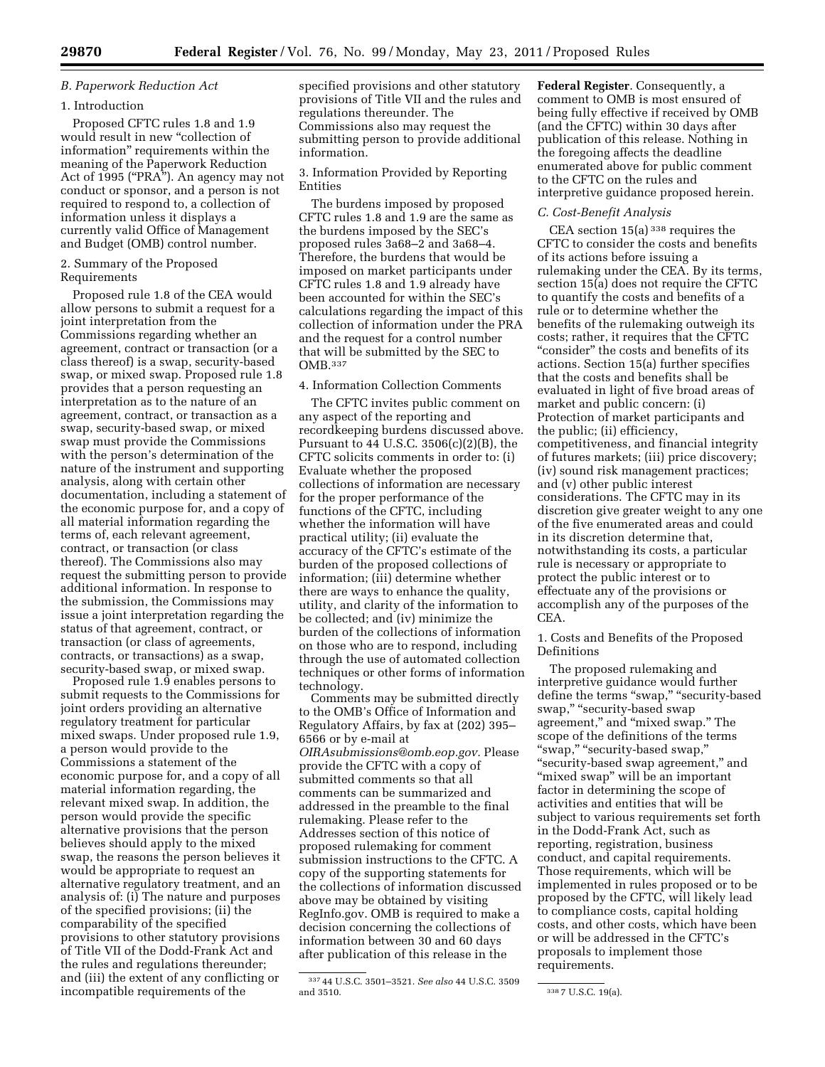## *B. Paperwork Reduction Act*

#### 1. Introduction

Proposed CFTC rules 1.8 and 1.9 would result in new "collection of information'' requirements within the meaning of the Paperwork Reduction Act of 1995 ("PRA"). An agency may not conduct or sponsor, and a person is not required to respond to, a collection of information unless it displays a currently valid Office of Management and Budget (OMB) control number.

## 2. Summary of the Proposed Requirements

Proposed rule 1.8 of the CEA would allow persons to submit a request for a joint interpretation from the Commissions regarding whether an agreement, contract or transaction (or a class thereof) is a swap, security-based swap, or mixed swap. Proposed rule 1.8 provides that a person requesting an interpretation as to the nature of an agreement, contract, or transaction as a swap, security-based swap, or mixed swap must provide the Commissions with the person's determination of the nature of the instrument and supporting analysis, along with certain other documentation, including a statement of the economic purpose for, and a copy of all material information regarding the terms of, each relevant agreement, contract, or transaction (or class thereof). The Commissions also may request the submitting person to provide additional information. In response to the submission, the Commissions may issue a joint interpretation regarding the status of that agreement, contract, or transaction (or class of agreements, contracts, or transactions) as a swap, security-based swap, or mixed swap.

Proposed rule 1.9 enables persons to submit requests to the Commissions for joint orders providing an alternative regulatory treatment for particular mixed swaps. Under proposed rule 1.9, a person would provide to the Commissions a statement of the economic purpose for, and a copy of all material information regarding, the relevant mixed swap. In addition, the person would provide the specific alternative provisions that the person believes should apply to the mixed swap, the reasons the person believes it would be appropriate to request an alternative regulatory treatment, and an analysis of: (i) The nature and purposes of the specified provisions; (ii) the comparability of the specified provisions to other statutory provisions of Title VII of the Dodd-Frank Act and the rules and regulations thereunder; and (iii) the extent of any conflicting or incompatible requirements of the

specified provisions and other statutory provisions of Title VII and the rules and regulations thereunder. The Commissions also may request the submitting person to provide additional information.

3. Information Provided by Reporting Entities

The burdens imposed by proposed CFTC rules 1.8 and 1.9 are the same as the burdens imposed by the SEC's proposed rules 3a68–2 and 3a68–4. Therefore, the burdens that would be imposed on market participants under CFTC rules 1.8 and 1.9 already have been accounted for within the SEC's calculations regarding the impact of this collection of information under the PRA and the request for a control number that will be submitted by the SEC to OMB.337

## 4. Information Collection Comments

The CFTC invites public comment on any aspect of the reporting and recordkeeping burdens discussed above. Pursuant to 44 U.S.C. 3506(c)(2)(B), the CFTC solicits comments in order to: (i) Evaluate whether the proposed collections of information are necessary for the proper performance of the functions of the CFTC, including whether the information will have practical utility; (ii) evaluate the accuracy of the CFTC's estimate of the burden of the proposed collections of information; (iii) determine whether there are ways to enhance the quality, utility, and clarity of the information to be collected; and (iv) minimize the burden of the collections of information on those who are to respond, including through the use of automated collection techniques or other forms of information technology.

Comments may be submitted directly to the OMB's Office of Information and Regulatory Affairs, by fax at (202) 395– 6566 or by e-mail at *[OIRAsubmissions@omb.eop.gov.](mailto:OIRAsubmissions@omb.eop.gov)* Please provide the CFTC with a copy of submitted comments so that all comments can be summarized and addressed in the preamble to the final rulemaking. Please refer to the Addresses section of this notice of proposed rulemaking for comment submission instructions to the CFTC. A copy of the supporting statements for the collections of information discussed above may be obtained by visiting RegInfo.gov. OMB is required to make a decision concerning the collections of information between 30 and 60 days after publication of this release in the

**Federal Register**. Consequently, a comment to OMB is most ensured of being fully effective if received by OMB (and the CFTC) within 30 days after publication of this release. Nothing in the foregoing affects the deadline enumerated above for public comment to the CFTC on the rules and interpretive guidance proposed herein.

## *C. Cost-Benefit Analysis*

CEA section  $15(a)$ <sup>338</sup> requires the CFTC to consider the costs and benefits of its actions before issuing a rulemaking under the CEA. By its terms, section 15(a) does not require the CFTC to quantify the costs and benefits of a rule or to determine whether the benefits of the rulemaking outweigh its costs; rather, it requires that the CFTC ''consider'' the costs and benefits of its actions. Section 15(a) further specifies that the costs and benefits shall be evaluated in light of five broad areas of market and public concern: (i) Protection of market participants and the public; (ii) efficiency, competitiveness, and financial integrity of futures markets; (iii) price discovery; (iv) sound risk management practices; and (v) other public interest considerations. The CFTC may in its discretion give greater weight to any one of the five enumerated areas and could in its discretion determine that, notwithstanding its costs, a particular rule is necessary or appropriate to protect the public interest or to effectuate any of the provisions or accomplish any of the purposes of the CEA.

1. Costs and Benefits of the Proposed Definitions

The proposed rulemaking and interpretive guidance would further define the terms "swap," "security-based swap," "security-based swap agreement,'' and ''mixed swap.'' The scope of the definitions of the terms "swap," "security-based swap," ''security-based swap agreement,'' and "mixed swap" will be an important factor in determining the scope of activities and entities that will be subject to various requirements set forth in the Dodd-Frank Act, such as reporting, registration, business conduct, and capital requirements. Those requirements, which will be implemented in rules proposed or to be proposed by the CFTC, will likely lead to compliance costs, capital holding costs, and other costs, which have been or will be addressed in the CFTC's proposals to implement those requirements.

<sup>337</sup> 44 U.S.C. 3501–3521. *See also* 44 U.S.C. 3509

<sup>338 7</sup> U.S.C. 19(a).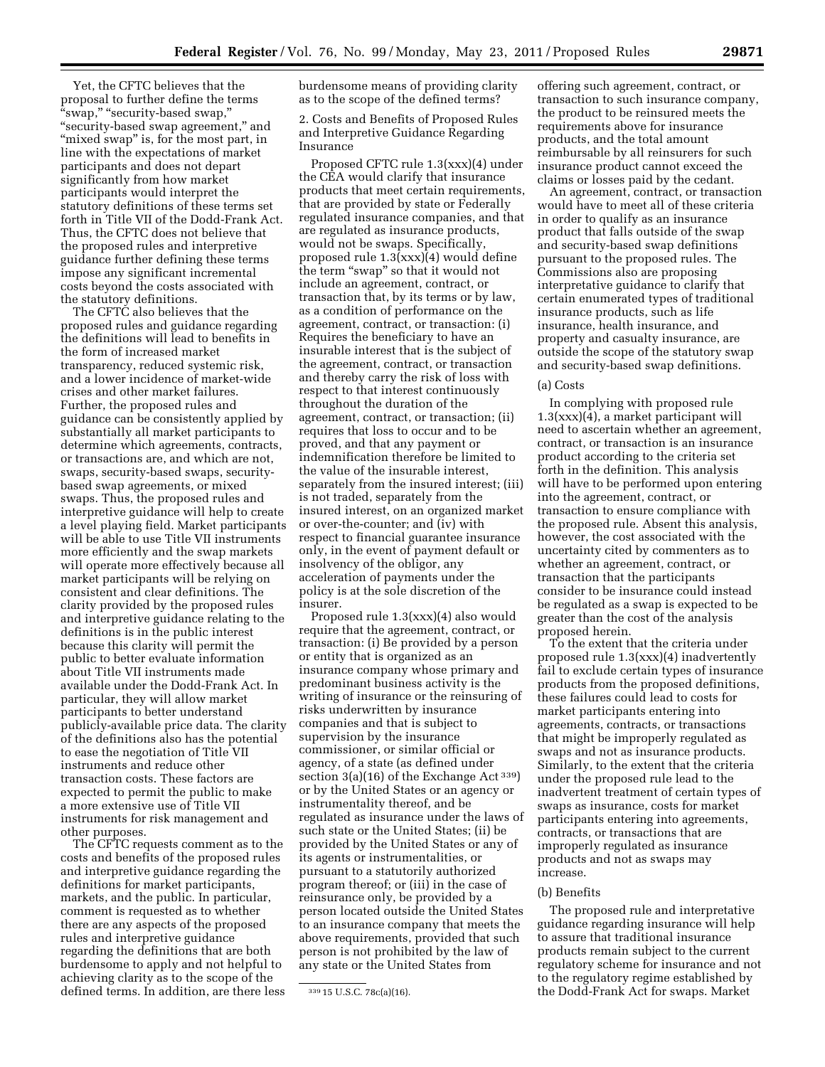Yet, the CFTC believes that the proposal to further define the terms ''swap,'' ''security-based swap,'' ''security-based swap agreement,'' and "mixed swap" is, for the most part, in line with the expectations of market participants and does not depart significantly from how market participants would interpret the statutory definitions of these terms set forth in Title VII of the Dodd-Frank Act. Thus, the CFTC does not believe that the proposed rules and interpretive guidance further defining these terms impose any significant incremental costs beyond the costs associated with the statutory definitions.

The CFTC also believes that the proposed rules and guidance regarding the definitions will lead to benefits in the form of increased market transparency, reduced systemic risk, and a lower incidence of market-wide crises and other market failures. Further, the proposed rules and guidance can be consistently applied by substantially all market participants to determine which agreements, contracts, or transactions are, and which are not, swaps, security-based swaps, securitybased swap agreements, or mixed swaps. Thus, the proposed rules and interpretive guidance will help to create a level playing field. Market participants will be able to use Title VII instruments more efficiently and the swap markets will operate more effectively because all market participants will be relying on consistent and clear definitions. The clarity provided by the proposed rules and interpretive guidance relating to the definitions is in the public interest because this clarity will permit the public to better evaluate information about Title VII instruments made available under the Dodd-Frank Act. In particular, they will allow market participants to better understand publicly-available price data. The clarity of the definitions also has the potential to ease the negotiation of Title VII instruments and reduce other transaction costs. These factors are expected to permit the public to make a more extensive use of Title VII instruments for risk management and other purposes.

The CFTC requests comment as to the costs and benefits of the proposed rules and interpretive guidance regarding the definitions for market participants, markets, and the public. In particular, comment is requested as to whether there are any aspects of the proposed rules and interpretive guidance regarding the definitions that are both burdensome to apply and not helpful to achieving clarity as to the scope of the defined terms. In addition, are there less burdensome means of providing clarity as to the scope of the defined terms?

2. Costs and Benefits of Proposed Rules and Interpretive Guidance Regarding Insurance

Proposed CFTC rule 1.3(xxx)(4) under the CEA would clarify that insurance products that meet certain requirements, that are provided by state or Federally regulated insurance companies, and that are regulated as insurance products, would not be swaps. Specifically, proposed rule 1.3(xxx)(4) would define the term "swap" so that it would not include an agreement, contract, or transaction that, by its terms or by law, as a condition of performance on the agreement, contract, or transaction: (i) Requires the beneficiary to have an insurable interest that is the subject of the agreement, contract, or transaction and thereby carry the risk of loss with respect to that interest continuously throughout the duration of the agreement, contract, or transaction; (ii) requires that loss to occur and to be proved, and that any payment or indemnification therefore be limited to the value of the insurable interest, separately from the insured interest; (iii) is not traded, separately from the insured interest, on an organized market or over-the-counter; and (iv) with respect to financial guarantee insurance only, in the event of payment default or insolvency of the obligor, any acceleration of payments under the policy is at the sole discretion of the insurer.

Proposed rule 1.3(xxx)(4) also would require that the agreement, contract, or transaction: (i) Be provided by a person or entity that is organized as an insurance company whose primary and predominant business activity is the writing of insurance or the reinsuring of risks underwritten by insurance companies and that is subject to supervision by the insurance commissioner, or similar official or agency, of a state (as defined under section 3(a)(16) of the Exchange Act 339) or by the United States or an agency or instrumentality thereof, and be regulated as insurance under the laws of such state or the United States; (ii) be provided by the United States or any of its agents or instrumentalities, or pursuant to a statutorily authorized program thereof; or (iii) in the case of reinsurance only, be provided by a person located outside the United States to an insurance company that meets the above requirements, provided that such person is not prohibited by the law of any state or the United States from

offering such agreement, contract, or transaction to such insurance company, the product to be reinsured meets the requirements above for insurance products, and the total amount reimbursable by all reinsurers for such insurance product cannot exceed the claims or losses paid by the cedant.

An agreement, contract, or transaction would have to meet all of these criteria in order to qualify as an insurance product that falls outside of the swap and security-based swap definitions pursuant to the proposed rules. The Commissions also are proposing interpretative guidance to clarify that certain enumerated types of traditional insurance products, such as life insurance, health insurance, and property and casualty insurance, are outside the scope of the statutory swap and security-based swap definitions.

#### (a) Costs

In complying with proposed rule  $1.3(xxx)(4)$ , a market participant will need to ascertain whether an agreement, contract, or transaction is an insurance product according to the criteria set forth in the definition. This analysis will have to be performed upon entering into the agreement, contract, or transaction to ensure compliance with the proposed rule. Absent this analysis, however, the cost associated with the uncertainty cited by commenters as to whether an agreement, contract, or transaction that the participants consider to be insurance could instead be regulated as a swap is expected to be greater than the cost of the analysis proposed herein.

To the extent that the criteria under proposed rule 1.3(xxx)(4) inadvertently fail to exclude certain types of insurance products from the proposed definitions, these failures could lead to costs for market participants entering into agreements, contracts, or transactions that might be improperly regulated as swaps and not as insurance products. Similarly, to the extent that the criteria under the proposed rule lead to the inadvertent treatment of certain types of swaps as insurance, costs for market participants entering into agreements, contracts, or transactions that are improperly regulated as insurance products and not as swaps may increase.

### (b) Benefits

The proposed rule and interpretative guidance regarding insurance will help to assure that traditional insurance products remain subject to the current regulatory scheme for insurance and not to the regulatory regime established by the Dodd-Frank Act for swaps. Market

<sup>339</sup> 15 U.S.C. 78c(a)(16).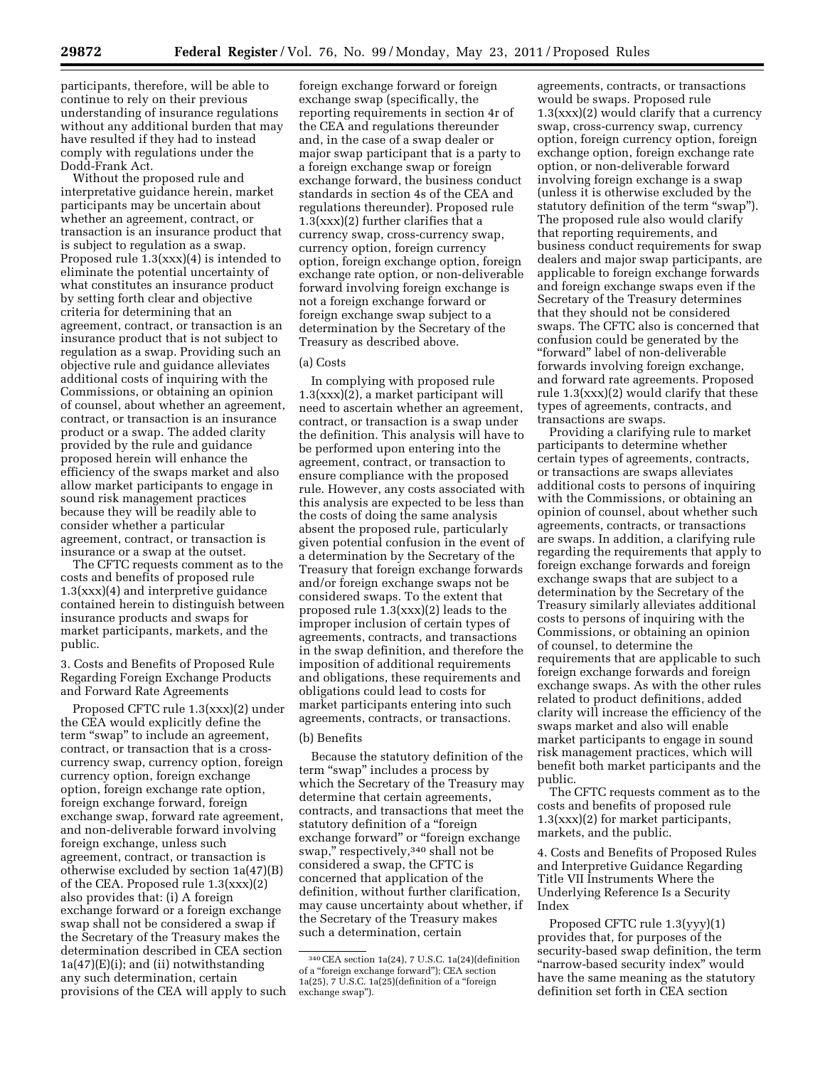participants, therefore, will be able to continue to rely on their previous understanding of insurance regulations without any additional burden that may have resulted if they had to instead comply with regulations under the Dodd-Frank Act.

Without the proposed rule and interpretative guidance herein, market participants may be uncertain about whether an agreement, contract, or transaction is an insurance product that is subject to regulation as a swap. Proposed rule 1.3(xxx)(4) is intended to eliminate the potential uncertainty of what constitutes an insurance product by setting forth clear and objective criteria for determining that an agreement, contract, or transaction is an insurance product that is not subject to regulation as a swap. Providing such an objective rule and guidance alleviates additional costs of inquiring with the Commissions, or obtaining an opinion of counsel, about whether an agreement, contract, or transaction is an insurance product or a swap. The added clarity provided by the rule and guidance proposed herein will enhance the efficiency of the swaps market and also allow market participants to engage in sound risk management practices because they will be readily able to consider whether a particular agreement, contract, or transaction is insurance or a swap at the outset.

The CFTC requests comment as to the costs and benefits of proposed rule 1.3(xxx)(4) and interpretive guidance contained herein to distinguish between insurance products and swaps for market participants, markets, and the public.

3. Costs and Benefits of Proposed Rule Regarding Foreign Exchange Products and Forward Rate Agreements

Proposed CFTC rule 1.3(xxx)(2) under the CEA would explicitly define the term "swap" to include an agreement, contract, or transaction that is a crosscurrency swap, currency option, foreign currency option, foreign exchange option, foreign exchange rate option, foreign exchange forward, foreign exchange swap, forward rate agreement, and non-deliverable forward involving foreign exchange, unless such agreement, contract, or transaction is otherwise excluded by section 1a(47)(B) of the CEA. Proposed rule 1.3(xxx)(2) also provides that: (i) A foreign exchange forward or a foreign exchange swap shall not be considered a swap if the Secretary of the Treasury makes the determination described in CEA section  $1a(47)$ (E)(i); and (ii) notwithstanding any such determination, certain provisions of the CEA will apply to such

foreign exchange forward or foreign exchange swap (specifically, the reporting requirements in section 4r of the CEA and regulations thereunder and, in the case of a swap dealer or major swap participant that is a party to a foreign exchange swap or foreign exchange forward, the business conduct standards in section 4s of the CEA and regulations thereunder). Proposed rule  $1.3(xxx)(2)$  further clarifies that a currency swap, cross-currency swap, currency option, foreign currency option, foreign exchange option, foreign exchange rate option, or non-deliverable forward involving foreign exchange is not a foreign exchange forward or foreign exchange swap subject to a determination by the Secretary of the Treasury as described above.

## (a) Costs

In complying with proposed rule  $1.3(xxx)(2)$ , a market participant will need to ascertain whether an agreement, contract, or transaction is a swap under the definition. This analysis will have to be performed upon entering into the agreement, contract, or transaction to ensure compliance with the proposed rule. However, any costs associated with this analysis are expected to be less than the costs of doing the same analysis absent the proposed rule, particularly given potential confusion in the event of a determination by the Secretary of the Treasury that foreign exchange forwards and/or foreign exchange swaps not be considered swaps. To the extent that proposed rule 1.3(xxx)(2) leads to the improper inclusion of certain types of agreements, contracts, and transactions in the swap definition, and therefore the imposition of additional requirements and obligations, these requirements and obligations could lead to costs for market participants entering into such agreements, contracts, or transactions.

### (b) Benefits

Because the statutory definition of the term "swap" includes a process by which the Secretary of the Treasury may determine that certain agreements, contracts, and transactions that meet the statutory definition of a ''foreign exchange forward'' or ''foreign exchange swap," respectively, 340 shall not be considered a swap, the CFTC is concerned that application of the definition, without further clarification, may cause uncertainty about whether, if the Secretary of the Treasury makes such a determination, certain

agreements, contracts, or transactions would be swaps. Proposed rule  $1.3(xxx)(2)$  would clarify that a currency swap, cross-currency swap, currency option, foreign currency option, foreign exchange option, foreign exchange rate option, or non-deliverable forward involving foreign exchange is a swap (unless it is otherwise excluded by the statutory definition of the term "swap"). The proposed rule also would clarify that reporting requirements, and business conduct requirements for swap dealers and major swap participants, are applicable to foreign exchange forwards and foreign exchange swaps even if the Secretary of the Treasury determines that they should not be considered swaps. The CFTC also is concerned that confusion could be generated by the ''forward'' label of non-deliverable forwards involving foreign exchange, and forward rate agreements. Proposed rule 1.3(xxx)(2) would clarify that these types of agreements, contracts, and transactions are swaps.

Providing a clarifying rule to market participants to determine whether certain types of agreements, contracts, or transactions are swaps alleviates additional costs to persons of inquiring with the Commissions, or obtaining an opinion of counsel, about whether such agreements, contracts, or transactions are swaps. In addition, a clarifying rule regarding the requirements that apply to foreign exchange forwards and foreign exchange swaps that are subject to a determination by the Secretary of the Treasury similarly alleviates additional costs to persons of inquiring with the Commissions, or obtaining an opinion of counsel, to determine the requirements that are applicable to such foreign exchange forwards and foreign exchange swaps. As with the other rules related to product definitions, added clarity will increase the efficiency of the swaps market and also will enable market participants to engage in sound risk management practices, which will benefit both market participants and the public.

The CFTC requests comment as to the costs and benefits of proposed rule 1.3(xxx)(2) for market participants, markets, and the public.

4. Costs and Benefits of Proposed Rules and Interpretive Guidance Regarding Title VII Instruments Where the Underlying Reference Is a Security Index

Proposed CFTC rule 1.3(yyy)(1) provides that, for purposes of the security-based swap definition, the term ''narrow-based security index'' would have the same meaning as the statutory definition set forth in CEA section

<sup>340</sup>CEA section 1a(24), 7 U.S.C. 1a(24)(definition of a ''foreign exchange forward''); CEA section 1a(25), 7 U.S.C. 1a(25)(definition of a "foreign exchange swap'').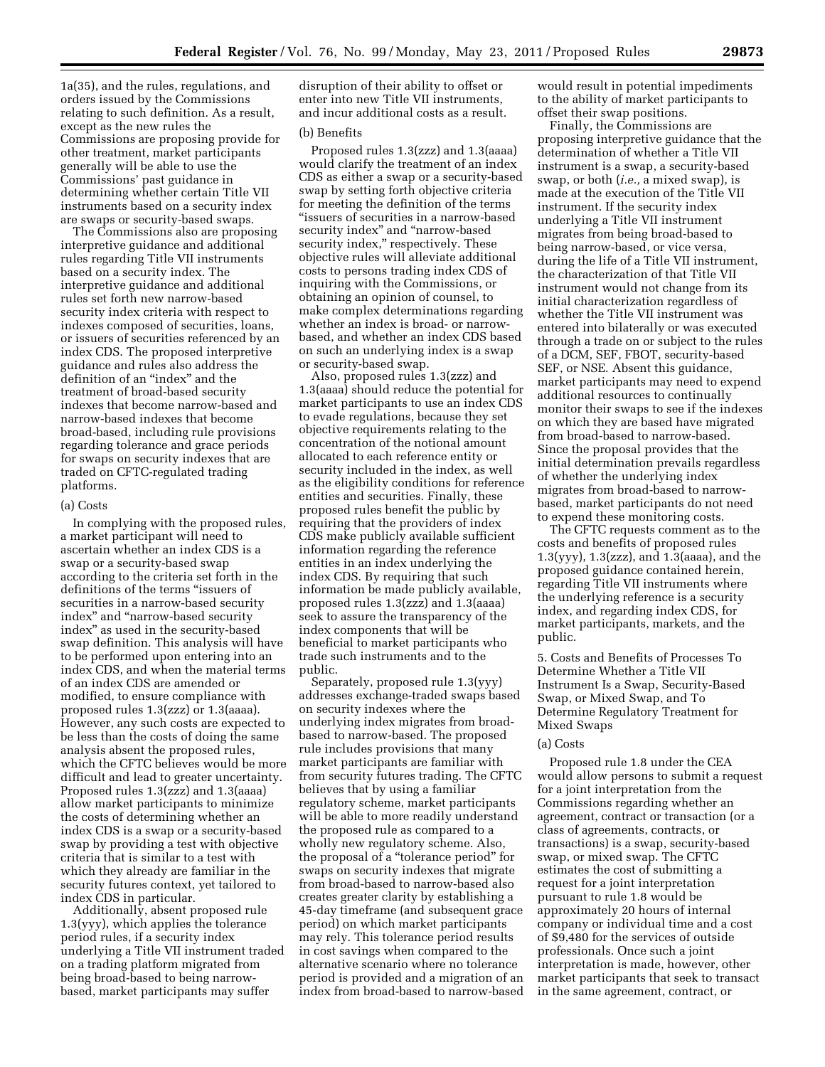1a(35), and the rules, regulations, and orders issued by the Commissions relating to such definition. As a result, except as the new rules the Commissions are proposing provide for other treatment, market participants generally will be able to use the Commissions' past guidance in determining whether certain Title VII instruments based on a security index are swaps or security-based swaps.

The Commissions also are proposing interpretive guidance and additional rules regarding Title VII instruments based on a security index. The interpretive guidance and additional rules set forth new narrow-based security index criteria with respect to indexes composed of securities, loans, or issuers of securities referenced by an index CDS. The proposed interpretive guidance and rules also address the definition of an ''index'' and the treatment of broad-based security indexes that become narrow-based and narrow-based indexes that become broad-based, including rule provisions regarding tolerance and grace periods for swaps on security indexes that are traded on CFTC-regulated trading platforms.

#### (a) Costs

In complying with the proposed rules, a market participant will need to ascertain whether an index CDS is a swap or a security-based swap according to the criteria set forth in the definitions of the terms ''issuers of securities in a narrow-based security index'' and ''narrow-based security index'' as used in the security-based swap definition. This analysis will have to be performed upon entering into an index CDS, and when the material terms of an index CDS are amended or modified, to ensure compliance with proposed rules 1.3(zzz) or 1.3(aaaa). However, any such costs are expected to be less than the costs of doing the same analysis absent the proposed rules, which the CFTC believes would be more difficult and lead to greater uncertainty. Proposed rules 1.3(zzz) and 1.3(aaaa) allow market participants to minimize the costs of determining whether an index CDS is a swap or a security-based swap by providing a test with objective criteria that is similar to a test with which they already are familiar in the security futures context, yet tailored to index CDS in particular.

Additionally, absent proposed rule 1.3(yyy), which applies the tolerance period rules, if a security index underlying a Title VII instrument traded on a trading platform migrated from being broad-based to being narrowbased, market participants may suffer

disruption of their ability to offset or enter into new Title VII instruments, and incur additional costs as a result.

## (b) Benefits

Proposed rules 1.3(zzz) and 1.3(aaaa) would clarify the treatment of an index CDS as either a swap or a security-based swap by setting forth objective criteria for meeting the definition of the terms ''issuers of securities in a narrow-based security index'' and ''narrow-based security index," respectively. These objective rules will alleviate additional costs to persons trading index CDS of inquiring with the Commissions, or obtaining an opinion of counsel, to make complex determinations regarding whether an index is broad- or narrowbased, and whether an index CDS based on such an underlying index is a swap or security-based swap.

Also, proposed rules 1.3(zzz) and 1.3(aaaa) should reduce the potential for market participants to use an index CDS to evade regulations, because they set objective requirements relating to the concentration of the notional amount allocated to each reference entity or security included in the index, as well as the eligibility conditions for reference entities and securities. Finally, these proposed rules benefit the public by requiring that the providers of index CDS make publicly available sufficient information regarding the reference entities in an index underlying the index CDS. By requiring that such information be made publicly available, proposed rules 1.3(zzz) and 1.3(aaaa) seek to assure the transparency of the index components that will be beneficial to market participants who trade such instruments and to the public.

Separately, proposed rule 1.3(yyy) addresses exchange-traded swaps based on security indexes where the underlying index migrates from broadbased to narrow-based. The proposed rule includes provisions that many market participants are familiar with from security futures trading. The CFTC believes that by using a familiar regulatory scheme, market participants will be able to more readily understand the proposed rule as compared to a wholly new regulatory scheme. Also, the proposal of a ''tolerance period'' for swaps on security indexes that migrate from broad-based to narrow-based also creates greater clarity by establishing a 45-day timeframe (and subsequent grace period) on which market participants may rely. This tolerance period results in cost savings when compared to the alternative scenario where no tolerance period is provided and a migration of an index from broad-based to narrow-based would result in potential impediments to the ability of market participants to offset their swap positions.

Finally, the Commissions are proposing interpretive guidance that the determination of whether a Title VII instrument is a swap, a security-based swap, or both (*i.e.,* a mixed swap), is made at the execution of the Title VII instrument. If the security index underlying a Title VII instrument migrates from being broad-based to being narrow-based, or vice versa, during the life of a Title VII instrument, the characterization of that Title VII instrument would not change from its initial characterization regardless of whether the Title VII instrument was entered into bilaterally or was executed through a trade on or subject to the rules of a DCM, SEF, FBOT, security-based SEF, or NSE. Absent this guidance, market participants may need to expend additional resources to continually monitor their swaps to see if the indexes on which they are based have migrated from broad-based to narrow-based. Since the proposal provides that the initial determination prevails regardless of whether the underlying index migrates from broad-based to narrowbased, market participants do not need to expend these monitoring costs.

The CFTC requests comment as to the costs and benefits of proposed rules 1.3(yyy), 1.3(zzz), and 1.3(aaaa), and the proposed guidance contained herein, regarding Title VII instruments where the underlying reference is a security index, and regarding index CDS, for market participants, markets, and the public.

5. Costs and Benefits of Processes To Determine Whether a Title VII Instrument Is a Swap, Security-Based Swap, or Mixed Swap, and To Determine Regulatory Treatment for Mixed Swaps

### (a) Costs

Proposed rule 1.8 under the CEA would allow persons to submit a request for a joint interpretation from the Commissions regarding whether an agreement, contract or transaction (or a class of agreements, contracts, or transactions) is a swap, security-based swap, or mixed swap. The CFTC estimates the cost of submitting a request for a joint interpretation pursuant to rule 1.8 would be approximately 20 hours of internal company or individual time and a cost of \$9,480 for the services of outside professionals. Once such a joint interpretation is made, however, other market participants that seek to transact in the same agreement, contract, or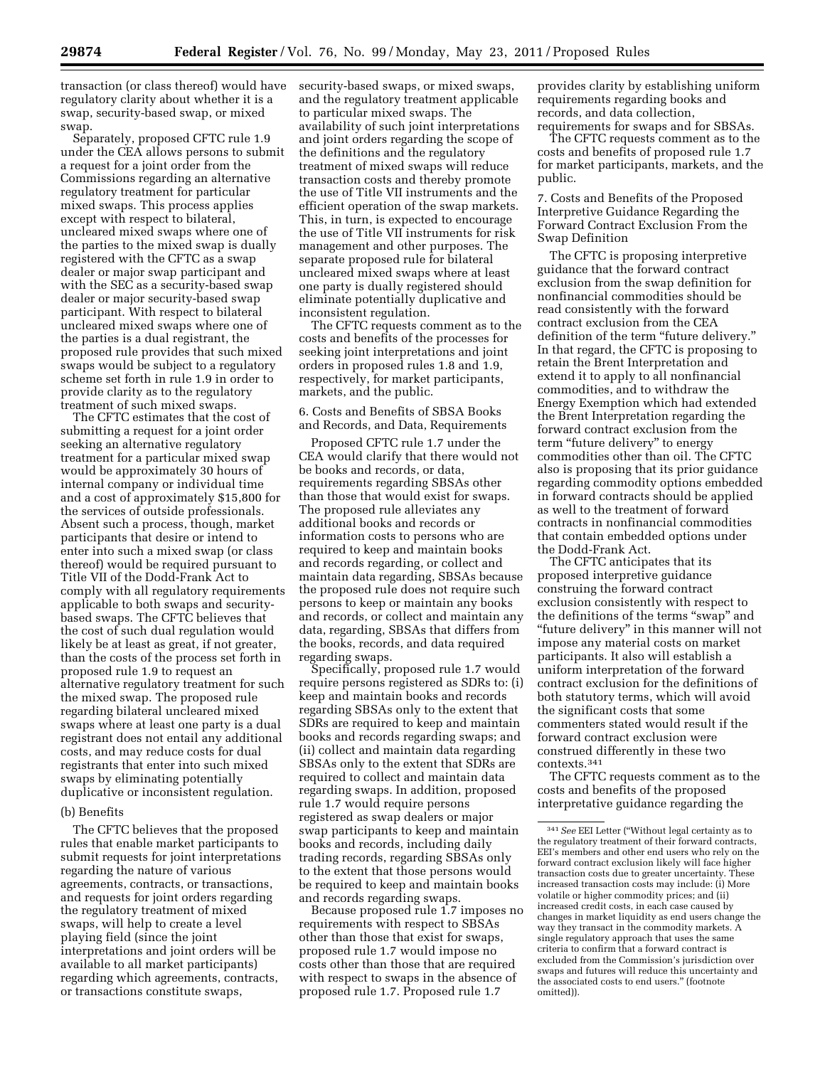transaction (or class thereof) would have regulatory clarity about whether it is a swap, security-based swap, or mixed swap.

Separately, proposed CFTC rule 1.9 under the CEA allows persons to submit a request for a joint order from the Commissions regarding an alternative regulatory treatment for particular mixed swaps. This process applies except with respect to bilateral, uncleared mixed swaps where one of the parties to the mixed swap is dually registered with the CFTC as a swap dealer or major swap participant and with the SEC as a security-based swap dealer or major security-based swap participant. With respect to bilateral uncleared mixed swaps where one of the parties is a dual registrant, the proposed rule provides that such mixed swaps would be subject to a regulatory scheme set forth in rule 1.9 in order to provide clarity as to the regulatory treatment of such mixed swaps.

The CFTC estimates that the cost of submitting a request for a joint order seeking an alternative regulatory treatment for a particular mixed swap would be approximately 30 hours of internal company or individual time and a cost of approximately \$15,800 for the services of outside professionals. Absent such a process, though, market participants that desire or intend to enter into such a mixed swap (or class thereof) would be required pursuant to Title VII of the Dodd-Frank Act to comply with all regulatory requirements applicable to both swaps and securitybased swaps. The CFTC believes that the cost of such dual regulation would likely be at least as great, if not greater, than the costs of the process set forth in proposed rule 1.9 to request an alternative regulatory treatment for such the mixed swap. The proposed rule regarding bilateral uncleared mixed swaps where at least one party is a dual registrant does not entail any additional costs, and may reduce costs for dual registrants that enter into such mixed swaps by eliminating potentially duplicative or inconsistent regulation.

#### (b) Benefits

The CFTC believes that the proposed rules that enable market participants to submit requests for joint interpretations regarding the nature of various agreements, contracts, or transactions, and requests for joint orders regarding the regulatory treatment of mixed swaps, will help to create a level playing field (since the joint interpretations and joint orders will be available to all market participants) regarding which agreements, contracts, or transactions constitute swaps,

security-based swaps, or mixed swaps, and the regulatory treatment applicable to particular mixed swaps. The availability of such joint interpretations and joint orders regarding the scope of the definitions and the regulatory treatment of mixed swaps will reduce transaction costs and thereby promote the use of Title VII instruments and the efficient operation of the swap markets. This, in turn, is expected to encourage the use of Title VII instruments for risk management and other purposes. The separate proposed rule for bilateral uncleared mixed swaps where at least one party is dually registered should eliminate potentially duplicative and inconsistent regulation.

The CFTC requests comment as to the costs and benefits of the processes for seeking joint interpretations and joint orders in proposed rules 1.8 and 1.9, respectively, for market participants, markets, and the public.

## 6. Costs and Benefits of SBSA Books and Records, and Data, Requirements

Proposed CFTC rule 1.7 under the CEA would clarify that there would not be books and records, or data, requirements regarding SBSAs other than those that would exist for swaps. The proposed rule alleviates any additional books and records or information costs to persons who are required to keep and maintain books and records regarding, or collect and maintain data regarding, SBSAs because the proposed rule does not require such persons to keep or maintain any books and records, or collect and maintain any data, regarding, SBSAs that differs from the books, records, and data required regarding swaps.

Specifically, proposed rule 1.7 would require persons registered as SDRs to: (i) keep and maintain books and records regarding SBSAs only to the extent that SDRs are required to keep and maintain books and records regarding swaps; and (ii) collect and maintain data regarding SBSAs only to the extent that SDRs are required to collect and maintain data regarding swaps. In addition, proposed rule 1.7 would require persons registered as swap dealers or major swap participants to keep and maintain books and records, including daily trading records, regarding SBSAs only to the extent that those persons would be required to keep and maintain books and records regarding swaps.

Because proposed rule 1.7 imposes no requirements with respect to SBSAs other than those that exist for swaps, proposed rule 1.7 would impose no costs other than those that are required with respect to swaps in the absence of proposed rule 1.7. Proposed rule 1.7

provides clarity by establishing uniform requirements regarding books and records, and data collection, requirements for swaps and for SBSAs.

The CFTC requests comment as to the costs and benefits of proposed rule 1.7 for market participants, markets, and the public.

7. Costs and Benefits of the Proposed Interpretive Guidance Regarding the Forward Contract Exclusion From the Swap Definition

The CFTC is proposing interpretive guidance that the forward contract exclusion from the swap definition for nonfinancial commodities should be read consistently with the forward contract exclusion from the CEA definition of the term ''future delivery.'' In that regard, the CFTC is proposing to retain the Brent Interpretation and extend it to apply to all nonfinancial commodities, and to withdraw the Energy Exemption which had extended the Brent Interpretation regarding the forward contract exclusion from the term "future delivery" to energy commodities other than oil. The CFTC also is proposing that its prior guidance regarding commodity options embedded in forward contracts should be applied as well to the treatment of forward contracts in nonfinancial commodities that contain embedded options under the Dodd-Frank Act.

The CFTC anticipates that its proposed interpretive guidance construing the forward contract exclusion consistently with respect to the definitions of the terms "swap" and "future delivery" in this manner will not impose any material costs on market participants. It also will establish a uniform interpretation of the forward contract exclusion for the definitions of both statutory terms, which will avoid the significant costs that some commenters stated would result if the forward contract exclusion were construed differently in these two contexts.341

The CFTC requests comment as to the costs and benefits of the proposed interpretative guidance regarding the

<sup>341</sup>*See* EEI Letter (''Without legal certainty as to the regulatory treatment of their forward contracts, EEI's members and other end users who rely on the forward contract exclusion likely will face higher transaction costs due to greater uncertainty. These increased transaction costs may include: (i) More volatile or higher commodity prices; and (ii) increased credit costs, in each case caused by changes in market liquidity as end users change the way they transact in the commodity markets. A single regulatory approach that uses the same criteria to confirm that a forward contract is excluded from the Commission's jurisdiction over swaps and futures will reduce this uncertainty and the associated costs to end users.'' (footnote omitted)).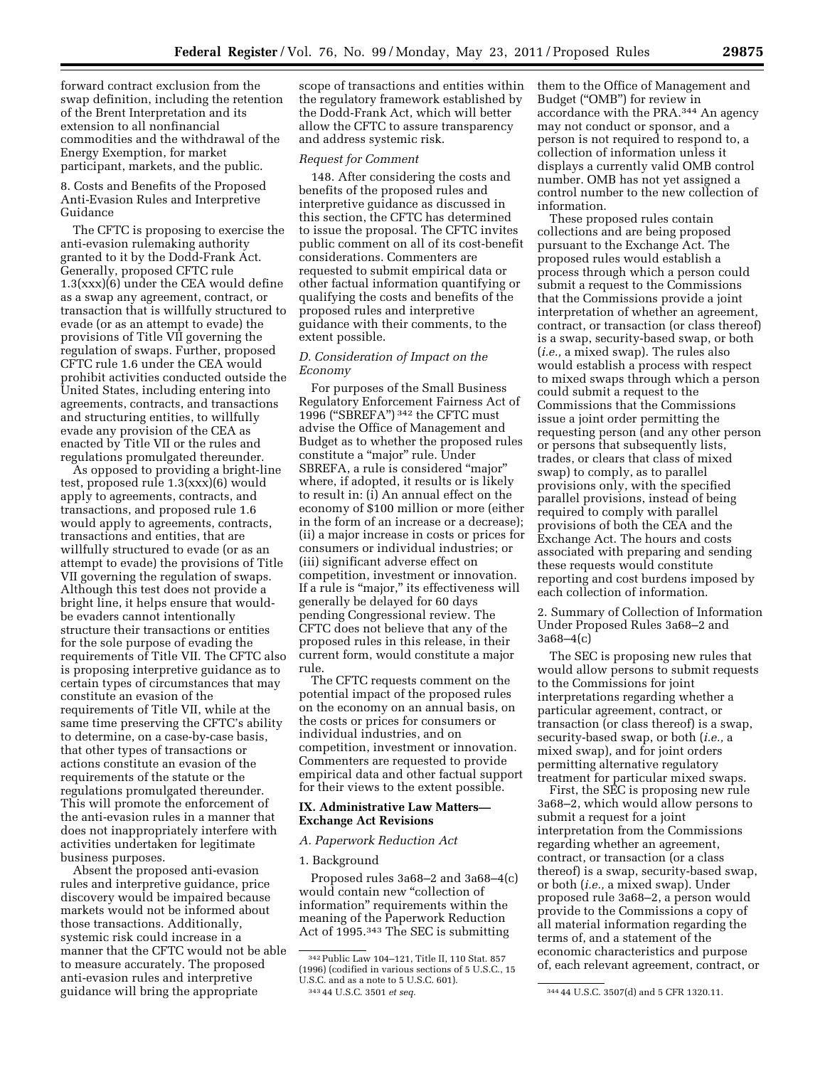forward contract exclusion from the swap definition, including the retention of the Brent Interpretation and its extension to all nonfinancial commodities and the withdrawal of the Energy Exemption, for market participant, markets, and the public.

8. Costs and Benefits of the Proposed Anti-Evasion Rules and Interpretive Guidance

The CFTC is proposing to exercise the anti-evasion rulemaking authority granted to it by the Dodd-Frank Act. Generally, proposed CFTC rule 1.3(xxx)(6) under the CEA would define as a swap any agreement, contract, or transaction that is willfully structured to evade (or as an attempt to evade) the provisions of Title VII governing the regulation of swaps. Further, proposed CFTC rule 1.6 under the CEA would prohibit activities conducted outside the United States, including entering into agreements, contracts, and transactions and structuring entities, to willfully evade any provision of the CEA as enacted by Title VII or the rules and regulations promulgated thereunder.

As opposed to providing a bright-line test, proposed rule 1.3(xxx)(6) would apply to agreements, contracts, and transactions, and proposed rule 1.6 would apply to agreements, contracts, transactions and entities, that are willfully structured to evade (or as an attempt to evade) the provisions of Title VII governing the regulation of swaps. Although this test does not provide a bright line, it helps ensure that wouldbe evaders cannot intentionally structure their transactions or entities for the sole purpose of evading the requirements of Title VII. The CFTC also is proposing interpretive guidance as to certain types of circumstances that may constitute an evasion of the requirements of Title VII, while at the same time preserving the CFTC's ability to determine, on a case-by-case basis, that other types of transactions or actions constitute an evasion of the requirements of the statute or the regulations promulgated thereunder. This will promote the enforcement of the anti-evasion rules in a manner that does not inappropriately interfere with activities undertaken for legitimate business purposes.

Absent the proposed anti-evasion rules and interpretive guidance, price discovery would be impaired because markets would not be informed about those transactions. Additionally, systemic risk could increase in a manner that the CFTC would not be able to measure accurately. The proposed anti-evasion rules and interpretive guidance will bring the appropriate

scope of transactions and entities within the regulatory framework established by the Dodd-Frank Act, which will better allow the CFTC to assure transparency and address systemic risk.

## *Request for Comment*

148. After considering the costs and benefits of the proposed rules and interpretive guidance as discussed in this section, the CFTC has determined to issue the proposal. The CFTC invites public comment on all of its cost-benefit considerations. Commenters are requested to submit empirical data or other factual information quantifying or qualifying the costs and benefits of the proposed rules and interpretive guidance with their comments, to the extent possible.

## *D. Consideration of Impact on the Economy*

For purposes of the Small Business Regulatory Enforcement Fairness Act of 1996 (''SBREFA'') 342 the CFTC must advise the Office of Management and Budget as to whether the proposed rules constitute a ''major'' rule. Under SBREFA, a rule is considered "major" where, if adopted, it results or is likely to result in: (i) An annual effect on the economy of \$100 million or more (either in the form of an increase or a decrease); (ii) a major increase in costs or prices for consumers or individual industries; or (iii) significant adverse effect on competition, investment or innovation. If a rule is "major," its effectiveness will generally be delayed for 60 days pending Congressional review. The CFTC does not believe that any of the proposed rules in this release, in their current form, would constitute a major rule.

The CFTC requests comment on the potential impact of the proposed rules on the economy on an annual basis, on the costs or prices for consumers or individual industries, and on competition, investment or innovation. Commenters are requested to provide empirical data and other factual support for their views to the extent possible.

### **IX. Administrative Law Matters— Exchange Act Revisions**

### *A. Paperwork Reduction Act*

## 1. Background

Proposed rules 3a68–2 and 3a68–4(c) would contain new "collection of information'' requirements within the meaning of the Paperwork Reduction Act of 1995.343 The SEC is submitting

them to the Office of Management and Budget (''OMB'') for review in accordance with the PRA.344 An agency may not conduct or sponsor, and a person is not required to respond to, a collection of information unless it displays a currently valid OMB control number. OMB has not yet assigned a control number to the new collection of information.

These proposed rules contain collections and are being proposed pursuant to the Exchange Act. The proposed rules would establish a process through which a person could submit a request to the Commissions that the Commissions provide a joint interpretation of whether an agreement, contract, or transaction (or class thereof) is a swap, security-based swap, or both (*i.e.,* a mixed swap). The rules also would establish a process with respect to mixed swaps through which a person could submit a request to the Commissions that the Commissions issue a joint order permitting the requesting person (and any other person or persons that subsequently lists, trades, or clears that class of mixed swap) to comply, as to parallel provisions only, with the specified parallel provisions, instead of being required to comply with parallel provisions of both the CEA and the Exchange Act. The hours and costs associated with preparing and sending these requests would constitute reporting and cost burdens imposed by each collection of information.

2. Summary of Collection of Information Under Proposed Rules 3a68–2 and 3a68–4(c)

The SEC is proposing new rules that would allow persons to submit requests to the Commissions for joint interpretations regarding whether a particular agreement, contract, or transaction (or class thereof) is a swap, security-based swap, or both (*i.e.,* a mixed swap), and for joint orders permitting alternative regulatory treatment for particular mixed swaps.

First, the SEC is proposing new rule 3a68–2, which would allow persons to submit a request for a joint interpretation from the Commissions regarding whether an agreement, contract, or transaction (or a class thereof) is a swap, security-based swap, or both (*i.e.,* a mixed swap). Under proposed rule 3a68–2, a person would provide to the Commissions a copy of all material information regarding the terms of, and a statement of the economic characteristics and purpose of, each relevant agreement, contract, or

<sup>342</sup>Public Law 104–121, Title II, 110 Stat. 857 (1996) (codified in various sections of 5 U.S.C., 15 U.S.C. and as a note to 5 U.S.C. 601).

<sup>343</sup> 44 U.S.C. 3501 *et seq.* 344 44 U.S.C. 3507(d) and 5 CFR 1320.11.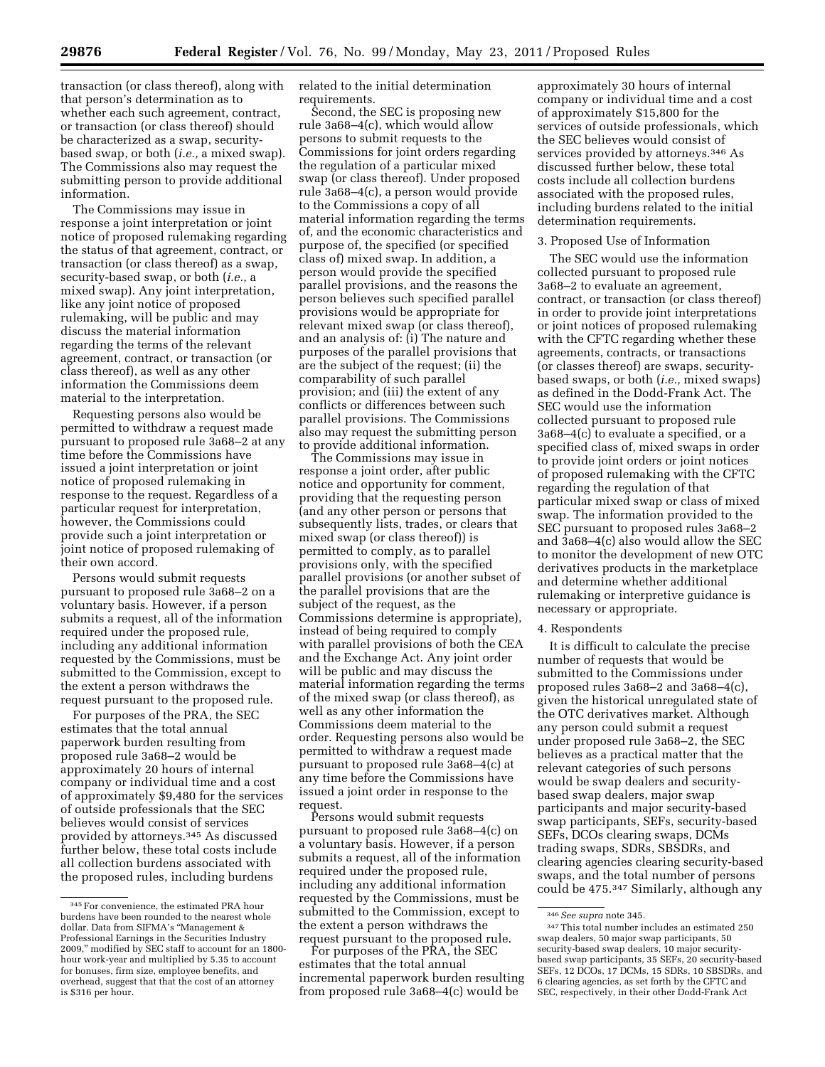transaction (or class thereof), along with that person's determination as to whether each such agreement, contract, or transaction (or class thereof) should be characterized as a swap, securitybased swap, or both (*i.e.,* a mixed swap). The Commissions also may request the submitting person to provide additional information.

The Commissions may issue in response a joint interpretation or joint notice of proposed rulemaking regarding the status of that agreement, contract, or transaction (or class thereof) as a swap, security-based swap, or both (*i.e.,* a mixed swap). Any joint interpretation, like any joint notice of proposed rulemaking, will be public and may discuss the material information regarding the terms of the relevant agreement, contract, or transaction (or class thereof), as well as any other information the Commissions deem material to the interpretation.

Requesting persons also would be permitted to withdraw a request made pursuant to proposed rule 3a68–2 at any time before the Commissions have issued a joint interpretation or joint notice of proposed rulemaking in response to the request. Regardless of a particular request for interpretation, however, the Commissions could provide such a joint interpretation or joint notice of proposed rulemaking of their own accord.

Persons would submit requests pursuant to proposed rule 3a68–2 on a voluntary basis. However, if a person submits a request, all of the information required under the proposed rule, including any additional information requested by the Commissions, must be submitted to the Commission, except to the extent a person withdraws the request pursuant to the proposed rule.

For purposes of the PRA, the SEC estimates that the total annual paperwork burden resulting from proposed rule 3a68–2 would be approximately 20 hours of internal company or individual time and a cost of approximately \$9,480 for the services of outside professionals that the SEC believes would consist of services provided by attorneys.345 As discussed further below, these total costs include all collection burdens associated with the proposed rules, including burdens

related to the initial determination requirements.

Second, the SEC is proposing new rule 3a68–4(c), which would allow persons to submit requests to the Commissions for joint orders regarding the regulation of a particular mixed swap (or class thereof). Under proposed rule 3a68–4(c), a person would provide to the Commissions a copy of all material information regarding the terms of, and the economic characteristics and purpose of, the specified (or specified class of) mixed swap. In addition, a person would provide the specified parallel provisions, and the reasons the person believes such specified parallel provisions would be appropriate for relevant mixed swap (or class thereof), and an analysis of: (i) The nature and purposes of the parallel provisions that are the subject of the request; (ii) the comparability of such parallel provision; and (iii) the extent of any conflicts or differences between such parallel provisions. The Commissions also may request the submitting person to provide additional information.

The Commissions may issue in response a joint order, after public notice and opportunity for comment, providing that the requesting person (and any other person or persons that subsequently lists, trades, or clears that mixed swap (or class thereof)) is permitted to comply, as to parallel provisions only, with the specified parallel provisions (or another subset of the parallel provisions that are the subject of the request, as the Commissions determine is appropriate), instead of being required to comply with parallel provisions of both the CEA and the Exchange Act. Any joint order will be public and may discuss the material information regarding the terms of the mixed swap (or class thereof), as well as any other information the Commissions deem material to the order. Requesting persons also would be permitted to withdraw a request made pursuant to proposed rule 3a68–4(c) at any time before the Commissions have issued a joint order in response to the request.

Persons would submit requests pursuant to proposed rule 3a68–4(c) on a voluntary basis. However, if a person submits a request, all of the information required under the proposed rule, including any additional information requested by the Commissions, must be submitted to the Commission, except to the extent a person withdraws the request pursuant to the proposed rule.

For purposes of the PRA, the SEC estimates that the total annual incremental paperwork burden resulting from proposed rule 3a68–4(c) would be

approximately 30 hours of internal company or individual time and a cost of approximately \$15,800 for the services of outside professionals, which the SEC believes would consist of services provided by attorneys.346 As discussed further below, these total costs include all collection burdens associated with the proposed rules, including burdens related to the initial determination requirements.

#### 3. Proposed Use of Information

The SEC would use the information collected pursuant to proposed rule 3a68–2 to evaluate an agreement, contract, or transaction (or class thereof) in order to provide joint interpretations or joint notices of proposed rulemaking with the CFTC regarding whether these agreements, contracts, or transactions (or classes thereof) are swaps, securitybased swaps, or both (*i.e.,* mixed swaps) as defined in the Dodd-Frank Act. The SEC would use the information collected pursuant to proposed rule 3a68–4(c) to evaluate a specified, or a specified class of, mixed swaps in order to provide joint orders or joint notices of proposed rulemaking with the CFTC regarding the regulation of that particular mixed swap or class of mixed swap. The information provided to the SEC pursuant to proposed rules 3a68–2 and 3a68–4(c) also would allow the SEC to monitor the development of new OTC derivatives products in the marketplace and determine whether additional rulemaking or interpretive guidance is necessary or appropriate.

## 4. Respondents

It is difficult to calculate the precise number of requests that would be submitted to the Commissions under proposed rules 3a68–2 and 3a68–4(c), given the historical unregulated state of the OTC derivatives market. Although any person could submit a request under proposed rule 3a68–2, the SEC believes as a practical matter that the relevant categories of such persons would be swap dealers and securitybased swap dealers, major swap participants and major security-based swap participants, SEFs, security-based SEFs, DCOs clearing swaps, DCMs trading swaps, SDRs, SBSDRs, and clearing agencies clearing security-based swaps, and the total number of persons could be 475.347 Similarly, although any

<sup>345</sup>For convenience, the estimated PRA hour burdens have been rounded to the nearest whole dollar. Data from SIFMA's ''Management & Professional Earnings in the Securities Industry 2009,'' modified by SEC staff to account for an 1800 hour work-year and multiplied by 5.35 to account for bonuses, firm size, employee benefits, and overhead, suggest that that the cost of an attorney is \$316 per hour.

<sup>346</sup>*See supra* note 345.

<sup>347</sup>This total number includes an estimated 250 swap dealers, 50 major swap participants, 50 security-based swap dealers, 10 major securitybased swap participants, 35 SEFs, 20 security-based SEFs, 12 DCOs, 17 DCMs, 15 SDRs, 10 SBSDRs, and 6 clearing agencies, as set forth by the CFTC and SEC, respectively, in their other Dodd-Frank Act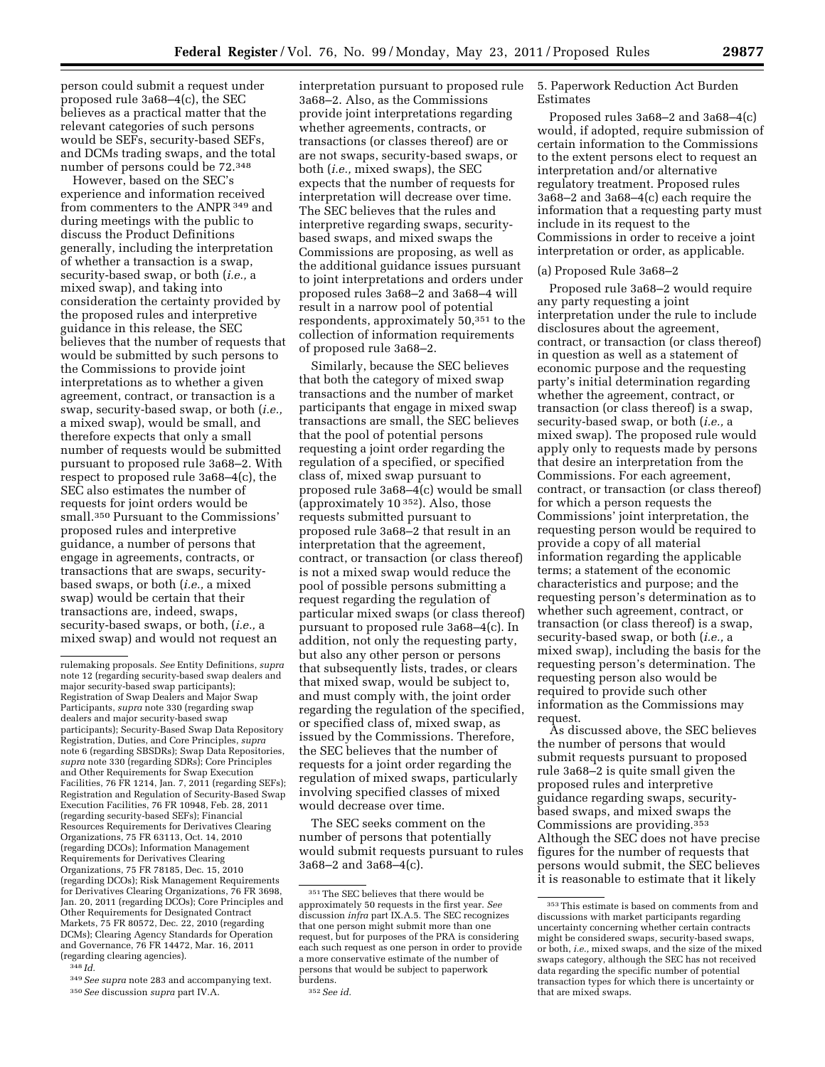person could submit a request under proposed rule 3a68–4(c), the SEC believes as a practical matter that the relevant categories of such persons would be SEFs, security-based SEFs, and DCMs trading swaps, and the total number of persons could be 72.348

However, based on the SEC's experience and information received from commenters to the ANPR<sup>349</sup> and during meetings with the public to discuss the Product Definitions generally, including the interpretation of whether a transaction is a swap, security-based swap, or both (*i.e.,* a mixed swap), and taking into consideration the certainty provided by the proposed rules and interpretive guidance in this release, the SEC believes that the number of requests that would be submitted by such persons to the Commissions to provide joint interpretations as to whether a given agreement, contract, or transaction is a swap, security-based swap, or both (*i.e.,*  a mixed swap), would be small, and therefore expects that only a small number of requests would be submitted pursuant to proposed rule 3a68–2. With respect to proposed rule 3a68–4(c), the SEC also estimates the number of requests for joint orders would be small.350 Pursuant to the Commissions' proposed rules and interpretive guidance, a number of persons that engage in agreements, contracts, or transactions that are swaps, securitybased swaps, or both (*i.e.,* a mixed swap) would be certain that their transactions are, indeed, swaps, security-based swaps, or both, (*i.e.,* a mixed swap) and would not request an

348 *Id.* 

349*See supra* note 283 and accompanying text. 350*See* discussion *supra* part IV.A.

interpretation pursuant to proposed rule 3a68–2. Also, as the Commissions provide joint interpretations regarding whether agreements, contracts, or transactions (or classes thereof) are or are not swaps, security-based swaps, or both (*i.e.,* mixed swaps), the SEC expects that the number of requests for interpretation will decrease over time. The SEC believes that the rules and interpretive regarding swaps, securitybased swaps, and mixed swaps the Commissions are proposing, as well as the additional guidance issues pursuant to joint interpretations and orders under proposed rules 3a68–2 and 3a68–4 will result in a narrow pool of potential respondents, approximately 50,351 to the collection of information requirements of proposed rule 3a68–2.

Similarly, because the SEC believes that both the category of mixed swap transactions and the number of market participants that engage in mixed swap transactions are small, the SEC believes that the pool of potential persons requesting a joint order regarding the regulation of a specified, or specified class of, mixed swap pursuant to proposed rule 3a68–4(c) would be small (approximately 10<sup>352</sup>). Also, those requests submitted pursuant to proposed rule 3a68–2 that result in an interpretation that the agreement, contract, or transaction (or class thereof) is not a mixed swap would reduce the pool of possible persons submitting a request regarding the regulation of particular mixed swaps (or class thereof) pursuant to proposed rule 3a68–4(c). In addition, not only the requesting party, but also any other person or persons that subsequently lists, trades, or clears that mixed swap, would be subject to, and must comply with, the joint order regarding the regulation of the specified, or specified class of, mixed swap, as issued by the Commissions. Therefore, the SEC believes that the number of requests for a joint order regarding the regulation of mixed swaps, particularly involving specified classes of mixed would decrease over time.

The SEC seeks comment on the number of persons that potentially would submit requests pursuant to rules 3a68–2 and 3a68–4(c).

352*See id.* 

5. Paperwork Reduction Act Burden Estimates

Proposed rules 3a68–2 and 3a68–4(c) would, if adopted, require submission of certain information to the Commissions to the extent persons elect to request an interpretation and/or alternative regulatory treatment. Proposed rules 3a68–2 and 3a68–4(c) each require the information that a requesting party must include in its request to the Commissions in order to receive a joint interpretation or order, as applicable.

### (a) Proposed Rule 3a68–2

Proposed rule 3a68–2 would require any party requesting a joint interpretation under the rule to include disclosures about the agreement, contract, or transaction (or class thereof) in question as well as a statement of economic purpose and the requesting party's initial determination regarding whether the agreement, contract, or transaction (or class thereof) is a swap, security-based swap, or both (*i.e.,* a mixed swap). The proposed rule would apply only to requests made by persons that desire an interpretation from the Commissions. For each agreement, contract, or transaction (or class thereof) for which a person requests the Commissions' joint interpretation, the requesting person would be required to provide a copy of all material information regarding the applicable terms; a statement of the economic characteristics and purpose; and the requesting person's determination as to whether such agreement, contract, or transaction (or class thereof) is a swap, security-based swap, or both (*i.e.,* a mixed swap), including the basis for the requesting person's determination. The requesting person also would be required to provide such other information as the Commissions may request.

As discussed above, the SEC believes the number of persons that would submit requests pursuant to proposed rule 3a68–2 is quite small given the proposed rules and interpretive guidance regarding swaps, securitybased swaps, and mixed swaps the Commissions are providing.353 Although the SEC does not have precise figures for the number of requests that persons would submit, the SEC believes it is reasonable to estimate that it likely

rulemaking proposals. *See* Entity Definitions, *supra*  note 12 (regarding security-based swap dealers and major security-based swap participants); Registration of Swap Dealers and Major Swap Participants, *supra* note 330 (regarding swap dealers and major security-based swap participants); Security-Based Swap Data Repository Registration, Duties, and Core Principles, *supra*  note 6 (regarding SBSDRs); Swap Data Repositories, *supra* note 330 (regarding SDRs); Core Principles and Other Requirements for Swap Execution Facilities, 76 FR 1214, Jan. 7, 2011 (regarding SEFs); Registration and Regulation of Security-Based Swap Execution Facilities, 76 FR 10948, Feb. 28, 2011 (regarding security-based SEFs); Financial Resources Requirements for Derivatives Clearing Organizations, 75 FR 63113, Oct. 14, 2010 (regarding DCOs); Information Management Requirements for Derivatives Clearing Organizations, 75 FR 78185, Dec. 15, 2010 (regarding DCOs); Risk Management Requirements for Derivatives Clearing Organizations, 76 FR 3698, Jan. 20, 2011 (regarding DCOs); Core Principles and Other Requirements for Designated Contract Markets, 75 FR 80572, Dec. 22, 2010 (regarding DCMs); Clearing Agency Standards for Operation and Governance, 76 FR 14472, Mar. 16, 2011 (regarding clearing agencies).

<sup>351</sup>The SEC believes that there would be approximately 50 requests in the first year. *See*  discussion *infra* part IX.A.5. The SEC recognizes that one person might submit more than one request, but for purposes of the PRA is considering each such request as one person in order to provide a more conservative estimate of the number of persons that would be subject to paperwork burdens.

<sup>353</sup>This estimate is based on comments from and discussions with market participants regarding uncertainty concerning whether certain contracts might be considered swaps, security-based swaps, or both, *i.e.,* mixed swaps, and the size of the mixed swaps category, although the SEC has not received data regarding the specific number of potential transaction types for which there is uncertainty or that are mixed swaps.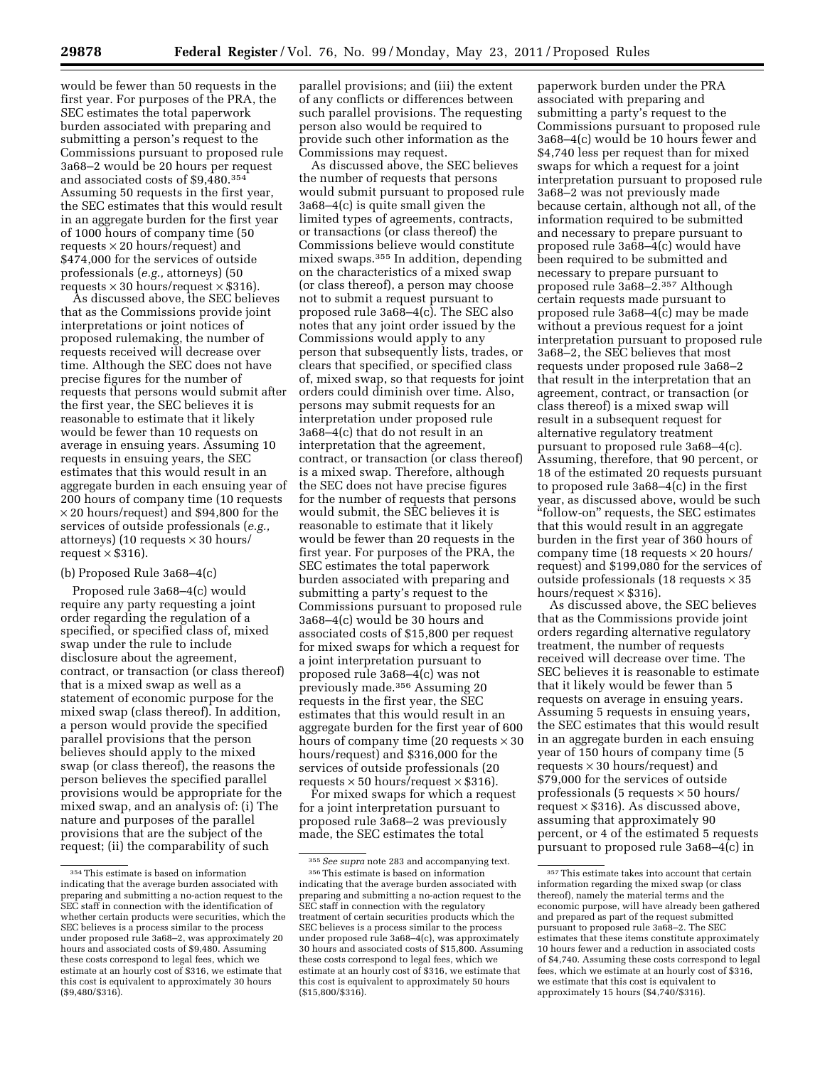would be fewer than 50 requests in the first year. For purposes of the PRA, the SEC estimates the total paperwork burden associated with preparing and submitting a person's request to the Commissions pursuant to proposed rule 3a68–2 would be 20 hours per request and associated costs of \$9,480.354 Assuming 50 requests in the first year, the SEC estimates that this would result in an aggregate burden for the first year of 1000 hours of company time (50 requests  $\times$  20 hours/request) and \$474,000 for the services of outside professionals (*e.g.,* attorneys) (50 requests  $\times$  30 hours/request  $\times$  \$316).

As discussed above, the SEC believes that as the Commissions provide joint interpretations or joint notices of proposed rulemaking, the number of requests received will decrease over time. Although the SEC does not have precise figures for the number of requests that persons would submit after the first year, the SEC believes it is reasonable to estimate that it likely would be fewer than 10 requests on average in ensuing years. Assuming 10 requests in ensuing years, the SEC estimates that this would result in an aggregate burden in each ensuing year of 200 hours of company time (10 requests × 20 hours/request) and \$94,800 for the services of outside professionals (*e.g.,*  attorneys) (10 requests  $\times$  30 hours/ request  $\times$  \$316).

## (b) Proposed Rule 3a68–4(c)

Proposed rule 3a68–4(c) would require any party requesting a joint order regarding the regulation of a specified, or specified class of, mixed swap under the rule to include disclosure about the agreement, contract, or transaction (or class thereof) that is a mixed swap as well as a statement of economic purpose for the mixed swap (class thereof). In addition, a person would provide the specified parallel provisions that the person believes should apply to the mixed swap (or class thereof), the reasons the person believes the specified parallel provisions would be appropriate for the mixed swap, and an analysis of: (i) The nature and purposes of the parallel provisions that are the subject of the request; (ii) the comparability of such

parallel provisions; and (iii) the extent of any conflicts or differences between such parallel provisions. The requesting person also would be required to provide such other information as the Commissions may request.

As discussed above, the SEC believes the number of requests that persons would submit pursuant to proposed rule 3a68–4(c) is quite small given the limited types of agreements, contracts, or transactions (or class thereof) the Commissions believe would constitute mixed swaps.355 In addition, depending on the characteristics of a mixed swap (or class thereof), a person may choose not to submit a request pursuant to proposed rule 3a68–4(c). The SEC also notes that any joint order issued by the Commissions would apply to any person that subsequently lists, trades, or clears that specified, or specified class of, mixed swap, so that requests for joint orders could diminish over time. Also, persons may submit requests for an interpretation under proposed rule 3a68–4(c) that do not result in an interpretation that the agreement, contract, or transaction (or class thereof) is a mixed swap. Therefore, although the SEC does not have precise figures for the number of requests that persons would submit, the SEC believes it is reasonable to estimate that it likely would be fewer than 20 requests in the first year. For purposes of the PRA, the SEC estimates the total paperwork burden associated with preparing and submitting a party's request to the Commissions pursuant to proposed rule 3a68–4(c) would be 30 hours and associated costs of \$15,800 per request for mixed swaps for which a request for a joint interpretation pursuant to proposed rule 3a68–4(c) was not previously made.356 Assuming 20 requests in the first year, the SEC estimates that this would result in an aggregate burden for the first year of 600 hours of company time (20 requests  $\times$  30 hours/request) and \$316,000 for the services of outside professionals (20 requests  $\times$  50 hours/request  $\times$  \$316).

For mixed swaps for which a request for a joint interpretation pursuant to proposed rule 3a68–2 was previously made, the SEC estimates the total

paperwork burden under the PRA associated with preparing and submitting a party's request to the Commissions pursuant to proposed rule 3a68–4(c) would be 10 hours fewer and \$4,740 less per request than for mixed swaps for which a request for a joint interpretation pursuant to proposed rule 3a68–2 was not previously made because certain, although not all, of the information required to be submitted and necessary to prepare pursuant to proposed rule 3a68–4(c) would have been required to be submitted and necessary to prepare pursuant to proposed rule 3a68–2.357 Although certain requests made pursuant to proposed rule 3a68–4(c) may be made without a previous request for a joint interpretation pursuant to proposed rule 3a68–2, the SEC believes that most requests under proposed rule 3a68–2 that result in the interpretation that an agreement, contract, or transaction (or class thereof) is a mixed swap will result in a subsequent request for alternative regulatory treatment pursuant to proposed rule 3a68–4(c). Assuming, therefore, that 90 percent, or 18 of the estimated 20 requests pursuant to proposed rule 3a68–4(c) in the first year, as discussed above, would be such ''follow-on'' requests, the SEC estimates that this would result in an aggregate burden in the first year of 360 hours of company time (18 requests  $\times$  20 hours/ request) and \$199,080 for the services of outside professionals (18 requests  $\times$  35 hours/request  $\times$  \$316).

As discussed above, the SEC believes that as the Commissions provide joint orders regarding alternative regulatory treatment, the number of requests received will decrease over time. The SEC believes it is reasonable to estimate that it likely would be fewer than 5 requests on average in ensuing years. Assuming 5 requests in ensuing years, the SEC estimates that this would result in an aggregate burden in each ensuing year of 150 hours of company time (5 requests  $\times$  30 hours/request) and \$79,000 for the services of outside professionals (5 requests  $\times$  50 hours/ request  $\times$  \$316). As discussed above, assuming that approximately 90 percent, or 4 of the estimated 5 requests pursuant to proposed rule 3a68–4(c) in

 $^{\rm 354}\rm{This}$  estimate is based on information indicating that the average burden associated with preparing and submitting a no-action request to the SEC staff in connection with the identification of whether certain products were securities, which the SEC believes is a process similar to the process under proposed rule 3a68–2, was approximately 20 hours and associated costs of \$9,480. Assuming these costs correspond to legal fees, which we estimate at an hourly cost of \$316, we estimate that this cost is equivalent to approximately 30 hours (\$9,480/\$316).

<sup>355</sup>*See supra* note 283 and accompanying text.

<sup>356</sup>This estimate is based on information indicating that the average burden associated with preparing and submitting a no-action request to the SEC staff in connection with the regulatory treatment of certain securities products which the SEC believes is a process similar to the process under proposed rule 3a68–4(c), was approximately 30 hours and associated costs of \$15,800. Assuming these costs correspond to legal fees, which we estimate at an hourly cost of \$316, we estimate that this cost is equivalent to approximately 50 hours (\$15,800/\$316).

 $^{\rm 357}\rm \, This$  estimate takes into account that certain information regarding the mixed swap (or class thereof), namely the material terms and the economic purpose, will have already been gathered and prepared as part of the request submitted pursuant to proposed rule 3a68–2. The SEC estimates that these items constitute approximately 10 hours fewer and a reduction in associated costs of \$4,740. Assuming these costs correspond to legal fees, which we estimate at an hourly cost of \$316, we estimate that this cost is equivalent to approximately 15 hours (\$4,740/\$316).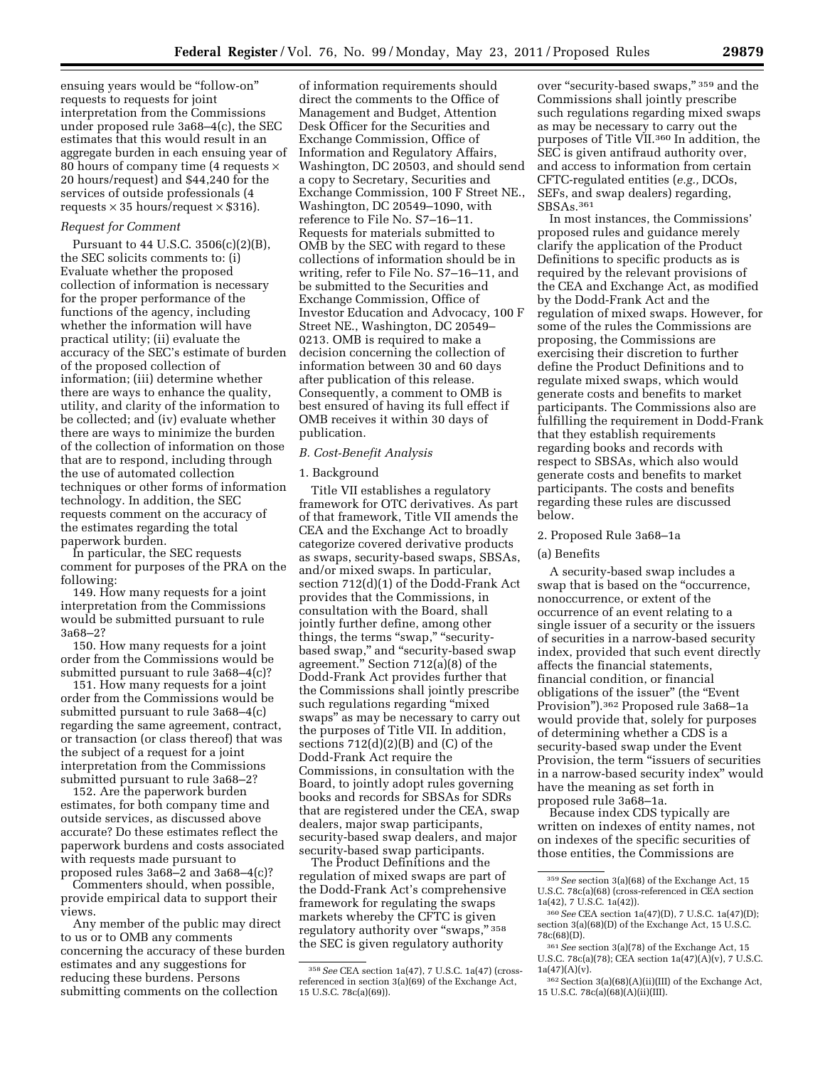ensuing years would be "follow-on" requests to requests for joint interpretation from the Commissions under proposed rule 3a68–4(c), the SEC estimates that this would result in an aggregate burden in each ensuing year of 80 hours of company time (4 requests × 20 hours/request) and \$44,240 for the services of outside professionals (4 requests  $\times$  35 hours/request  $\times$  \$316).

# *Request for Comment*

Pursuant to 44 U.S.C. 3506(c)(2)(B), the SEC solicits comments to: (i) Evaluate whether the proposed collection of information is necessary for the proper performance of the functions of the agency, including whether the information will have practical utility; (ii) evaluate the accuracy of the SEC's estimate of burden of the proposed collection of information; (iii) determine whether there are ways to enhance the quality, utility, and clarity of the information to be collected; and (iv) evaluate whether there are ways to minimize the burden of the collection of information on those that are to respond, including through the use of automated collection techniques or other forms of information technology. In addition, the SEC requests comment on the accuracy of the estimates regarding the total paperwork burden.

In particular, the SEC requests comment for purposes of the PRA on the following:

149. How many requests for a joint interpretation from the Commissions would be submitted pursuant to rule 3a68–2?

150. How many requests for a joint order from the Commissions would be submitted pursuant to rule 3a68–4(c)?

151. How many requests for a joint order from the Commissions would be submitted pursuant to rule 3a68–4(c) regarding the same agreement, contract, or transaction (or class thereof) that was the subject of a request for a joint interpretation from the Commissions submitted pursuant to rule 3a68–2?

152. Are the paperwork burden estimates, for both company time and outside services, as discussed above accurate? Do these estimates reflect the paperwork burdens and costs associated with requests made pursuant to proposed rules 3a68–2 and 3a68–4(c)?

Commenters should, when possible, provide empirical data to support their views.

Any member of the public may direct to us or to OMB any comments concerning the accuracy of these burden estimates and any suggestions for reducing these burdens. Persons submitting comments on the collection

of information requirements should direct the comments to the Office of Management and Budget, Attention Desk Officer for the Securities and Exchange Commission, Office of Information and Regulatory Affairs, Washington, DC 20503, and should send a copy to Secretary, Securities and Exchange Commission, 100 F Street NE., Washington, DC 20549–1090, with reference to File No. S7–16–11. Requests for materials submitted to OMB by the SEC with regard to these collections of information should be in writing, refer to File No. S7–16–11, and be submitted to the Securities and Exchange Commission, Office of Investor Education and Advocacy, 100 F Street NE., Washington, DC 20549– 0213. OMB is required to make a decision concerning the collection of information between 30 and 60 days after publication of this release. Consequently, a comment to OMB is best ensured of having its full effect if OMB receives it within 30 days of publication.

## *B. Cost-Benefit Analysis*

## 1. Background

Title VII establishes a regulatory framework for OTC derivatives. As part of that framework, Title VII amends the CEA and the Exchange Act to broadly categorize covered derivative products as swaps, security-based swaps, SBSAs, and/or mixed swaps. In particular, section 712(d)(1) of the Dodd-Frank Act provides that the Commissions, in consultation with the Board, shall jointly further define, among other things, the terms "swap," "securitybased swap," and "security-based swap agreement.'' Section 712(a)(8) of the Dodd-Frank Act provides further that the Commissions shall jointly prescribe such regulations regarding "mixed swaps'' as may be necessary to carry out the purposes of Title VII. In addition, sections  $712(d)(2)(B)$  and  $(C)$  of the Dodd-Frank Act require the Commissions, in consultation with the Board, to jointly adopt rules governing books and records for SBSAs for SDRs that are registered under the CEA, swap dealers, major swap participants, security-based swap dealers, and major security-based swap participants.

The Product Definitions and the regulation of mixed swaps are part of the Dodd-Frank Act's comprehensive framework for regulating the swaps markets whereby the CFTC is given regulatory authority over "swaps," 358 the SEC is given regulatory authority

over "security-based swaps,"<sup>359</sup> and the Commissions shall jointly prescribe such regulations regarding mixed swaps as may be necessary to carry out the purposes of Title VII.360 In addition, the SEC is given antifraud authority over, and access to information from certain CFTC-regulated entities (*e.g.,* DCOs, SEFs, and swap dealers) regarding, SBSAs.361

In most instances, the Commissions' proposed rules and guidance merely clarify the application of the Product Definitions to specific products as is required by the relevant provisions of the CEA and Exchange Act, as modified by the Dodd-Frank Act and the regulation of mixed swaps. However, for some of the rules the Commissions are proposing, the Commissions are exercising their discretion to further define the Product Definitions and to regulate mixed swaps, which would generate costs and benefits to market participants. The Commissions also are fulfilling the requirement in Dodd-Frank that they establish requirements regarding books and records with respect to SBSAs, which also would generate costs and benefits to market participants. The costs and benefits regarding these rules are discussed below.

#### 2. Proposed Rule 3a68–1a

## (a) Benefits

A security-based swap includes a swap that is based on the ''occurrence, nonoccurrence, or extent of the occurrence of an event relating to a single issuer of a security or the issuers of securities in a narrow-based security index, provided that such event directly affects the financial statements, financial condition, or financial obligations of the issuer'' (the ''Event Provision'').362 Proposed rule 3a68–1a would provide that, solely for purposes of determining whether a CDS is a security-based swap under the Event Provision, the term "issuers of securities in a narrow-based security index'' would have the meaning as set forth in proposed rule 3a68–1a.

Because index CDS typically are written on indexes of entity names, not on indexes of the specific securities of those entities, the Commissions are

<sup>358</sup>*See* CEA section 1a(47), 7 U.S.C. 1a(47) (crossreferenced in section 3(a)(69) of the Exchange Act, 15 U.S.C. 78c(a)(69)).

<sup>359</sup>*See* section 3(a)(68) of the Exchange Act, 15 U.S.C. 78c(a)(68) (cross-referenced in CEA section 1a(42), 7 U.S.C. 1a(42)).

<sup>360</sup>*See* CEA section 1a(47)(D), 7 U.S.C. 1a(47)(D); section 3(a)(68)(D) of the Exchange Act, 15 U.S.C. 78c(68)(D).

<sup>361</sup>*See* section 3(a)(78) of the Exchange Act, 15 U.S.C. 78c(a)(78); CEA section 1a(47)(A)(v), 7 U.S.C. 1a(47)(A)(v).

<sup>362</sup>Section 3(a)(68)(A)(ii)(III) of the Exchange Act, 15 U.S.C. 78c(a)(68)(A)(ii)(III).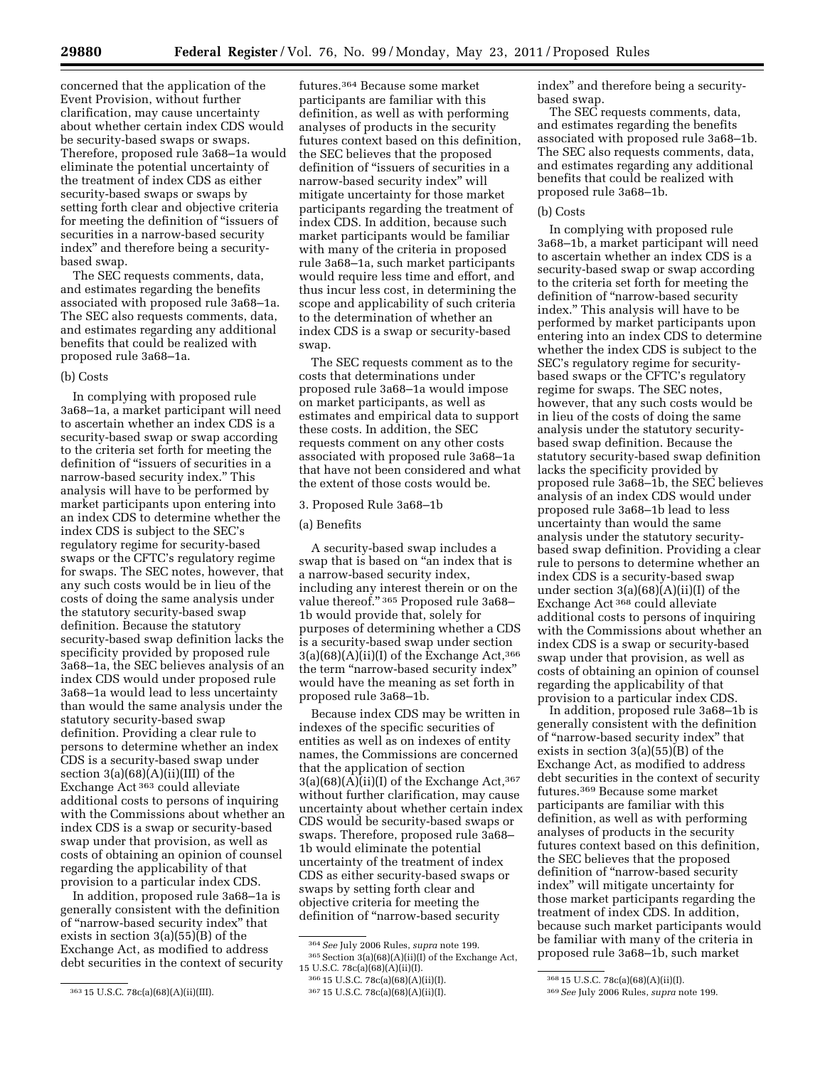concerned that the application of the Event Provision, without further clarification, may cause uncertainty about whether certain index CDS would be security-based swaps or swaps. Therefore, proposed rule 3a68–1a would eliminate the potential uncertainty of the treatment of index CDS as either security-based swaps or swaps by setting forth clear and objective criteria for meeting the definition of ''issuers of securities in a narrow-based security index'' and therefore being a securitybased swap.

The SEC requests comments, data, and estimates regarding the benefits associated with proposed rule 3a68–1a. The SEC also requests comments, data, and estimates regarding any additional benefits that could be realized with proposed rule 3a68–1a.

## (b) Costs

In complying with proposed rule 3a68–1a, a market participant will need to ascertain whether an index CDS is a security-based swap or swap according to the criteria set forth for meeting the definition of "issuers of securities in a narrow-based security index.'' This analysis will have to be performed by market participants upon entering into an index CDS to determine whether the index CDS is subject to the SEC's regulatory regime for security-based swaps or the CFTC's regulatory regime for swaps. The SEC notes, however, that any such costs would be in lieu of the costs of doing the same analysis under the statutory security-based swap definition. Because the statutory security-based swap definition lacks the specificity provided by proposed rule 3a68–1a, the SEC believes analysis of an index CDS would under proposed rule 3a68–1a would lead to less uncertainty than would the same analysis under the statutory security-based swap definition. Providing a clear rule to persons to determine whether an index CDS is a security-based swap under section 3(a)(68)(A)(ii)(III) of the Exchange Act 363 could alleviate additional costs to persons of inquiring with the Commissions about whether an index CDS is a swap or security-based swap under that provision, as well as costs of obtaining an opinion of counsel regarding the applicability of that provision to a particular index CDS.

In addition, proposed rule 3a68–1a is generally consistent with the definition of ''narrow-based security index'' that exists in section 3(a)(55)(B) of the Exchange Act, as modified to address debt securities in the context of security

futures.364 Because some market participants are familiar with this definition, as well as with performing analyses of products in the security futures context based on this definition, the SEC believes that the proposed definition of ''issuers of securities in a narrow-based security index'' will mitigate uncertainty for those market participants regarding the treatment of index CDS. In addition, because such market participants would be familiar with many of the criteria in proposed rule 3a68–1a, such market participants would require less time and effort, and thus incur less cost, in determining the scope and applicability of such criteria to the determination of whether an index CDS is a swap or security-based swap.

The SEC requests comment as to the costs that determinations under proposed rule 3a68–1a would impose on market participants, as well as estimates and empirical data to support these costs. In addition, the SEC requests comment on any other costs associated with proposed rule 3a68–1a that have not been considered and what the extent of those costs would be.

#### 3. Proposed Rule 3a68–1b

## (a) Benefits

A security-based swap includes a swap that is based on "an index that is a narrow-based security index, including any interest therein or on the value thereof." 365 Proposed rule 3a68-1b would provide that, solely for purposes of determining whether a CDS is a security-based swap under section  $3(a)(68)(A)(ii)(I)$  of the Exchange Act,  $366$ the term "narrow-based security index" would have the meaning as set forth in proposed rule 3a68–1b.

Because index CDS may be written in indexes of the specific securities of entities as well as on indexes of entity names, the Commissions are concerned that the application of section  $3(a)(68)(A)(ii)(I)$  of the Exchange Act,  $367$ without further clarification, may cause uncertainty about whether certain index CDS would be security-based swaps or swaps. Therefore, proposed rule 3a68– 1b would eliminate the potential uncertainty of the treatment of index CDS as either security-based swaps or swaps by setting forth clear and objective criteria for meeting the definition of "narrow-based security

index'' and therefore being a securitybased swap.

The SEC requests comments, data, and estimates regarding the benefits associated with proposed rule 3a68–1b. The SEC also requests comments, data, and estimates regarding any additional benefits that could be realized with proposed rule 3a68–1b.

### (b) Costs

In complying with proposed rule 3a68–1b, a market participant will need to ascertain whether an index CDS is a security-based swap or swap according to the criteria set forth for meeting the definition of ''narrow-based security index.'' This analysis will have to be performed by market participants upon entering into an index CDS to determine whether the index CDS is subject to the SEC's regulatory regime for securitybased swaps or the CFTC's regulatory regime for swaps. The SEC notes, however, that any such costs would be in lieu of the costs of doing the same analysis under the statutory securitybased swap definition. Because the statutory security-based swap definition lacks the specificity provided by proposed rule 3a68–1b, the SEC believes analysis of an index CDS would under proposed rule 3a68–1b lead to less uncertainty than would the same analysis under the statutory securitybased swap definition. Providing a clear rule to persons to determine whether an index CDS is a security-based swap under section  $3(a)(68)(A)(ii)(I)$  of the Exchange Act 368 could alleviate additional costs to persons of inquiring with the Commissions about whether an index CDS is a swap or security-based swap under that provision, as well as costs of obtaining an opinion of counsel regarding the applicability of that provision to a particular index CDS.

In addition, proposed rule 3a68–1b is generally consistent with the definition of ''narrow-based security index'' that exists in section 3(a)(55)(B) of the Exchange Act, as modified to address debt securities in the context of security futures.369 Because some market participants are familiar with this definition, as well as with performing analyses of products in the security futures context based on this definition, the SEC believes that the proposed definition of "narrow-based security index'' will mitigate uncertainty for those market participants regarding the treatment of index CDS. In addition, because such market participants would be familiar with many of the criteria in proposed rule 3a68–1b, such market

<sup>363</sup> 15 U.S.C. 78c(a)(68)(A)(ii)(III).

<sup>364</sup>*See* July 2006 Rules, *supra* note 199. 365Section 3(a)(68)(A)(ii)(I) of the Exchange Act, 15 U.S.C. 78c(a)(68)(A)(ii)(I).

<sup>366</sup> 15 U.S.C. 78c(a)(68)(A)(ii)(I).

<sup>367</sup> 15 U.S.C. 78c(a)(68)(A)(ii)(I).

<sup>368</sup> 15 U.S.C. 78c(a)(68)(A)(ii)(I).

<sup>369</sup>*See* July 2006 Rules, *supra* note 199.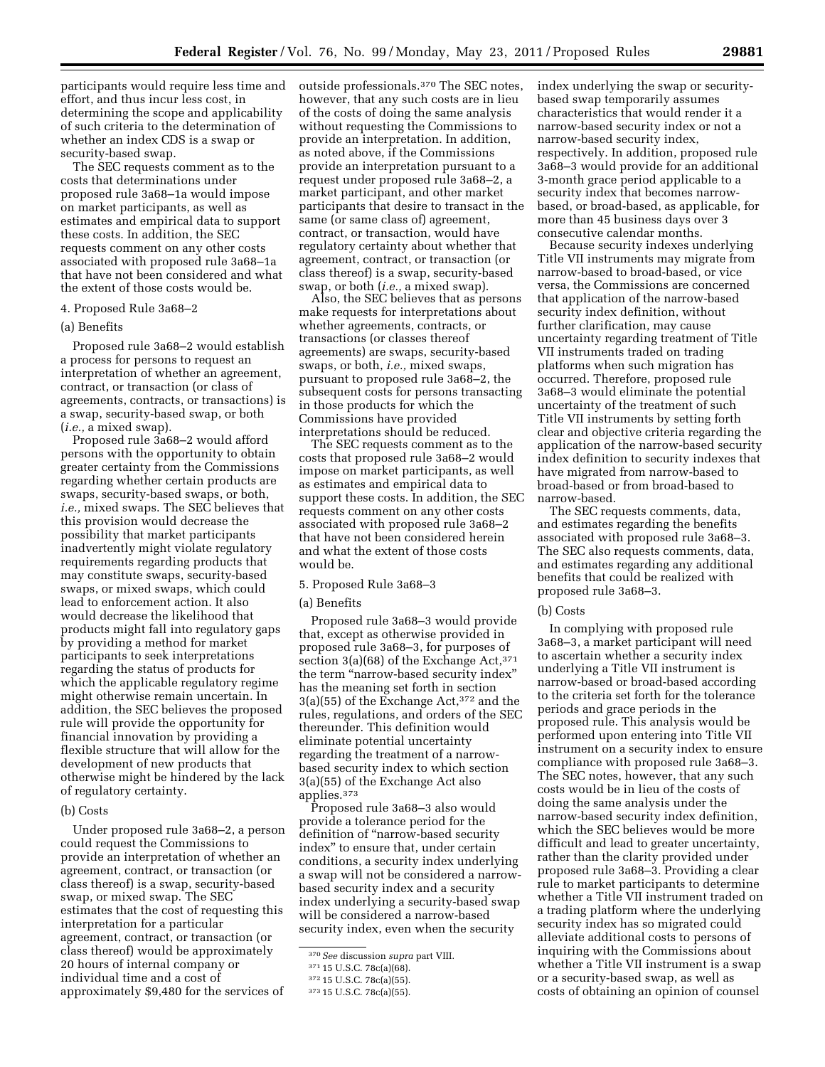participants would require less time and effort, and thus incur less cost, in determining the scope and applicability of such criteria to the determination of whether an index CDS is a swap or security-based swap.

The SEC requests comment as to the costs that determinations under proposed rule 3a68–1a would impose on market participants, as well as estimates and empirical data to support these costs. In addition, the SEC requests comment on any other costs associated with proposed rule 3a68–1a that have not been considered and what the extent of those costs would be.

#### 4. Proposed Rule 3a68–2

## (a) Benefits

Proposed rule 3a68–2 would establish a process for persons to request an interpretation of whether an agreement, contract, or transaction (or class of agreements, contracts, or transactions) is a swap, security-based swap, or both (*i.e.,* a mixed swap).

Proposed rule 3a68–2 would afford persons with the opportunity to obtain greater certainty from the Commissions regarding whether certain products are swaps, security-based swaps, or both, *i.e.,* mixed swaps. The SEC believes that this provision would decrease the possibility that market participants inadvertently might violate regulatory requirements regarding products that may constitute swaps, security-based swaps, or mixed swaps, which could lead to enforcement action. It also would decrease the likelihood that products might fall into regulatory gaps by providing a method for market participants to seek interpretations regarding the status of products for which the applicable regulatory regime might otherwise remain uncertain. In addition, the SEC believes the proposed rule will provide the opportunity for financial innovation by providing a flexible structure that will allow for the development of new products that otherwise might be hindered by the lack of regulatory certainty.

## (b) Costs

Under proposed rule 3a68–2, a person could request the Commissions to provide an interpretation of whether an agreement, contract, or transaction (or class thereof) is a swap, security-based swap, or mixed swap. The SEC estimates that the cost of requesting this interpretation for a particular agreement, contract, or transaction (or class thereof) would be approximately 20 hours of internal company or individual time and a cost of approximately \$9,480 for the services of

outside professionals.370 The SEC notes, however, that any such costs are in lieu of the costs of doing the same analysis without requesting the Commissions to provide an interpretation. In addition, as noted above, if the Commissions provide an interpretation pursuant to a request under proposed rule 3a68–2, a market participant, and other market participants that desire to transact in the same (or same class of) agreement, contract, or transaction, would have regulatory certainty about whether that agreement, contract, or transaction (or class thereof) is a swap, security-based swap, or both (*i.e.,* a mixed swap).

Also, the SEC believes that as persons make requests for interpretations about whether agreements, contracts, or transactions (or classes thereof agreements) are swaps, security-based swaps, or both, *i.e.,* mixed swaps, pursuant to proposed rule 3a68–2, the subsequent costs for persons transacting in those products for which the Commissions have provided interpretations should be reduced.

The SEC requests comment as to the costs that proposed rule 3a68–2 would impose on market participants, as well as estimates and empirical data to support these costs. In addition, the SEC requests comment on any other costs associated with proposed rule 3a68–2 that have not been considered herein and what the extent of those costs would be.

## 5. Proposed Rule 3a68–3

### (a) Benefits

Proposed rule 3a68–3 would provide that, except as otherwise provided in proposed rule 3a68–3, for purposes of section  $3(a)(68)$  of the Exchange Act,  $371$ the term "narrow-based security index" has the meaning set forth in section 3(a)(55) of the Exchange Act,372 and the rules, regulations, and orders of the SEC thereunder. This definition would eliminate potential uncertainty regarding the treatment of a narrowbased security index to which section 3(a)(55) of the Exchange Act also applies.373

Proposed rule 3a68–3 also would provide a tolerance period for the definition of "narrow-based security index'' to ensure that, under certain conditions, a security index underlying a swap will not be considered a narrowbased security index and a security index underlying a security-based swap will be considered a narrow-based security index, even when the security

index underlying the swap or securitybased swap temporarily assumes characteristics that would render it a narrow-based security index or not a narrow-based security index, respectively. In addition, proposed rule 3a68–3 would provide for an additional 3-month grace period applicable to a security index that becomes narrowbased, or broad-based, as applicable, for more than 45 business days over 3 consecutive calendar months.

Because security indexes underlying Title VII instruments may migrate from narrow-based to broad-based, or vice versa, the Commissions are concerned that application of the narrow-based security index definition, without further clarification, may cause uncertainty regarding treatment of Title VII instruments traded on trading platforms when such migration has occurred. Therefore, proposed rule 3a68–3 would eliminate the potential uncertainty of the treatment of such Title VII instruments by setting forth clear and objective criteria regarding the application of the narrow-based security index definition to security indexes that have migrated from narrow-based to broad-based or from broad-based to narrow-based.

The SEC requests comments, data, and estimates regarding the benefits associated with proposed rule 3a68–3. The SEC also requests comments, data, and estimates regarding any additional benefits that could be realized with proposed rule 3a68–3.

#### (b) Costs

In complying with proposed rule 3a68–3, a market participant will need to ascertain whether a security index underlying a Title VII instrument is narrow-based or broad-based according to the criteria set forth for the tolerance periods and grace periods in the proposed rule. This analysis would be performed upon entering into Title VII instrument on a security index to ensure compliance with proposed rule 3a68–3. The SEC notes, however, that any such costs would be in lieu of the costs of doing the same analysis under the narrow-based security index definition, which the SEC believes would be more difficult and lead to greater uncertainty, rather than the clarity provided under proposed rule 3a68–3. Providing a clear rule to market participants to determine whether a Title VII instrument traded on a trading platform where the underlying security index has so migrated could alleviate additional costs to persons of inquiring with the Commissions about whether a Title VII instrument is a swap or a security-based swap, as well as costs of obtaining an opinion of counsel

<sup>370</sup>*See* discussion *supra* part VIII.

<sup>371</sup> 15 U.S.C. 78c(a)(68).

<sup>372</sup> 15 U.S.C. 78c(a)(55).

<sup>373</sup> 15 U.S.C. 78c(a)(55).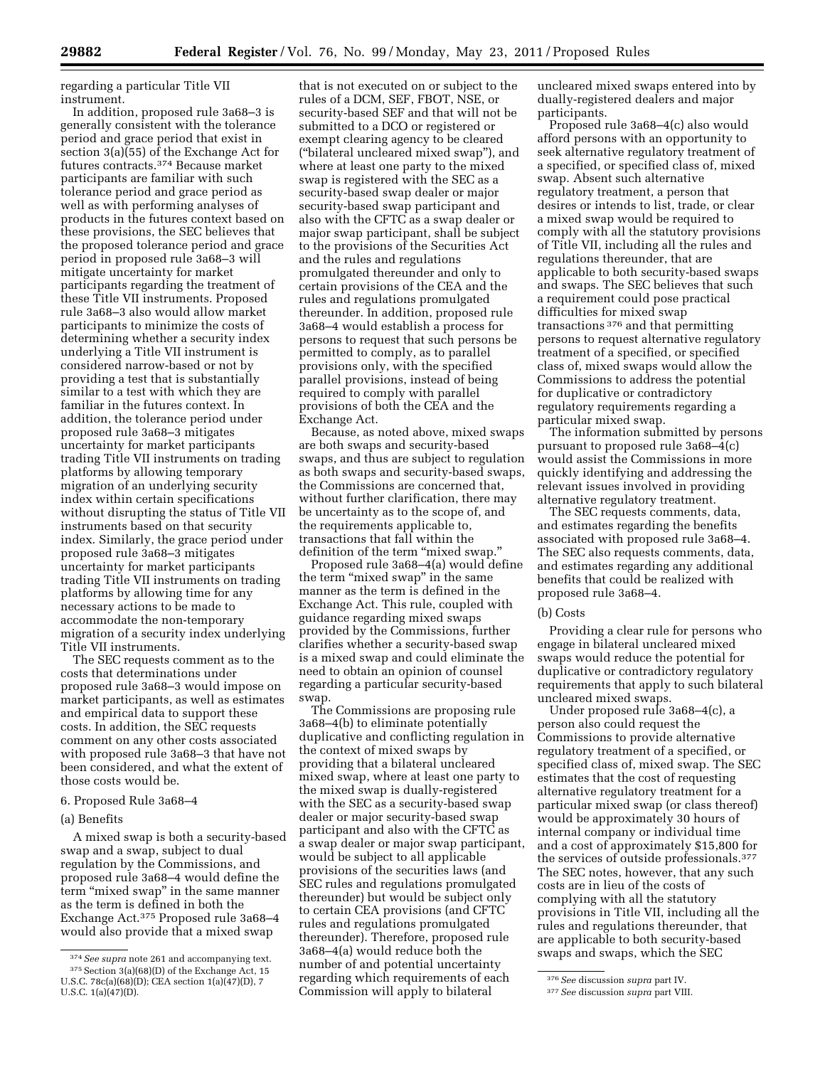regarding a particular Title VII instrument.

In addition, proposed rule 3a68–3 is generally consistent with the tolerance period and grace period that exist in section 3(a)(55) of the Exchange Act for futures contracts.374 Because market participants are familiar with such tolerance period and grace period as well as with performing analyses of products in the futures context based on these provisions, the SEC believes that the proposed tolerance period and grace period in proposed rule 3a68–3 will mitigate uncertainty for market participants regarding the treatment of these Title VII instruments. Proposed rule 3a68–3 also would allow market participants to minimize the costs of determining whether a security index underlying a Title VII instrument is considered narrow-based or not by providing a test that is substantially similar to a test with which they are familiar in the futures context. In addition, the tolerance period under proposed rule 3a68–3 mitigates uncertainty for market participants trading Title VII instruments on trading platforms by allowing temporary migration of an underlying security index within certain specifications without disrupting the status of Title VII instruments based on that security index. Similarly, the grace period under proposed rule 3a68–3 mitigates uncertainty for market participants trading Title VII instruments on trading platforms by allowing time for any necessary actions to be made to accommodate the non-temporary migration of a security index underlying Title VII instruments.

The SEC requests comment as to the costs that determinations under proposed rule 3a68–3 would impose on market participants, as well as estimates and empirical data to support these costs. In addition, the SEC requests comment on any other costs associated with proposed rule 3a68–3 that have not been considered, and what the extent of those costs would be.

### 6. Proposed Rule 3a68–4

#### (a) Benefits

A mixed swap is both a security-based swap and a swap, subject to dual regulation by the Commissions, and proposed rule 3a68–4 would define the term "mixed swap" in the same manner as the term is defined in both the Exchange Act.375 Proposed rule 3a68–4 would also provide that a mixed swap

that is not executed on or subject to the rules of a DCM, SEF, FBOT, NSE, or security-based SEF and that will not be submitted to a DCO or registered or exempt clearing agency to be cleared (''bilateral uncleared mixed swap''), and where at least one party to the mixed swap is registered with the SEC as a security-based swap dealer or major security-based swap participant and also with the CFTC as a swap dealer or major swap participant, shall be subject to the provisions of the Securities Act and the rules and regulations promulgated thereunder and only to certain provisions of the CEA and the rules and regulations promulgated thereunder. In addition, proposed rule 3a68–4 would establish a process for persons to request that such persons be permitted to comply, as to parallel provisions only, with the specified parallel provisions, instead of being required to comply with parallel provisions of both the CEA and the Exchange Act.

Because, as noted above, mixed swaps are both swaps and security-based swaps, and thus are subject to regulation as both swaps and security-based swaps, the Commissions are concerned that, without further clarification, there may be uncertainty as to the scope of, and the requirements applicable to, transactions that fall within the definition of the term "mixed swap."

Proposed rule 3a68–4(a) would define the term "mixed swap" in the same manner as the term is defined in the Exchange Act. This rule, coupled with guidance regarding mixed swaps provided by the Commissions, further clarifies whether a security-based swap is a mixed swap and could eliminate the need to obtain an opinion of counsel regarding a particular security-based swap.

The Commissions are proposing rule 3a68–4(b) to eliminate potentially duplicative and conflicting regulation in the context of mixed swaps by providing that a bilateral uncleared mixed swap, where at least one party to the mixed swap is dually-registered with the SEC as a security-based swap dealer or major security-based swap participant and also with the CFTC as a swap dealer or major swap participant, would be subject to all applicable provisions of the securities laws (and SEC rules and regulations promulgated thereunder) but would be subject only to certain CEA provisions (and CFTC rules and regulations promulgated thereunder). Therefore, proposed rule 3a68–4(a) would reduce both the number of and potential uncertainty regarding which requirements of each Commission will apply to bilateral

uncleared mixed swaps entered into by dually-registered dealers and major participants.

Proposed rule 3a68–4(c) also would afford persons with an opportunity to seek alternative regulatory treatment of a specified, or specified class of, mixed swap. Absent such alternative regulatory treatment, a person that desires or intends to list, trade, or clear a mixed swap would be required to comply with all the statutory provisions of Title VII, including all the rules and regulations thereunder, that are applicable to both security-based swaps and swaps. The SEC believes that such a requirement could pose practical difficulties for mixed swap transactions 376 and that permitting persons to request alternative regulatory treatment of a specified, or specified class of, mixed swaps would allow the Commissions to address the potential for duplicative or contradictory regulatory requirements regarding a particular mixed swap.

The information submitted by persons pursuant to proposed rule 3a68–4(c) would assist the Commissions in more quickly identifying and addressing the relevant issues involved in providing alternative regulatory treatment.

The SEC requests comments, data, and estimates regarding the benefits associated with proposed rule 3a68–4. The SEC also requests comments, data, and estimates regarding any additional benefits that could be realized with proposed rule 3a68–4.

#### (b) Costs

Providing a clear rule for persons who engage in bilateral uncleared mixed swaps would reduce the potential for duplicative or contradictory regulatory requirements that apply to such bilateral uncleared mixed swaps.

Under proposed rule 3a68–4(c), a person also could request the Commissions to provide alternative regulatory treatment of a specified, or specified class of, mixed swap. The SEC estimates that the cost of requesting alternative regulatory treatment for a particular mixed swap (or class thereof) would be approximately 30 hours of internal company or individual time and a cost of approximately \$15,800 for the services of outside professionals.377 The SEC notes, however, that any such costs are in lieu of the costs of complying with all the statutory provisions in Title VII, including all the rules and regulations thereunder, that are applicable to both security-based swaps and swaps, which the SEC

<sup>374</sup>*See supra* note 261 and accompanying text. 375 Section 3(a)(68)(D) of the Exchange Act, 15

U.S.C. 78c(a)(68)(D); CEA section 1(a)(47)(D), 7 U.S.C. 1(a)(47)(D).

<sup>376</sup>*See* discussion *supra* part IV.

<sup>377</sup>*See* discussion *supra* part VIII.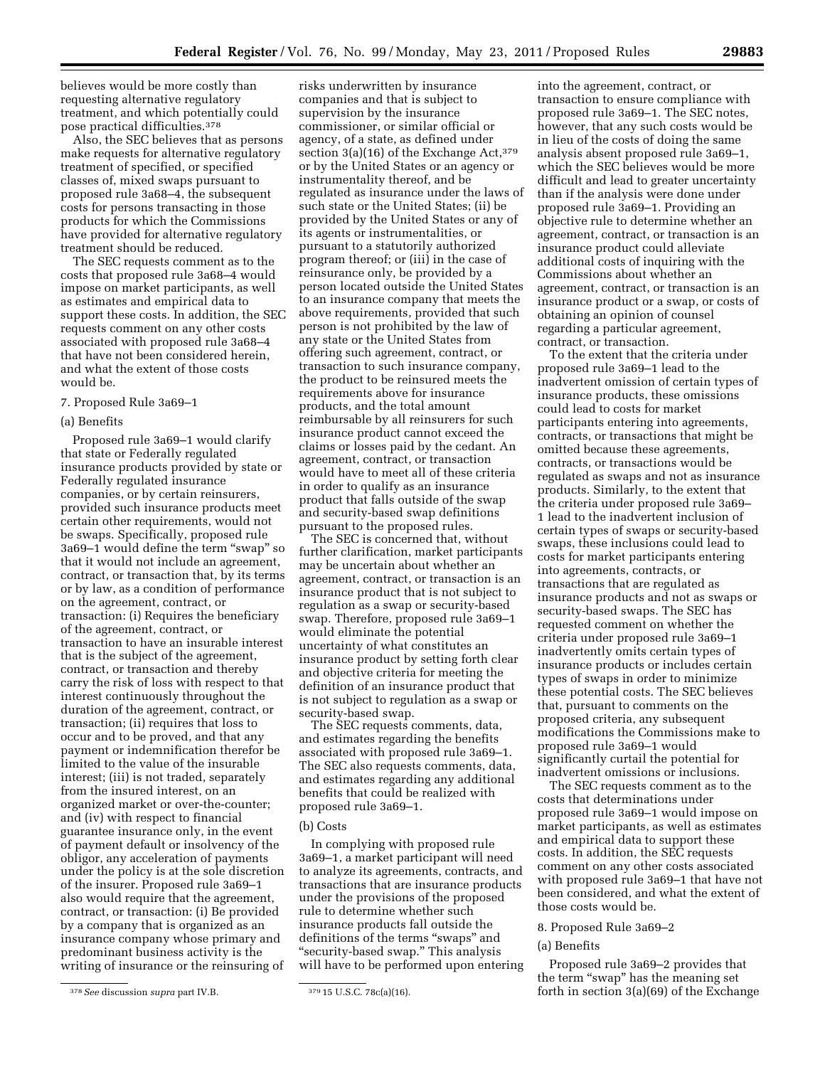believes would be more costly than requesting alternative regulatory treatment, and which potentially could pose practical difficulties.378

Also, the SEC believes that as persons make requests for alternative regulatory treatment of specified, or specified classes of, mixed swaps pursuant to proposed rule 3a68–4, the subsequent costs for persons transacting in those products for which the Commissions have provided for alternative regulatory treatment should be reduced.

The SEC requests comment as to the costs that proposed rule 3a68–4 would impose on market participants, as well as estimates and empirical data to support these costs. In addition, the SEC requests comment on any other costs associated with proposed rule 3a68–4 that have not been considered herein, and what the extent of those costs would be.

### 7. Proposed Rule 3a69–1

### (a) Benefits

Proposed rule 3a69–1 would clarify that state or Federally regulated insurance products provided by state or Federally regulated insurance companies, or by certain reinsurers, provided such insurance products meet certain other requirements, would not be swaps. Specifically, proposed rule 3a69–1 would define the term ''swap'' so that it would not include an agreement, contract, or transaction that, by its terms or by law, as a condition of performance on the agreement, contract, or transaction: (i) Requires the beneficiary of the agreement, contract, or transaction to have an insurable interest that is the subject of the agreement, contract, or transaction and thereby carry the risk of loss with respect to that interest continuously throughout the duration of the agreement, contract, or transaction; (ii) requires that loss to occur and to be proved, and that any payment or indemnification therefor be limited to the value of the insurable interest; (iii) is not traded, separately from the insured interest, on an organized market or over-the-counter; and (iv) with respect to financial guarantee insurance only, in the event of payment default or insolvency of the obligor, any acceleration of payments under the policy is at the sole discretion of the insurer. Proposed rule 3a69–1 also would require that the agreement, contract, or transaction: (i) Be provided by a company that is organized as an insurance company whose primary and predominant business activity is the writing of insurance or the reinsuring of

378*See* discussion *supra* part IV.B. 379 15 U.S.C. 78c(a)(16).

risks underwritten by insurance companies and that is subject to supervision by the insurance commissioner, or similar official or agency, of a state, as defined under section  $3(a)(16)$  of the Exchange Act,  $379$ or by the United States or an agency or instrumentality thereof, and be regulated as insurance under the laws of such state or the United States; (ii) be provided by the United States or any of its agents or instrumentalities, or pursuant to a statutorily authorized program thereof; or (iii) in the case of reinsurance only, be provided by a person located outside the United States to an insurance company that meets the above requirements, provided that such person is not prohibited by the law of any state or the United States from offering such agreement, contract, or transaction to such insurance company, the product to be reinsured meets the requirements above for insurance products, and the total amount reimbursable by all reinsurers for such insurance product cannot exceed the claims or losses paid by the cedant. An agreement, contract, or transaction would have to meet all of these criteria in order to qualify as an insurance product that falls outside of the swap and security-based swap definitions pursuant to the proposed rules.

The SEC is concerned that, without further clarification, market participants may be uncertain about whether an agreement, contract, or transaction is an insurance product that is not subject to regulation as a swap or security-based swap. Therefore, proposed rule 3a69–1 would eliminate the potential uncertainty of what constitutes an insurance product by setting forth clear and objective criteria for meeting the definition of an insurance product that is not subject to regulation as a swap or security-based swap.

The SEC requests comments, data, and estimates regarding the benefits associated with proposed rule 3a69–1. The SEC also requests comments, data, and estimates regarding any additional benefits that could be realized with proposed rule 3a69–1.

#### (b) Costs

In complying with proposed rule 3a69–1, a market participant will need to analyze its agreements, contracts, and transactions that are insurance products under the provisions of the proposed rule to determine whether such insurance products fall outside the definitions of the terms "swaps" and "security-based swap." This analysis will have to be performed upon entering

into the agreement, contract, or transaction to ensure compliance with proposed rule 3a69–1. The SEC notes, however, that any such costs would be in lieu of the costs of doing the same analysis absent proposed rule 3a69–1, which the SEC believes would be more difficult and lead to greater uncertainty than if the analysis were done under proposed rule 3a69–1. Providing an objective rule to determine whether an agreement, contract, or transaction is an insurance product could alleviate additional costs of inquiring with the Commissions about whether an agreement, contract, or transaction is an insurance product or a swap, or costs of obtaining an opinion of counsel regarding a particular agreement, contract, or transaction.

To the extent that the criteria under proposed rule 3a69–1 lead to the inadvertent omission of certain types of insurance products, these omissions could lead to costs for market participants entering into agreements, contracts, or transactions that might be omitted because these agreements, contracts, or transactions would be regulated as swaps and not as insurance products. Similarly, to the extent that the criteria under proposed rule 3a69– 1 lead to the inadvertent inclusion of certain types of swaps or security-based swaps, these inclusions could lead to costs for market participants entering into agreements, contracts, or transactions that are regulated as insurance products and not as swaps or security-based swaps. The SEC has requested comment on whether the criteria under proposed rule 3a69–1 inadvertently omits certain types of insurance products or includes certain types of swaps in order to minimize these potential costs. The SEC believes that, pursuant to comments on the proposed criteria, any subsequent modifications the Commissions make to proposed rule 3a69–1 would significantly curtail the potential for inadvertent omissions or inclusions.

The SEC requests comment as to the costs that determinations under proposed rule 3a69–1 would impose on market participants, as well as estimates and empirical data to support these costs. In addition, the SEC requests comment on any other costs associated with proposed rule 3a69–1 that have not been considered, and what the extent of those costs would be.

#### 8. Proposed Rule 3a69–2

#### (a) Benefits

Proposed rule 3a69–2 provides that the term "swap" has the meaning set forth in section 3(a)(69) of the Exchange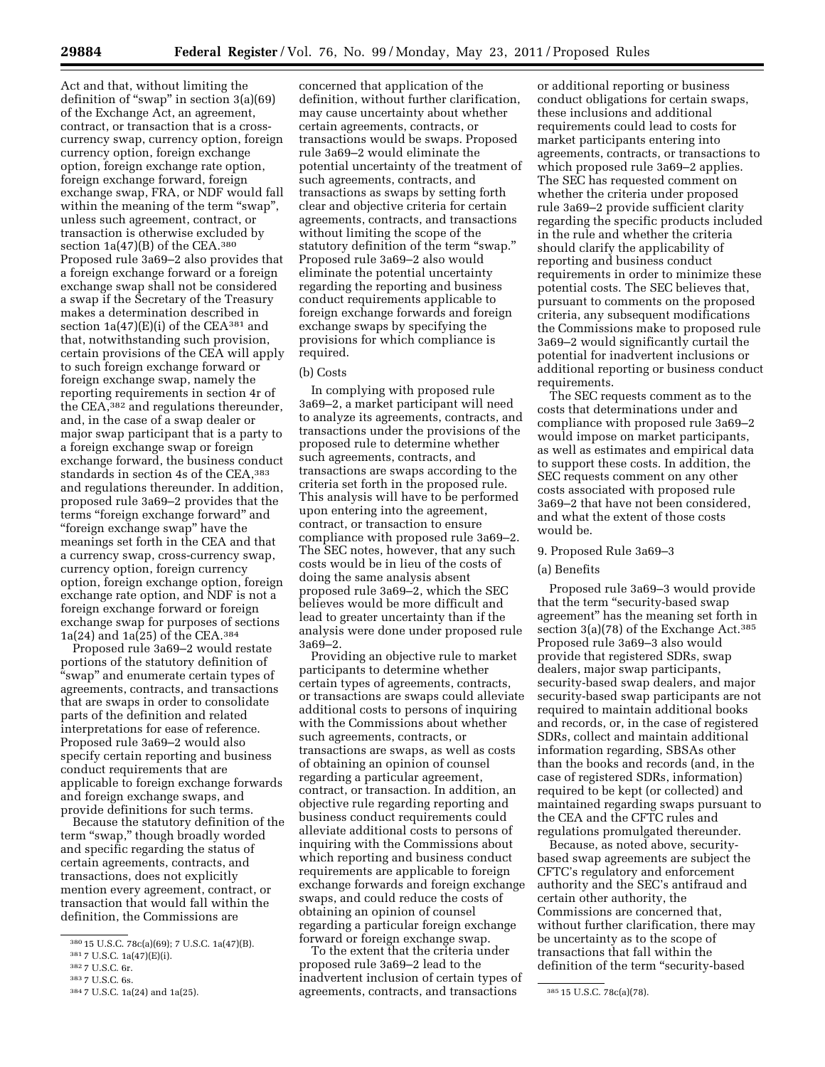Act and that, without limiting the definition of "swap" in section 3(a)(69) of the Exchange Act, an agreement, contract, or transaction that is a crosscurrency swap, currency option, foreign currency option, foreign exchange option, foreign exchange rate option, foreign exchange forward, foreign exchange swap, FRA, or NDF would fall within the meaning of the term "swap", unless such agreement, contract, or transaction is otherwise excluded by section 1a(47)(B) of the CEA.380 Proposed rule 3a69–2 also provides that a foreign exchange forward or a foreign exchange swap shall not be considered a swap if the Secretary of the Treasury makes a determination described in section  $1a(47)(E)(i)$  of the CEA<sup>381</sup> and that, notwithstanding such provision, certain provisions of the CEA will apply to such foreign exchange forward or foreign exchange swap, namely the reporting requirements in section 4r of the CEA,382 and regulations thereunder, and, in the case of a swap dealer or major swap participant that is a party to a foreign exchange swap or foreign exchange forward, the business conduct standards in section 4s of the CEA,383 and regulations thereunder. In addition, proposed rule 3a69–2 provides that the terms ''foreign exchange forward'' and ''foreign exchange swap'' have the meanings set forth in the CEA and that a currency swap, cross-currency swap, currency option, foreign currency option, foreign exchange option, foreign exchange rate option, and NDF is not a foreign exchange forward or foreign exchange swap for purposes of sections 1a(24) and 1a(25) of the CEA.384

Proposed rule 3a69–2 would restate portions of the statutory definition of ''swap'' and enumerate certain types of agreements, contracts, and transactions that are swaps in order to consolidate parts of the definition and related interpretations for ease of reference. Proposed rule 3a69–2 would also specify certain reporting and business conduct requirements that are applicable to foreign exchange forwards and foreign exchange swaps, and provide definitions for such terms.

Because the statutory definition of the term "swap," though broadly worded and specific regarding the status of certain agreements, contracts, and transactions, does not explicitly mention every agreement, contract, or transaction that would fall within the definition, the Commissions are

concerned that application of the definition, without further clarification, may cause uncertainty about whether certain agreements, contracts, or transactions would be swaps. Proposed rule 3a69–2 would eliminate the potential uncertainty of the treatment of such agreements, contracts, and transactions as swaps by setting forth clear and objective criteria for certain agreements, contracts, and transactions without limiting the scope of the statutory definition of the term "swap." Proposed rule 3a69–2 also would eliminate the potential uncertainty regarding the reporting and business conduct requirements applicable to foreign exchange forwards and foreign exchange swaps by specifying the provisions for which compliance is required.

#### (b) Costs

In complying with proposed rule 3a69–2, a market participant will need to analyze its agreements, contracts, and transactions under the provisions of the proposed rule to determine whether such agreements, contracts, and transactions are swaps according to the criteria set forth in the proposed rule. This analysis will have to be performed upon entering into the agreement, contract, or transaction to ensure compliance with proposed rule 3a69–2. The SEC notes, however, that any such costs would be in lieu of the costs of doing the same analysis absent proposed rule 3a69–2, which the SEC believes would be more difficult and lead to greater uncertainty than if the analysis were done under proposed rule 3a69–2.

Providing an objective rule to market participants to determine whether certain types of agreements, contracts, or transactions are swaps could alleviate additional costs to persons of inquiring with the Commissions about whether such agreements, contracts, or transactions are swaps, as well as costs of obtaining an opinion of counsel regarding a particular agreement, contract, or transaction. In addition, an objective rule regarding reporting and business conduct requirements could alleviate additional costs to persons of inquiring with the Commissions about which reporting and business conduct requirements are applicable to foreign exchange forwards and foreign exchange swaps, and could reduce the costs of obtaining an opinion of counsel regarding a particular foreign exchange forward or foreign exchange swap.

<sup>384</sup> 7 U.S.C. 1a(24) and 1a(25). **385 15 U.S.C. 78c(a)(78). 385 15 U.S.C. 78c(a)(78). 385** 15 U.S.C. 78c(a)(78). To the extent that the criteria under proposed rule 3a69–2 lead to the inadvertent inclusion of certain types of

or additional reporting or business conduct obligations for certain swaps, these inclusions and additional requirements could lead to costs for market participants entering into agreements, contracts, or transactions to which proposed rule 3a69–2 applies. The SEC has requested comment on whether the criteria under proposed rule 3a69–2 provide sufficient clarity regarding the specific products included in the rule and whether the criteria should clarify the applicability of reporting and business conduct requirements in order to minimize these potential costs. The SEC believes that, pursuant to comments on the proposed criteria, any subsequent modifications the Commissions make to proposed rule 3a69–2 would significantly curtail the potential for inadvertent inclusions or additional reporting or business conduct requirements.

The SEC requests comment as to the costs that determinations under and compliance with proposed rule 3a69–2 would impose on market participants, as well as estimates and empirical data to support these costs. In addition, the SEC requests comment on any other costs associated with proposed rule 3a69–2 that have not been considered, and what the extent of those costs would be.

## 9. Proposed Rule 3a69–3

### (a) Benefits

Proposed rule 3a69–3 would provide that the term "security-based swap agreement'' has the meaning set forth in section 3(a)(78) of the Exchange Act.<sup>385</sup> Proposed rule 3a69–3 also would provide that registered SDRs, swap dealers, major swap participants, security-based swap dealers, and major security-based swap participants are not required to maintain additional books and records, or, in the case of registered SDRs, collect and maintain additional information regarding, SBSAs other than the books and records (and, in the case of registered SDRs, information) required to be kept (or collected) and maintained regarding swaps pursuant to the CEA and the CFTC rules and regulations promulgated thereunder.

Because, as noted above, securitybased swap agreements are subject the CFTC's regulatory and enforcement authority and the SEC's antifraud and certain other authority, the Commissions are concerned that, without further clarification, there may be uncertainty as to the scope of transactions that fall within the definition of the term ''security-based

<sup>380</sup> 15 U.S.C. 78c(a)(69); 7 U.S.C. 1a(47)(B).

<sup>381</sup> 7 U.S.C. 1a(47)(E)(i).

<sup>382</sup> 7 U.S.C. 6r.

<sup>383</sup> 7 U.S.C. 6s.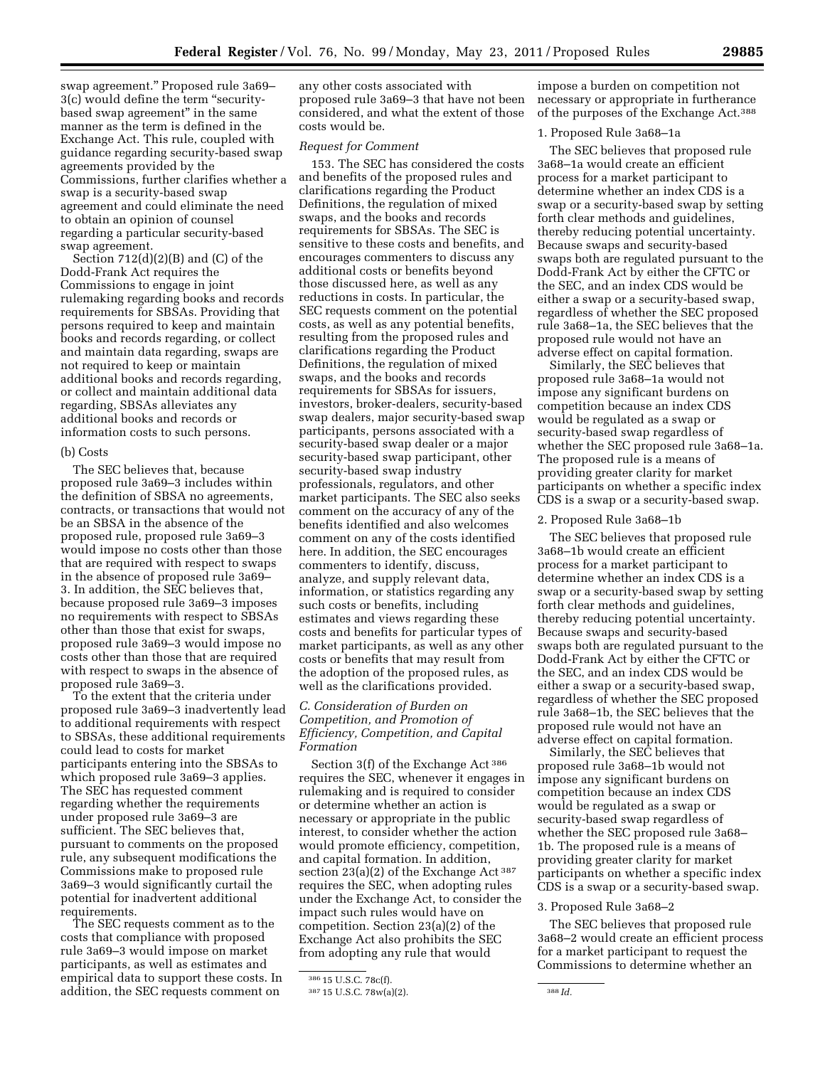swap agreement.'' Proposed rule 3a69– 3(c) would define the term ''securitybased swap agreement'' in the same manner as the term is defined in the Exchange Act. This rule, coupled with guidance regarding security-based swap agreements provided by the Commissions, further clarifies whether a swap is a security-based swap agreement and could eliminate the need to obtain an opinion of counsel regarding a particular security-based swap agreement.

Section  $712(d)(2)(B)$  and  $(C)$  of the Dodd-Frank Act requires the Commissions to engage in joint rulemaking regarding books and records requirements for SBSAs. Providing that persons required to keep and maintain books and records regarding, or collect and maintain data regarding, swaps are not required to keep or maintain additional books and records regarding, or collect and maintain additional data regarding, SBSAs alleviates any additional books and records or information costs to such persons.

## (b) Costs

The SEC believes that, because proposed rule 3a69–3 includes within the definition of SBSA no agreements, contracts, or transactions that would not be an SBSA in the absence of the proposed rule, proposed rule 3a69–3 would impose no costs other than those that are required with respect to swaps in the absence of proposed rule 3a69– 3. In addition, the SEC believes that, because proposed rule 3a69–3 imposes no requirements with respect to SBSAs other than those that exist for swaps, proposed rule 3a69–3 would impose no costs other than those that are required with respect to swaps in the absence of proposed rule 3a69–3.

To the extent that the criteria under proposed rule 3a69–3 inadvertently lead to additional requirements with respect to SBSAs, these additional requirements could lead to costs for market participants entering into the SBSAs to which proposed rule 3a69–3 applies. The SEC has requested comment regarding whether the requirements under proposed rule 3a69–3 are sufficient. The SEC believes that, pursuant to comments on the proposed rule, any subsequent modifications the Commissions make to proposed rule 3a69–3 would significantly curtail the potential for inadvertent additional requirements.

The SEC requests comment as to the costs that compliance with proposed rule 3a69–3 would impose on market participants, as well as estimates and empirical data to support these costs. In addition, the SEC requests comment on

any other costs associated with proposed rule 3a69–3 that have not been considered, and what the extent of those costs would be.

## *Request for Comment*

153. The SEC has considered the costs and benefits of the proposed rules and clarifications regarding the Product Definitions, the regulation of mixed swaps, and the books and records requirements for SBSAs. The SEC is sensitive to these costs and benefits, and encourages commenters to discuss any additional costs or benefits beyond those discussed here, as well as any reductions in costs. In particular, the SEC requests comment on the potential costs, as well as any potential benefits, resulting from the proposed rules and clarifications regarding the Product Definitions, the regulation of mixed swaps, and the books and records requirements for SBSAs for issuers, investors, broker-dealers, security-based swap dealers, major security-based swap participants, persons associated with a security-based swap dealer or a major security-based swap participant, other security-based swap industry professionals, regulators, and other market participants. The SEC also seeks comment on the accuracy of any of the benefits identified and also welcomes comment on any of the costs identified here. In addition, the SEC encourages commenters to identify, discuss, analyze, and supply relevant data, information, or statistics regarding any such costs or benefits, including estimates and views regarding these costs and benefits for particular types of market participants, as well as any other costs or benefits that may result from the adoption of the proposed rules, as well as the clarifications provided.

# *C. Consideration of Burden on Competition, and Promotion of Efficiency, Competition, and Capital Formation*

Section 3(f) of the Exchange Act 386 requires the SEC, whenever it engages in rulemaking and is required to consider or determine whether an action is necessary or appropriate in the public interest, to consider whether the action would promote efficiency, competition, and capital formation. In addition, section 23(a)(2) of the Exchange Act 387 requires the SEC, when adopting rules under the Exchange Act, to consider the impact such rules would have on competition. Section 23(a)(2) of the Exchange Act also prohibits the SEC from adopting any rule that would

impose a burden on competition not necessary or appropriate in furtherance of the purposes of the Exchange Act.388

## 1. Proposed Rule 3a68–1a

The SEC believes that proposed rule 3a68–1a would create an efficient process for a market participant to determine whether an index CDS is a swap or a security-based swap by setting forth clear methods and guidelines, thereby reducing potential uncertainty. Because swaps and security-based swaps both are regulated pursuant to the Dodd-Frank Act by either the CFTC or the SEC, and an index CDS would be either a swap or a security-based swap, regardless of whether the SEC proposed rule 3a68–1a, the SEC believes that the proposed rule would not have an adverse effect on capital formation.

Similarly, the SEC believes that proposed rule 3a68–1a would not impose any significant burdens on competition because an index CDS would be regulated as a swap or security-based swap regardless of whether the SEC proposed rule 3a68–1a. The proposed rule is a means of providing greater clarity for market participants on whether a specific index CDS is a swap or a security-based swap.

### 2. Proposed Rule 3a68–1b

The SEC believes that proposed rule 3a68–1b would create an efficient process for a market participant to determine whether an index CDS is a swap or a security-based swap by setting forth clear methods and guidelines, thereby reducing potential uncertainty. Because swaps and security-based swaps both are regulated pursuant to the Dodd-Frank Act by either the CFTC or the SEC, and an index CDS would be either a swap or a security-based swap, regardless of whether the SEC proposed rule 3a68–1b, the SEC believes that the proposed rule would not have an adverse effect on capital formation.

Similarly, the SEC believes that proposed rule 3a68–1b would not impose any significant burdens on competition because an index CDS would be regulated as a swap or security-based swap regardless of whether the SEC proposed rule 3a68– 1b. The proposed rule is a means of providing greater clarity for market participants on whether a specific index CDS is a swap or a security-based swap.

### 3. Proposed Rule 3a68–2

The SEC believes that proposed rule 3a68–2 would create an efficient process for a market participant to request the Commissions to determine whether an

<sup>386</sup> 15 U.S.C. 78c(f).

<sup>387</sup> 15 U.S.C. 78w(a)(2). 388 *Id.*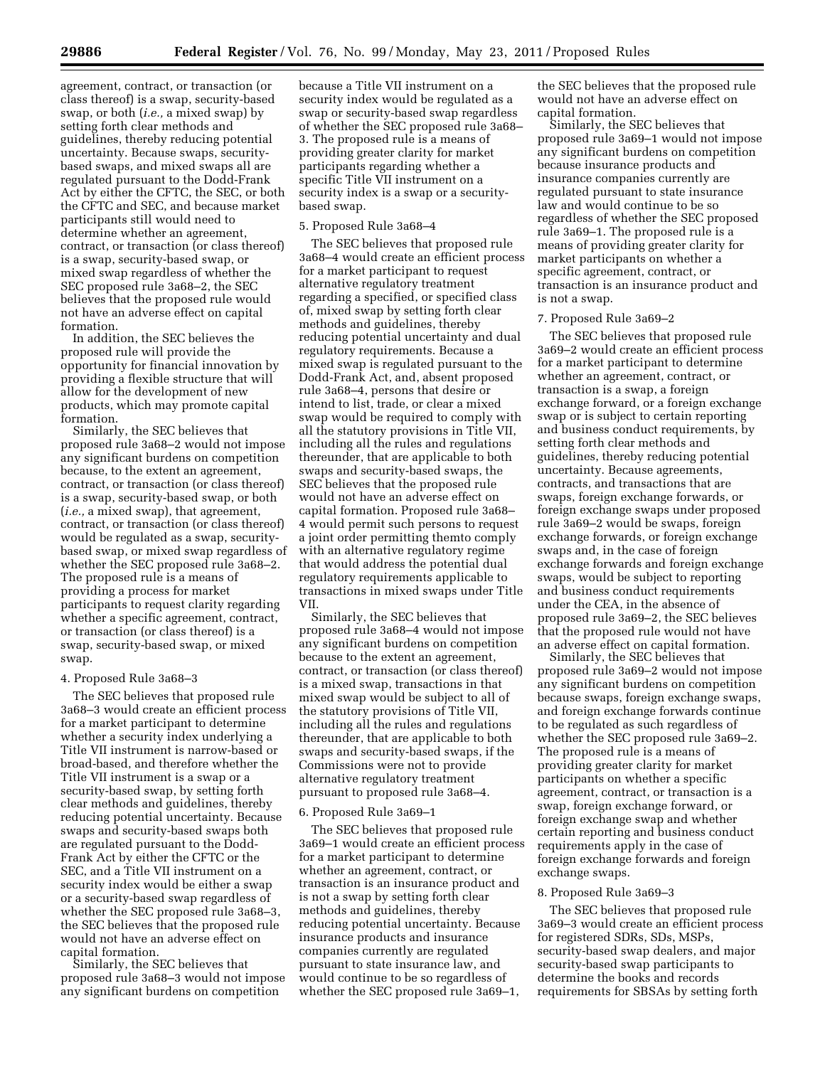agreement, contract, or transaction (or class thereof) is a swap, security-based swap, or both (*i.e.,* a mixed swap) by setting forth clear methods and guidelines, thereby reducing potential uncertainty. Because swaps, securitybased swaps, and mixed swaps all are regulated pursuant to the Dodd-Frank Act by either the CFTC, the SEC, or both the CFTC and SEC, and because market participants still would need to determine whether an agreement, contract, or transaction (or class thereof) is a swap, security-based swap, or mixed swap regardless of whether the SEC proposed rule 3a68–2, the SEC believes that the proposed rule would not have an adverse effect on capital formation.

In addition, the SEC believes the proposed rule will provide the opportunity for financial innovation by providing a flexible structure that will allow for the development of new products, which may promote capital formation.

Similarly, the SEC believes that proposed rule 3a68–2 would not impose any significant burdens on competition because, to the extent an agreement, contract, or transaction (or class thereof) is a swap, security-based swap, or both (*i.e.,* a mixed swap), that agreement, contract, or transaction (or class thereof) would be regulated as a swap, securitybased swap, or mixed swap regardless of whether the SEC proposed rule 3a68–2. The proposed rule is a means of providing a process for market participants to request clarity regarding whether a specific agreement, contract, or transaction (or class thereof) is a swap, security-based swap, or mixed swap.

#### 4. Proposed Rule 3a68–3

The SEC believes that proposed rule 3a68–3 would create an efficient process for a market participant to determine whether a security index underlying a Title VII instrument is narrow-based or broad-based, and therefore whether the Title VII instrument is a swap or a security-based swap, by setting forth clear methods and guidelines, thereby reducing potential uncertainty. Because swaps and security-based swaps both are regulated pursuant to the Dodd-Frank Act by either the CFTC or the SEC, and a Title VII instrument on a security index would be either a swap or a security-based swap regardless of whether the SEC proposed rule 3a68–3, the SEC believes that the proposed rule would not have an adverse effect on capital formation.

Similarly, the SEC believes that proposed rule 3a68–3 would not impose any significant burdens on competition

because a Title VII instrument on a security index would be regulated as a swap or security-based swap regardless of whether the SEC proposed rule 3a68– 3. The proposed rule is a means of providing greater clarity for market participants regarding whether a specific Title VII instrument on a security index is a swap or a securitybased swap.

#### 5. Proposed Rule 3a68–4

The SEC believes that proposed rule 3a68–4 would create an efficient process for a market participant to request alternative regulatory treatment regarding a specified, or specified class of, mixed swap by setting forth clear methods and guidelines, thereby reducing potential uncertainty and dual regulatory requirements. Because a mixed swap is regulated pursuant to the Dodd-Frank Act, and, absent proposed rule 3a68–4, persons that desire or intend to list, trade, or clear a mixed swap would be required to comply with all the statutory provisions in Title VII, including all the rules and regulations thereunder, that are applicable to both swaps and security-based swaps, the SEC believes that the proposed rule would not have an adverse effect on capital formation. Proposed rule 3a68– 4 would permit such persons to request a joint order permitting themto comply with an alternative regulatory regime that would address the potential dual regulatory requirements applicable to transactions in mixed swaps under Title VII.

Similarly, the SEC believes that proposed rule 3a68–4 would not impose any significant burdens on competition because to the extent an agreement, contract, or transaction (or class thereof) is a mixed swap, transactions in that mixed swap would be subject to all of the statutory provisions of Title VII, including all the rules and regulations thereunder, that are applicable to both swaps and security-based swaps, if the Commissions were not to provide alternative regulatory treatment pursuant to proposed rule 3a68–4.

#### 6. Proposed Rule 3a69–1

The SEC believes that proposed rule 3a69–1 would create an efficient process for a market participant to determine whether an agreement, contract, or transaction is an insurance product and is not a swap by setting forth clear methods and guidelines, thereby reducing potential uncertainty. Because insurance products and insurance companies currently are regulated pursuant to state insurance law, and would continue to be so regardless of whether the SEC proposed rule 3a69–1,

the SEC believes that the proposed rule would not have an adverse effect on capital formation.

Similarly, the SEC believes that proposed rule 3a69–1 would not impose any significant burdens on competition because insurance products and insurance companies currently are regulated pursuant to state insurance law and would continue to be so regardless of whether the SEC proposed rule 3a69–1. The proposed rule is a means of providing greater clarity for market participants on whether a specific agreement, contract, or transaction is an insurance product and is not a swap.

#### 7. Proposed Rule 3a69–2

The SEC believes that proposed rule 3a69–2 would create an efficient process for a market participant to determine whether an agreement, contract, or transaction is a swap, a foreign exchange forward, or a foreign exchange swap or is subject to certain reporting and business conduct requirements, by setting forth clear methods and guidelines, thereby reducing potential uncertainty. Because agreements, contracts, and transactions that are swaps, foreign exchange forwards, or foreign exchange swaps under proposed rule 3a69–2 would be swaps, foreign exchange forwards, or foreign exchange swaps and, in the case of foreign exchange forwards and foreign exchange swaps, would be subject to reporting and business conduct requirements under the CEA, in the absence of proposed rule 3a69–2, the SEC believes that the proposed rule would not have an adverse effect on capital formation.

Similarly, the SEC believes that proposed rule 3a69–2 would not impose any significant burdens on competition because swaps, foreign exchange swaps, and foreign exchange forwards continue to be regulated as such regardless of whether the SEC proposed rule 3a69–2. The proposed rule is a means of providing greater clarity for market participants on whether a specific agreement, contract, or transaction is a swap, foreign exchange forward, or foreign exchange swap and whether certain reporting and business conduct requirements apply in the case of foreign exchange forwards and foreign exchange swaps.

# 8. Proposed Rule 3a69–3

The SEC believes that proposed rule 3a69–3 would create an efficient process for registered SDRs, SDs, MSPs, security-based swap dealers, and major security-based swap participants to determine the books and records requirements for SBSAs by setting forth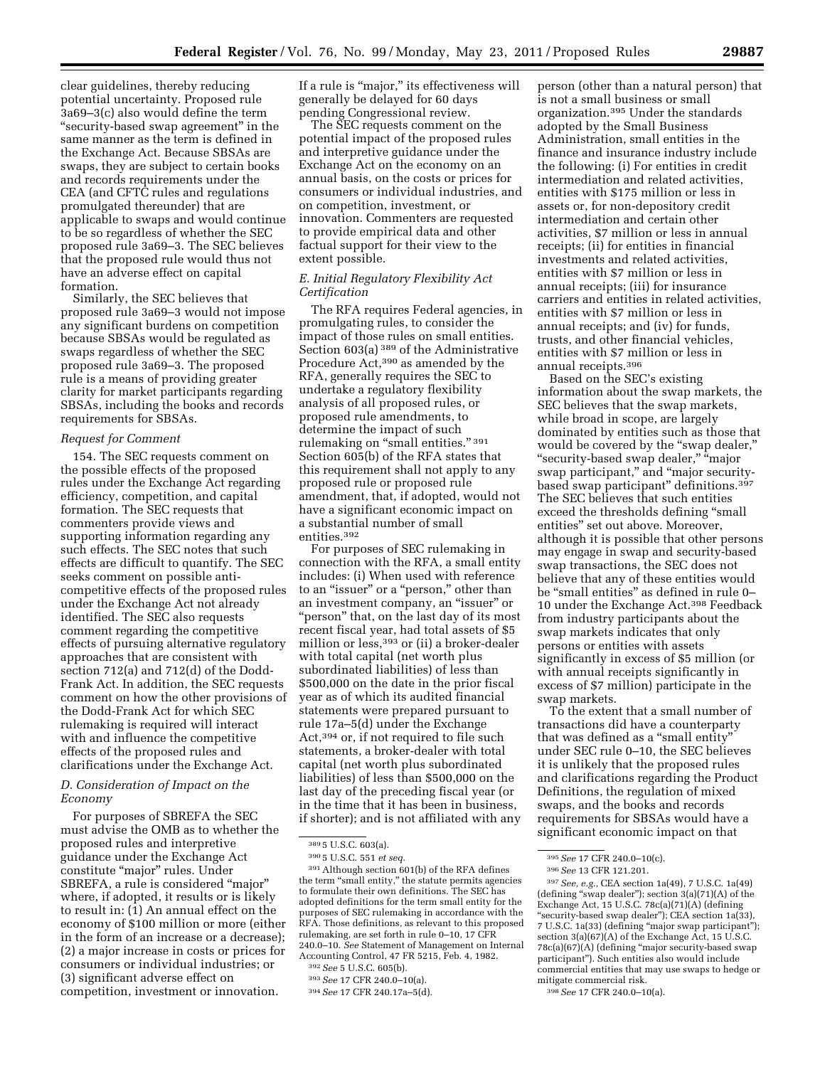clear guidelines, thereby reducing potential uncertainty. Proposed rule 3a69–3(c) also would define the term "security-based swap agreement" in the same manner as the term is defined in the Exchange Act. Because SBSAs are swaps, they are subject to certain books and records requirements under the CEA (and CFTC rules and regulations promulgated thereunder) that are applicable to swaps and would continue to be so regardless of whether the SEC proposed rule 3a69–3. The SEC believes that the proposed rule would thus not have an adverse effect on capital formation.

Similarly, the SEC believes that proposed rule 3a69–3 would not impose any significant burdens on competition because SBSAs would be regulated as swaps regardless of whether the SEC proposed rule 3a69–3. The proposed rule is a means of providing greater clarity for market participants regarding SBSAs, including the books and records requirements for SBSAs.

#### *Request for Comment*

154. The SEC requests comment on the possible effects of the proposed rules under the Exchange Act regarding efficiency, competition, and capital formation. The SEC requests that commenters provide views and supporting information regarding any such effects. The SEC notes that such effects are difficult to quantify. The SEC seeks comment on possible anticompetitive effects of the proposed rules under the Exchange Act not already identified. The SEC also requests comment regarding the competitive effects of pursuing alternative regulatory approaches that are consistent with section 712(a) and 712(d) of the Dodd-Frank Act. In addition, the SEC requests comment on how the other provisions of the Dodd-Frank Act for which SEC rulemaking is required will interact with and influence the competitive effects of the proposed rules and clarifications under the Exchange Act.

## *D. Consideration of Impact on the Economy*

For purposes of SBREFA the SEC must advise the OMB as to whether the proposed rules and interpretive guidance under the Exchange Act constitute ''major'' rules. Under SBREFA, a rule is considered ''major'' where, if adopted, it results or is likely to result in: (1) An annual effect on the economy of \$100 million or more (either in the form of an increase or a decrease); (2) a major increase in costs or prices for consumers or individual industries; or (3) significant adverse effect on competition, investment or innovation.

If a rule is "major," its effectiveness will generally be delayed for 60 days pending Congressional review.

The SEC requests comment on the potential impact of the proposed rules and interpretive guidance under the Exchange Act on the economy on an annual basis, on the costs or prices for consumers or individual industries, and on competition, investment, or innovation. Commenters are requested to provide empirical data and other factual support for their view to the extent possible.

## *E. Initial Regulatory Flexibility Act Certification*

The RFA requires Federal agencies, in promulgating rules, to consider the impact of those rules on small entities. Section 603(a) 389 of the Administrative Procedure Act,<sup>390</sup> as amended by the RFA, generally requires the SEC to undertake a regulatory flexibility analysis of all proposed rules, or proposed rule amendments, to determine the impact of such rulemaking on "small entities." 391 Section 605(b) of the RFA states that this requirement shall not apply to any proposed rule or proposed rule amendment, that, if adopted, would not have a significant economic impact on a substantial number of small entities.392

For purposes of SEC rulemaking in connection with the RFA, a small entity includes: (i) When used with reference to an ''issuer'' or a ''person,'' other than an investment company, an ''issuer'' or "person" that, on the last day of its most recent fiscal year, had total assets of \$5 million or less,<sup>393</sup> or (ii) a broker-dealer with total capital (net worth plus subordinated liabilities) of less than \$500,000 on the date in the prior fiscal year as of which its audited financial statements were prepared pursuant to rule 17a–5(d) under the Exchange Act,394 or, if not required to file such statements, a broker-dealer with total capital (net worth plus subordinated liabilities) of less than \$500,000 on the last day of the preceding fiscal year (or in the time that it has been in business, if shorter); and is not affiliated with any

391Although section 601(b) of the RFA defines the term "small entity," the statute permits agencies to formulate their own definitions. The SEC has adopted definitions for the term small entity for the purposes of SEC rulemaking in accordance with the RFA. Those definitions, as relevant to this proposed rulemaking, are set forth in rule 0–10, 17 CFR 240.0–10. *See* Statement of Management on Internal Accounting Control, 47 FR 5215, Feb. 4, 1982.

person (other than a natural person) that is not a small business or small organization.395 Under the standards adopted by the Small Business Administration, small entities in the finance and insurance industry include the following: (i) For entities in credit intermediation and related activities, entities with \$175 million or less in assets or, for non-depository credit intermediation and certain other activities, \$7 million or less in annual receipts; (ii) for entities in financial investments and related activities, entities with \$7 million or less in annual receipts; (iii) for insurance carriers and entities in related activities, entities with \$7 million or less in annual receipts; and (iv) for funds, trusts, and other financial vehicles, entities with \$7 million or less in annual receipts.396

Based on the SEC's existing information about the swap markets, the SEC believes that the swap markets, while broad in scope, are largely dominated by entities such as those that would be covered by the "swap dealer," "security-based swap dealer," "major swap participant," and "major securitybased swap participant'' definitions.397 The SEC believes that such entities exceed the thresholds defining ''small entities'' set out above. Moreover, although it is possible that other persons may engage in swap and security-based swap transactions, the SEC does not believe that any of these entities would be ''small entities'' as defined in rule 0– 10 under the Exchange Act.398 Feedback from industry participants about the swap markets indicates that only persons or entities with assets significantly in excess of \$5 million (or with annual receipts significantly in excess of \$7 million) participate in the swap markets.

To the extent that a small number of transactions did have a counterparty that was defined as a "small entity" under SEC rule 0–10, the SEC believes it is unlikely that the proposed rules and clarifications regarding the Product Definitions, the regulation of mixed swaps, and the books and records requirements for SBSAs would have a significant economic impact on that

397*See, e.g.,* CEA section 1a(49), 7 U.S.C. 1a(49) (defining ''swap dealer''); section 3(a)(71)(A) of the Exchange Act, 15 U.S.C. 78c(a)(71)(A) (defining ''security-based swap dealer''); CEA section 1a(33), 7 U.S.C. 1a(33) (defining ''major swap participant''); section 3(a)(67)(A) of the Exchange Act, 15 U.S.C. 78c(a)(67)(A) (defining ''major security-based swap participant''). Such entities also would include commercial entities that may use swaps to hedge or mitigate commercial risk.

<sup>389</sup> 5 U.S.C. 603(a).

<sup>390</sup> 5 U.S.C. 551 *et seq.* 

<sup>392</sup>*See* 5 U.S.C. 605(b).

<sup>393</sup>*See* 17 CFR 240.0–10(a).

<sup>394</sup>*See* 17 CFR 240.17a–5(d).

<sup>395</sup>*See* 17 CFR 240.0–10(c).

<sup>396</sup>*See* 13 CFR 121.201.

<sup>398</sup>*See* 17 CFR 240.0–10(a).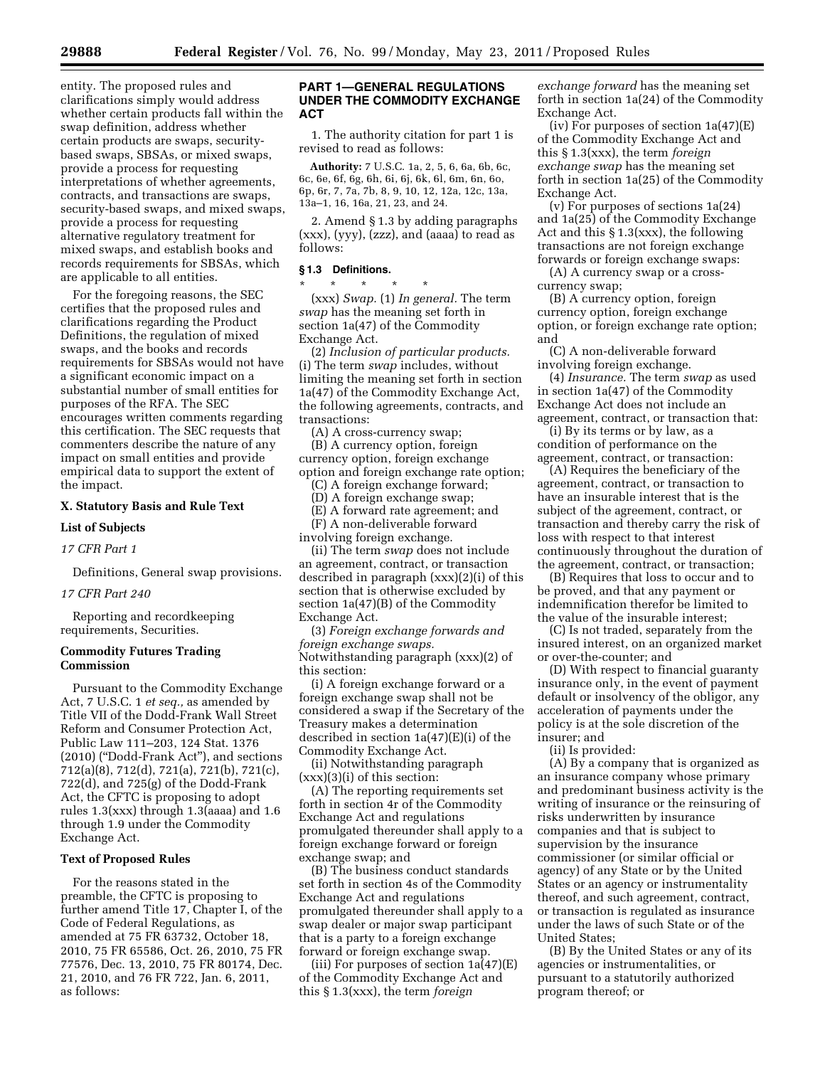entity. The proposed rules and clarifications simply would address whether certain products fall within the swap definition, address whether certain products are swaps, securitybased swaps, SBSAs, or mixed swaps, provide a process for requesting interpretations of whether agreements, contracts, and transactions are swaps, security-based swaps, and mixed swaps, provide a process for requesting alternative regulatory treatment for mixed swaps, and establish books and records requirements for SBSAs, which are applicable to all entities.

For the foregoing reasons, the SEC certifies that the proposed rules and clarifications regarding the Product Definitions, the regulation of mixed swaps, and the books and records requirements for SBSAs would not have a significant economic impact on a substantial number of small entities for purposes of the RFA. The SEC encourages written comments regarding this certification. The SEC requests that commenters describe the nature of any impact on small entities and provide empirical data to support the extent of the impact.

#### **X. Statutory Basis and Rule Text**

#### **List of Subjects**

#### *17 CFR Part 1*

Definitions, General swap provisions.

#### *17 CFR Part 240*

Reporting and recordkeeping requirements, Securities.

## **Commodity Futures Trading Commission**

Pursuant to the Commodity Exchange Act, 7 U.S.C. 1 *et seq.,* as amended by Title VII of the Dodd-Frank Wall Street Reform and Consumer Protection Act, Public Law 111–203, 124 Stat. 1376 (2010) (''Dodd-Frank Act''), and sections 712(a)(8), 712(d), 721(a), 721(b), 721(c), 722(d), and 725(g) of the Dodd-Frank Act, the CFTC is proposing to adopt rules 1.3(xxx) through 1.3(aaaa) and 1.6 through 1.9 under the Commodity Exchange Act.

### **Text of Proposed Rules**

For the reasons stated in the preamble, the CFTC is proposing to further amend Title 17, Chapter I, of the Code of Federal Regulations, as amended at 75 FR 63732, October 18, 2010, 75 FR 65586, Oct. 26, 2010, 75 FR 77576, Dec. 13, 2010, 75 FR 80174, Dec. 21, 2010, and 76 FR 722, Jan. 6, 2011, as follows:

## **PART 1—GENERAL REGULATIONS UNDER THE COMMODITY EXCHANGE ACT**

1. The authority citation for part 1 is revised to read as follows:

**Authority:** 7 U.S.C. 1a, 2, 5, 6, 6a, 6b, 6c, 6c, 6e, 6f, 6g, 6h, 6i, 6j, 6k, 6l, 6m, 6n, 6o, 6p, 6r, 7, 7a, 7b, 8, 9, 10, 12, 12a, 12c, 13a, 13a–1, 16, 16a, 21, 23, and 24.

2. Amend § 1.3 by adding paragraphs (xxx), (yyy), (zzz), and (aaaa) to read as follows:

#### **§ 1.3 Definitions.**

\* \* \* \* \* (xxx) *Swap.* (1) *In general.* The term *swap* has the meaning set forth in section 1a(47) of the Commodity Exchange Act.

(2) *Inclusion of particular products.*  (i) The term *swap* includes, without limiting the meaning set forth in section 1a(47) of the Commodity Exchange Act, the following agreements, contracts, and transactions:

(A) A cross-currency swap;

(B) A currency option, foreign currency option, foreign exchange option and foreign exchange rate option;

(C) A foreign exchange forward;

(D) A foreign exchange swap;

(E) A forward rate agreement; and

(F) A non-deliverable forward involving foreign exchange.

(ii) The term *swap* does not include an agreement, contract, or transaction described in paragraph (xxx)(2)(i) of this section that is otherwise excluded by section 1a(47)(B) of the Commodity Exchange Act.

(3) *Foreign exchange forwards and foreign exchange swaps.*  Notwithstanding paragraph (xxx)(2) of this section:

(i) A foreign exchange forward or a foreign exchange swap shall not be considered a swap if the Secretary of the Treasury makes a determination described in section 1a(47)(E)(i) of the Commodity Exchange Act.

(ii) Notwithstanding paragraph (xxx)(3)(i) of this section:

(A) The reporting requirements set forth in section 4r of the Commodity Exchange Act and regulations promulgated thereunder shall apply to a foreign exchange forward or foreign exchange swap; and

(B) The business conduct standards set forth in section 4s of the Commodity Exchange Act and regulations promulgated thereunder shall apply to a swap dealer or major swap participant that is a party to a foreign exchange forward or foreign exchange swap.

(iii) For purposes of section 1a(47)(E) of the Commodity Exchange Act and this § 1.3(xxx), the term *foreign* 

*exchange forward* has the meaning set forth in section 1a(24) of the Commodity Exchange Act.

(iv) For purposes of section 1a(47)(E) of the Commodity Exchange Act and this § 1.3(xxx), the term *foreign exchange swap* has the meaning set forth in section 1a(25) of the Commodity Exchange Act.

(v) For purposes of sections 1a(24) and 1a(25) of the Commodity Exchange Act and this § 1.3(xxx), the following transactions are not foreign exchange forwards or foreign exchange swaps:

(A) A currency swap or a crosscurrency swap;

(B) A currency option, foreign currency option, foreign exchange option, or foreign exchange rate option; and

(C) A non-deliverable forward involving foreign exchange.

(4) *Insurance.* The term *swap* as used in section 1a(47) of the Commodity Exchange Act does not include an agreement, contract, or transaction that:

(i) By its terms or by law, as a condition of performance on the agreement, contract, or transaction:

(A) Requires the beneficiary of the agreement, contract, or transaction to have an insurable interest that is the subject of the agreement, contract, or transaction and thereby carry the risk of loss with respect to that interest continuously throughout the duration of the agreement, contract, or transaction;

(B) Requires that loss to occur and to be proved, and that any payment or indemnification therefor be limited to the value of the insurable interest;

(C) Is not traded, separately from the insured interest, on an organized market or over-the-counter; and

(D) With respect to financial guaranty insurance only, in the event of payment default or insolvency of the obligor, any acceleration of payments under the policy is at the sole discretion of the insurer; and

(ii) Is provided:

(A) By a company that is organized as an insurance company whose primary and predominant business activity is the writing of insurance or the reinsuring of risks underwritten by insurance companies and that is subject to supervision by the insurance commissioner (or similar official or agency) of any State or by the United States or an agency or instrumentality thereof, and such agreement, contract, or transaction is regulated as insurance under the laws of such State or of the United States;

(B) By the United States or any of its agencies or instrumentalities, or pursuant to a statutorily authorized program thereof; or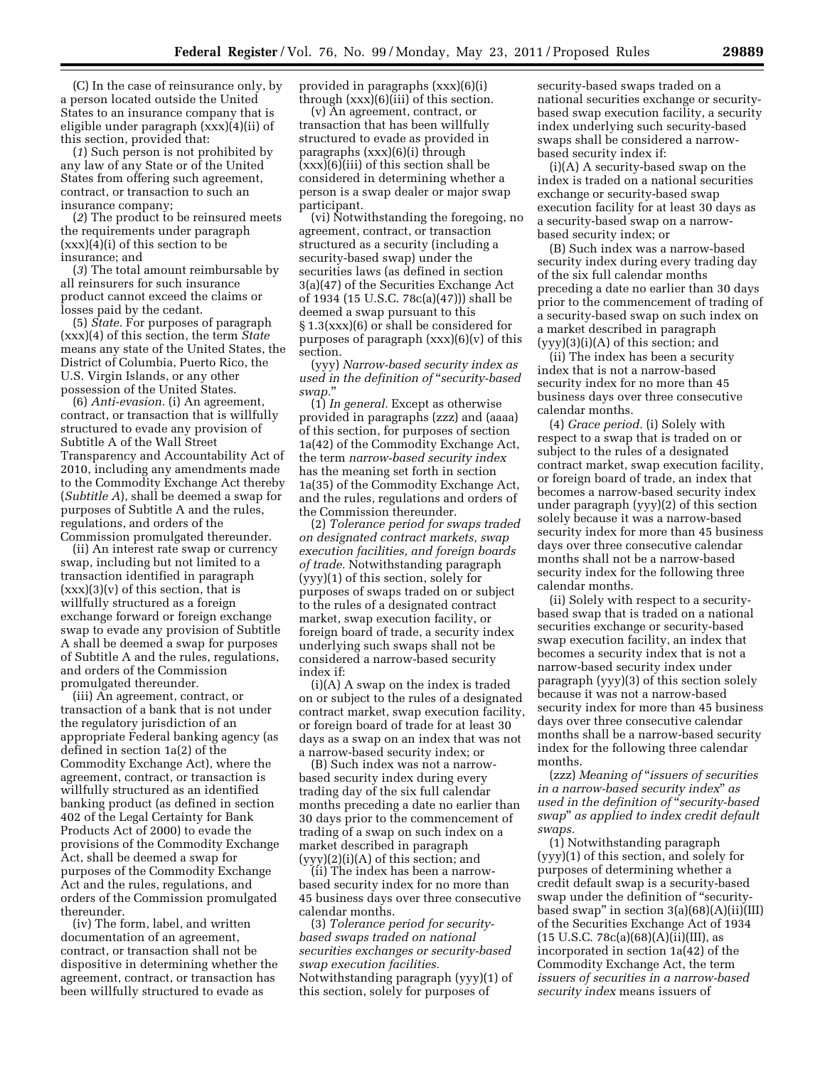(C) In the case of reinsurance only, by a person located outside the United States to an insurance company that is eligible under paragraph (xxx)(4)(ii) of this section, provided that:

(*1*) Such person is not prohibited by any law of any State or of the United States from offering such agreement, contract, or transaction to such an insurance company;

(*2*) The product to be reinsured meets the requirements under paragraph  $(xxx)(4)(i)$  of this section to be insurance; and

(*3*) The total amount reimbursable by all reinsurers for such insurance product cannot exceed the claims or losses paid by the cedant.

(5) *State.* For purposes of paragraph (xxx)(4) of this section, the term *State*  means any state of the United States, the District of Columbia, Puerto Rico, the U.S. Virgin Islands, or any other possession of the United States.

(6) *Anti-evasion.* (i) An agreement, contract, or transaction that is willfully structured to evade any provision of Subtitle A of the Wall Street Transparency and Accountability Act of 2010, including any amendments made to the Commodity Exchange Act thereby (*Subtitle A*), shall be deemed a swap for purposes of Subtitle A and the rules, regulations, and orders of the Commission promulgated thereunder.

(ii) An interest rate swap or currency swap, including but not limited to a transaction identified in paragraph  $(xxx)(3)(v)$  of this section, that is willfully structured as a foreign exchange forward or foreign exchange swap to evade any provision of Subtitle A shall be deemed a swap for purposes of Subtitle A and the rules, regulations, and orders of the Commission promulgated thereunder.

(iii) An agreement, contract, or transaction of a bank that is not under the regulatory jurisdiction of an appropriate Federal banking agency (as defined in section 1a(2) of the Commodity Exchange Act), where the agreement, contract, or transaction is willfully structured as an identified banking product (as defined in section 402 of the Legal Certainty for Bank Products Act of 2000) to evade the provisions of the Commodity Exchange Act, shall be deemed a swap for purposes of the Commodity Exchange Act and the rules, regulations, and orders of the Commission promulgated thereunder.

(iv) The form, label, and written documentation of an agreement, contract, or transaction shall not be dispositive in determining whether the agreement, contract, or transaction has been willfully structured to evade as

provided in paragraphs (xxx)(6)(i) through (xxx)(6)(iii) of this section.

(v) An agreement, contract, or transaction that has been willfully structured to evade as provided in paragraphs (xxx)(6)(i) through (xxx)(6)(iii) of this section shall be considered in determining whether a person is a swap dealer or major swap participant.

(vi) Notwithstanding the foregoing, no agreement, contract, or transaction structured as a security (including a security-based swap) under the securities laws (as defined in section 3(a)(47) of the Securities Exchange Act of 1934 (15 U.S.C. 78c(a)(47))) shall be deemed a swap pursuant to this § 1.3(xxx)(6) or shall be considered for purposes of paragraph (xxx)(6)(v) of this section.

(yyy) *Narrow-based security index as used in the definition of* ''*security-based swap.*''

(1) *In general.* Except as otherwise provided in paragraphs (zzz) and (aaaa) of this section, for purposes of section 1a(42) of the Commodity Exchange Act, the term *narrow-based security index*  has the meaning set forth in section 1a(35) of the Commodity Exchange Act, and the rules, regulations and orders of the Commission thereunder.

(2) *Tolerance period for swaps traded on designated contract markets, swap execution facilities, and foreign boards of trade.* Notwithstanding paragraph (yyy)(1) of this section, solely for purposes of swaps traded on or subject to the rules of a designated contract market, swap execution facility, or foreign board of trade, a security index underlying such swaps shall not be considered a narrow-based security index if:

(i)(A) A swap on the index is traded on or subject to the rules of a designated contract market, swap execution facility, or foreign board of trade for at least 30 days as a swap on an index that was not a narrow-based security index; or

(B) Such index was not a narrowbased security index during every trading day of the six full calendar months preceding a date no earlier than 30 days prior to the commencement of trading of a swap on such index on a market described in paragraph (yyy)(2)(i)(A) of this section; and

(ii) The index has been a narrowbased security index for no more than 45 business days over three consecutive calendar months.

(3) *Tolerance period for securitybased swaps traded on national securities exchanges or security-based swap execution facilities.*  Notwithstanding paragraph (yyy)(1) of this section, solely for purposes of

security-based swaps traded on a national securities exchange or securitybased swap execution facility, a security index underlying such security-based swaps shall be considered a narrowbased security index if:

(i)(A) A security-based swap on the index is traded on a national securities exchange or security-based swap execution facility for at least 30 days as a security-based swap on a narrowbased security index; or

(B) Such index was a narrow-based security index during every trading day of the six full calendar months preceding a date no earlier than 30 days prior to the commencement of trading of a security-based swap on such index on a market described in paragraph (yyy)(3)(i)(A) of this section; and

(ii) The index has been a security index that is not a narrow-based security index for no more than 45 business days over three consecutive calendar months.

(4) *Grace period.* (i) Solely with respect to a swap that is traded on or subject to the rules of a designated contract market, swap execution facility, or foreign board of trade, an index that becomes a narrow-based security index under paragraph (yyy)(2) of this section solely because it was a narrow-based security index for more than 45 business days over three consecutive calendar months shall not be a narrow-based security index for the following three calendar months.

(ii) Solely with respect to a securitybased swap that is traded on a national securities exchange or security-based swap execution facility, an index that becomes a security index that is not a narrow-based security index under paragraph (yyy)(3) of this section solely because it was not a narrow-based security index for more than 45 business days over three consecutive calendar months shall be a narrow-based security index for the following three calendar months.

(zzz) *Meaning of* ''*issuers of securities in a narrow-based security index*'' *as used in the definition of* ''*security-based swap*'' *as applied to index credit default swaps.* 

(1) Notwithstanding paragraph (yyy)(1) of this section, and solely for purposes of determining whether a credit default swap is a security-based swap under the definition of "securitybased swap" in section  $3(a)(68)(A)(ii)(III)$ of the Securities Exchange Act of 1934  $(15 \text{ U.S.C. } 78c(a)(68)(A)(ii)(III))$ , as incorporated in section 1a(42) of the Commodity Exchange Act, the term *issuers of securities in a narrow-based security index* means issuers of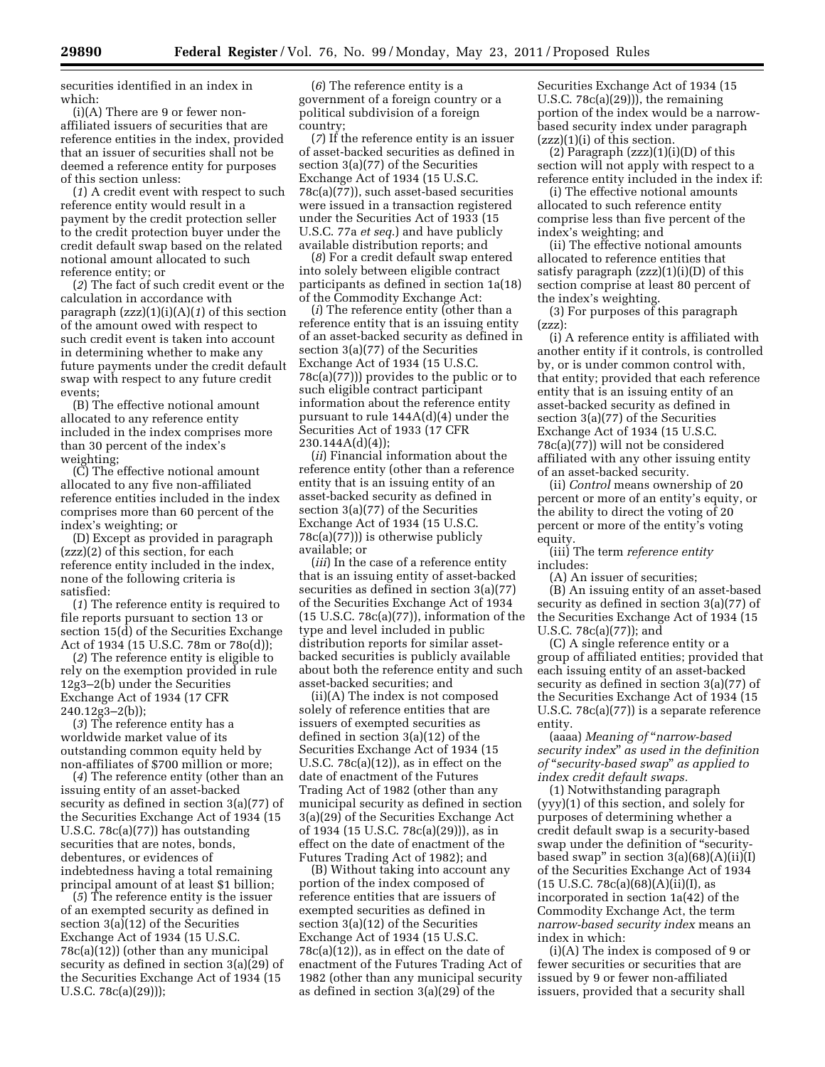securities identified in an index in which:

(i)(A) There are 9 or fewer nonaffiliated issuers of securities that are reference entities in the index, provided that an issuer of securities shall not be deemed a reference entity for purposes of this section unless:

(*1*) A credit event with respect to such reference entity would result in a payment by the credit protection seller to the credit protection buyer under the credit default swap based on the related notional amount allocated to such reference entity; or

(*2*) The fact of such credit event or the calculation in accordance with paragraph (zzz)(1)(i)(A)(*1*) of this section of the amount owed with respect to such credit event is taken into account in determining whether to make any future payments under the credit default swap with respect to any future credit events;

(B) The effective notional amount allocated to any reference entity included in the index comprises more than 30 percent of the index's weighting;

(C) The effective notional amount allocated to any five non-affiliated reference entities included in the index comprises more than 60 percent of the index's weighting; or

(D) Except as provided in paragraph (zzz)(2) of this section, for each reference entity included in the index, none of the following criteria is satisfied:

(*1*) The reference entity is required to file reports pursuant to section 13 or section 15(d) of the Securities Exchange Act of 1934 (15 U.S.C. 78m or 78o(d));

(*2*) The reference entity is eligible to rely on the exemption provided in rule 12g3–2(b) under the Securities Exchange Act of 1934 (17 CFR 240.12g3–2(b));

(*3*) The reference entity has a worldwide market value of its outstanding common equity held by non-affiliates of \$700 million or more;

(*4*) The reference entity (other than an issuing entity of an asset-backed security as defined in section 3(a)(77) of the Securities Exchange Act of 1934 (15 U.S.C. 78c(a)(77)) has outstanding securities that are notes, bonds, debentures, or evidences of indebtedness having a total remaining principal amount of at least \$1 billion;

(*5*) The reference entity is the issuer of an exempted security as defined in section 3(a)(12) of the Securities Exchange Act of 1934 (15 U.S.C. 78c(a)(12)) (other than any municipal security as defined in section 3(a)(29) of the Securities Exchange Act of 1934 (15 U.S.C. 78c(a)(29)));

(*6*) The reference entity is a government of a foreign country or a political subdivision of a foreign country;

(*7*) If the reference entity is an issuer of asset-backed securities as defined in section 3(a)(77) of the Securities Exchange Act of 1934 (15 U.S.C. 78c(a)(77)), such asset-based securities were issued in a transaction registered under the Securities Act of 1933 (15 U.S.C. 77a *et seq*.) and have publicly available distribution reports; and

(*8*) For a credit default swap entered into solely between eligible contract participants as defined in section 1a(18) of the Commodity Exchange Act:

(*i*) The reference entity (other than a reference entity that is an issuing entity of an asset-backed security as defined in section 3(a)(77) of the Securities Exchange Act of 1934 (15 U.S.C. 78c(a)(77))) provides to the public or to such eligible contract participant information about the reference entity pursuant to rule 144A(d)(4) under the Securities Act of 1933 (17 CFR 230.144A(d)(4));

(*ii*) Financial information about the reference entity (other than a reference entity that is an issuing entity of an asset-backed security as defined in section 3(a)(77) of the Securities Exchange Act of 1934 (15 U.S.C. 78c(a)(77))) is otherwise publicly available; or

(*iii*) In the case of a reference entity that is an issuing entity of asset-backed securities as defined in section 3(a)(77) of the Securities Exchange Act of 1934  $(15 \text{ U.S.C. } 78c(a)(77))$ , information of the type and level included in public distribution reports for similar assetbacked securities is publicly available about both the reference entity and such asset-backed securities; and

(ii)(A) The index is not composed solely of reference entities that are issuers of exempted securities as defined in section 3(a)(12) of the Securities Exchange Act of 1934 (15 U.S.C. 78c(a)(12)), as in effect on the date of enactment of the Futures Trading Act of 1982 (other than any municipal security as defined in section 3(a)(29) of the Securities Exchange Act of 1934 (15 U.S.C. 78c(a)(29))), as in effect on the date of enactment of the Futures Trading Act of 1982); and

(B) Without taking into account any portion of the index composed of reference entities that are issuers of exempted securities as defined in section 3(a)(12) of the Securities Exchange Act of 1934 (15 U.S.C.  $78c(a)(12)$ , as in effect on the date of enactment of the Futures Trading Act of 1982 (other than any municipal security as defined in section 3(a)(29) of the

Securities Exchange Act of 1934 (15 U.S.C. 78c(a)(29))), the remaining portion of the index would be a narrowbased security index under paragraph  $(zzz)(1)(i)$  of this section.

(2) Paragraph  $(zzz)(1)(i)(D)$  of this section will not apply with respect to a reference entity included in the index if:

(i) The effective notional amounts allocated to such reference entity comprise less than five percent of the index's weighting; and

(ii) The effective notional amounts allocated to reference entities that satisfy paragraph  $(zzz)(1)(i)(D)$  of this section comprise at least 80 percent of the index's weighting.

(3) For purposes of this paragraph (zzz):

(i) A reference entity is affiliated with another entity if it controls, is controlled by, or is under common control with, that entity; provided that each reference entity that is an issuing entity of an asset-backed security as defined in section 3(a)(77) of the Securities Exchange Act of 1934 (15 U.S.C. 78c(a)(77)) will not be considered affiliated with any other issuing entity of an asset-backed security.

(ii) *Control* means ownership of 20 percent or more of an entity's equity, or the ability to direct the voting of 20 percent or more of the entity's voting equity.

(iii) The term *reference entity*  includes:

(A) An issuer of securities;

(B) An issuing entity of an asset-based security as defined in section 3(a)(77) of the Securities Exchange Act of 1934 (15 U.S.C. 78c(a)(77)); and

(C) A single reference entity or a group of affiliated entities; provided that each issuing entity of an asset-backed security as defined in section 3(a)(77) of the Securities Exchange Act of 1934 (15 U.S.C. 78c(a)(77)) is a separate reference entity.

(aaaa) *Meaning of* ''*narrow-based security index*'' *as used in the definition of* ''*security-based swap*'' *as applied to index credit default swaps.* 

(1) Notwithstanding paragraph (yyy)(1) of this section, and solely for purposes of determining whether a credit default swap is a security-based swap under the definition of ''securitybased swap" in section  $3(a)(68)(A)(ii)(I)$ of the Securities Exchange Act of 1934  $(15 \text{ U.S.C. } 78c(a)(68)(A)(ii)(I)$ , as incorporated in section 1a(42) of the Commodity Exchange Act, the term *narrow-based security index* means an index in which:

(i)(A) The index is composed of 9 or fewer securities or securities that are issued by 9 or fewer non-affiliated issuers, provided that a security shall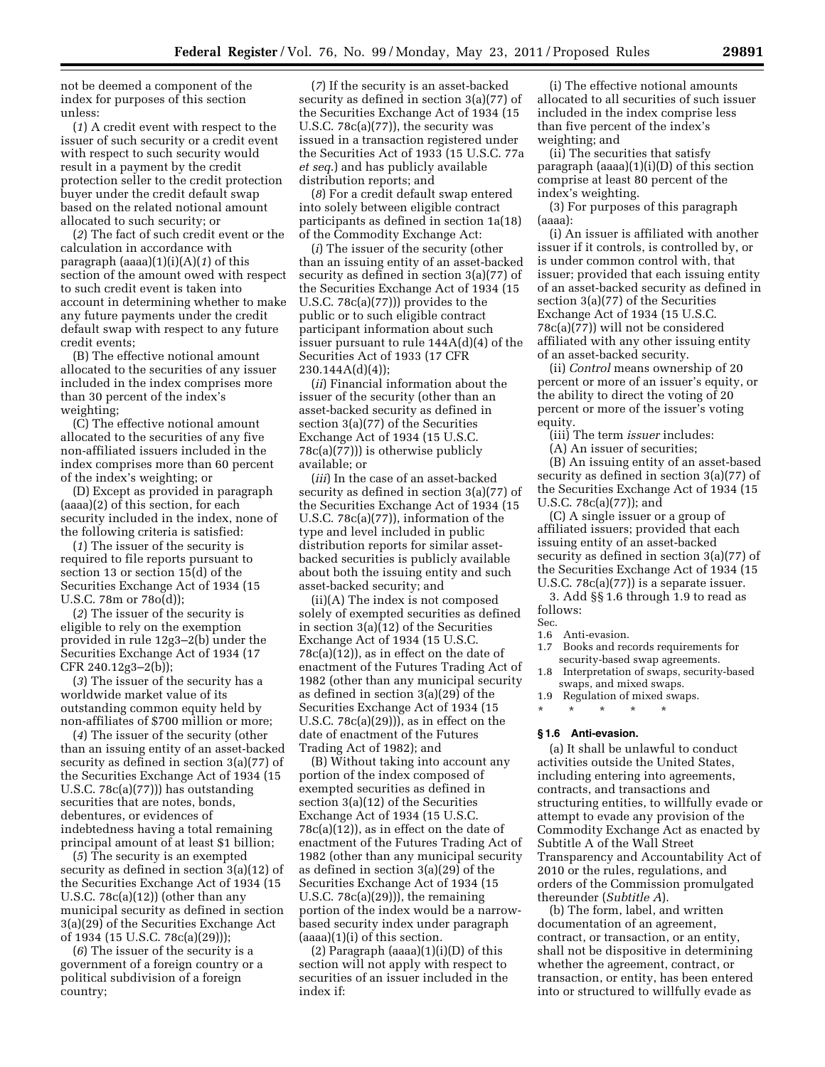not be deemed a component of the index for purposes of this section unless:

(*1*) A credit event with respect to the issuer of such security or a credit event with respect to such security would result in a payment by the credit protection seller to the credit protection buyer under the credit default swap based on the related notional amount allocated to such security; or

(*2*) The fact of such credit event or the calculation in accordance with paragraph (aaaa)(1)(i)(A)(*1*) of this section of the amount owed with respect to such credit event is taken into account in determining whether to make any future payments under the credit default swap with respect to any future credit events;

(B) The effective notional amount allocated to the securities of any issuer included in the index comprises more than 30 percent of the index's weighting;

(C) The effective notional amount allocated to the securities of any five non-affiliated issuers included in the index comprises more than 60 percent of the index's weighting; or

(D) Except as provided in paragraph (aaaa)(2) of this section, for each security included in the index, none of the following criteria is satisfied:

(*1*) The issuer of the security is required to file reports pursuant to section 13 or section 15(d) of the Securities Exchange Act of 1934 (15 U.S.C. 78m or 78o(d));

(*2*) The issuer of the security is eligible to rely on the exemption provided in rule 12g3–2(b) under the Securities Exchange Act of 1934 (17 CFR 240.12g3–2(b));

(*3*) The issuer of the security has a worldwide market value of its outstanding common equity held by non-affiliates of \$700 million or more;

(*4*) The issuer of the security (other than an issuing entity of an asset-backed security as defined in section 3(a)(77) of the Securities Exchange Act of 1934 (15 U.S.C. 78c(a)(77))) has outstanding securities that are notes, bonds, debentures, or evidences of indebtedness having a total remaining principal amount of at least \$1 billion;

(*5*) The security is an exempted security as defined in section 3(a)(12) of the Securities Exchange Act of 1934 (15 U.S.C. 78c(a)(12)) (other than any municipal security as defined in section 3(a)(29) of the Securities Exchange Act of 1934 (15 U.S.C. 78c(a)(29)));

(*6*) The issuer of the security is a government of a foreign country or a political subdivision of a foreign country;

(*7*) If the security is an asset-backed security as defined in section 3(a)(77) of the Securities Exchange Act of 1934 (15 U.S.C. 78c(a)(77)), the security was issued in a transaction registered under the Securities Act of 1933 (15 U.S.C. 77a *et seq*.) and has publicly available distribution reports; and

(*8*) For a credit default swap entered into solely between eligible contract participants as defined in section 1a(18) of the Commodity Exchange Act:

(*i*) The issuer of the security (other than an issuing entity of an asset-backed security as defined in section 3(a)(77) of the Securities Exchange Act of 1934 (15 U.S.C. 78c(a)(77))) provides to the public or to such eligible contract participant information about such issuer pursuant to rule 144A(d)(4) of the Securities Act of 1933 (17 CFR 230.144A(d)(4));

(*ii*) Financial information about the issuer of the security (other than an asset-backed security as defined in section 3(a)(77) of the Securities Exchange Act of 1934 (15 U.S.C. 78c(a)(77))) is otherwise publicly available; or

(*iii*) In the case of an asset-backed security as defined in section 3(a)(77) of the Securities Exchange Act of 1934 (15 U.S.C. 78c(a)(77)), information of the type and level included in public distribution reports for similar assetbacked securities is publicly available about both the issuing entity and such asset-backed security; and

(ii)(A) The index is not composed solely of exempted securities as defined in section 3(a)(12) of the Securities Exchange Act of 1934 (15 U.S.C. 78c(a)(12)), as in effect on the date of enactment of the Futures Trading Act of 1982 (other than any municipal security as defined in section 3(a)(29) of the Securities Exchange Act of 1934 (15 U.S.C. 78c(a)(29))), as in effect on the date of enactment of the Futures Trading Act of 1982); and

(B) Without taking into account any portion of the index composed of exempted securities as defined in section 3(a)(12) of the Securities Exchange Act of 1934 (15 U.S.C. 78c(a)(12)), as in effect on the date of enactment of the Futures Trading Act of 1982 (other than any municipal security as defined in section 3(a)(29) of the Securities Exchange Act of 1934 (15 U.S.C. 78c(a)(29))), the remaining portion of the index would be a narrowbased security index under paragraph (aaaa)(1)(i) of this section.

(2) Paragraph (aaaa) $(1)(i)(D)$  of this section will not apply with respect to securities of an issuer included in the index if:

(i) The effective notional amounts allocated to all securities of such issuer included in the index comprise less than five percent of the index's weighting; and

(ii) The securities that satisfy paragraph (aaaa)(1)(i)(D) of this section comprise at least 80 percent of the index's weighting.

(3) For purposes of this paragraph (aaaa):

(i) An issuer is affiliated with another issuer if it controls, is controlled by, or is under common control with, that issuer; provided that each issuing entity of an asset-backed security as defined in section 3(a)(77) of the Securities Exchange Act of 1934 (15 U.S.C. 78c(a)(77)) will not be considered affiliated with any other issuing entity of an asset-backed security.

(ii) *Control* means ownership of 20 percent or more of an issuer's equity, or the ability to direct the voting of 20 percent or more of the issuer's voting equity.

(iii) The term *issuer* includes:

(A) An issuer of securities;

(B) An issuing entity of an asset-based security as defined in section 3(a)(77) of the Securities Exchange Act of 1934 (15 U.S.C. 78c(a)(77)); and

(C) A single issuer or a group of affiliated issuers; provided that each issuing entity of an asset-backed security as defined in section 3(a)(77) of the Securities Exchange Act of 1934 (15 U.S.C. 78c(a)(77)) is a separate issuer.

3. Add §§ 1.6 through 1.9 to read as follows:

- Sec.
- 1.6 Anti-evasion.
- 1.7 Books and records requirements for security-based swap agreements.
- 1.8 Interpretation of swaps, security-based swaps, and mixed swaps.
- 1.9 Regulation of mixed swaps. \* \* \* \* \*

## **§ 1.6 Anti-evasion.**

(a) It shall be unlawful to conduct activities outside the United States, including entering into agreements, contracts, and transactions and structuring entities, to willfully evade or attempt to evade any provision of the Commodity Exchange Act as enacted by Subtitle A of the Wall Street Transparency and Accountability Act of 2010 or the rules, regulations, and orders of the Commission promulgated thereunder (*Subtitle A*).

(b) The form, label, and written documentation of an agreement, contract, or transaction, or an entity, shall not be dispositive in determining whether the agreement, contract, or transaction, or entity, has been entered into or structured to willfully evade as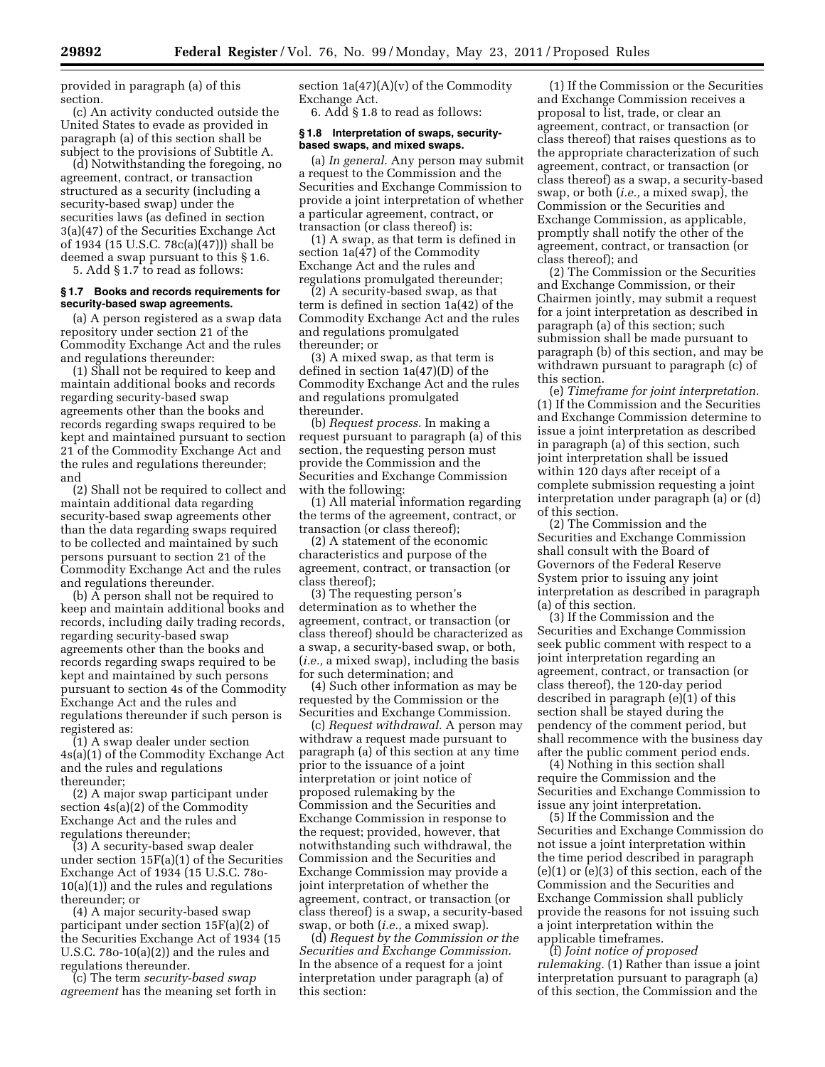provided in paragraph (a) of this section.

(c) An activity conducted outside the United States to evade as provided in paragraph (a) of this section shall be subject to the provisions of Subtitle A.

(d) Notwithstanding the foregoing, no agreement, contract, or transaction structured as a security (including a security-based swap) under the securities laws (as defined in section 3(a)(47) of the Securities Exchange Act of 1934 (15 U.S.C. 78c(a)(47))) shall be deemed a swap pursuant to this § 1.6. 5. Add § 1.7 to read as follows:

# **§ 1.7 Books and records requirements for security-based swap agreements.**

(a) A person registered as a swap data repository under section 21 of the Commodity Exchange Act and the rules and regulations thereunder:

(1) Shall not be required to keep and maintain additional books and records regarding security-based swap agreements other than the books and records regarding swaps required to be kept and maintained pursuant to section 21 of the Commodity Exchange Act and the rules and regulations thereunder; and

(2) Shall not be required to collect and maintain additional data regarding security-based swap agreements other than the data regarding swaps required to be collected and maintained by such persons pursuant to section 21 of the Commodity Exchange Act and the rules and regulations thereunder.

(b) A person shall not be required to keep and maintain additional books and records, including daily trading records, regarding security-based swap agreements other than the books and records regarding swaps required to be kept and maintained by such persons pursuant to section 4s of the Commodity Exchange Act and the rules and regulations thereunder if such person is registered as:

(1) A swap dealer under section 4s(a)(1) of the Commodity Exchange Act and the rules and regulations thereunder;

(2) A major swap participant under section 4s(a)(2) of the Commodity Exchange Act and the rules and regulations thereunder;

(3) A security-based swap dealer under section 15F(a)(1) of the Securities Exchange Act of 1934 (15 U.S.C. 78o-10(a)(1)) and the rules and regulations thereunder; or

(4) A major security-based swap participant under section 15F(a)(2) of the Securities Exchange Act of 1934 (15 U.S.C. 78o-10(a)(2)) and the rules and regulations thereunder.

(c) The term *security-based swap agreement* has the meaning set forth in section  $1a(47)(A)(v)$  of the Commodity Exchange Act.

6. Add § 1.8 to read as follows:

#### **§ 1.8 Interpretation of swaps, securitybased swaps, and mixed swaps.**

(a) *In general.* Any person may submit a request to the Commission and the Securities and Exchange Commission to provide a joint interpretation of whether a particular agreement, contract, or transaction (or class thereof) is:

(1) A swap, as that term is defined in section 1a(47) of the Commodity Exchange Act and the rules and regulations promulgated thereunder;

(2) A security-based swap, as that term is defined in section 1a(42) of the Commodity Exchange Act and the rules and regulations promulgated thereunder; or

(3) A mixed swap, as that term is defined in section 1a(47)(D) of the Commodity Exchange Act and the rules and regulations promulgated thereunder.

(b) *Request process.* In making a request pursuant to paragraph (a) of this section, the requesting person must provide the Commission and the Securities and Exchange Commission with the following:

(1) All material information regarding the terms of the agreement, contract, or transaction (or class thereof);

(2) A statement of the economic characteristics and purpose of the agreement, contract, or transaction (or class thereof);

(3) The requesting person's determination as to whether the agreement, contract, or transaction (or class thereof) should be characterized as a swap, a security-based swap, or both, (*i.e.,* a mixed swap), including the basis for such determination; and

(4) Such other information as may be requested by the Commission or the Securities and Exchange Commission.

(c) *Request withdrawal.* A person may withdraw a request made pursuant to paragraph (a) of this section at any time prior to the issuance of a joint interpretation or joint notice of proposed rulemaking by the Commission and the Securities and Exchange Commission in response to the request; provided, however, that notwithstanding such withdrawal, the Commission and the Securities and Exchange Commission may provide a joint interpretation of whether the agreement, contract, or transaction (or class thereof) is a swap, a security-based swap, or both (*i.e.,* a mixed swap).

(d) *Request by the Commission or the Securities and Exchange Commission.*  In the absence of a request for a joint interpretation under paragraph (a) of this section:

(1) If the Commission or the Securities and Exchange Commission receives a proposal to list, trade, or clear an agreement, contract, or transaction (or class thereof) that raises questions as to the appropriate characterization of such agreement, contract, or transaction (or class thereof) as a swap, a security-based swap, or both (*i.e.,* a mixed swap), the Commission or the Securities and Exchange Commission, as applicable, promptly shall notify the other of the agreement, contract, or transaction (or class thereof); and

(2) The Commission or the Securities and Exchange Commission, or their Chairmen jointly, may submit a request for a joint interpretation as described in paragraph (a) of this section; such submission shall be made pursuant to paragraph (b) of this section, and may be withdrawn pursuant to paragraph (c) of this section.

(e) *Timeframe for joint interpretation.*  (1) If the Commission and the Securities and Exchange Commission determine to issue a joint interpretation as described in paragraph (a) of this section, such joint interpretation shall be issued within 120 days after receipt of a complete submission requesting a joint interpretation under paragraph (a) or (d) of this section.

(2) The Commission and the Securities and Exchange Commission shall consult with the Board of Governors of the Federal Reserve System prior to issuing any joint interpretation as described in paragraph (a) of this section.

(3) If the Commission and the Securities and Exchange Commission seek public comment with respect to a joint interpretation regarding an agreement, contract, or transaction (or class thereof), the 120-day period described in paragraph (e)(1) of this section shall be stayed during the pendency of the comment period, but shall recommence with the business day after the public comment period ends.

(4) Nothing in this section shall require the Commission and the Securities and Exchange Commission to issue any joint interpretation.

(5) If the Commission and the Securities and Exchange Commission do not issue a joint interpretation within the time period described in paragraph  $(e)(1)$  or  $(e)(3)$  of this section, each of the Commission and the Securities and Exchange Commission shall publicly provide the reasons for not issuing such a joint interpretation within the applicable timeframes.

(f) *Joint notice of proposed rulemaking.* (1) Rather than issue a joint interpretation pursuant to paragraph (a) of this section, the Commission and the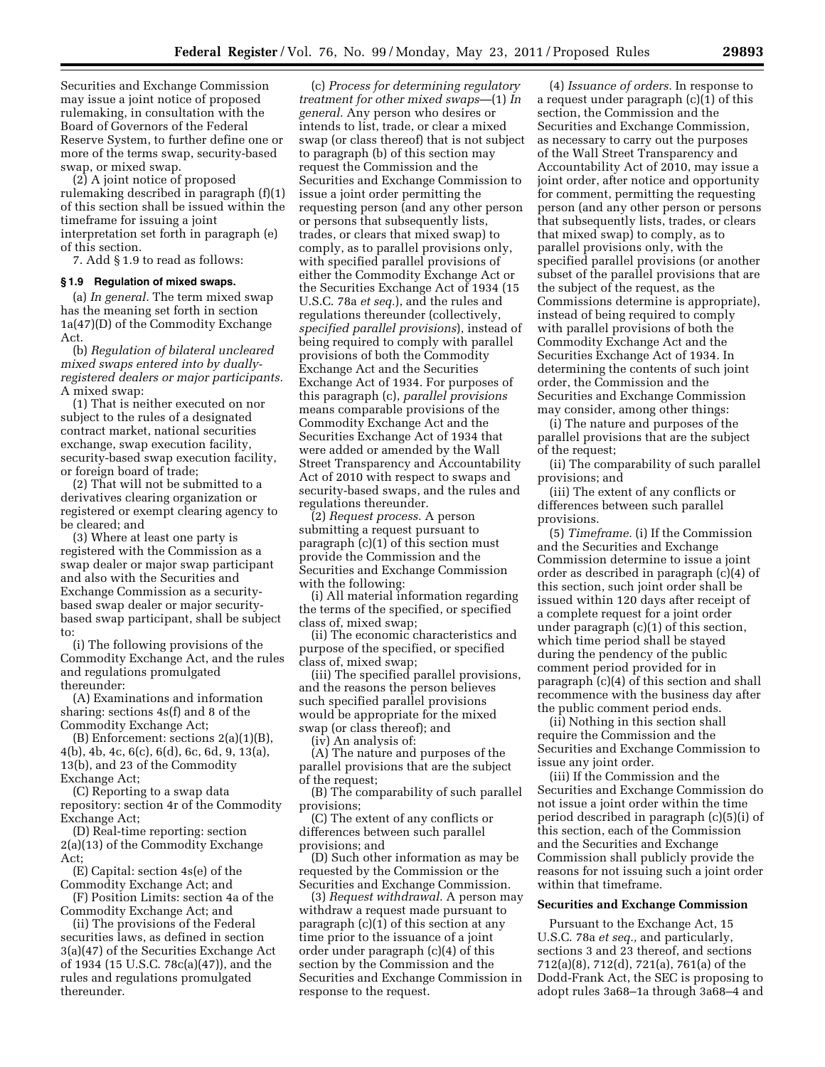Securities and Exchange Commission may issue a joint notice of proposed rulemaking, in consultation with the Board of Governors of the Federal Reserve System, to further define one or more of the terms swap, security-based swap, or mixed swap.

(2) A joint notice of proposed rulemaking described in paragraph (f)(1) of this section shall be issued within the timeframe for issuing a joint interpretation set forth in paragraph (e) of this section.

7. Add § 1.9 to read as follows:

#### **§ 1.9 Regulation of mixed swaps.**

(a) *In general.* The term mixed swap has the meaning set forth in section 1a(47)(D) of the Commodity Exchange Act.

(b) *Regulation of bilateral uncleared mixed swaps entered into by duallyregistered dealers or major participants.*  A mixed swap:

(1) That is neither executed on nor subject to the rules of a designated contract market, national securities exchange, swap execution facility, security-based swap execution facility, or foreign board of trade;

(2) That will not be submitted to a derivatives clearing organization or registered or exempt clearing agency to be cleared; and

(3) Where at least one party is registered with the Commission as a swap dealer or major swap participant and also with the Securities and Exchange Commission as a securitybased swap dealer or major securitybased swap participant, shall be subject to:

(i) The following provisions of the Commodity Exchange Act, and the rules and regulations promulgated thereunder:

(A) Examinations and information sharing: sections 4s(f) and 8 of the Commodity Exchange Act;

(B) Enforcement: sections 2(a)(1)(B), 4(b), 4b, 4c, 6(c), 6(d), 6c, 6d, 9, 13(a), 13(b), and 23 of the Commodity Exchange Act;

(C) Reporting to a swap data repository: section 4r of the Commodity Exchange Act;

(D) Real-time reporting: section 2(a)(13) of the Commodity Exchange Act;

(E) Capital: section 4s(e) of the Commodity Exchange Act; and

(F) Position Limits: section 4a of the Commodity Exchange Act; and

(ii) The provisions of the Federal securities laws, as defined in section 3(a)(47) of the Securities Exchange Act of 1934 (15 U.S.C. 78c(a)(47)), and the rules and regulations promulgated thereunder.

(c) *Process for determining regulatory treatment for other mixed swaps*—(1) *In general.* Any person who desires or intends to list, trade, or clear a mixed swap (or class thereof) that is not subject to paragraph (b) of this section may request the Commission and the Securities and Exchange Commission to issue a joint order permitting the requesting person (and any other person or persons that subsequently lists, trades, or clears that mixed swap) to comply, as to parallel provisions only, with specified parallel provisions of either the Commodity Exchange Act or the Securities Exchange Act of 1934 (15 U.S.C. 78a *et seq.*), and the rules and regulations thereunder (collectively, *specified parallel provisions*), instead of being required to comply with parallel provisions of both the Commodity Exchange Act and the Securities Exchange Act of 1934. For purposes of this paragraph (c), *parallel provisions*  means comparable provisions of the Commodity Exchange Act and the Securities Exchange Act of 1934 that were added or amended by the Wall Street Transparency and Accountability Act of 2010 with respect to swaps and security-based swaps, and the rules and regulations thereunder.

(2) *Request process.* A person submitting a request pursuant to paragraph (c)(1) of this section must provide the Commission and the Securities and Exchange Commission with the following:

(i) All material information regarding the terms of the specified, or specified class of, mixed swap;

(ii) The economic characteristics and purpose of the specified, or specified class of, mixed swap;

(iii) The specified parallel provisions, and the reasons the person believes such specified parallel provisions would be appropriate for the mixed swap (or class thereof); and

(iv) An analysis of:

(A) The nature and purposes of the parallel provisions that are the subject of the request;

(B) The comparability of such parallel provisions;

(C) The extent of any conflicts or differences between such parallel provisions; and

(D) Such other information as may be requested by the Commission or the Securities and Exchange Commission.

(3) *Request withdrawal.* A person may withdraw a request made pursuant to paragraph (c)(1) of this section at any time prior to the issuance of a joint order under paragraph (c)(4) of this section by the Commission and the Securities and Exchange Commission in response to the request.

(4) *Issuance of orders.* In response to a request under paragraph (c)(1) of this section, the Commission and the Securities and Exchange Commission, as necessary to carry out the purposes of the Wall Street Transparency and Accountability Act of 2010, may issue a joint order, after notice and opportunity for comment, permitting the requesting person (and any other person or persons that subsequently lists, trades, or clears that mixed swap) to comply, as to parallel provisions only, with the specified parallel provisions (or another subset of the parallel provisions that are the subject of the request, as the Commissions determine is appropriate), instead of being required to comply with parallel provisions of both the Commodity Exchange Act and the Securities Exchange Act of 1934. In determining the contents of such joint order, the Commission and the Securities and Exchange Commission may consider, among other things:

(i) The nature and purposes of the parallel provisions that are the subject of the request;

(ii) The comparability of such parallel provisions; and

(iii) The extent of any conflicts or differences between such parallel provisions.

(5) *Timeframe.* (i) If the Commission and the Securities and Exchange Commission determine to issue a joint order as described in paragraph (c)(4) of this section, such joint order shall be issued within 120 days after receipt of a complete request for a joint order under paragraph (c)(1) of this section, which time period shall be stayed during the pendency of the public comment period provided for in paragraph (c)(4) of this section and shall recommence with the business day after the public comment period ends.

(ii) Nothing in this section shall require the Commission and the Securities and Exchange Commission to issue any joint order.

(iii) If the Commission and the Securities and Exchange Commission do not issue a joint order within the time period described in paragraph (c)(5)(i) of this section, each of the Commission and the Securities and Exchange Commission shall publicly provide the reasons for not issuing such a joint order within that timeframe.

# **Securities and Exchange Commission**

Pursuant to the Exchange Act, 15 U.S.C. 78a *et seq.,* and particularly, sections 3 and 23 thereof, and sections 712(a)(8), 712(d), 721(a), 761(a) of the Dodd-Frank Act, the SEC is proposing to adopt rules 3a68–1a through 3a68–4 and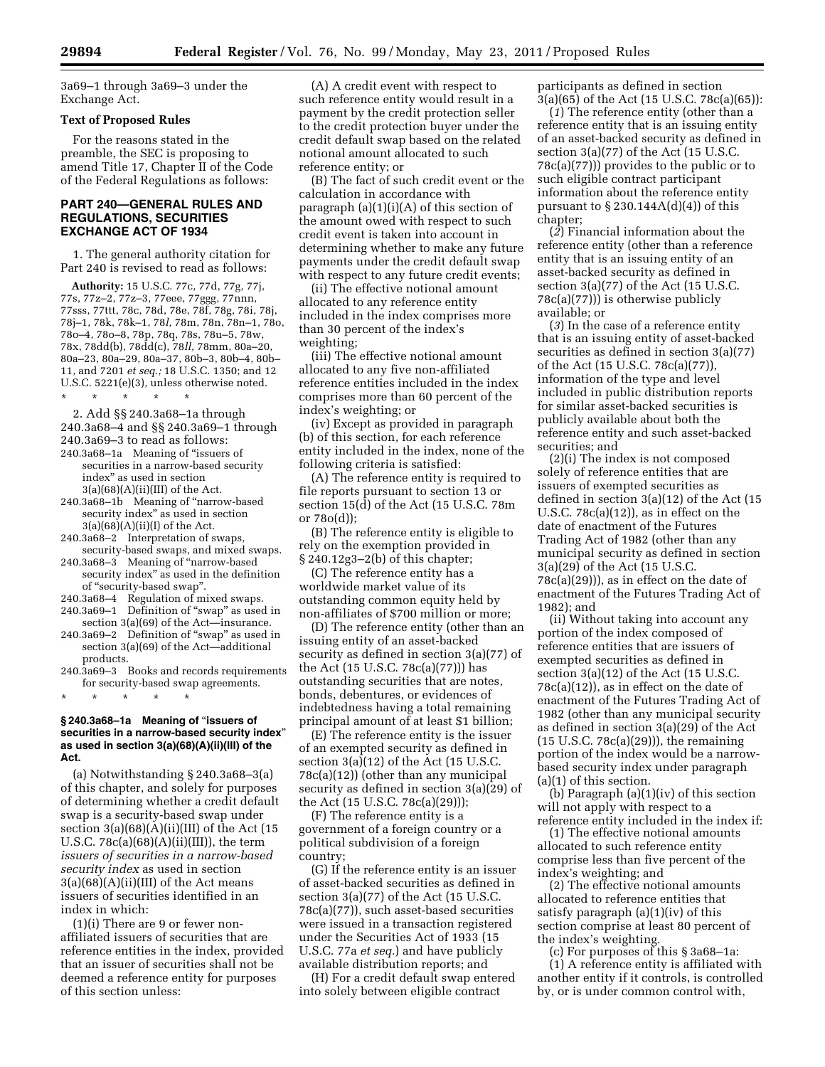3a69–1 through 3a69–3 under the Exchange Act.

## **Text of Proposed Rules**

For the reasons stated in the preamble, the SEC is proposing to amend Title 17, Chapter II of the Code of the Federal Regulations as follows:

# **PART 240—GENERAL RULES AND REGULATIONS, SECURITIES EXCHANGE ACT OF 1934**

1. The general authority citation for Part 240 is revised to read as follows:

**Authority:** 15 U.S.C. 77c, 77d, 77g, 77j, 77s, 77z–2, 77z–3, 77eee, 77ggg, 77nnn, 77sss, 77ttt, 78c, 78d, 78e, 78f, 78g, 78i, 78j, 78j–1, 78k, 78k–1, 78*l,* 78m, 78n, 78n–1, 78o, 78o–4, 78o–8, 78p, 78q, 78s, 78u–5, 78w, 78x, 78dd(b), 78dd(c), 78*ll,* 78mm, 80a–20, 80a–23, 80a–29, 80a–37, 80b–3, 80b–4, 80b– 11, and 7201 *et seq.;* 18 U.S.C. 1350; and 12 U.S.C. 5221(e)(3), unless otherwise noted. \* \* \* \* \*

2. Add §§ 240.3a68–1a through

- 240.3a68–4 and §§ 240.3a69–1 through
- 240.3a69–3 to read as follows:
- 240.3a68–1a Meaning of ''issuers of securities in a narrow-based security index'' as used in section  $3(a)(68)(A)(ii)(III)$  of the Act.
- 240.3a68–1b Meaning of ''narrow-based security index'' as used in section  $3(a)(68)(A)(ii)(I)$  of the Act.
- 240.3a68–2 Interpretation of swaps, security-based swaps, and mixed swaps.
- 240.3a68–3 Meaning of ''narrow-based security index'' as used in the definition of ''security-based swap''.
- 240.3a68–4 Regulation of mixed swaps.
- 240.3a69–1 Definition of ''swap'' as used in section 3(a)(69) of the Act—insurance.
- 240.3a69–2 Definition of ''swap'' as used in section 3(a)(69) of the Act—additional products.
- 240.3a69–3 Books and records requirements for security-based swap agreements.

\* \* \* \* \*

#### **§ 240.3a68–1a Meaning of** ''**issuers of securities in a narrow-based security index**'' **as used in section 3(a)(68)(A)(ii)(III) of the Act.**

(a) Notwithstanding § 240.3a68–3(a) of this chapter, and solely for purposes of determining whether a credit default swap is a security-based swap under section  $3(a)(68)(A)(ii)(III)$  of the Act (15 U.S.C.  $78c(a)(68)(A)(ii)(III)$ , the term *issuers of securities in a narrow-based security index* as used in section 3(a)(68)(A)(ii)(III) of the Act means issuers of securities identified in an index in which:

(1)(i) There are 9 or fewer nonaffiliated issuers of securities that are reference entities in the index, provided that an issuer of securities shall not be deemed a reference entity for purposes of this section unless:

(A) A credit event with respect to such reference entity would result in a payment by the credit protection seller to the credit protection buyer under the credit default swap based on the related notional amount allocated to such reference entity; or

(B) The fact of such credit event or the calculation in accordance with paragraph  $(a)(1)(i)(A)$  of this section of the amount owed with respect to such credit event is taken into account in determining whether to make any future payments under the credit default swap with respect to any future credit events;

(ii) The effective notional amount allocated to any reference entity included in the index comprises more than 30 percent of the index's weighting;

(iii) The effective notional amount allocated to any five non-affiliated reference entities included in the index comprises more than 60 percent of the index's weighting; or

(iv) Except as provided in paragraph (b) of this section, for each reference entity included in the index, none of the following criteria is satisfied:

(A) The reference entity is required to file reports pursuant to section 13 or section 15(d) of the Act (15 U.S.C. 78m or 78o(d));

(B) The reference entity is eligible to rely on the exemption provided in § 240.12g3–2(b) of this chapter;

(C) The reference entity has a worldwide market value of its outstanding common equity held by non-affiliates of \$700 million or more;

(D) The reference entity (other than an issuing entity of an asset-backed security as defined in section 3(a)(77) of the Act (15 U.S.C. 78c(a)(77))) has outstanding securities that are notes, bonds, debentures, or evidences of indebtedness having a total remaining principal amount of at least \$1 billion;

(E) The reference entity is the issuer of an exempted security as defined in section  $3(a)(12)$  of the Act (15 U.S.C. 78c(a)(12)) (other than any municipal security as defined in section 3(a)(29) of the Act (15 U.S.C. 78c(a)(29)));

(F) The reference entity is a government of a foreign country or a political subdivision of a foreign country;

(G) If the reference entity is an issuer of asset-backed securities as defined in section 3(a)(77) of the Act (15 U.S.C. 78c(a)(77)), such asset-based securities were issued in a transaction registered under the Securities Act of 1933 (15 U.S.C. 77a *et seq.*) and have publicly available distribution reports; and

(H) For a credit default swap entered into solely between eligible contract

participants as defined in section 3(a)(65) of the Act (15 U.S.C. 78c(a)(65)):

(*1*) The reference entity (other than a reference entity that is an issuing entity of an asset-backed security as defined in section 3(a)(77) of the Act (15 U.S.C. 78c(a)(77))) provides to the public or to such eligible contract participant information about the reference entity pursuant to  $\S 230.144A(d)(4)$  of this chapter;

(*2*) Financial information about the reference entity (other than a reference entity that is an issuing entity of an asset-backed security as defined in section 3(a)(77) of the Act (15 U.S.C. 78c(a)(77))) is otherwise publicly available; or

(*3*) In the case of a reference entity that is an issuing entity of asset-backed securities as defined in section 3(a)(77) of the Act (15 U.S.C. 78c(a)(77)), information of the type and level included in public distribution reports for similar asset-backed securities is publicly available about both the reference entity and such asset-backed securities; and

(2)(i) The index is not composed solely of reference entities that are issuers of exempted securities as defined in section 3(a)(12) of the Act (15 U.S.C. 78c(a)(12)), as in effect on the date of enactment of the Futures Trading Act of 1982 (other than any municipal security as defined in section 3(a)(29) of the Act (15 U.S.C. 78c(a)(29))), as in effect on the date of enactment of the Futures Trading Act of 1982); and

(ii) Without taking into account any portion of the index composed of reference entities that are issuers of exempted securities as defined in section 3(a)(12) of the Act (15 U.S.C. 78c(a)(12)), as in effect on the date of enactment of the Futures Trading Act of 1982 (other than any municipal security as defined in section 3(a)(29) of the Act (15 U.S.C. 78c(a)(29))), the remaining portion of the index would be a narrowbased security index under paragraph (a)(1) of this section.

(b) Paragraph (a)(1)(iv) of this section will not apply with respect to a reference entity included in the index if:

(1) The effective notional amounts allocated to such reference entity comprise less than five percent of the index's weighting; and

(2) The effective notional amounts allocated to reference entities that satisfy paragraph (a)(1)(iv) of this section comprise at least 80 percent of the index's weighting.

(c) For purposes of this § 3a68–1a: (1) A reference entity is affiliated with another entity if it controls, is controlled by, or is under common control with,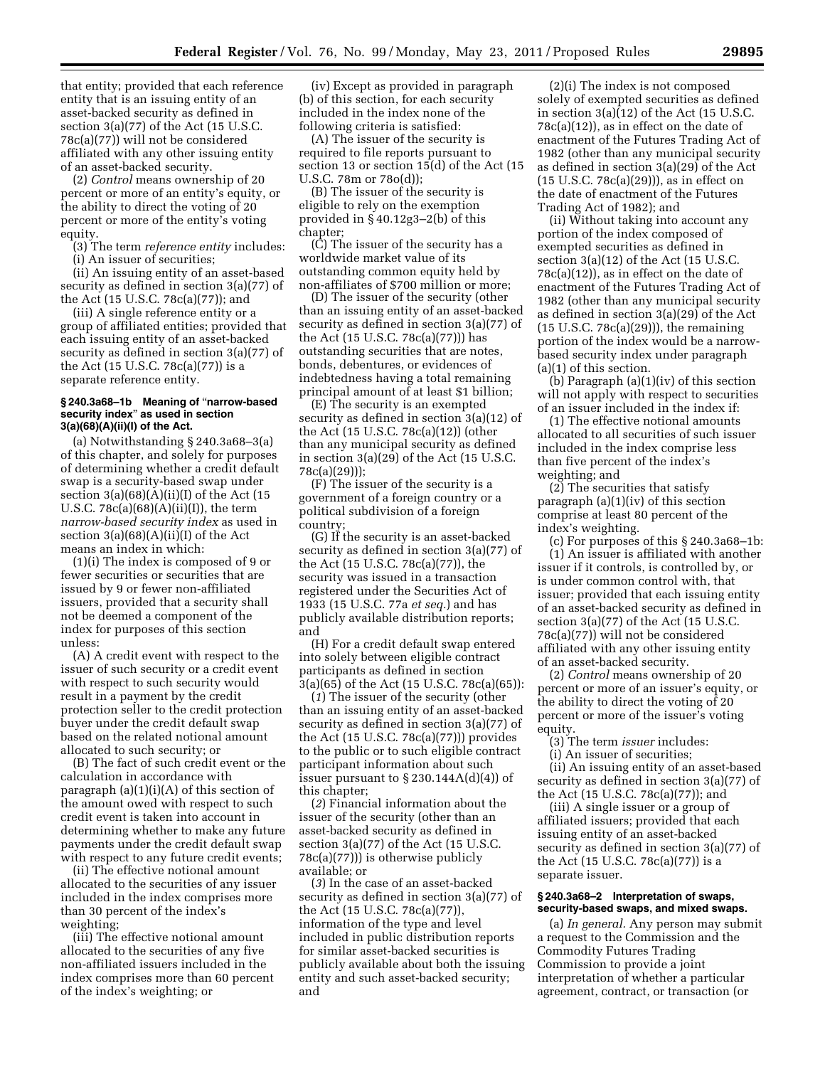that entity; provided that each reference entity that is an issuing entity of an asset-backed security as defined in section 3(a)(77) of the Act (15 U.S.C. 78c(a)(77)) will not be considered affiliated with any other issuing entity of an asset-backed security.

(2) *Control* means ownership of 20 percent or more of an entity's equity, or the ability to direct the voting of 20 percent or more of the entity's voting equity.

(3) The term *reference entity* includes:

(i) An issuer of securities; (ii) An issuing entity of an asset-based

security as defined in section 3(a)(77) of the Act (15 U.S.C. 78c(a)(77)); and

(iii) A single reference entity or a group of affiliated entities; provided that each issuing entity of an asset-backed security as defined in section 3(a)(77) of the Act (15 U.S.C. 78c(a)(77)) is a separate reference entity.

### **§ 240.3a68–1b Meaning of** ''**narrow-based security index**'' **as used in section 3(a)(68)(A)(ii)(I) of the Act.**

(a) Notwithstanding § 240.3a68–3(a) of this chapter, and solely for purposes of determining whether a credit default swap is a security-based swap under section  $3(a)(68)(A)(ii)(I)$  of the Act (15 U.S.C.  $78c(a)(68)(A)(ii)(I)$ , the term *narrow-based security index* as used in section  $3(a)(68)(A)(ii)(I)$  of the Act means an index in which:

(1)(i) The index is composed of 9 or fewer securities or securities that are issued by 9 or fewer non-affiliated issuers, provided that a security shall not be deemed a component of the index for purposes of this section unless:

(A) A credit event with respect to the issuer of such security or a credit event with respect to such security would result in a payment by the credit protection seller to the credit protection buyer under the credit default swap based on the related notional amount allocated to such security; or

(B) The fact of such credit event or the calculation in accordance with paragraph  $(a)(1)(i)(A)$  of this section of the amount owed with respect to such credit event is taken into account in determining whether to make any future payments under the credit default swap with respect to any future credit events;

(ii) The effective notional amount allocated to the securities of any issuer included in the index comprises more than 30 percent of the index's weighting;

(iii) The effective notional amount allocated to the securities of any five non-affiliated issuers included in the index comprises more than 60 percent of the index's weighting; or

(iv) Except as provided in paragraph (b) of this section, for each security included in the index none of the following criteria is satisfied:

(A) The issuer of the security is required to file reports pursuant to section 13 or section 15(d) of the Act (15 U.S.C. 78m or 78o(d));

(B) The issuer of the security is eligible to rely on the exemption provided in § 40.12g3–2(b) of this chapter;

(C) The issuer of the security has a worldwide market value of its outstanding common equity held by non-affiliates of \$700 million or more;

(D) The issuer of the security (other than an issuing entity of an asset-backed security as defined in section 3(a)(77) of the Act (15 U.S.C. 78c(a)(77))) has outstanding securities that are notes, bonds, debentures, or evidences of indebtedness having a total remaining principal amount of at least \$1 billion;

(E) The security is an exempted security as defined in section 3(a)(12) of the Act (15 U.S.C. 78c(a)(12)) (other than any municipal security as defined in section 3(a)(29) of the Act (15 U.S.C. 78c(a)(29)));

(F) The issuer of the security is a government of a foreign country or a political subdivision of a foreign country;

(G) If the security is an asset-backed security as defined in section 3(a)(77) of the Act (15 U.S.C. 78c(a)(77)), the security was issued in a transaction registered under the Securities Act of 1933 (15 U.S.C. 77a *et seq.*) and has publicly available distribution reports; and

(H) For a credit default swap entered into solely between eligible contract participants as defined in section 3(a)(65) of the Act (15 U.S.C. 78c(a)(65)):

(*1*) The issuer of the security (other than an issuing entity of an asset-backed security as defined in section 3(a)(77) of the Act (15 U.S.C. 78c(a)(77))) provides to the public or to such eligible contract participant information about such issuer pursuant to  $\S 230.144A(d)(4)$  of this chapter;

(*2*) Financial information about the issuer of the security (other than an asset-backed security as defined in section 3(a)(77) of the Act (15 U.S.C. 78c(a)(77))) is otherwise publicly available; or

(*3*) In the case of an asset-backed security as defined in section 3(a)(77) of the Act (15 U.S.C. 78c(a)(77)), information of the type and level included in public distribution reports for similar asset-backed securities is publicly available about both the issuing entity and such asset-backed security; and

(2)(i) The index is not composed solely of exempted securities as defined in section 3(a)(12) of the Act (15 U.S.C. 78c(a)(12)), as in effect on the date of enactment of the Futures Trading Act of 1982 (other than any municipal security as defined in section 3(a)(29) of the Act (15 U.S.C. 78c(a)(29))), as in effect on the date of enactment of the Futures Trading Act of 1982); and

(ii) Without taking into account any portion of the index composed of exempted securities as defined in section 3(a)(12) of the Act (15 U.S.C. 78c(a)(12)), as in effect on the date of enactment of the Futures Trading Act of 1982 (other than any municipal security as defined in section 3(a)(29) of the Act (15 U.S.C. 78c(a)(29))), the remaining portion of the index would be a narrowbased security index under paragraph (a)(1) of this section.

(b) Paragraph (a)(1)(iv) of this section will not apply with respect to securities of an issuer included in the index if:

(1) The effective notional amounts allocated to all securities of such issuer included in the index comprise less than five percent of the index's weighting; and

(2) The securities that satisfy paragraph (a)(1)(iv) of this section comprise at least 80 percent of the index's weighting.

(c) For purposes of this § 240.3a68–1b: (1) An issuer is affiliated with another issuer if it controls, is controlled by, or is under common control with, that issuer; provided that each issuing entity of an asset-backed security as defined in section 3(a)(77) of the Act (15 U.S.C. 78c(a)(77)) will not be considered affiliated with any other issuing entity of an asset-backed security.

(2) *Control* means ownership of 20 percent or more of an issuer's equity, or the ability to direct the voting of 20 percent or more of the issuer's voting equity.

(3) The term *issuer* includes:

(i) An issuer of securities;

(ii) An issuing entity of an asset-based security as defined in section 3(a)(77) of the Act (15 U.S.C. 78c(a)(77)); and

(iii) A single issuer or a group of affiliated issuers; provided that each issuing entity of an asset-backed security as defined in section 3(a)(77) of the Act (15 U.S.C. 78c(a)(77)) is a separate issuer.

### **§ 240.3a68–2 Interpretation of swaps, security-based swaps, and mixed swaps.**

(a) *In general.* Any person may submit a request to the Commission and the Commodity Futures Trading Commission to provide a joint interpretation of whether a particular agreement, contract, or transaction (or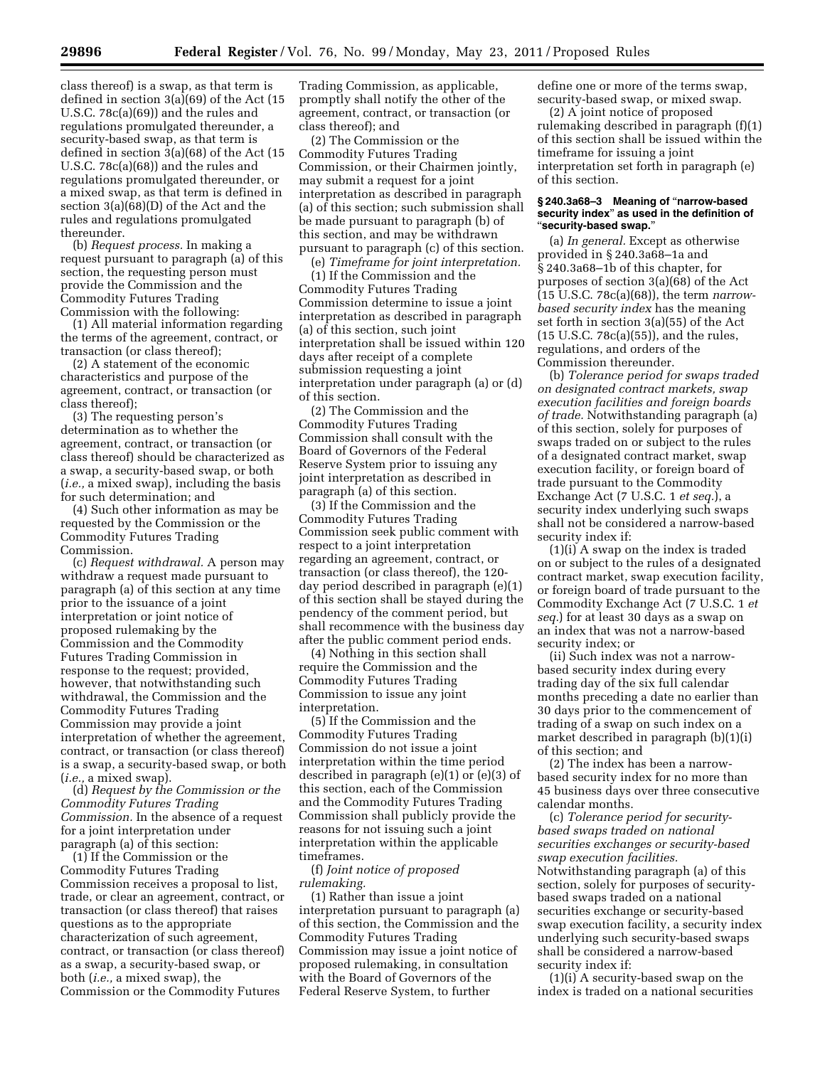class thereof) is a swap, as that term is defined in section 3(a)(69) of the Act (15 U.S.C. 78c(a)(69)) and the rules and regulations promulgated thereunder, a security-based swap, as that term is defined in section 3(a)(68) of the Act (15 U.S.C. 78c(a)(68)) and the rules and regulations promulgated thereunder, or a mixed swap, as that term is defined in section 3(a)(68)(D) of the Act and the rules and regulations promulgated

thereunder. (b) *Request process.* In making a request pursuant to paragraph (a) of this section, the requesting person must provide the Commission and the Commodity Futures Trading Commission with the following:

(1) All material information regarding the terms of the agreement, contract, or transaction (or class thereof);

(2) A statement of the economic characteristics and purpose of the agreement, contract, or transaction (or class thereof);

(3) The requesting person's determination as to whether the agreement, contract, or transaction (or class thereof) should be characterized as a swap, a security-based swap, or both (*i.e.,* a mixed swap), including the basis for such determination; and

(4) Such other information as may be requested by the Commission or the Commodity Futures Trading Commission.

(c) *Request withdrawal.* A person may withdraw a request made pursuant to paragraph (a) of this section at any time prior to the issuance of a joint interpretation or joint notice of proposed rulemaking by the Commission and the Commodity Futures Trading Commission in response to the request; provided, however, that notwithstanding such withdrawal, the Commission and the Commodity Futures Trading Commission may provide a joint interpretation of whether the agreement, contract, or transaction (or class thereof) is a swap, a security-based swap, or both (*i.e.,* a mixed swap).

(d) *Request by the Commission or the Commodity Futures Trading Commission.* In the absence of a request for a joint interpretation under paragraph (a) of this section:

(1) If the Commission or the Commodity Futures Trading Commission receives a proposal to list, trade, or clear an agreement, contract, or transaction (or class thereof) that raises questions as to the appropriate characterization of such agreement, contract, or transaction (or class thereof) as a swap, a security-based swap, or both (*i.e.,* a mixed swap), the Commission or the Commodity Futures

Trading Commission, as applicable, promptly shall notify the other of the agreement, contract, or transaction (or class thereof); and

(2) The Commission or the Commodity Futures Trading Commission, or their Chairmen jointly, may submit a request for a joint interpretation as described in paragraph (a) of this section; such submission shall be made pursuant to paragraph (b) of this section, and may be withdrawn pursuant to paragraph (c) of this section.

(e) *Timeframe for joint interpretation.* 

(1) If the Commission and the Commodity Futures Trading Commission determine to issue a joint interpretation as described in paragraph (a) of this section, such joint interpretation shall be issued within 120 days after receipt of a complete submission requesting a joint interpretation under paragraph (a) or (d) of this section.

(2) The Commission and the Commodity Futures Trading Commission shall consult with the Board of Governors of the Federal Reserve System prior to issuing any joint interpretation as described in paragraph (a) of this section.

(3) If the Commission and the Commodity Futures Trading Commission seek public comment with respect to a joint interpretation regarding an agreement, contract, or transaction (or class thereof), the 120 day period described in paragraph (e)(1) of this section shall be stayed during the pendency of the comment period, but shall recommence with the business day after the public comment period ends.

(4) Nothing in this section shall require the Commission and the Commodity Futures Trading Commission to issue any joint interpretation.

(5) If the Commission and the Commodity Futures Trading Commission do not issue a joint interpretation within the time period described in paragraph (e)(1) or (e)(3) of this section, each of the Commission and the Commodity Futures Trading Commission shall publicly provide the reasons for not issuing such a joint interpretation within the applicable timeframes.

(f) *Joint notice of proposed rulemaking.* 

(1) Rather than issue a joint interpretation pursuant to paragraph (a) of this section, the Commission and the Commodity Futures Trading Commission may issue a joint notice of proposed rulemaking, in consultation with the Board of Governors of the Federal Reserve System, to further

define one or more of the terms swap, security-based swap, or mixed swap.

(2) A joint notice of proposed rulemaking described in paragraph (f)(1) of this section shall be issued within the timeframe for issuing a joint interpretation set forth in paragraph (e) of this section.

### **§ 240.3a68–3 Meaning of** ''**narrow-based security index**'' **as used in the definition of**  ''**security-based swap.**''

(a) *In general.* Except as otherwise provided in § 240.3a68–1a and § 240.3a68–1b of this chapter, for purposes of section 3(a)(68) of the Act (15 U.S.C. 78c(a)(68)), the term *narrowbased security index* has the meaning set forth in section 3(a)(55) of the Act (15 U.S.C. 78c(a)(55)), and the rules, regulations, and orders of the Commission thereunder.

(b) *Tolerance period for swaps traded on designated contract markets, swap execution facilities and foreign boards of trade.* Notwithstanding paragraph (a) of this section, solely for purposes of swaps traded on or subject to the rules of a designated contract market, swap execution facility, or foreign board of trade pursuant to the Commodity Exchange Act (7 U.S.C. 1 *et seq.*), a security index underlying such swaps shall not be considered a narrow-based security index if:

(1)(i) A swap on the index is traded on or subject to the rules of a designated contract market, swap execution facility, or foreign board of trade pursuant to the Commodity Exchange Act (7 U.S.C. 1 *et seq.*) for at least 30 days as a swap on an index that was not a narrow-based security index; or

(ii) Such index was not a narrowbased security index during every trading day of the six full calendar months preceding a date no earlier than 30 days prior to the commencement of trading of a swap on such index on a market described in paragraph (b)(1)(i) of this section; and

(2) The index has been a narrowbased security index for no more than 45 business days over three consecutive calendar months.

(c) *Tolerance period for securitybased swaps traded on national securities exchanges or security-based swap execution facilities.*  Notwithstanding paragraph (a) of this section, solely for purposes of securitybased swaps traded on a national securities exchange or security-based swap execution facility, a security index underlying such security-based swaps shall be considered a narrow-based security index if:

(1)(i) A security-based swap on the index is traded on a national securities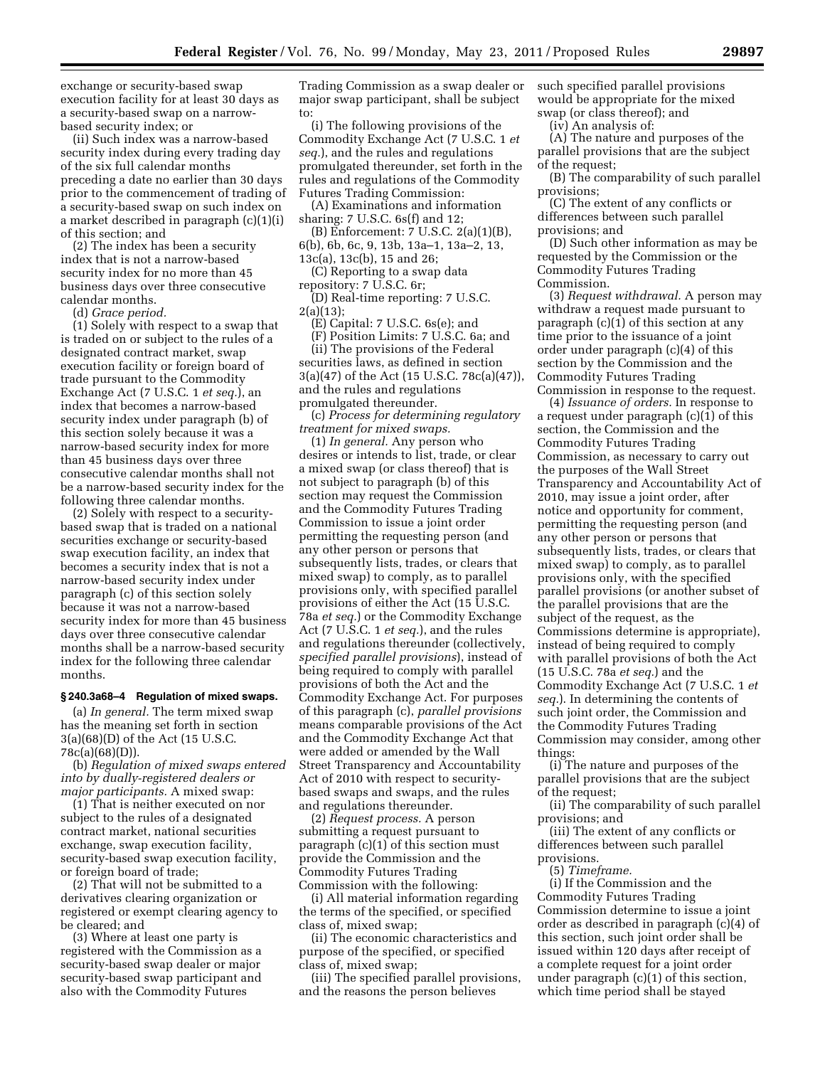exchange or security-based swap execution facility for at least 30 days as a security-based swap on a narrowbased security index; or

(ii) Such index was a narrow-based security index during every trading day of the six full calendar months preceding a date no earlier than 30 days prior to the commencement of trading of a security-based swap on such index on a market described in paragraph (c)(1)(i) of this section; and

(2) The index has been a security index that is not a narrow-based security index for no more than 45 business days over three consecutive calendar months.

(d) *Grace period.* 

(1) Solely with respect to a swap that is traded on or subject to the rules of a designated contract market, swap execution facility or foreign board of trade pursuant to the Commodity Exchange Act (7 U.S.C. 1 *et seq.*), an index that becomes a narrow-based security index under paragraph (b) of this section solely because it was a narrow-based security index for more than 45 business days over three consecutive calendar months shall not be a narrow-based security index for the following three calendar months.

(2) Solely with respect to a securitybased swap that is traded on a national securities exchange or security-based swap execution facility, an index that becomes a security index that is not a narrow-based security index under paragraph (c) of this section solely because it was not a narrow-based security index for more than 45 business days over three consecutive calendar months shall be a narrow-based security index for the following three calendar months.

# **§ 240.3a68–4 Regulation of mixed swaps.**

(a) *In general.* The term mixed swap has the meaning set forth in section 3(a)(68)(D) of the Act (15 U.S.C. 78c(a)(68)(D)).

(b) *Regulation of mixed swaps entered into by dually-registered dealers or major participants.* A mixed swap:

(1) That is neither executed on nor subject to the rules of a designated contract market, national securities exchange, swap execution facility, security-based swap execution facility, or foreign board of trade;

(2) That will not be submitted to a derivatives clearing organization or registered or exempt clearing agency to be cleared; and

(3) Where at least one party is registered with the Commission as a security-based swap dealer or major security-based swap participant and also with the Commodity Futures

Trading Commission as a swap dealer or major swap participant, shall be subject to:

(i) The following provisions of the Commodity Exchange Act (7 U.S.C. 1 *et seq.*), and the rules and regulations promulgated thereunder, set forth in the rules and regulations of the Commodity Futures Trading Commission:

(A) Examinations and information sharing: 7 U.S.C. 6s(f) and 12;

(B) Enforcement: 7 U.S.C. 2(a)(1)(B), 6(b), 6b, 6c, 9, 13b, 13a–1, 13a–2, 13, 13c(a), 13c(b), 15 and 26;

(C) Reporting to a swap data repository: 7 U.S.C. 6r;

(D) Real-time reporting: 7 U.S.C.  $2(a)(13);$ 

(E) Capital: 7 U.S.C. 6s(e); and

(F) Position Limits: 7 U.S.C. 6a; and (ii) The provisions of the Federal

securities laws, as defined in section 3(a)(47) of the Act (15 U.S.C. 78c(a)(47)), and the rules and regulations promulgated thereunder.

(c) *Process for determining regulatory treatment for mixed swaps.* 

(1) *In general.* Any person who desires or intends to list, trade, or clear a mixed swap (or class thereof) that is not subject to paragraph (b) of this section may request the Commission and the Commodity Futures Trading Commission to issue a joint order permitting the requesting person (and any other person or persons that subsequently lists, trades, or clears that mixed swap) to comply, as to parallel provisions only, with specified parallel provisions of either the Act (15 U.S.C. 78a *et seq.*) or the Commodity Exchange Act (7 U.S.C. 1 *et seq.*), and the rules and regulations thereunder (collectively, *specified parallel provisions*), instead of being required to comply with parallel provisions of both the Act and the Commodity Exchange Act. For purposes of this paragraph (c), *parallel provisions*  means comparable provisions of the Act and the Commodity Exchange Act that were added or amended by the Wall Street Transparency and Accountability Act of 2010 with respect to securitybased swaps and swaps, and the rules and regulations thereunder.

(2) *Request process.* A person submitting a request pursuant to paragraph (c)(1) of this section must provide the Commission and the Commodity Futures Trading Commission with the following:

(i) All material information regarding the terms of the specified, or specified class of, mixed swap;

(ii) The economic characteristics and purpose of the specified, or specified class of, mixed swap;

(iii) The specified parallel provisions, and the reasons the person believes

such specified parallel provisions would be appropriate for the mixed swap (or class thereof); and

(iv) An analysis of:

(A) The nature and purposes of the parallel provisions that are the subject of the request;

(B) The comparability of such parallel provisions;

(C) The extent of any conflicts or differences between such parallel provisions; and

(D) Such other information as may be requested by the Commission or the Commodity Futures Trading Commission.

(3) *Request withdrawal.* A person may withdraw a request made pursuant to paragraph (c)(1) of this section at any time prior to the issuance of a joint order under paragraph (c)(4) of this section by the Commission and the Commodity Futures Trading Commission in response to the request.

(4) *Issuance of orders.* In response to a request under paragraph (c)(1) of this section, the Commission and the Commodity Futures Trading Commission, as necessary to carry out the purposes of the Wall Street Transparency and Accountability Act of 2010, may issue a joint order, after notice and opportunity for comment, permitting the requesting person (and any other person or persons that subsequently lists, trades, or clears that mixed swap) to comply, as to parallel provisions only, with the specified parallel provisions (or another subset of the parallel provisions that are the subject of the request, as the Commissions determine is appropriate), instead of being required to comply with parallel provisions of both the Act (15 U.S.C. 78a *et seq.*) and the Commodity Exchange Act (7 U.S.C. 1 *et seq.*). In determining the contents of such joint order, the Commission and the Commodity Futures Trading Commission may consider, among other things:

(i) The nature and purposes of the parallel provisions that are the subject of the request;

(ii) The comparability of such parallel provisions; and

(iii) The extent of any conflicts or differences between such parallel provisions.

(5) *Timeframe.* 

(i) If the Commission and the Commodity Futures Trading Commission determine to issue a joint order as described in paragraph (c)(4) of this section, such joint order shall be issued within 120 days after receipt of a complete request for a joint order under paragraph (c)(1) of this section, which time period shall be stayed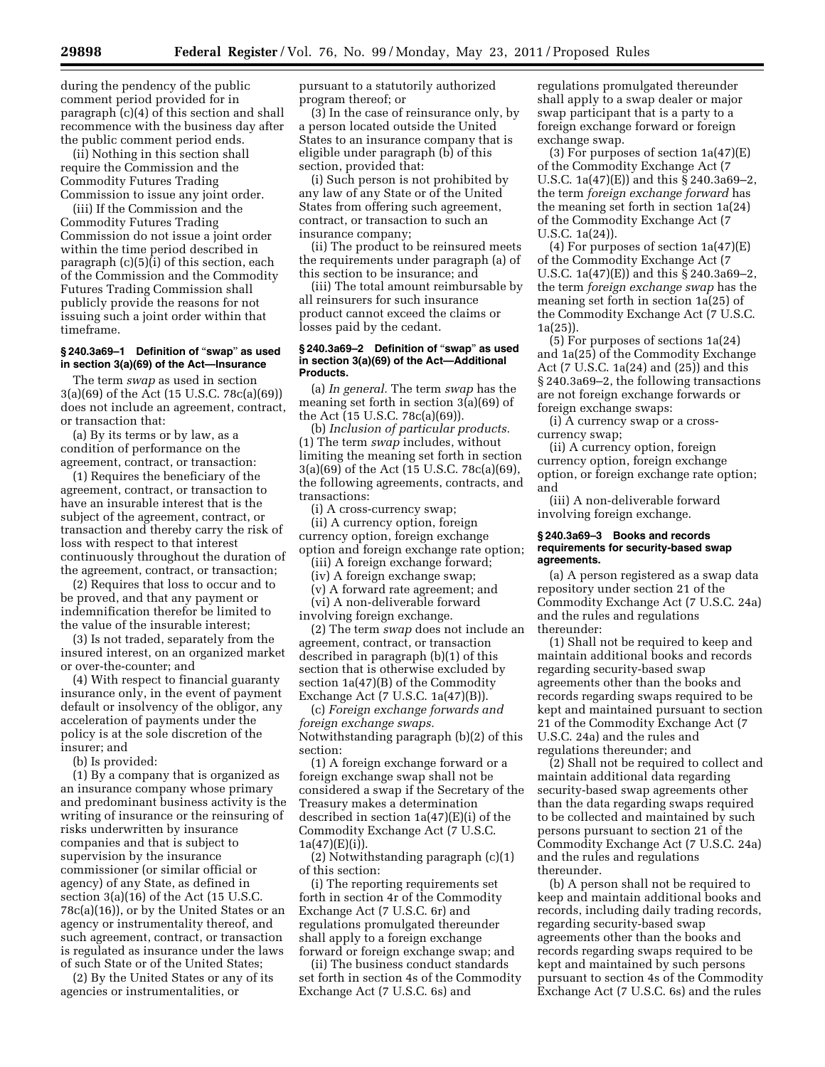during the pendency of the public comment period provided for in paragraph (c)(4) of this section and shall recommence with the business day after the public comment period ends.

(ii) Nothing in this section shall require the Commission and the Commodity Futures Trading Commission to issue any joint order.

(iii) If the Commission and the Commodity Futures Trading Commission do not issue a joint order within the time period described in paragraph (c)(5)(i) of this section, each of the Commission and the Commodity Futures Trading Commission shall publicly provide the reasons for not issuing such a joint order within that timeframe.

## **§ 240.3a69–1 Definition of** ''**swap**'' **as used in section 3(a)(69) of the Act—Insurance**

The term *swap* as used in section 3(a)(69) of the Act (15 U.S.C. 78c(a)(69)) does not include an agreement, contract, or transaction that:

(a) By its terms or by law, as a condition of performance on the agreement, contract, or transaction:

(1) Requires the beneficiary of the agreement, contract, or transaction to have an insurable interest that is the subject of the agreement, contract, or transaction and thereby carry the risk of loss with respect to that interest continuously throughout the duration of the agreement, contract, or transaction;

(2) Requires that loss to occur and to be proved, and that any payment or indemnification therefor be limited to the value of the insurable interest;

(3) Is not traded, separately from the insured interest, on an organized market or over-the-counter; and

(4) With respect to financial guaranty insurance only, in the event of payment default or insolvency of the obligor, any acceleration of payments under the policy is at the sole discretion of the insurer; and

(b) Is provided:

(1) By a company that is organized as an insurance company whose primary and predominant business activity is the writing of insurance or the reinsuring of risks underwritten by insurance companies and that is subject to supervision by the insurance commissioner (or similar official or agency) of any State, as defined in section 3(a)(16) of the Act (15 U.S.C. 78c(a)(16)), or by the United States or an agency or instrumentality thereof, and such agreement, contract, or transaction is regulated as insurance under the laws of such State or of the United States;

(2) By the United States or any of its agencies or instrumentalities, or

pursuant to a statutorily authorized program thereof; or

(3) In the case of reinsurance only, by a person located outside the United States to an insurance company that is eligible under paragraph (b) of this section, provided that:

(i) Such person is not prohibited by any law of any State or of the United States from offering such agreement, contract, or transaction to such an insurance company;

(ii) The product to be reinsured meets the requirements under paragraph (a) of this section to be insurance; and

(iii) The total amount reimbursable by all reinsurers for such insurance product cannot exceed the claims or losses paid by the cedant.

## **§ 240.3a69–2 Definition of** ''**swap**'' **as used in section 3(a)(69) of the Act—Additional Products.**

(a) *In general.* The term *swap* has the meaning set forth in section 3(a)(69) of the Act (15 U.S.C. 78c(a)(69)).

(b) *Inclusion of particular products.*  (1) The term *swap* includes, without limiting the meaning set forth in section 3(a)(69) of the Act (15 U.S.C. 78c(a)(69), the following agreements, contracts, and transactions:

(i) A cross-currency swap; (ii) A currency option, foreign

currency option, foreign exchange option and foreign exchange rate option;

(iii) A foreign exchange forward; (iv) A foreign exchange swap;

(v) A forward rate agreement; and (vi) A non-deliverable forward involving foreign exchange.

(2) The term *swap* does not include an agreement, contract, or transaction described in paragraph (b)(1) of this section that is otherwise excluded by section 1a(47)(B) of the Commodity Exchange Act (7 U.S.C. 1a(47)(B)).

(c) *Foreign exchange forwards and foreign exchange swaps.*  Notwithstanding paragraph (b)(2) of this section:

(1) A foreign exchange forward or a foreign exchange swap shall not be considered a swap if the Secretary of the Treasury makes a determination described in section 1a(47)(E)(i) of the Commodity Exchange Act (7 U.S.C. 1a(47)(E)(i)).

(2) Notwithstanding paragraph (c)(1) of this section:

(i) The reporting requirements set forth in section 4r of the Commodity Exchange Act (7 U.S.C. 6r) and regulations promulgated thereunder shall apply to a foreign exchange forward or foreign exchange swap; and

(ii) The business conduct standards set forth in section 4s of the Commodity Exchange Act (7 U.S.C. 6s) and

regulations promulgated thereunder shall apply to a swap dealer or major swap participant that is a party to a foreign exchange forward or foreign exchange swap.

(3) For purposes of section 1a(47)(E) of the Commodity Exchange Act (7 U.S.C. 1a(47)(E)) and this § 240.3a69–2, the term *foreign exchange forward* has the meaning set forth in section 1a(24) of the Commodity Exchange Act (7 U.S.C. 1a(24)).

(4) For purposes of section 1a(47)(E) of the Commodity Exchange Act (7 U.S.C. 1a(47)(E)) and this § 240.3a69–2, the term *foreign exchange swap* has the meaning set forth in section 1a(25) of the Commodity Exchange Act (7 U.S.C. 1a(25)).

(5) For purposes of sections 1a(24) and 1a(25) of the Commodity Exchange Act (7 U.S.C. 1a(24) and (25)) and this § 240.3a69–2, the following transactions are not foreign exchange forwards or foreign exchange swaps:

(i) A currency swap or a crosscurrency swap;

(ii) A currency option, foreign currency option, foreign exchange option, or foreign exchange rate option; and

(iii) A non-deliverable forward involving foreign exchange.

#### **§ 240.3a69–3 Books and records requirements for security-based swap agreements.**

(a) A person registered as a swap data repository under section 21 of the Commodity Exchange Act (7 U.S.C. 24a) and the rules and regulations thereunder:

(1) Shall not be required to keep and maintain additional books and records regarding security-based swap agreements other than the books and records regarding swaps required to be kept and maintained pursuant to section 21 of the Commodity Exchange Act (7 U.S.C. 24a) and the rules and regulations thereunder; and

(2) Shall not be required to collect and maintain additional data regarding security-based swap agreements other than the data regarding swaps required to be collected and maintained by such persons pursuant to section 21 of the Commodity Exchange Act (7 U.S.C. 24a) and the rules and regulations thereunder.

(b) A person shall not be required to keep and maintain additional books and records, including daily trading records, regarding security-based swap agreements other than the books and records regarding swaps required to be kept and maintained by such persons pursuant to section 4s of the Commodity Exchange Act (7 U.S.C. 6s) and the rules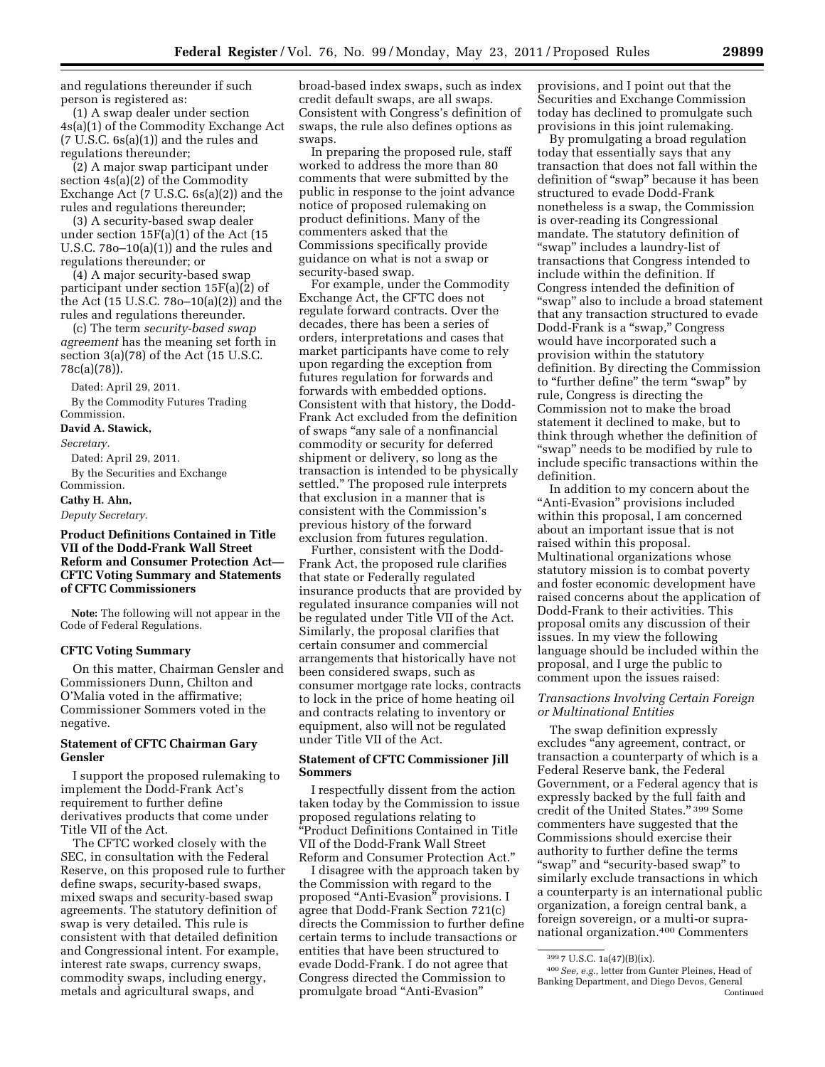and regulations thereunder if such person is registered as:

(1) A swap dealer under section 4s(a)(1) of the Commodity Exchange Act (7 U.S.C. 6s(a)(1)) and the rules and regulations thereunder;

(2) A major swap participant under section 4s(a)(2) of the Commodity Exchange Act (7 U.S.C. 6s(a)(2)) and the rules and regulations thereunder;

(3) A security-based swap dealer under section 15F(a)(1) of the Act (15 U.S.C. 78o–10(a)(1)) and the rules and regulations thereunder; or

(4) A major security-based swap participant under section 15F(a)(2) of the Act (15 U.S.C. 78o–10(a)(2)) and the rules and regulations thereunder.

(c) The term *security-based swap agreement* has the meaning set forth in section 3(a)(78) of the Act (15 U.S.C. 78c(a)(78)).

Dated: April 29, 2011. By the Commodity Futures Trading Commission.

**David A. Stawick,** 

*Secretary.* 

Dated: April 29, 2011. By the Securities and Exchange Commission.

# **Cathy H. Ahn,**

*Deputy Secretary.* 

# **Product Definitions Contained in Title VII of the Dodd-Frank Wall Street Reform and Consumer Protection Act— CFTC Voting Summary and Statements of CFTC Commissioners**

**Note:** The following will not appear in the Code of Federal Regulations.

## **CFTC Voting Summary**

On this matter, Chairman Gensler and Commissioners Dunn, Chilton and O'Malia voted in the affirmative; Commissioner Sommers voted in the negative.

# **Statement of CFTC Chairman Gary Gensler**

I support the proposed rulemaking to implement the Dodd-Frank Act's requirement to further define derivatives products that come under Title VII of the Act.

The CFTC worked closely with the SEC, in consultation with the Federal Reserve, on this proposed rule to further define swaps, security-based swaps, mixed swaps and security-based swap agreements. The statutory definition of swap is very detailed. This rule is consistent with that detailed definition and Congressional intent. For example, interest rate swaps, currency swaps, commodity swaps, including energy, metals and agricultural swaps, and

broad-based index swaps, such as index credit default swaps, are all swaps. Consistent with Congress's definition of swaps, the rule also defines options as swaps.

In preparing the proposed rule, staff worked to address the more than 80 comments that were submitted by the public in response to the joint advance notice of proposed rulemaking on product definitions. Many of the commenters asked that the Commissions specifically provide guidance on what is not a swap or security-based swap.

For example, under the Commodity Exchange Act, the CFTC does not regulate forward contracts. Over the decades, there has been a series of orders, interpretations and cases that market participants have come to rely upon regarding the exception from futures regulation for forwards and forwards with embedded options. Consistent with that history, the Dodd-Frank Act excluded from the definition of swaps ''any sale of a nonfinancial commodity or security for deferred shipment or delivery, so long as the transaction is intended to be physically settled.'' The proposed rule interprets that exclusion in a manner that is consistent with the Commission's previous history of the forward exclusion from futures regulation.

Further, consistent with the Dodd-Frank Act, the proposed rule clarifies that state or Federally regulated insurance products that are provided by regulated insurance companies will not be regulated under Title VII of the Act. Similarly, the proposal clarifies that certain consumer and commercial arrangements that historically have not been considered swaps, such as consumer mortgage rate locks, contracts to lock in the price of home heating oil and contracts relating to inventory or equipment, also will not be regulated under Title VII of the Act.

# **Statement of CFTC Commissioner Jill Sommers**

I respectfully dissent from the action taken today by the Commission to issue proposed regulations relating to ''Product Definitions Contained in Title VII of the Dodd-Frank Wall Street Reform and Consumer Protection Act.''

I disagree with the approach taken by the Commission with regard to the proposed ''Anti-Evasion'' provisions. I agree that Dodd-Frank Section 721(c) directs the Commission to further define certain terms to include transactions or entities that have been structured to evade Dodd-Frank. I do not agree that Congress directed the Commission to promulgate broad ''Anti-Evasion''

provisions, and I point out that the Securities and Exchange Commission today has declined to promulgate such provisions in this joint rulemaking.

By promulgating a broad regulation today that essentially says that any transaction that does not fall within the definition of ''swap'' because it has been structured to evade Dodd-Frank nonetheless is a swap, the Commission is over-reading its Congressional mandate. The statutory definition of ''swap'' includes a laundry-list of transactions that Congress intended to include within the definition. If Congress intended the definition of ''swap'' also to include a broad statement that any transaction structured to evade Dodd-Frank is a "swap," Congress would have incorporated such a provision within the statutory definition. By directing the Commission to "further define" the term "swap" by rule, Congress is directing the Commission not to make the broad statement it declined to make, but to think through whether the definition of ''swap'' needs to be modified by rule to include specific transactions within the definition.

In addition to my concern about the "Anti-Evasion" provisions included within this proposal, I am concerned about an important issue that is not raised within this proposal. Multinational organizations whose statutory mission is to combat poverty and foster economic development have raised concerns about the application of Dodd-Frank to their activities. This proposal omits any discussion of their issues. In my view the following language should be included within the proposal, and I urge the public to comment upon the issues raised:

# *Transactions Involving Certain Foreign or Multinational Entities*

The swap definition expressly excludes ''any agreement, contract, or transaction a counterparty of which is a Federal Reserve bank, the Federal Government, or a Federal agency that is expressly backed by the full faith and credit of the United States.'' 399 Some commenters have suggested that the Commissions should exercise their authority to further define the terms "swap" and "security-based swap" to similarly exclude transactions in which a counterparty is an international public organization, a foreign central bank, a foreign sovereign, or a multi-or supranational organization.400 Commenters

<sup>399</sup> 7 U.S.C. 1a(47)(B)(ix).

<sup>400</sup>*See, e.g.,* letter from Gunter Pleines, Head of Banking Department, and Diego Devos, General Continued